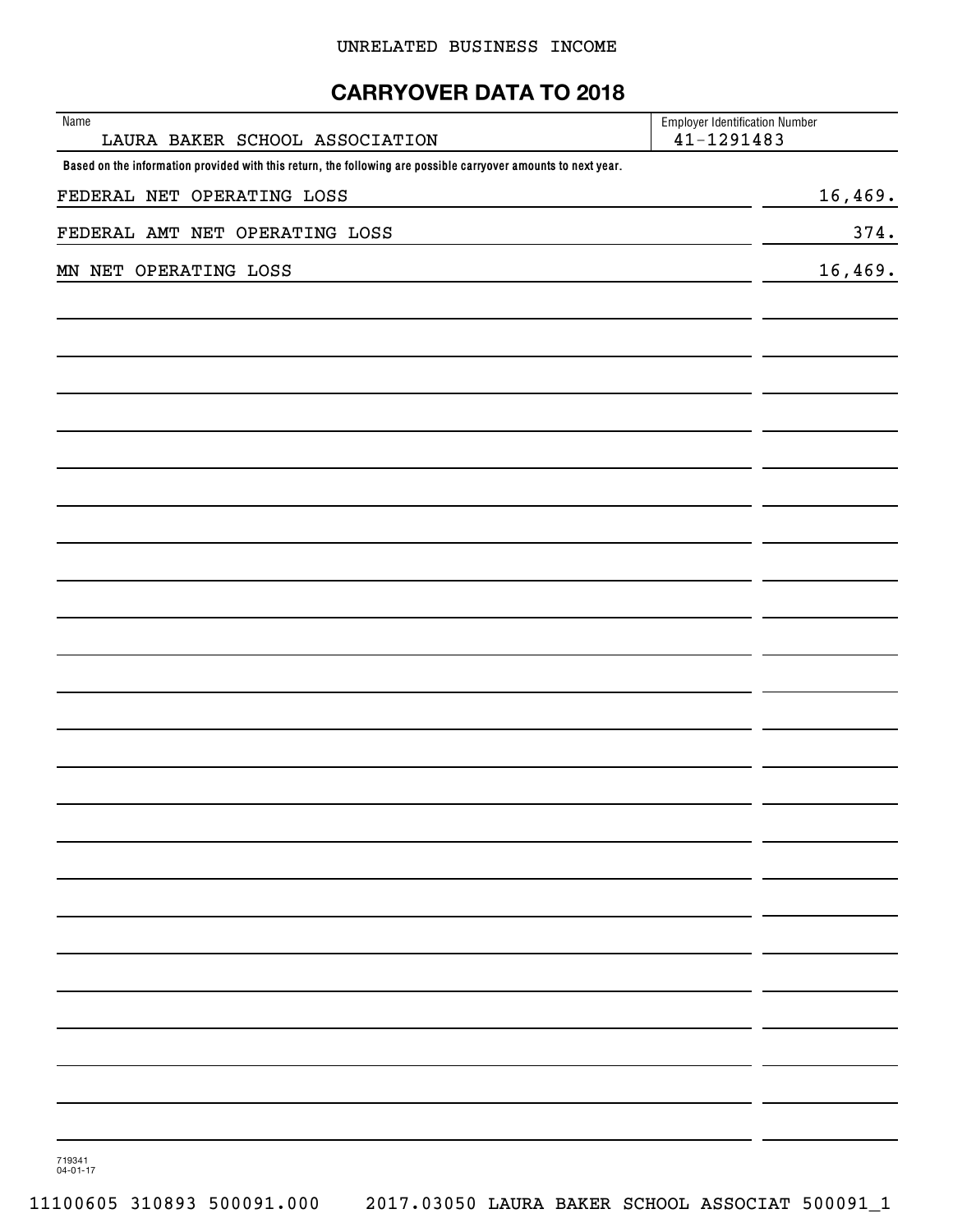## **CARRYOVER DATA TO 2018**

| Name<br>LAURA BAKER SCHOOL ASSOCIATION                                                                         | <b>Employer Identification Number</b><br>$41 - 1291483$ |         |
|----------------------------------------------------------------------------------------------------------------|---------------------------------------------------------|---------|
| Based on the information provided with this return, the following are possible carryover amounts to next year. |                                                         |         |
| FEDERAL NET OPERATING LOSS                                                                                     |                                                         | 16,469. |
| FEDERAL AMT NET OPERATING LOSS                                                                                 |                                                         | 374.    |
| MN NET OPERATING LOSS                                                                                          |                                                         | 16,469. |
|                                                                                                                |                                                         |         |
|                                                                                                                |                                                         |         |
|                                                                                                                |                                                         |         |
|                                                                                                                |                                                         |         |
|                                                                                                                |                                                         |         |
|                                                                                                                |                                                         |         |
|                                                                                                                |                                                         |         |
|                                                                                                                |                                                         |         |
|                                                                                                                |                                                         |         |
|                                                                                                                |                                                         |         |
|                                                                                                                |                                                         |         |
|                                                                                                                |                                                         |         |
|                                                                                                                |                                                         |         |
|                                                                                                                |                                                         |         |
|                                                                                                                |                                                         |         |
|                                                                                                                |                                                         |         |
|                                                                                                                |                                                         |         |
|                                                                                                                |                                                         |         |
|                                                                                                                |                                                         |         |
|                                                                                                                |                                                         |         |
|                                                                                                                |                                                         |         |
|                                                                                                                |                                                         |         |
|                                                                                                                |                                                         |         |
|                                                                                                                |                                                         |         |
|                                                                                                                |                                                         |         |
|                                                                                                                |                                                         |         |
|                                                                                                                |                                                         |         |
|                                                                                                                |                                                         |         |
|                                                                                                                |                                                         |         |

719341 04-01-17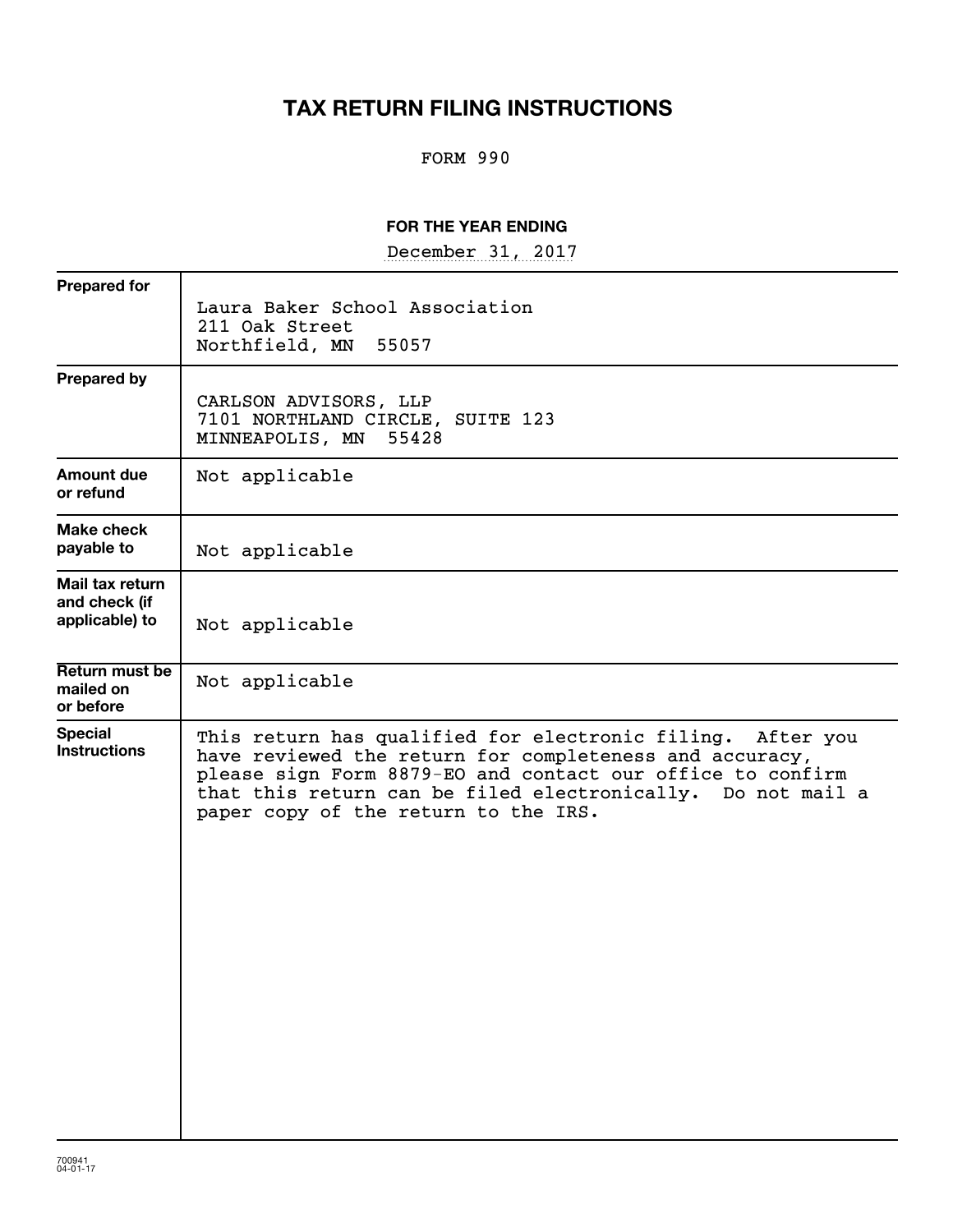# **TAX RETURN FILING INSTRUCTIONS**

## FORM 990

#### **FOR THE YEAR ENDING**

December 31, 2017

| <b>Prepared for</b>                                |                                                                                                                                                                                                                                                                                            |
|----------------------------------------------------|--------------------------------------------------------------------------------------------------------------------------------------------------------------------------------------------------------------------------------------------------------------------------------------------|
|                                                    | Laura Baker School Association<br>211 Oak Street<br>Northfield, MN<br>55057                                                                                                                                                                                                                |
| <b>Prepared by</b>                                 | CARLSON ADVISORS, LLP<br>7101 NORTHLAND CIRCLE, SUITE 123<br>MINNEAPOLIS, MN<br>55428                                                                                                                                                                                                      |
| Amount due<br>or refund                            | Not applicable                                                                                                                                                                                                                                                                             |
| <b>Make check</b><br>payable to                    | Not applicable                                                                                                                                                                                                                                                                             |
| Mail tax return<br>and check (if<br>applicable) to | Not applicable                                                                                                                                                                                                                                                                             |
| Return must be<br>mailed on<br>or before           | Not applicable                                                                                                                                                                                                                                                                             |
| <b>Special</b><br><b>Instructions</b>              | This return has qualified for electronic filing. After you<br>have reviewed the return for completeness and accuracy,<br>please sign Form 8879-EO and contact our office to confirm<br>that this return can be filed electronically. Do not mail a<br>paper copy of the return to the IRS. |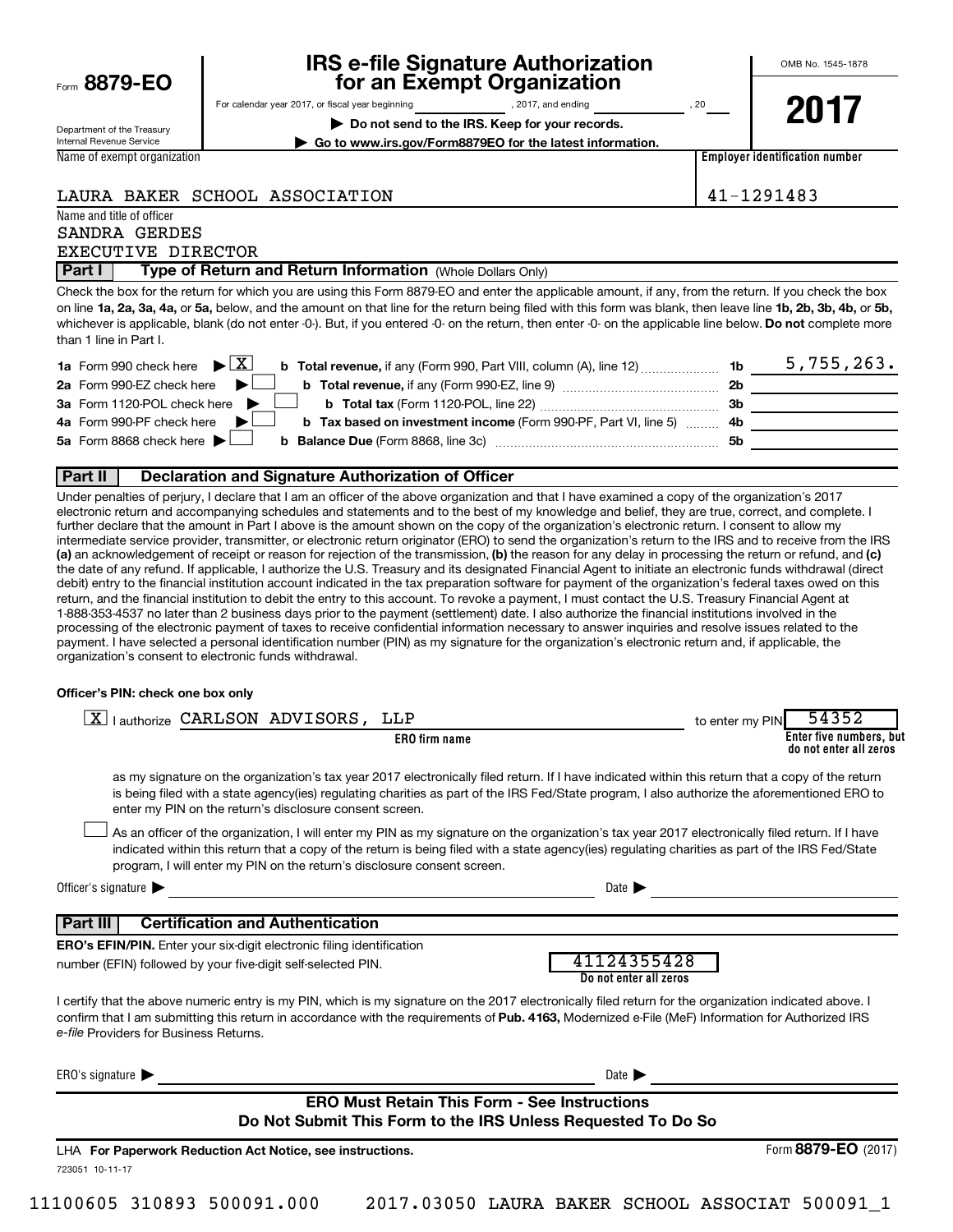| Form 8879-EO |  |  |  |  |
|--------------|--|--|--|--|
|--------------|--|--|--|--|

# **IRS e-file Signature Authorization 8879-EO for an Exempt Organization**

OMB No. 1545-1878

Department of the Treasury Internal Revenue Service Name of exempt organization For calendar year 2017, or fiscal year beginning , 2017, and ending , 20 **| Do not send to the IRS. Keep for your records.**

**| Go to www.irs.gov/Form8879EO for the latest information.**

**2017**

**Employer identification number**

#### LAURA BAKER SCHOOL ASSOCIATION 41-1291483

Name and title of officer SANDRA GERDES EXECUTIVE DIRECTOR

**Part I** | Type of Return and Return Information (Whole Dollars Only)

on line 1a, 2a, 3a, 4a, or 5a, below, and the amount on that line for the return being filed with this form was blank, then leave line 1b, 2b, 3b, 4b, or 5b, whichever is applicable, blank (do not enter -0-). But, if you entered -0- on the return, then enter -0- on the applicable line below. **Do not** complete more Check the box for the return for which you are using this Form 8879-EO and enter the applicable amount, if any, from the return. If you check the box than 1 line in Part I.

| <b>1a</b> Form 990 check here $\triangleright$ $\boxed{X}$                                             |     | 5,755,263. |
|--------------------------------------------------------------------------------------------------------|-----|------------|
| 2a Form 990-EZ check here $\blacktriangleright$                                                        | 2b  |            |
| 3a Form 1120-POL check here                                                                            | -3b |            |
| 4a Form 990-PF check here<br><b>b</b> Tax based on investment income (Form 990-PF, Part VI, line 5) 4b |     |            |
| 5a Form 8868 check here $\blacktriangleright$                                                          | .5b |            |
|                                                                                                        |     |            |

#### **Part II Declaration and Signature Authorization of Officer**

(a) an acknowledgement of receipt or reason for rejection of the transmission, (b) the reason for any delay in processing the return or refund, and (c) Under penalties of perjury, I declare that I am an officer of the above organization and that I have examined a copy of the organization's 2017 electronic return and accompanying schedules and statements and to the best of my knowledge and belief, they are true, correct, and complete. I further declare that the amount in Part I above is the amount shown on the copy of the organization's electronic return. I consent to allow my intermediate service provider, transmitter, or electronic return originator (ERO) to send the organization's return to the IRS and to receive from the IRS the date of any refund. If applicable, I authorize the U.S. Treasury and its designated Financial Agent to initiate an electronic funds withdrawal (direct debit) entry to the financial institution account indicated in the tax preparation software for payment of the organization's federal taxes owed on this return, and the financial institution to debit the entry to this account. To revoke a payment, I must contact the U.S. Treasury Financial Agent at 1-888-353-4537 no later than 2 business days prior to the payment (settlement) date. I also authorize the financial institutions involved in the processing of the electronic payment of taxes to receive confidential information necessary to answer inquiries and resolve issues related to the payment. I have selected a personal identification number (PIN) as my signature for the organization's electronic return and, if applicable, the organization's consent to electronic funds withdrawal.

#### **Officer's PIN: check one box only**

| lauthorize CARLSON ADVISORS, LLP<br>ΧI                                                                                                                                                                                                                                                                                                                 | 54352<br>to enter my PIN                                                                                                                                                                                                                                                                              |
|--------------------------------------------------------------------------------------------------------------------------------------------------------------------------------------------------------------------------------------------------------------------------------------------------------------------------------------------------------|-------------------------------------------------------------------------------------------------------------------------------------------------------------------------------------------------------------------------------------------------------------------------------------------------------|
| <b>ERO</b> firm name                                                                                                                                                                                                                                                                                                                                   | Enter five numbers, but<br>do not enter all zeros                                                                                                                                                                                                                                                     |
| enter my PIN on the return's disclosure consent screen.                                                                                                                                                                                                                                                                                                | as my signature on the organization's tax year 2017 electronically filed return. If I have indicated within this return that a copy of the return<br>is being filed with a state agency(ies) regulating charities as part of the IRS Fed/State program, I also authorize the aforementioned ERO to    |
| program, I will enter my PIN on the return's disclosure consent screen.                                                                                                                                                                                                                                                                                | As an officer of the organization, I will enter my PIN as my signature on the organization's tax year 2017 electronically filed return. If I have<br>indicated within this return that a copy of the return is being filed with a state agency(ies) regulating charities as part of the IRS Fed/State |
| Officer's signature $\blacktriangleright$                                                                                                                                                                                                                                                                                                              | Date $\blacksquare$                                                                                                                                                                                                                                                                                   |
| <b>Certification and Authentication</b><br>  Part III                                                                                                                                                                                                                                                                                                  |                                                                                                                                                                                                                                                                                                       |
| <b>ERO's EFIN/PIN.</b> Enter your six-digit electronic filing identification                                                                                                                                                                                                                                                                           |                                                                                                                                                                                                                                                                                                       |
| number (EFIN) followed by your five-digit self-selected PIN.                                                                                                                                                                                                                                                                                           | 41124355428<br>Do not enter all zeros                                                                                                                                                                                                                                                                 |
| I certify that the above numeric entry is my PIN, which is my signature on the 2017 electronically filed return for the organization indicated above. I<br>confirm that I am submitting this return in accordance with the requirements of Pub. 4163, Modernized e-File (MeF) Information for Authorized IRS<br>e-file Providers for Business Returns. |                                                                                                                                                                                                                                                                                                       |
| ERO's signature $\blacktriangleright$                                                                                                                                                                                                                                                                                                                  | Date $\blacktriangleright$                                                                                                                                                                                                                                                                            |
|                                                                                                                                                                                                                                                                                                                                                        | <b>ERO Must Retain This Form - See Instructions</b>                                                                                                                                                                                                                                                   |
|                                                                                                                                                                                                                                                                                                                                                        | Do Not Submit This Form to the IRS Unless Requested To Do So                                                                                                                                                                                                                                          |
| LHA For Paperwork Reduction Act Notice, see instructions.                                                                                                                                                                                                                                                                                              | Form 8879-EO (2017)                                                                                                                                                                                                                                                                                   |
| 723051 10-11-17                                                                                                                                                                                                                                                                                                                                        |                                                                                                                                                                                                                                                                                                       |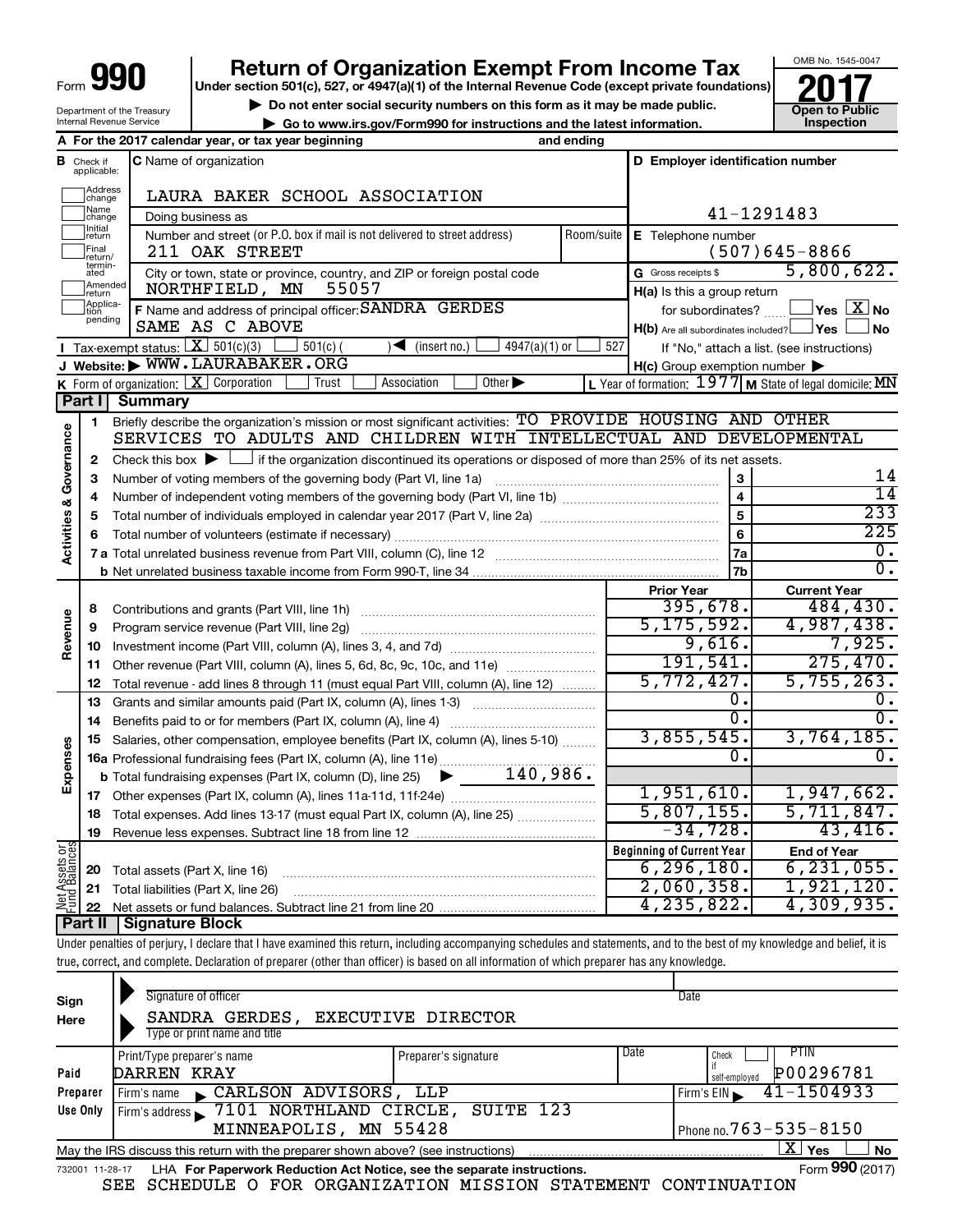| Form | lan<br>n |
|------|----------|
|      |          |

Department of the Treasury Internal Revenue Service

## **Return of Organization Exempt From Income Tax**

**Under section 501(c), 527, or 4947(a)(1) of the Internal Revenue Code (except private foundations)**

▶ Do not enter social security numbers on this form as it may be made public.<br>
inspection and the latest information. **Dependent in the latest information** and the latest information.

**| Go to www.irs.gov/Form990 for instructions and the latest information. Inspection**



|                                |                               | A For the 2017 calendar year, or tax year beginning                                                                                                                             | and ending              |                                                         |                                                         |  |
|--------------------------------|-------------------------------|---------------------------------------------------------------------------------------------------------------------------------------------------------------------------------|-------------------------|---------------------------------------------------------|---------------------------------------------------------|--|
|                                | <b>B</b> Check if applicable: | D Employer identification number<br><b>C</b> Name of organization                                                                                                               |                         |                                                         |                                                         |  |
|                                | Address<br>change             | LAURA BAKER SCHOOL ASSOCIATION                                                                                                                                                  |                         |                                                         |                                                         |  |
|                                | Name<br>change                | Doing business as                                                                                                                                                               | 41-1291483              |                                                         |                                                         |  |
|                                | Initial<br> return            | Number and street (or P.O. box if mail is not delivered to street address)                                                                                                      | Room/suite              | E Telephone number                                      |                                                         |  |
|                                | Final<br>return/              | 211 OAK STREET                                                                                                                                                                  |                         |                                                         | $(507)645 - 8866$                                       |  |
|                                | termin-<br>ated               | City or town, state or province, country, and ZIP or foreign postal code                                                                                                        |                         | G Gross receipts \$                                     | 5,800,622.                                              |  |
|                                | Amended<br>return             | NORTHFIELD, MN<br>55057                                                                                                                                                         |                         | $H(a)$ is this a group return                           |                                                         |  |
|                                | Applica-<br>pending           | F Name and address of principal officer: SANDRA GERDES                                                                                                                          |                         | for subordinates?                                       | $\exists$ Yes $\boxed{\text{X}}$ No                     |  |
|                                |                               | SAME AS C ABOVE                                                                                                                                                                 |                         | $H(b)$ Are all subordinates included? $\Box$ Yes $\Box$ | ⊥No                                                     |  |
|                                |                               | <b>I</b> Tax-exempt status: $X \overline{X}$ 501(c)(3)<br>$\sqrt{\frac{1}{1}}$ (insert no.)<br>$4947(a)(1)$ or<br>$501(c)$ (                                                    | 527                     |                                                         | If "No," attach a list. (see instructions)              |  |
|                                |                               | J Website: WWW.LAURABAKER.ORG                                                                                                                                                   |                         | $H(c)$ Group exemption number $\blacktriangleright$     |                                                         |  |
|                                |                               | K Form of organization: $X$ Corporation<br>Other $\blacktriangleright$<br>Trust<br>Association                                                                                  |                         |                                                         | L Year of formation: 1977 M State of legal domicile: MN |  |
|                                | Part I                        | Summary                                                                                                                                                                         |                         |                                                         |                                                         |  |
|                                | 1                             | Briefly describe the organization's mission or most significant activities: TO PROVIDE HOUSING AND OTHER<br>SERVICES TO ADULTS AND CHILDREN WITH INTELLECTUAL AND DEVELOPMENTAL |                         |                                                         |                                                         |  |
| Governance                     | $\mathbf{2}$                  | Check this box $\blacktriangleright$ $\Box$ if the organization discontinued its operations or disposed of more than 25% of its net assets.                                     |                         |                                                         |                                                         |  |
|                                | 3                             | Number of voting members of the governing body (Part VI, line 1a)                                                                                                               |                         | 3                                                       | 14                                                      |  |
|                                | 4                             |                                                                                                                                                                                 | $\overline{\mathbf{4}}$ | $\overline{14}$                                         |                                                         |  |
|                                | 5                             |                                                                                                                                                                                 |                         | $\overline{5}$                                          | 233                                                     |  |
|                                | 6                             |                                                                                                                                                                                 |                         | 6                                                       | 225                                                     |  |
| <b>Activities &amp;</b>        |                               |                                                                                                                                                                                 |                         | 7a                                                      | О.                                                      |  |
|                                |                               |                                                                                                                                                                                 |                         | 7 <sub>b</sub>                                          | $\overline{0}$ .                                        |  |
|                                |                               |                                                                                                                                                                                 |                         | <b>Prior Year</b>                                       | <b>Current Year</b>                                     |  |
|                                | 8                             |                                                                                                                                                                                 |                         | 395,678.                                                | 484, 430.                                               |  |
|                                | 9                             | Program service revenue (Part VIII, line 2g)                                                                                                                                    |                         | 5, 175, 592.                                            | 4,987,438.                                              |  |
| Revenue                        | 10                            |                                                                                                                                                                                 |                         | 9,616.                                                  | 7,925.                                                  |  |
|                                | 11                            | Other revenue (Part VIII, column (A), lines 5, 6d, 8c, 9c, 10c, and 11e)                                                                                                        |                         | 191,541.                                                | 275,470.                                                |  |
|                                | 12                            | Total revenue - add lines 8 through 11 (must equal Part VIII, column (A), line 12)                                                                                              |                         | 5,772,427.                                              | 5,755,263.                                              |  |
|                                | 13                            | Grants and similar amounts paid (Part IX, column (A), lines 1-3)                                                                                                                |                         | 0.                                                      | 0.                                                      |  |
|                                | 14                            | Benefits paid to or for members (Part IX, column (A), line 4)                                                                                                                   |                         | $\overline{0}$ .                                        | 0.                                                      |  |
|                                | 15                            | Salaries, other compensation, employee benefits (Part IX, column (A), lines 5-10)                                                                                               |                         | 3,855,545.                                              | 3,764,185.                                              |  |
| Expenses                       |                               | 16a Professional fundraising fees (Part IX, column (A), line 11e)                                                                                                               |                         | Ω.                                                      | 0.                                                      |  |
|                                |                               | 140,986.<br><b>b</b> Total fundraising expenses (Part IX, column (D), line 25) $\blacktriangleright$                                                                            |                         |                                                         |                                                         |  |
|                                | 17                            | Other expenses (Part IX, column (A), lines 11a-11d, 11f-24e)                                                                                                                    |                         | 1,951,610.                                              | 1,947,662.                                              |  |
|                                | 18                            | Total expenses. Add lines 13-17 (must equal Part IX, column (A), line 25)                                                                                                       |                         | 5,807,155.<br>$-34,728.$                                | 5,711,847.<br>43,416.                                   |  |
|                                | 19                            |                                                                                                                                                                                 |                         |                                                         |                                                         |  |
|                                |                               |                                                                                                                                                                                 |                         | <b>Beginning of Current Year</b><br>6, 296, 180.        | <b>End of Year</b><br>6, 231, 055.                      |  |
|                                | 20                            | Total assets (Part X, line 16)                                                                                                                                                  |                         | 2,060,358.                                              | 1,921,120.                                              |  |
| Net Assets or<br>Fund Balances | 21                            | Total liabilities (Part X, line 26)                                                                                                                                             |                         | 4,235,822.                                              | 4,309,935.                                              |  |
|                                |                               | Dort II Cianoturo Plook                                                                                                                                                         |                         |                                                         |                                                         |  |

**Part II Signature Block**

Under penalties of perjury, I declare that I have examined this return, including accompanying schedules and statements, and to the best of my knowledge and belief, it is true, correct, and complete. Declaration of preparer (other than officer) is based on all information of which preparer has any knowledge.

| Sign<br>Here | Signature of officer<br>SANDRA GERDES, EXECUTIVE DIRECTOR<br>Type or print name and title                         |                      | Date                                                       |  |  |
|--------------|-------------------------------------------------------------------------------------------------------------------|----------------------|------------------------------------------------------------|--|--|
| Paid         | Print/Type preparer's name<br>DARREN KRAY                                                                         | Preparer's signature | Date<br><b>PTIN</b><br>Check<br>P00296781<br>self-emploved |  |  |
| Preparer     | CARLSON ADVISORS, LLP<br>Firm's name                                                                              |                      | 41-1504933<br>Firm's EIN                                   |  |  |
| Use Only     | Firm's address 7101 NORTHLAND CIRCLE, SUITE 123                                                                   |                      |                                                            |  |  |
|              | MINNEAPOLIS, MN 55428                                                                                             |                      | Phone no. 763 – 535 – 8150                                 |  |  |
|              | <b>X</b><br><b>No</b><br>Yes<br>May the IRS discuss this return with the preparer shown above? (see instructions) |                      |                                                            |  |  |
|              | Form 990 (2017)<br>LHA For Paperwork Reduction Act Notice, see the separate instructions.<br>732001 11-28-17      |                      |                                                            |  |  |

SEE SCHEDULE O FOR ORGANIZATION MISSION STATEMENT CONTINUATION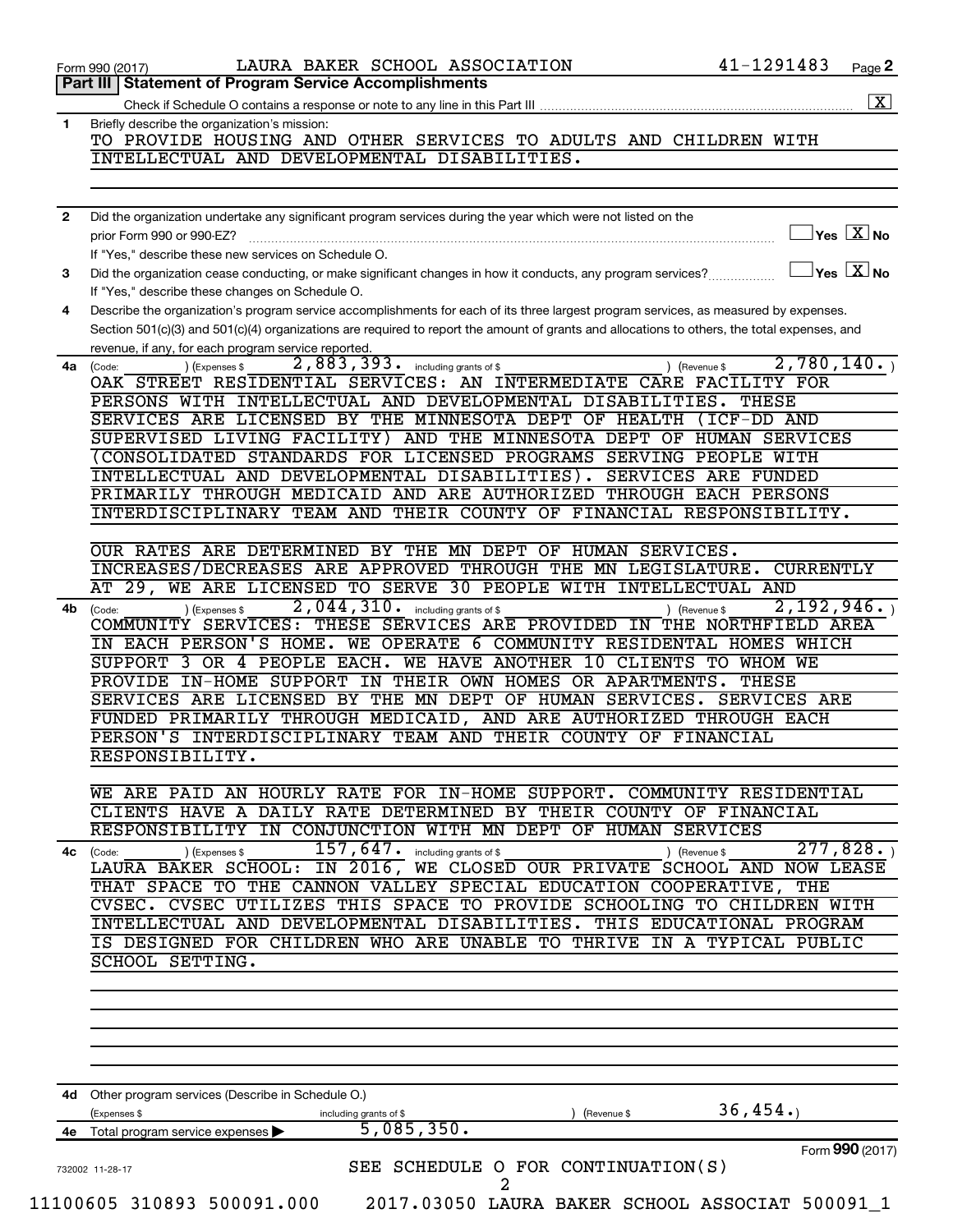|    | Form 990 (2017)                                                                                                                              | LAURA BAKER SCHOOL ASSOCIATION                           |             | 41-1291483                                           | Page 2       |
|----|----------------------------------------------------------------------------------------------------------------------------------------------|----------------------------------------------------------|-------------|------------------------------------------------------|--------------|
|    | Part III   Statement of Program Service Accomplishments                                                                                      |                                                          |             |                                                      |              |
|    |                                                                                                                                              |                                                          |             |                                                      | $\mathbf{X}$ |
| 1  | Briefly describe the organization's mission:<br>TO PROVIDE HOUSING AND OTHER SERVICES TO ADULTS AND CHILDREN WITH                            |                                                          |             |                                                      |              |
|    | INTELLECTUAL AND DEVELOPMENTAL DISABILITIES.                                                                                                 |                                                          |             |                                                      |              |
|    |                                                                                                                                              |                                                          |             |                                                      |              |
|    |                                                                                                                                              |                                                          |             |                                                      |              |
| 2  | Did the organization undertake any significant program services during the year which were not listed on the                                 |                                                          |             |                                                      |              |
|    | prior Form 990 or 990-EZ?                                                                                                                    |                                                          |             | $ {\mathsf Y}\mathsf{es}\ \boxed{{\mathsf X}}$ No    |              |
|    | If "Yes," describe these new services on Schedule O.                                                                                         |                                                          |             |                                                      |              |
| 3  | Did the organization cease conducting, or make significant changes in how it conducts, any program services?                                 |                                                          |             | $ {\mathsf Y}\mathsf{es}\ \overline{{\mathsf X}}$ No |              |
|    | If "Yes," describe these changes on Schedule O.                                                                                              |                                                          |             |                                                      |              |
| 4  | Describe the organization's program service accomplishments for each of its three largest program services, as measured by expenses.         |                                                          |             |                                                      |              |
|    | Section 501(c)(3) and 501(c)(4) organizations are required to report the amount of grants and allocations to others, the total expenses, and |                                                          |             |                                                      |              |
|    | revenue, if any, for each program service reported.                                                                                          |                                                          |             |                                                      |              |
| 4a | (Expenses \$<br>(Code:                                                                                                                       | 2,883,393.<br>including grants of \$                     |             | 2,780,140.<br>) (Revenue \$                          |              |
|    | OAK STREET RESIDENTIAL SERVICES: AN INTERMEDIATE CARE FACILITY FOR                                                                           |                                                          |             |                                                      |              |
|    | PERSONS WITH INTELLECTUAL AND DEVELOPMENTAL DISABILITIES.                                                                                    |                                                          |             | THESE                                                |              |
|    | SERVICES ARE LICENSED BY THE MINNESOTA DEPT OF HEALTH                                                                                        |                                                          |             | (ICF-DD AND                                          |              |
|    | SUPERVISED LIVING FACILITY) AND THE MINNESOTA DEPT OF HUMAN SERVICES                                                                         |                                                          |             |                                                      |              |
|    | (CONSOLIDATED STANDARDS FOR LICENSED PROGRAMS SERVING PEOPLE WITH                                                                            |                                                          |             |                                                      |              |
|    | INTELLECTUAL AND DEVELOPMENTAL DISABILITIES). SERVICES ARE FUNDED                                                                            |                                                          |             |                                                      |              |
|    | PRIMARILY THROUGH MEDICAID AND ARE AUTHORIZED THROUGH EACH PERSONS                                                                           |                                                          |             |                                                      |              |
|    | INTERDISCIPLINARY TEAM AND THEIR COUNTY OF FINANCIAL RESPONSIBILITY.                                                                         |                                                          |             |                                                      |              |
|    |                                                                                                                                              |                                                          |             |                                                      |              |
|    | OUR RATES ARE DETERMINED BY THE MN DEPT OF HUMAN SERVICES.                                                                                   |                                                          |             |                                                      |              |
|    | INCREASES/DECREASES ARE APPROVED THROUGH THE MN LEGISLATURE.                                                                                 |                                                          |             | <b>CURRENTLY</b>                                     |              |
|    | AТ<br>$\overline{29}$ ,                                                                                                                      | WE ARE LICENSED TO SERVE 30 PEOPLE WITH INTELLECTUAL AND |             |                                                      |              |
| 4b | (Code:<br>(Expenses \$                                                                                                                       | 2,044,310.<br>including grants of \$                     |             | 2,192,946.<br>) (Revenue \$                          |              |
|    | COMMUNITY SERVICES: THESE SERVICES ARE PROVIDED IN THE NORTHFIELD AREA                                                                       |                                                          |             |                                                      |              |
|    | IN EACH PERSON'S HOME.                                                                                                                       |                                                          |             | WE OPERATE 6 COMMUNITY RESIDENTAL HOMES WHICH        |              |
|    | SUPPORT 3 OR 4 PEOPLE EACH. WE HAVE ANOTHER 10 CLIENTS TO WHOM WE                                                                            |                                                          |             |                                                      |              |
|    | PROVIDE IN-HOME SUPPORT IN THEIR OWN HOMES OR APARTMENTS.                                                                                    |                                                          |             | THESE                                                |              |
|    | SERVICES ARE LICENSED BY THE MN DEPT OF HUMAN SERVICES. SERVICES ARE                                                                         |                                                          |             |                                                      |              |
|    | FUNDED PRIMARILY THROUGH MEDICAID, AND ARE AUTHORIZED THROUGH EACH                                                                           |                                                          |             |                                                      |              |
|    | PERSON'S INTERDISCIPLINARY TEAM AND THEIR COUNTY OF FINANCIAL                                                                                |                                                          |             |                                                      |              |
|    | RESPONSIBILITY.                                                                                                                              |                                                          |             |                                                      |              |
|    |                                                                                                                                              |                                                          |             |                                                      |              |
|    | WE ARE PAID AN HOURLY RATE FOR IN-HOME SUPPORT. COMMUNITY RESIDENTIAL                                                                        |                                                          |             |                                                      |              |
|    | CLIENTS HAVE A DAILY RATE DETERMINED BY THEIR COUNTY OF FINANCIAL                                                                            |                                                          |             |                                                      |              |
|    | RESPONSIBILITY IN CONJUNCTION WITH MN DEPT OF HUMAN SERVICES                                                                                 |                                                          |             |                                                      |              |
| 4с | ) (Expenses \$<br>(Code:                                                                                                                     | $157$ , $647$ $\cdot$ including grants of \$             |             | 277,828.<br>) (Revenue \$                            |              |
|    | LAURA BAKER SCHOOL: IN 2016, WE CLOSED OUR PRIVATE SCHOOL AND NOW LEASE                                                                      |                                                          |             |                                                      |              |
|    | THAT SPACE TO THE CANNON VALLEY SPECIAL EDUCATION COOPERATIVE, THE                                                                           |                                                          |             |                                                      |              |
|    | CVSEC. CVSEC UTILIZES THIS SPACE TO PROVIDE SCHOOLING TO CHILDREN WITH                                                                       |                                                          |             |                                                      |              |
|    | INTELLECTUAL AND DEVELOPMENTAL DISABILITIES. THIS EDUCATIONAL PROGRAM                                                                        |                                                          |             |                                                      |              |
|    | IS DESIGNED FOR CHILDREN WHO ARE UNABLE TO THRIVE IN A TYPICAL PUBLIC                                                                        |                                                          |             |                                                      |              |
|    | SCHOOL SETTING.                                                                                                                              |                                                          |             |                                                      |              |
|    |                                                                                                                                              |                                                          |             |                                                      |              |
|    |                                                                                                                                              |                                                          |             |                                                      |              |
|    |                                                                                                                                              |                                                          |             |                                                      |              |
|    |                                                                                                                                              |                                                          |             |                                                      |              |
|    |                                                                                                                                              |                                                          |             |                                                      |              |
|    | 4d Other program services (Describe in Schedule O.)                                                                                          |                                                          |             | 36,454.                                              |              |
|    | (Expenses \$<br>Total program service expenses                                                                                               | including grants of \$<br>5,085,350.                     | (Revenue \$ |                                                      |              |
|    |                                                                                                                                              |                                                          |             |                                                      |              |
| 4е |                                                                                                                                              |                                                          |             | Form 990 (2017)                                      |              |
|    | 732002 11-28-17                                                                                                                              | SEE SCHEDULE O FOR CONTINUATION(S)<br>2                  |             |                                                      |              |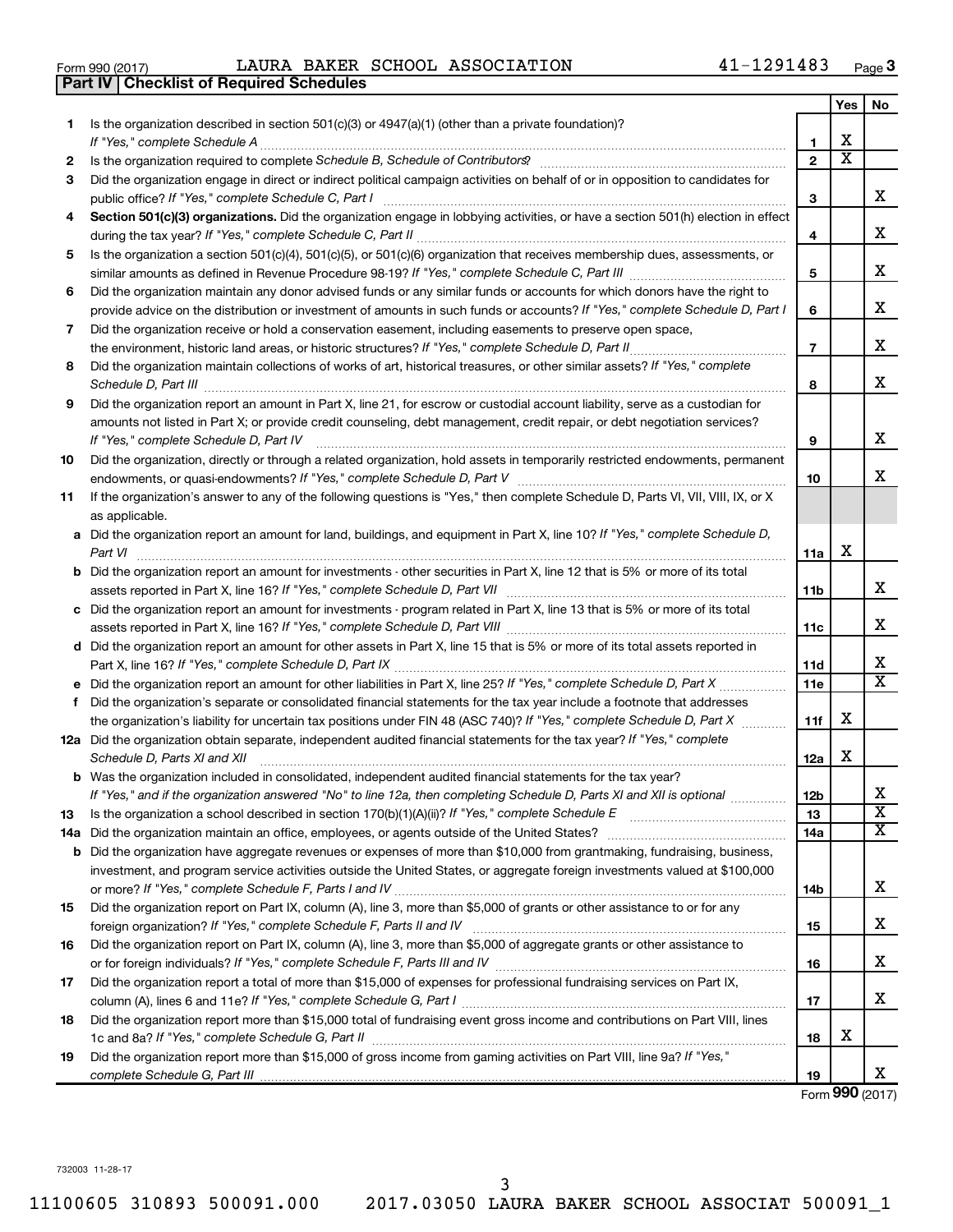| Form 990 (2017) |  |  |
|-----------------|--|--|

Form 990 (2017)  $\qquad \qquad {\rm LAURA~BAKER~SCHOOL~ASSOCIATION} \qquad \qquad 41-1291483 \qquad \qquad {\rm Page}$ 

|     | <b>Part IV   Checklist of Required Schedules</b>                                                                                                                                                                                    |                 |                         |                             |
|-----|-------------------------------------------------------------------------------------------------------------------------------------------------------------------------------------------------------------------------------------|-----------------|-------------------------|-----------------------------|
|     |                                                                                                                                                                                                                                     |                 | Yes                     | No                          |
| 1.  | Is the organization described in section 501(c)(3) or 4947(a)(1) (other than a private foundation)?                                                                                                                                 |                 |                         |                             |
|     |                                                                                                                                                                                                                                     | 1               | X                       |                             |
| 2   | Is the organization required to complete Schedule B, Schedule of Contributors? [11] the organization required to complete Schedule B, Schedule of Contributors?                                                                     | $\mathbf{2}$    | $\overline{\mathbf{X}}$ |                             |
| З   | Did the organization engage in direct or indirect political campaign activities on behalf of or in opposition to candidates for                                                                                                     |                 |                         |                             |
|     |                                                                                                                                                                                                                                     | 3               |                         | x                           |
| 4   | Section 501(c)(3) organizations. Did the organization engage in lobbying activities, or have a section 501(h) election in effect                                                                                                    |                 |                         |                             |
|     |                                                                                                                                                                                                                                     | 4               |                         | X                           |
| 5   | Is the organization a section 501(c)(4), 501(c)(5), or 501(c)(6) organization that receives membership dues, assessments, or                                                                                                        |                 |                         |                             |
|     |                                                                                                                                                                                                                                     | 5               |                         | х                           |
| 6   | Did the organization maintain any donor advised funds or any similar funds or accounts for which donors have the right to                                                                                                           |                 |                         |                             |
|     | provide advice on the distribution or investment of amounts in such funds or accounts? If "Yes," complete Schedule D, Part I                                                                                                        | 6               |                         | х                           |
|     |                                                                                                                                                                                                                                     |                 |                         |                             |
| 7   | Did the organization receive or hold a conservation easement, including easements to preserve open space,                                                                                                                           |                 |                         | х                           |
|     |                                                                                                                                                                                                                                     | $\overline{7}$  |                         |                             |
| 8   | Did the organization maintain collections of works of art, historical treasures, or other similar assets? If "Yes," complete                                                                                                        |                 |                         | X                           |
|     | Schedule D, Part III <b>Marting Community</b> Construction of the Construction of the Construction of the Construction of the Construction of the Construction of the Construction of the Construction of the Construction of the C | 8               |                         |                             |
| 9   | Did the organization report an amount in Part X, line 21, for escrow or custodial account liability, serve as a custodian for                                                                                                       |                 |                         |                             |
|     | amounts not listed in Part X; or provide credit counseling, debt management, credit repair, or debt negotiation services?                                                                                                           |                 |                         |                             |
|     | If "Yes," complete Schedule D, Part IV                                                                                                                                                                                              | 9               |                         | х                           |
| 10  | Did the organization, directly or through a related organization, hold assets in temporarily restricted endowments, permanent                                                                                                       |                 |                         |                             |
|     |                                                                                                                                                                                                                                     | 10              |                         | х                           |
| 11  | If the organization's answer to any of the following questions is "Yes," then complete Schedule D, Parts VI, VII, VIII, IX, or X                                                                                                    |                 |                         |                             |
|     | as applicable.                                                                                                                                                                                                                      |                 |                         |                             |
|     | a Did the organization report an amount for land, buildings, and equipment in Part X, line 10? If "Yes," complete Schedule D,                                                                                                       |                 |                         |                             |
|     |                                                                                                                                                                                                                                     | 11a             | х                       |                             |
|     | <b>b</b> Did the organization report an amount for investments - other securities in Part X, line 12 that is 5% or more of its total                                                                                                |                 |                         |                             |
|     | assets reported in Part X, line 16? If "Yes," complete Schedule D, Part VII [11] [11] [12] [12] [12] [12] [12] [                                                                                                                    | 11b             |                         | x                           |
|     | c Did the organization report an amount for investments - program related in Part X, line 13 that is 5% or more of its total                                                                                                        |                 |                         |                             |
|     |                                                                                                                                                                                                                                     | 11c             |                         | X                           |
|     | d Did the organization report an amount for other assets in Part X, line 15 that is 5% or more of its total assets reported in                                                                                                      |                 |                         |                             |
|     |                                                                                                                                                                                                                                     | 11d             |                         | х                           |
|     |                                                                                                                                                                                                                                     | 11e             |                         | $\overline{\mathtt{x}}$     |
|     | f Did the organization's separate or consolidated financial statements for the tax year include a footnote that addresses                                                                                                           |                 |                         |                             |
|     | the organization's liability for uncertain tax positions under FIN 48 (ASC 740)? If "Yes," complete Schedule D, Part X                                                                                                              | 11f             | х                       |                             |
|     | 12a Did the organization obtain separate, independent audited financial statements for the tax year? If "Yes," complete                                                                                                             |                 |                         |                             |
|     | Schedule D, Parts XI and XII                                                                                                                                                                                                        | 12a             | х                       |                             |
|     | <b>b</b> Was the organization included in consolidated, independent audited financial statements for the tax year?                                                                                                                  |                 |                         |                             |
|     | If "Yes," and if the organization answered "No" to line 12a, then completing Schedule D, Parts XI and XII is optional <i>manum</i>                                                                                                  | 12 <sub>b</sub> |                         | х                           |
| 13  |                                                                                                                                                                                                                                     | 13              |                         | $\overline{\textbf{x}}$     |
| 14a |                                                                                                                                                                                                                                     | 14a             |                         | $\overline{\textnormal{x}}$ |
|     | <b>b</b> Did the organization have aggregate revenues or expenses of more than \$10,000 from grantmaking, fundraising, business,                                                                                                    |                 |                         |                             |
|     | investment, and program service activities outside the United States, or aggregate foreign investments valued at \$100,000                                                                                                          |                 |                         |                             |
|     |                                                                                                                                                                                                                                     | 14b             |                         | х                           |
| 15  | Did the organization report on Part IX, column (A), line 3, more than \$5,000 of grants or other assistance to or for any                                                                                                           |                 |                         |                             |
|     |                                                                                                                                                                                                                                     | 15              |                         | х                           |
| 16  | Did the organization report on Part IX, column (A), line 3, more than \$5,000 of aggregate grants or other assistance to                                                                                                            |                 |                         |                             |
|     |                                                                                                                                                                                                                                     | 16              |                         | х                           |
| 17  | Did the organization report a total of more than \$15,000 of expenses for professional fundraising services on Part IX,                                                                                                             |                 |                         |                             |
|     |                                                                                                                                                                                                                                     | 17              |                         | x                           |
| 18  | Did the organization report more than \$15,000 total of fundraising event gross income and contributions on Part VIII, lines                                                                                                        |                 |                         |                             |
|     |                                                                                                                                                                                                                                     | 18              | х                       |                             |
| 19  | Did the organization report more than \$15,000 of gross income from gaming activities on Part VIII, line 9a? If "Yes,"                                                                                                              |                 |                         |                             |
|     |                                                                                                                                                                                                                                     | 19              |                         | х                           |
|     |                                                                                                                                                                                                                                     |                 |                         |                             |

Form (2017) **990**

732003 11-28-17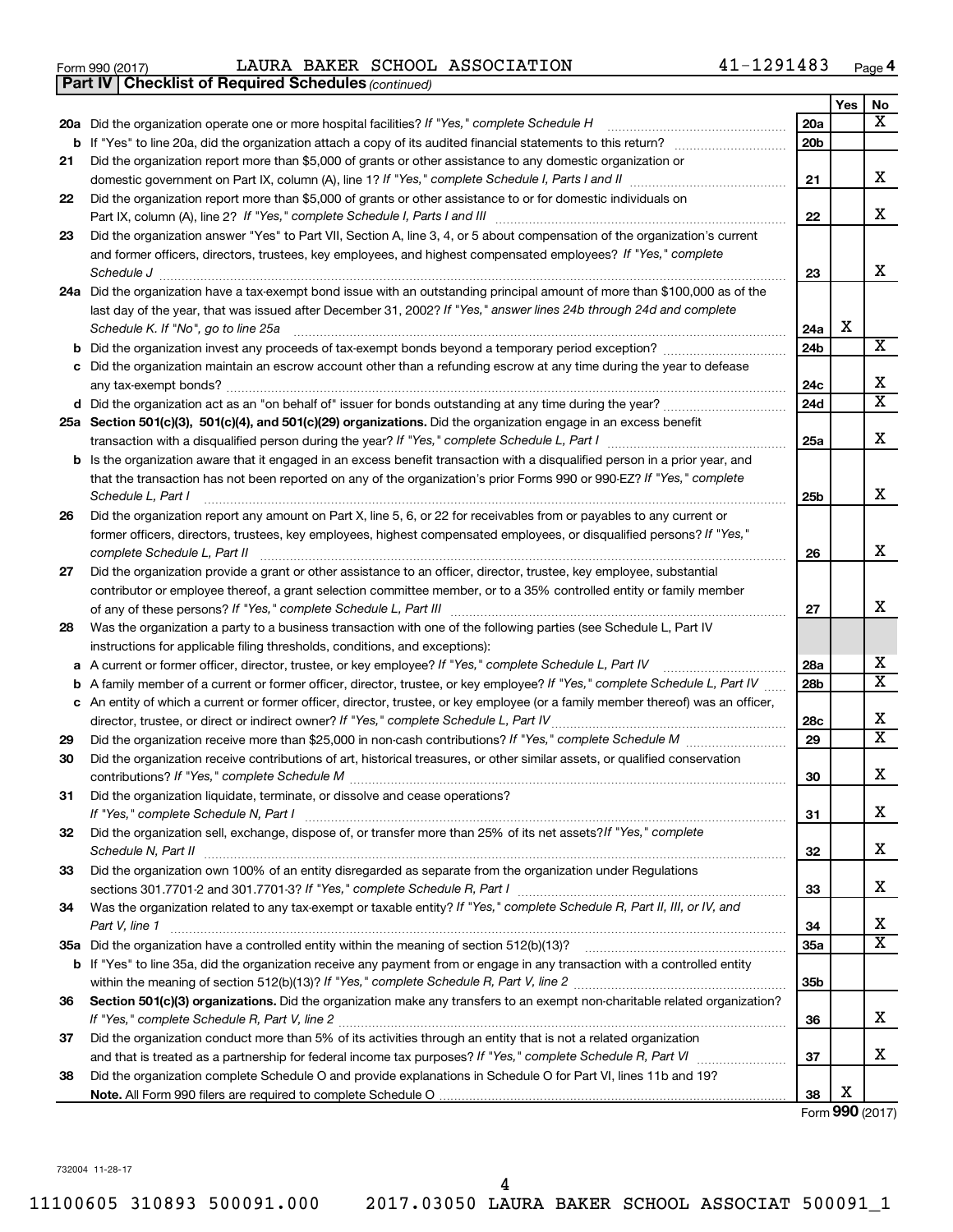| Form 990 (2017) | LAURA BAKER SCHOOL ASSOCIATION | 41-1291483<br>Page |
|-----------------|--------------------------------|--------------------|
|-----------------|--------------------------------|--------------------|

**Part IV Checklist of Required Schedules**

*(continued)*

|          |                                                                                                                                       |                 | Yes | No                           |
|----------|---------------------------------------------------------------------------------------------------------------------------------------|-----------------|-----|------------------------------|
|          | 20a Did the organization operate one or more hospital facilities? If "Yes," complete Schedule H                                       | 20a             |     | X                            |
|          | <b>b</b> If "Yes" to line 20a, did the organization attach a copy of its audited financial statements to this return? <i>manument</i> | 20 <sub>b</sub> |     |                              |
| 21       | Did the organization report more than \$5,000 of grants or other assistance to any domestic organization or                           |                 |     |                              |
|          | domestic government on Part IX, column (A), line 1? If "Yes," complete Schedule I, Parts I and II                                     | 21              |     | х                            |
| 22       | Did the organization report more than \$5,000 of grants or other assistance to or for domestic individuals on                         |                 |     |                              |
|          |                                                                                                                                       | 22              |     | x                            |
| 23       | Did the organization answer "Yes" to Part VII, Section A, line 3, 4, or 5 about compensation of the organization's current            |                 |     |                              |
|          | and former officers, directors, trustees, key employees, and highest compensated employees? If "Yes," complete                        |                 |     |                              |
|          | Schedule J                                                                                                                            | 23              |     | x                            |
|          | 24a Did the organization have a tax-exempt bond issue with an outstanding principal amount of more than \$100,000 as of the           |                 |     |                              |
|          | last day of the year, that was issued after December 31, 2002? If "Yes," answer lines 24b through 24d and complete                    |                 |     |                              |
|          | Schedule K. If "No", go to line 25a                                                                                                   | 24a             | х   | X                            |
|          |                                                                                                                                       | 24b             |     |                              |
|          | c Did the organization maintain an escrow account other than a refunding escrow at any time during the year to defease                | 24с             |     | x                            |
|          | d Did the organization act as an "on behalf of" issuer for bonds outstanding at any time during the year?                             | 24d             |     | $\overline{\texttt{x}}$      |
|          | 25a Section 501(c)(3), 501(c)(4), and 501(c)(29) organizations. Did the organization engage in an excess benefit                      |                 |     |                              |
|          |                                                                                                                                       | 25a             |     | x                            |
|          | <b>b</b> Is the organization aware that it engaged in an excess benefit transaction with a disqualified person in a prior year, and   |                 |     |                              |
|          | that the transaction has not been reported on any of the organization's prior Forms 990 or 990-EZ? If "Yes," complete                 |                 |     |                              |
|          | Schedule L, Part I                                                                                                                    | 25b             |     | x                            |
| 26       | Did the organization report any amount on Part X, line 5, 6, or 22 for receivables from or payables to any current or                 |                 |     |                              |
|          | former officers, directors, trustees, key employees, highest compensated employees, or disqualified persons? If "Yes,"                |                 |     |                              |
|          | complete Schedule L, Part II                                                                                                          | 26              |     | x                            |
| 27       | Did the organization provide a grant or other assistance to an officer, director, trustee, key employee, substantial                  |                 |     |                              |
|          | contributor or employee thereof, a grant selection committee member, or to a 35% controlled entity or family member                   |                 |     |                              |
|          |                                                                                                                                       | 27              |     | x                            |
| 28       | Was the organization a party to a business transaction with one of the following parties (see Schedule L, Part IV                     |                 |     |                              |
|          | instructions for applicable filing thresholds, conditions, and exceptions):                                                           |                 |     |                              |
|          | a A current or former officer, director, trustee, or key employee? If "Yes," complete Schedule L, Part IV                             | 28a             |     | х<br>$\overline{\texttt{x}}$ |
|          | <b>b</b> A family member of a current or former officer, director, trustee, or key employee? If "Yes," complete Schedule L, Part IV   | 28b             |     |                              |
|          | c An entity of which a current or former officer, director, trustee, or key employee (or a family member thereof) was an officer,     |                 |     | x                            |
|          |                                                                                                                                       | 28c<br>29       |     | $\overline{\texttt{x}}$      |
| 29<br>30 | Did the organization receive contributions of art, historical treasures, or other similar assets, or qualified conservation           |                 |     |                              |
|          |                                                                                                                                       | 30              |     | x                            |
| 31       | Did the organization liquidate, terminate, or dissolve and cease operations?                                                          |                 |     |                              |
|          |                                                                                                                                       | 31              |     | х                            |
| 32       | Did the organization sell, exchange, dispose of, or transfer more than 25% of its net assets? If "Yes," complete                      |                 |     |                              |
|          | Schedule N, Part II                                                                                                                   | 32              |     | x                            |
| 33       | Did the organization own 100% of an entity disregarded as separate from the organization under Regulations                            |                 |     |                              |
|          |                                                                                                                                       | 33              |     | x                            |
| 34       | Was the organization related to any tax-exempt or taxable entity? If "Yes," complete Schedule R, Part II, III, or IV, and             |                 |     |                              |
|          | Part V, line 1                                                                                                                        | 34              |     | х                            |
|          |                                                                                                                                       | 35a             |     | $\overline{\text{x}}$        |
|          | b If "Yes" to line 35a, did the organization receive any payment from or engage in any transaction with a controlled entity           |                 |     |                              |
|          |                                                                                                                                       | 35b             |     |                              |
| 36       | Section 501(c)(3) organizations. Did the organization make any transfers to an exempt non-charitable related organization?            |                 |     |                              |
|          |                                                                                                                                       | 36              |     | x                            |
| 37       | Did the organization conduct more than 5% of its activities through an entity that is not a related organization                      |                 |     |                              |
|          |                                                                                                                                       | 37              |     | x                            |
| 38       | Did the organization complete Schedule O and provide explanations in Schedule O for Part VI, lines 11b and 19?                        |                 | x   |                              |
|          |                                                                                                                                       | 38              |     |                              |

Form (2017) **990**

732004 11-28-17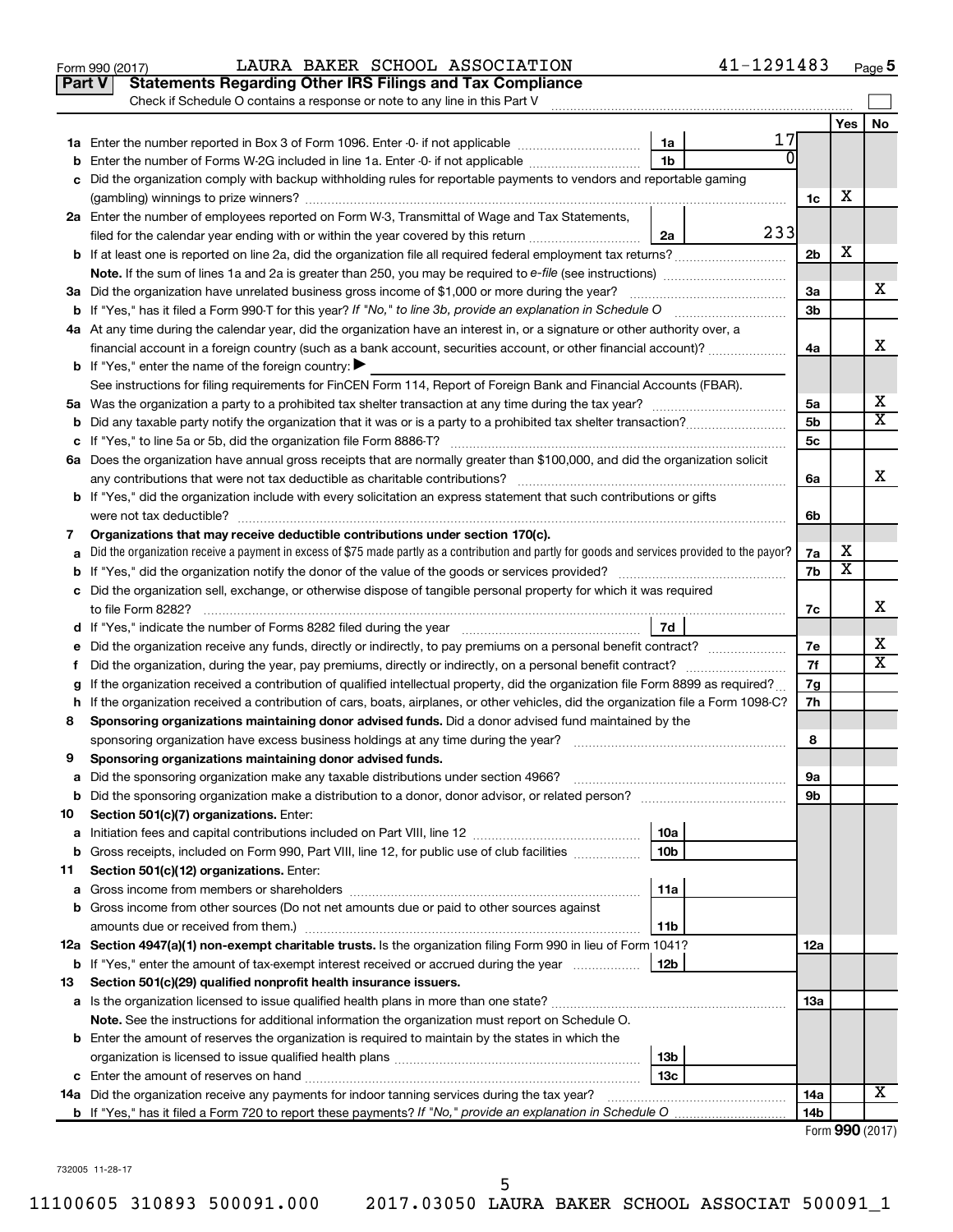|    | Part V<br><b>Statements Regarding Other IRS Filings and Tax Compliance</b><br>Check if Schedule O contains a response or note to any line in this Part V |                 |                         |    |
|----|----------------------------------------------------------------------------------------------------------------------------------------------------------|-----------------|-------------------------|----|
|    |                                                                                                                                                          |                 | Yes                     | No |
|    | 17<br>1a                                                                                                                                                 |                 |                         |    |
|    | 1 <sub>b</sub><br>Enter the number of Forms W-2G included in line 1a. Enter -0- if not applicable                                                        | 0               |                         |    |
|    | Did the organization comply with backup withholding rules for reportable payments to vendors and reportable gaming                                       | 1c              | х                       |    |
|    | 2a Enter the number of employees reported on Form W-3, Transmittal of Wage and Tax Statements,                                                           |                 |                         |    |
|    | 233<br>filed for the calendar year ending with or within the year covered by this return <i>[[[[[[[[[[[[[[[]]]]</i> ]]<br>2a                             |                 |                         |    |
|    | b If at least one is reported on line 2a, did the organization file all required federal employment tax returns?                                         | 2 <sub>b</sub>  | х                       |    |
|    |                                                                                                                                                          |                 |                         |    |
|    | 3a Did the organization have unrelated business gross income of \$1,000 or more during the year?                                                         | За              |                         | х  |
|    |                                                                                                                                                          | 3 <sub>b</sub>  |                         |    |
|    | 4a At any time during the calendar year, did the organization have an interest in, or a signature or other authority over, a                             |                 |                         |    |
|    | financial account in a foreign country (such as a bank account, securities account, or other financial account)?                                         | 4a              |                         | x  |
|    | <b>b</b> If "Yes," enter the name of the foreign country: $\blacktriangleright$                                                                          |                 |                         |    |
|    | See instructions for filing requirements for FinCEN Form 114, Report of Foreign Bank and Financial Accounts (FBAR).                                      |                 |                         |    |
|    |                                                                                                                                                          | 5a              |                         | х  |
| b  |                                                                                                                                                          | 5b              |                         | X  |
|    |                                                                                                                                                          | 5с              |                         |    |
|    | 6a Does the organization have annual gross receipts that are normally greater than \$100,000, and did the organization solicit                           |                 |                         |    |
|    |                                                                                                                                                          | 6a              |                         | х  |
|    | <b>b</b> If "Yes," did the organization include with every solicitation an express statement that such contributions or gifts                            |                 |                         |    |
|    |                                                                                                                                                          | 6b              |                         |    |
| 7  | Organizations that may receive deductible contributions under section 170(c).                                                                            |                 |                         |    |
|    | Did the organization receive a payment in excess of \$75 made partly as a contribution and partly for goods and services provided to the payor?          | 7a              | х                       |    |
|    |                                                                                                                                                          | 7b              | $\overline{\textbf{x}}$ |    |
|    | c Did the organization sell, exchange, or otherwise dispose of tangible personal property for which it was required                                      |                 |                         |    |
|    |                                                                                                                                                          | 7с              |                         | х  |
|    | 7d                                                                                                                                                       |                 |                         |    |
| е  | Did the organization receive any funds, directly or indirectly, to pay premiums on a personal benefit contract?                                          | 7е              |                         | x  |
| f. |                                                                                                                                                          | 7f              |                         | X  |
|    | If the organization received a contribution of qualified intellectual property, did the organization file Form 8899 as required?                         | 7g              |                         |    |
|    | h If the organization received a contribution of cars, boats, airplanes, or other vehicles, did the organization file a Form 1098-C?                     | 7h              |                         |    |
| 8  | Sponsoring organizations maintaining donor advised funds. Did a donor advised fund maintained by the                                                     |                 |                         |    |
|    |                                                                                                                                                          | 8               |                         |    |
| 9  | Sponsoring organizations maintaining donor advised funds.                                                                                                |                 |                         |    |
|    |                                                                                                                                                          | 9а              |                         |    |
|    |                                                                                                                                                          | 9b              |                         |    |
| 10 | Section 501(c)(7) organizations. Enter:                                                                                                                  |                 |                         |    |
| а  | 10a                                                                                                                                                      |                 |                         |    |
| b  | Gross receipts, included on Form 990, Part VIII, line 12, for public use of club facilities<br>10b                                                       |                 |                         |    |
| 11 | Section 501(c)(12) organizations. Enter:                                                                                                                 |                 |                         |    |
| а  | 11a                                                                                                                                                      |                 |                         |    |
|    | <b>b</b> Gross income from other sources (Do not net amounts due or paid to other sources against                                                        |                 |                         |    |
|    | amounts due or received from them.)<br>11b                                                                                                               |                 |                         |    |
|    | 12a Section 4947(a)(1) non-exempt charitable trusts. Is the organization filing Form 990 in lieu of Form 1041?                                           | 12a             |                         |    |
|    | 12b<br><b>b</b> If "Yes," enter the amount of tax-exempt interest received or accrued during the year                                                    |                 |                         |    |
| 13 | Section 501(c)(29) qualified nonprofit health insurance issuers.                                                                                         |                 |                         |    |
|    | a Is the organization licensed to issue qualified health plans in more than one state?                                                                   | 13a             |                         |    |
|    | Note. See the instructions for additional information the organization must report on Schedule O.                                                        |                 |                         |    |
|    | <b>b</b> Enter the amount of reserves the organization is required to maintain by the states in which the<br>13b                                         |                 |                         |    |
|    | 13c                                                                                                                                                      |                 |                         |    |
| с  | 14a Did the organization receive any payments for indoor tanning services during the tax year?                                                           | 14a             |                         | х  |
|    |                                                                                                                                                          | 14 <sub>b</sub> |                         |    |
|    |                                                                                                                                                          |                 | Form 990 (2017)         |    |

Form 990 (2017)  $\qquad \qquad {\rm LAURA~BAKER~SCHOOL~ASSOCIATION} \qquad \qquad 41-1291483 \qquad \qquad {\rm Page}$ 

**5**

732005 11-28-17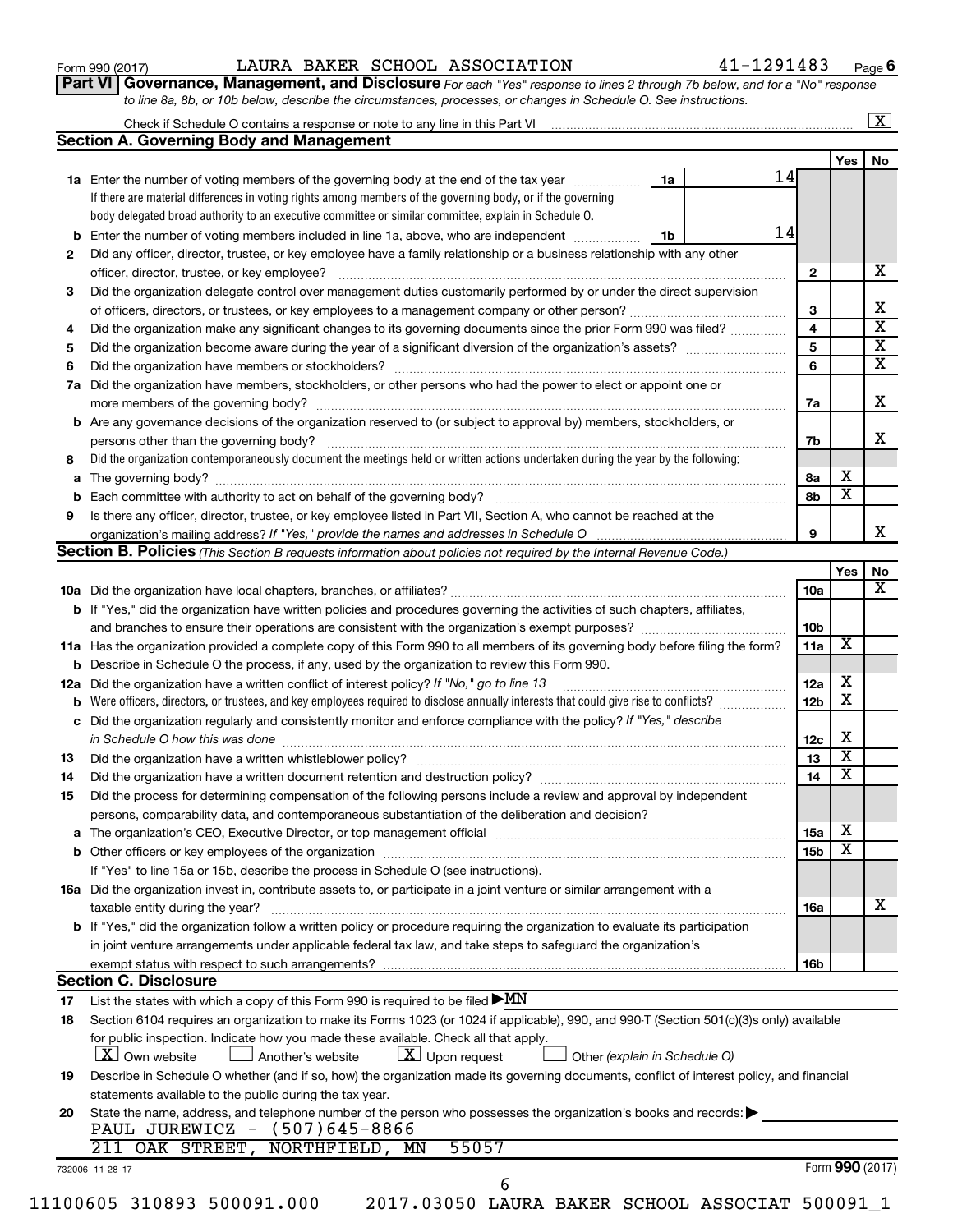| Form 990 (2017) |  |  |  |
|-----------------|--|--|--|
|-----------------|--|--|--|

#### Form 990 (2017)  $\qquad \qquad {\rm LAURA~BAKER~SCHOOL~ASSOCIATION} \qquad \qquad 41-1291483 \qquad \qquad {\rm Page}$

**Part VI** Governance, Management, and Disclosure For each "Yes" response to lines 2 through 7b below, and for a "No" response *to line 8a, 8b, or 10b below, describe the circumstances, processes, or changes in Schedule O. See instructions.*

|    |                                                                                                                                           |                               |                 |                              | $\overline{\mathbf{x}}$ |
|----|-------------------------------------------------------------------------------------------------------------------------------------------|-------------------------------|-----------------|------------------------------|-------------------------|
|    | <b>Section A. Governing Body and Management</b>                                                                                           |                               |                 |                              | No                      |
|    |                                                                                                                                           |                               |                 | Yes                          |                         |
|    | 1a Enter the number of voting members of the governing body at the end of the tax year                                                    | 14<br>1a                      |                 |                              |                         |
|    | If there are material differences in voting rights among members of the governing body, or if the governing                               |                               |                 |                              |                         |
|    | body delegated broad authority to an executive committee or similar committee, explain in Schedule O.                                     |                               |                 |                              |                         |
|    | <b>b</b> Enter the number of voting members included in line 1a, above, who are independent <i>manumum</i>                                | 14<br>1b                      |                 |                              |                         |
| 2  | Did any officer, director, trustee, or key employee have a family relationship or a business relationship with any other                  |                               |                 |                              |                         |
|    |                                                                                                                                           |                               | $\mathbf{2}$    |                              |                         |
| 3  | Did the organization delegate control over management duties customarily performed by or under the direct supervision                     |                               |                 |                              |                         |
|    |                                                                                                                                           |                               | 3               |                              |                         |
| 4  | Did the organization make any significant changes to its governing documents since the prior Form 990 was filed?                          |                               | 4               |                              |                         |
| 5  |                                                                                                                                           |                               | 5               |                              |                         |
| 6  |                                                                                                                                           |                               | 6               |                              |                         |
| 7a | Did the organization have members, stockholders, or other persons who had the power to elect or appoint one or                            |                               |                 |                              |                         |
|    |                                                                                                                                           |                               | 7a              |                              |                         |
|    | <b>b</b> Are any governance decisions of the organization reserved to (or subject to approval by) members, stockholders, or               |                               |                 |                              |                         |
|    | persons other than the governing body?                                                                                                    |                               | 7b              |                              |                         |
| 8  | Did the organization contemporaneously document the meetings held or written actions undertaken during the year by the following:         |                               |                 |                              |                         |
|    |                                                                                                                                           |                               | 8a              | х                            |                         |
|    |                                                                                                                                           |                               | 8b              | $\overline{\textbf{x}}$      |                         |
| 9  | Is there any officer, director, trustee, or key employee listed in Part VII, Section A, who cannot be reached at the                      |                               |                 |                              |                         |
|    | organization's mailing address? If "Yes," provide the names and addresses in Schedule O multimarrow multimarrow                           |                               | 9               |                              |                         |
|    | Section B. Policies (This Section B requests information about policies not required by the Internal Revenue Code.)                       |                               |                 |                              |                         |
|    |                                                                                                                                           |                               |                 | Yes                          |                         |
|    |                                                                                                                                           |                               | 10a             |                              |                         |
|    | <b>b</b> If "Yes," did the organization have written policies and procedures governing the activities of such chapters, affiliates,       |                               |                 |                              |                         |
|    |                                                                                                                                           |                               | 10b             |                              |                         |
|    | 11a Has the organization provided a complete copy of this Form 990 to all members of its governing body before filing the form?           |                               | 11a             | X                            |                         |
|    | <b>b</b> Describe in Schedule O the process, if any, used by the organization to review this Form 990.                                    |                               |                 |                              |                         |
|    | 12a Did the organization have a written conflict of interest policy? If "No," go to line 13                                               |                               | 12a             | х                            |                         |
| b  |                                                                                                                                           |                               | 12 <sub>b</sub> | $\overline{\textbf{x}}$      |                         |
|    | c Did the organization regularly and consistently monitor and enforce compliance with the policy? If "Yes," describe                      |                               |                 |                              |                         |
|    |                                                                                                                                           |                               | 12c             | х                            |                         |
| 13 | in Schedule O how this was done <i>manufacture contract to the set of the set of the set of the set of the set of t</i>                   |                               | 13              | $\overline{\mathbf{x}}$      |                         |
| 14 | Did the organization have a written document retention and destruction policy? [11] manufaction manufaction in                            |                               | 14              | $\overline{\mathbf{x}}$      |                         |
|    |                                                                                                                                           |                               |                 |                              |                         |
| 15 | Did the process for determining compensation of the following persons include a review and approval by independent                        |                               |                 |                              |                         |
|    | persons, comparability data, and contemporaneous substantiation of the deliberation and decision?                                         |                               |                 |                              |                         |
|    |                                                                                                                                           |                               | <b>15a</b>      | х<br>$\overline{\textbf{x}}$ |                         |
|    |                                                                                                                                           |                               | 15b             |                              |                         |
|    | If "Yes" to line 15a or 15b, describe the process in Schedule O (see instructions).                                                       |                               |                 |                              |                         |
|    | 16a Did the organization invest in, contribute assets to, or participate in a joint venture or similar arrangement with a                 |                               |                 |                              |                         |
|    | taxable entity during the year?                                                                                                           |                               | 16a             |                              |                         |
|    | b If "Yes," did the organization follow a written policy or procedure requiring the organization to evaluate its participation            |                               |                 |                              |                         |
|    | in joint venture arrangements under applicable federal tax law, and take steps to safeguard the organization's                            |                               |                 |                              |                         |
|    | exempt status with respect to such arrangements?                                                                                          |                               | 16b             |                              |                         |
|    | <b>Section C. Disclosure</b>                                                                                                              |                               |                 |                              |                         |
| 17 | List the states with which a copy of this Form 990 is required to be filed $\blacktriangleright MN$                                       |                               |                 |                              |                         |
| 18 | Section 6104 requires an organization to make its Forms 1023 (or 1024 if applicable), 990, and 990-T (Section 501(c)(3)s only) available  |                               |                 |                              |                         |
|    | for public inspection. Indicate how you made these available. Check all that apply.                                                       |                               |                 |                              |                         |
|    | $X$ Own website<br>$X$ Upon request<br>Another's website                                                                                  | Other (explain in Schedule O) |                 |                              |                         |
| 19 | Describe in Schedule O whether (and if so, how) the organization made its governing documents, conflict of interest policy, and financial |                               |                 |                              |                         |
|    | statements available to the public during the tax year.                                                                                   |                               |                 |                              |                         |
| 20 | State the name, address, and telephone number of the person who possesses the organization's books and records:                           |                               |                 |                              |                         |
|    | PAUL JUREWICZ - (507)645-8866                                                                                                             |                               |                 |                              |                         |
|    | 211 OAK STREET, NORTHFIELD, MN<br>55057                                                                                                   |                               |                 |                              |                         |
|    | 732006 11-28-17                                                                                                                           |                               |                 | Form 990 (2017)              |                         |
|    | 6                                                                                                                                         |                               |                 |                              |                         |
|    | 11100605 310893 500091.000<br>2017.03050 LAURA BAKER SCHOOL ASSOCIAT 500091 1                                                             |                               |                 |                              |                         |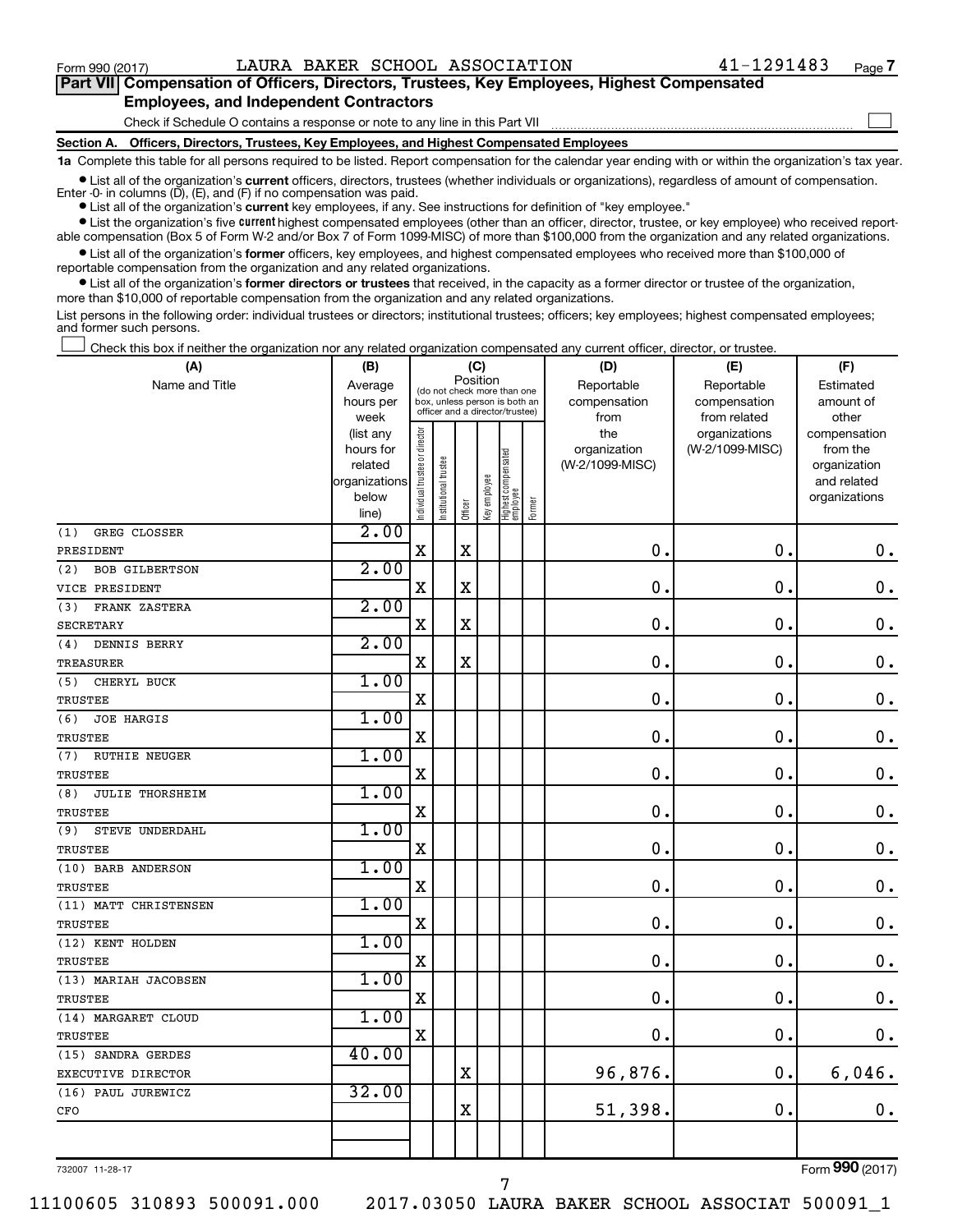$\Box$ 

| Part VII Compensation of Officers, Directors, Trustees, Key Employees, Highest Compensated |
|--------------------------------------------------------------------------------------------|
| <b>Employees, and Independent Contractors</b>                                              |

Check if Schedule O contains a response or note to any line in this Part VII

**Section A. Officers, Directors, Trustees, Key Employees, and Highest Compensated Employees**

**1a**  Complete this table for all persons required to be listed. Report compensation for the calendar year ending with or within the organization's tax year.

**•** List all of the organization's current officers, directors, trustees (whether individuals or organizations), regardless of amount of compensation. Enter -0- in columns  $(D)$ ,  $(E)$ , and  $(F)$  if no compensation was paid.

**•** List all of the organization's **current** key employees, if any. See instructions for definition of "key employee."

**•** List the organization's five current highest compensated employees (other than an officer, director, trustee, or key employee) who received reportable compensation (Box 5 of Form W-2 and/or Box 7 of Form 1099-MISC) of more than \$100,000 from the organization and any related organizations.

**•** List all of the organization's former officers, key employees, and highest compensated employees who received more than \$100,000 of reportable compensation from the organization and any related organizations.

**•** List all of the organization's former directors or trustees that received, in the capacity as a former director or trustee of the organization, more than \$10,000 of reportable compensation from the organization and any related organizations.

List persons in the following order: individual trustees or directors; institutional trustees; officers; key employees; highest compensated employees; and former such persons.

Check this box if neither the organization nor any related organization compensated any current officer, director, or trustee.  $\Box$ 

| (A)                           | (B)                  |                                         |                                                                  | (C)         |              |                                 |            | (D)                             | (E)             | (F)                      |
|-------------------------------|----------------------|-----------------------------------------|------------------------------------------------------------------|-------------|--------------|---------------------------------|------------|---------------------------------|-----------------|--------------------------|
| Name and Title                | Average              | Position<br>(do not check more than one |                                                                  |             |              |                                 | Reportable | Reportable                      | Estimated       |                          |
|                               | hours per            |                                         | box, unless person is both an<br>officer and a director/trustee) |             |              |                                 |            | compensation                    | compensation    | amount of                |
|                               | week                 |                                         |                                                                  |             |              |                                 |            | from                            | from related    | other                    |
|                               | (list any            |                                         |                                                                  |             |              |                                 |            | the                             | organizations   | compensation             |
|                               | hours for<br>related |                                         |                                                                  |             |              |                                 |            | organization<br>(W-2/1099-MISC) | (W-2/1099-MISC) | from the<br>organization |
|                               | organizations        |                                         |                                                                  |             |              |                                 |            |                                 |                 | and related              |
|                               | below                |                                         |                                                                  |             |              |                                 |            |                                 |                 | organizations            |
|                               | line)                | ndividual trustee or director           | Institutional trustee                                            | Officer     | Key employee | Highest compensated<br>employee | Former     |                                 |                 |                          |
| GREG CLOSSER<br>(1)           | 2.00                 |                                         |                                                                  |             |              |                                 |            |                                 |                 |                          |
| PRESIDENT                     |                      | $\rm X$                                 |                                                                  | $\rm X$     |              |                                 |            | $\mathbf 0$                     | $\mathbf 0$ .   | $\mathbf 0$ .            |
| (2)<br>BOB GILBERTSON         | 2.00                 |                                         |                                                                  |             |              |                                 |            |                                 |                 |                          |
| VICE PRESIDENT                |                      | $\mathbf X$                             |                                                                  | X           |              |                                 |            | 0                               | $\mathbf 0$     | $\mathbf 0$ .            |
| FRANK ZASTERA<br>(3)          | 2.00                 |                                         |                                                                  |             |              |                                 |            |                                 |                 |                          |
| <b>SECRETARY</b>              |                      | $\mathbf X$                             |                                                                  | $\rm X$     |              |                                 |            | 0                               | 0.              | $\mathbf 0$ .            |
| DENNIS BERRY<br>(4)           | 2.00                 |                                         |                                                                  |             |              |                                 |            |                                 |                 |                          |
| <b>TREASURER</b>              |                      | $\mathbf X$                             |                                                                  | $\mathbf X$ |              |                                 |            | $\mathbf 0$                     | $\mathbf 0$ .   | $\mathbf 0$ .            |
| CHERYL BUCK<br>(5)            | 1.00                 |                                         |                                                                  |             |              |                                 |            |                                 |                 |                          |
| <b>TRUSTEE</b>                |                      | X                                       |                                                                  |             |              |                                 |            | $\mathbf 0$                     | $\mathbf 0$ .   | $\mathbf 0$ .            |
| (6)<br><b>JOE HARGIS</b>      | 1.00                 |                                         |                                                                  |             |              |                                 |            |                                 |                 |                          |
| <b>TRUSTEE</b>                |                      | $\mathbf X$                             |                                                                  |             |              |                                 |            | 0                               | $\mathbf 0$ .   | $\mathbf 0$ .            |
| <b>RUTHIE NEUGER</b><br>(7)   | 1.00                 |                                         |                                                                  |             |              |                                 |            |                                 |                 |                          |
| <b>TRUSTEE</b>                |                      | $\mathbf X$                             |                                                                  |             |              |                                 |            | $\mathbf 0$                     | $\mathbf 0$ .   | $\mathbf 0$ .            |
| <b>JULIE THORSHEIM</b><br>(8) | 1.00                 |                                         |                                                                  |             |              |                                 |            |                                 |                 |                          |
| <b>TRUSTEE</b>                |                      | $\rm X$                                 |                                                                  |             |              |                                 |            | 0.                              | $\mathbf 0$ .   | $\mathbf 0$ .            |
| STEVE UNDERDAHL<br>(9)        | 1.00                 |                                         |                                                                  |             |              |                                 |            |                                 |                 |                          |
| TRUSTEE                       |                      | $\rm X$                                 |                                                                  |             |              |                                 |            | 0.                              | $\mathbf 0$ .   | $\mathbf 0$ .            |
| (10) BARB ANDERSON            | 1.00                 |                                         |                                                                  |             |              |                                 |            |                                 |                 |                          |
| TRUSTEE                       |                      | X                                       |                                                                  |             |              |                                 |            | $\mathbf 0$ .                   | $\mathbf 0$ .   | $\mathbf 0$ .            |
| (11) MATT CHRISTENSEN         | 1.00                 |                                         |                                                                  |             |              |                                 |            |                                 |                 |                          |
| <b>TRUSTEE</b>                |                      | $\mathbf X$                             |                                                                  |             |              |                                 |            | $\mathbf 0$ .                   | $\mathbf 0$ .   | $\mathbf 0$ .            |
| (12) KENT HOLDEN              | 1.00                 |                                         |                                                                  |             |              |                                 |            |                                 |                 |                          |
| <b>TRUSTEE</b>                |                      | X                                       |                                                                  |             |              |                                 |            | $\mathbf 0$ .                   | $\mathbf 0$ .   | $\mathbf 0$ .            |
| (13) MARIAH JACOBSEN          | 1.00                 |                                         |                                                                  |             |              |                                 |            |                                 |                 |                          |
| TRUSTEE                       |                      | $\mathbf X$                             |                                                                  |             |              |                                 |            | 0.                              | 0.              | $\mathbf 0$ .            |
| (14) MARGARET CLOUD           | 1.00                 |                                         |                                                                  |             |              |                                 |            |                                 |                 |                          |
| TRUSTEE                       |                      | X                                       |                                                                  |             |              |                                 |            | 0                               | $\mathbf 0$ .   | 0.                       |
| (15) SANDRA GERDES            | 40.00                |                                         |                                                                  |             |              |                                 |            |                                 |                 |                          |
| EXECUTIVE DIRECTOR            |                      |                                         |                                                                  | X           |              |                                 |            | 96,876.                         | $\mathbf 0$ .   | 6,046.                   |
| (16) PAUL JUREWICZ            | 32.00                |                                         |                                                                  |             |              |                                 |            |                                 |                 |                          |
| CFO                           |                      |                                         |                                                                  | X           |              |                                 |            | 51,398.                         | $\mathbf 0$ .   | 0.                       |
|                               |                      |                                         |                                                                  |             |              |                                 |            |                                 |                 |                          |
|                               |                      |                                         |                                                                  |             |              |                                 |            |                                 |                 |                          |

732007 11-28-17

Form (2017) **990**

11100605 310893 500091.000 2017.03050 LAURA BAKER SCHOOL ASSOCIAT 500091\_1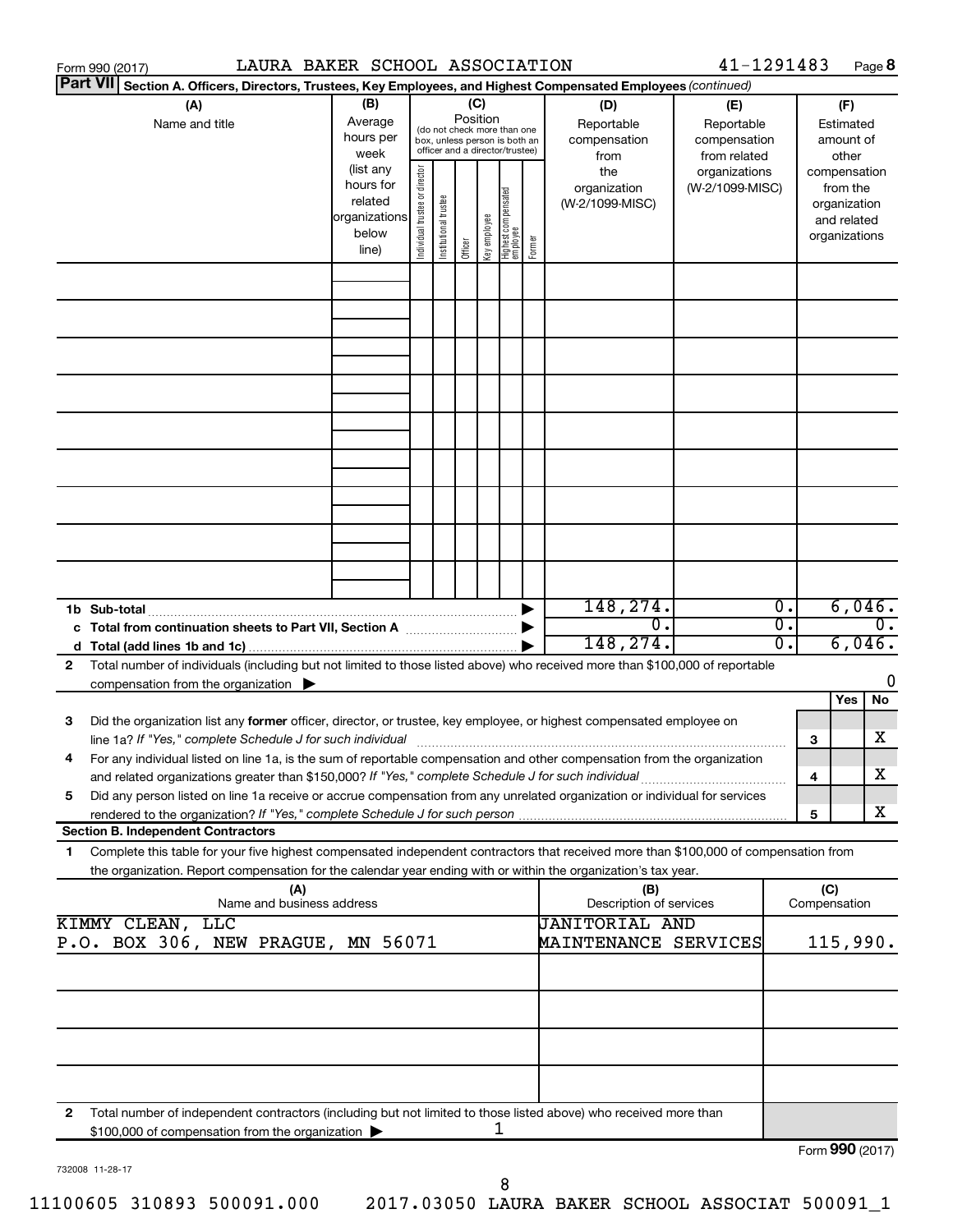|    | Form 990 (2017) |                                                                                                     |                                  | LAURA BAKER SCHOOL ASSOCIATION                                       |                                                                                                                    |                       |         |              |                                   |        |                                                                                                                                                                                                                                                        | 41-1291483                                        |                                                                          |                     |                                        | Page 8           |
|----|-----------------|-----------------------------------------------------------------------------------------------------|----------------------------------|----------------------------------------------------------------------|--------------------------------------------------------------------------------------------------------------------|-----------------------|---------|--------------|-----------------------------------|--------|--------------------------------------------------------------------------------------------------------------------------------------------------------------------------------------------------------------------------------------------------------|---------------------------------------------------|--------------------------------------------------------------------------|---------------------|----------------------------------------|------------------|
|    | <b>Part VII</b> |                                                                                                     |                                  |                                                                      |                                                                                                                    |                       |         |              |                                   |        | Section A. Officers, Directors, Trustees, Key Employees, and Highest Compensated Employees (continued)                                                                                                                                                 |                                                   |                                                                          |                     |                                        |                  |
|    |                 | (A)<br>Name and title                                                                               |                                  | (B)<br>Average<br>hours per<br>week                                  | (C)<br>Position<br>(do not check more than one<br>box, unless person is both an<br>officer and a director/trustee) |                       |         |              |                                   |        | (D)<br>Reportable<br>compensation<br>from                                                                                                                                                                                                              | (E)<br>Reportable<br>compensation<br>from related |                                                                          |                     | (F)<br>Estimated<br>amount of<br>other |                  |
|    |                 |                                                                                                     |                                  | (list any<br>hours for<br>related<br>organizations<br>below<br>line) | Individual trustee or director                                                                                     | Institutional trustee | Officer | Key employee | Highest compensated<br>  employee | Former | the<br>organization<br>(W-2/1099-MISC)                                                                                                                                                                                                                 | organizations<br>(W-2/1099-MISC)                  | compensation<br>from the<br>organization<br>and related<br>organizations |                     |                                        |                  |
|    |                 |                                                                                                     |                                  |                                                                      |                                                                                                                    |                       |         |              |                                   |        |                                                                                                                                                                                                                                                        |                                                   |                                                                          |                     |                                        |                  |
|    |                 |                                                                                                     |                                  |                                                                      |                                                                                                                    |                       |         |              |                                   |        |                                                                                                                                                                                                                                                        |                                                   |                                                                          |                     |                                        |                  |
|    |                 |                                                                                                     |                                  |                                                                      |                                                                                                                    |                       |         |              |                                   |        |                                                                                                                                                                                                                                                        |                                                   |                                                                          |                     |                                        |                  |
|    |                 |                                                                                                     |                                  |                                                                      |                                                                                                                    |                       |         |              |                                   |        |                                                                                                                                                                                                                                                        |                                                   |                                                                          |                     |                                        |                  |
|    |                 |                                                                                                     |                                  |                                                                      |                                                                                                                    |                       |         |              |                                   |        |                                                                                                                                                                                                                                                        |                                                   |                                                                          |                     |                                        |                  |
|    |                 |                                                                                                     |                                  |                                                                      |                                                                                                                    |                       |         |              |                                   |        |                                                                                                                                                                                                                                                        |                                                   |                                                                          |                     |                                        |                  |
|    |                 |                                                                                                     |                                  |                                                                      |                                                                                                                    |                       |         |              |                                   |        |                                                                                                                                                                                                                                                        |                                                   |                                                                          |                     |                                        |                  |
|    |                 |                                                                                                     |                                  |                                                                      |                                                                                                                    |                       |         |              |                                   |        | 148,274.<br>σ.<br>148,274.                                                                                                                                                                                                                             |                                                   | $\overline{0}$ .<br>σ.<br>0.                                             |                     | 6,046.<br>6,046.                       | $\overline{0}$ . |
| 2  |                 | compensation from the organization $\blacktriangleright$                                            |                                  |                                                                      |                                                                                                                    |                       |         |              |                                   |        | Total number of individuals (including but not limited to those listed above) who received more than \$100,000 of reportable                                                                                                                           |                                                   |                                                                          |                     |                                        | 0                |
| 3  |                 |                                                                                                     |                                  |                                                                      |                                                                                                                    |                       |         |              |                                   |        | Did the organization list any former officer, director, or trustee, key employee, or highest compensated employee on                                                                                                                                   |                                                   |                                                                          |                     | Yes                                    | No<br>х          |
|    |                 | and related organizations greater than \$150,000? If "Yes," complete Schedule J for such individual |                                  |                                                                      |                                                                                                                    |                       |         |              |                                   |        | line 1a? If "Yes," complete Schedule J for such individual manufacture content to the successive complete schedu<br>For any individual listed on line 1a, is the sum of reportable compensation and other compensation from the organization           |                                                   |                                                                          | 3<br>4              |                                        | х                |
| 5  |                 | <b>Section B. Independent Contractors</b>                                                           |                                  |                                                                      |                                                                                                                    |                       |         |              |                                   |        | Did any person listed on line 1a receive or accrue compensation from any unrelated organization or individual for services                                                                                                                             |                                                   |                                                                          | 5                   |                                        | x                |
| 1. |                 |                                                                                                     |                                  |                                                                      |                                                                                                                    |                       |         |              |                                   |        | Complete this table for your five highest compensated independent contractors that received more than \$100,000 of compensation from<br>the organization. Report compensation for the calendar year ending with or within the organization's tax year. |                                                   |                                                                          |                     |                                        |                  |
|    |                 | KIMMY CLEAN, LLC                                                                                    | (A)<br>Name and business address |                                                                      |                                                                                                                    |                       |         |              |                                   |        | (B)<br>Description of services<br><b>JANITORIAL AND</b>                                                                                                                                                                                                |                                                   |                                                                          | (C)<br>Compensation |                                        |                  |
|    |                 | P.O. BOX 306, NEW PRAGUE, MN 56071                                                                  |                                  |                                                                      |                                                                                                                    |                       |         |              |                                   |        | MAINTENANCE SERVICES                                                                                                                                                                                                                                   |                                                   |                                                                          |                     | 115,990.                               |                  |
|    |                 |                                                                                                     |                                  |                                                                      |                                                                                                                    |                       |         |              |                                   |        |                                                                                                                                                                                                                                                        |                                                   |                                                                          |                     |                                        |                  |
|    |                 |                                                                                                     |                                  |                                                                      |                                                                                                                    |                       |         |              |                                   |        |                                                                                                                                                                                                                                                        |                                                   |                                                                          |                     |                                        |                  |
| 2  |                 |                                                                                                     |                                  |                                                                      |                                                                                                                    |                       |         |              |                                   |        | Total number of independent contractors (including but not limited to those listed above) who received more than                                                                                                                                       |                                                   |                                                                          |                     |                                        |                  |
|    |                 | \$100,000 of compensation from the organization                                                     |                                  |                                                                      |                                                                                                                    |                       |         |              | ı                                 |        |                                                                                                                                                                                                                                                        |                                                   |                                                                          | Form 990 (2017)     |                                        |                  |

732008 11-28-17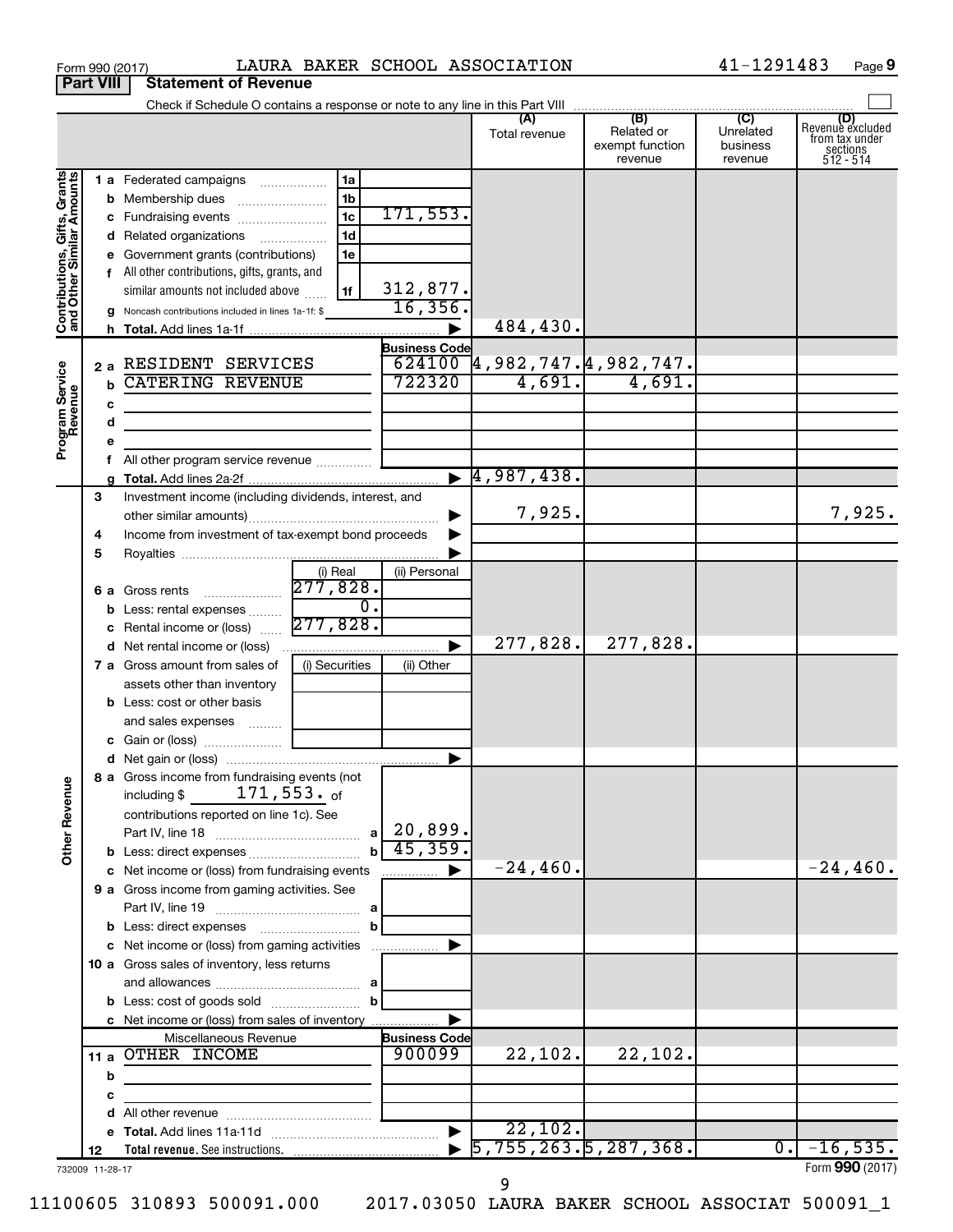|                                                           | <b>Part VIII</b> | <b>Statement of Revenue</b>                                                                                                        |                            |                                                                      |                                                 |                                         |                                                                    |
|-----------------------------------------------------------|------------------|------------------------------------------------------------------------------------------------------------------------------------|----------------------------|----------------------------------------------------------------------|-------------------------------------------------|-----------------------------------------|--------------------------------------------------------------------|
|                                                           |                  |                                                                                                                                    |                            |                                                                      |                                                 |                                         |                                                                    |
|                                                           |                  |                                                                                                                                    |                            | (A)<br>Total revenue                                                 | (B)<br>Related or<br>exempt function<br>revenue | (C)<br>Unrelated<br>business<br>revenue | (D)<br>Revenue excluded<br>from tax under<br>sections<br>512 - 514 |
|                                                           |                  | 1 a Federated campaigns<br>1a                                                                                                      |                            |                                                                      |                                                 |                                         |                                                                    |
|                                                           |                  | 1 <sub>b</sub><br><b>b</b> Membership dues                                                                                         |                            |                                                                      |                                                 |                                         |                                                                    |
|                                                           |                  | 1 <sub>c</sub><br>c Fundraising events                                                                                             | 171, 553.                  |                                                                      |                                                 |                                         |                                                                    |
|                                                           |                  | 1 <sub>d</sub><br>d Related organizations<br>$\overline{\phantom{a}}$                                                              |                            |                                                                      |                                                 |                                         |                                                                    |
|                                                           |                  | e Government grants (contributions)<br>1e                                                                                          |                            |                                                                      |                                                 |                                         |                                                                    |
|                                                           |                  | f All other contributions, gifts, grants, and                                                                                      |                            |                                                                      |                                                 |                                         |                                                                    |
|                                                           |                  | similar amounts not included above<br>1f                                                                                           | $\frac{312,877.}{16,356.}$ |                                                                      |                                                 |                                         |                                                                    |
| Contributions, Gifts, Grants<br>and Other Similar Amounts |                  | g Noncash contributions included in lines 1a-1f: \$                                                                                |                            | 484,430.                                                             |                                                 |                                         |                                                                    |
|                                                           |                  |                                                                                                                                    | <b>Business Code</b>       |                                                                      |                                                 |                                         |                                                                    |
|                                                           |                  | 2 a RESIDENT SERVICES                                                                                                              |                            |                                                                      |                                                 |                                         |                                                                    |
|                                                           |                  | <b>CATERING REVENUE</b><br>$\mathbf b$                                                                                             |                            | $\frac{624100}{722320}$ 4,982,747,4,982,747.<br>722320 4,691. 4,691. |                                                 |                                         |                                                                    |
| Program Service<br>Revenue                                |                  | с                                                                                                                                  |                            |                                                                      |                                                 |                                         |                                                                    |
|                                                           |                  | d                                                                                                                                  |                            |                                                                      |                                                 |                                         |                                                                    |
|                                                           |                  |                                                                                                                                    |                            |                                                                      |                                                 |                                         |                                                                    |
|                                                           |                  | f All other program service revenue                                                                                                |                            |                                                                      |                                                 |                                         |                                                                    |
|                                                           |                  |                                                                                                                                    |                            | $\blacktriangleright$ 4,987,438.                                     |                                                 |                                         |                                                                    |
|                                                           | 3                | Investment income (including dividends, interest, and                                                                              |                            |                                                                      |                                                 |                                         |                                                                    |
|                                                           |                  |                                                                                                                                    |                            | 7,925.                                                               |                                                 |                                         | 7,925.                                                             |
|                                                           | 4                | Income from investment of tax-exempt bond proceeds                                                                                 |                            |                                                                      |                                                 |                                         |                                                                    |
|                                                           | 5                |                                                                                                                                    |                            |                                                                      |                                                 |                                         |                                                                    |
|                                                           |                  | (i) Real<br>277,828.                                                                                                               | (ii) Personal              |                                                                      |                                                 |                                         |                                                                    |
|                                                           |                  | <b>6 a</b> Gross rents<br>$\overline{0}$ .                                                                                         |                            |                                                                      |                                                 |                                         |                                                                    |
|                                                           |                  | <b>b</b> Less: rental expenses<br>277,828.<br>c Rental income or (loss)                                                            |                            |                                                                      |                                                 |                                         |                                                                    |
|                                                           |                  | <b>d</b> Net rental income or (loss)                                                                                               | ▶                          | 277,828.                                                             | 277,828.                                        |                                         |                                                                    |
|                                                           |                  | <b>7 a</b> Gross amount from sales of<br>(i) Securities                                                                            | (ii) Other                 |                                                                      |                                                 |                                         |                                                                    |
|                                                           |                  | assets other than inventory                                                                                                        |                            |                                                                      |                                                 |                                         |                                                                    |
|                                                           |                  | <b>b</b> Less: cost or other basis                                                                                                 |                            |                                                                      |                                                 |                                         |                                                                    |
|                                                           |                  | and sales expenses                                                                                                                 |                            |                                                                      |                                                 |                                         |                                                                    |
|                                                           |                  |                                                                                                                                    |                            |                                                                      |                                                 |                                         |                                                                    |
|                                                           |                  |                                                                                                                                    | ▶                          |                                                                      |                                                 |                                         |                                                                    |
| <b>Other Revenue</b>                                      |                  | 8 a Gross income from fundraising events (not<br>171,553. <sub>of</sub><br>including \$<br>contributions reported on line 1c). See |                            |                                                                      |                                                 |                                         |                                                                    |
|                                                           |                  |                                                                                                                                    |                            |                                                                      |                                                 |                                         |                                                                    |
|                                                           |                  | $\mathbf{h}$                                                                                                                       | 45,359.                    |                                                                      |                                                 |                                         |                                                                    |
|                                                           |                  | c Net income or (loss) from fundraising events                                                                                     | ▶<br>.                     | $-24,460$ .                                                          |                                                 |                                         | $-24,460.$                                                         |
|                                                           |                  | 9 a Gross income from gaming activities. See                                                                                       |                            |                                                                      |                                                 |                                         |                                                                    |
|                                                           |                  |                                                                                                                                    |                            |                                                                      |                                                 |                                         |                                                                    |
|                                                           |                  | b<br>c Net income or (loss) from gaming activities                                                                                 | ▶                          |                                                                      |                                                 |                                         |                                                                    |
|                                                           |                  | 10 a Gross sales of inventory, less returns                                                                                        |                            |                                                                      |                                                 |                                         |                                                                    |
|                                                           |                  |                                                                                                                                    |                            |                                                                      |                                                 |                                         |                                                                    |
|                                                           |                  | b                                                                                                                                  |                            |                                                                      |                                                 |                                         |                                                                    |
|                                                           |                  | c Net income or (loss) from sales of inventory                                                                                     |                            |                                                                      |                                                 |                                         |                                                                    |
|                                                           |                  | Miscellaneous Revenue                                                                                                              | <b>Business Code</b>       |                                                                      |                                                 |                                         |                                                                    |
|                                                           |                  | 11 a OTHER INCOME                                                                                                                  | 900099                     | 22,102.                                                              | 22,102.                                         |                                         |                                                                    |
|                                                           |                  | b                                                                                                                                  |                            |                                                                      |                                                 |                                         |                                                                    |
|                                                           |                  | с                                                                                                                                  |                            |                                                                      |                                                 |                                         |                                                                    |
|                                                           |                  | d                                                                                                                                  |                            |                                                                      |                                                 |                                         |                                                                    |
|                                                           |                  |                                                                                                                                    | $\blacktriangleright$      | 22,102.                                                              |                                                 |                                         |                                                                    |
|                                                           | 12               |                                                                                                                                    |                            | $\overline{5,755,263.5,287,368.}$                                    |                                                 | $\overline{0}$ .                        | $-16,535.$<br>Form 990 (2017)                                      |
|                                                           |                  | 732009 11-28-17                                                                                                                    |                            |                                                                      |                                                 |                                         |                                                                    |

Form 990 (2017)  $\blacksquare$  LAURA BAKER SCHOOL ASSOCIATION  $\blacksquare$  41-1291483 Page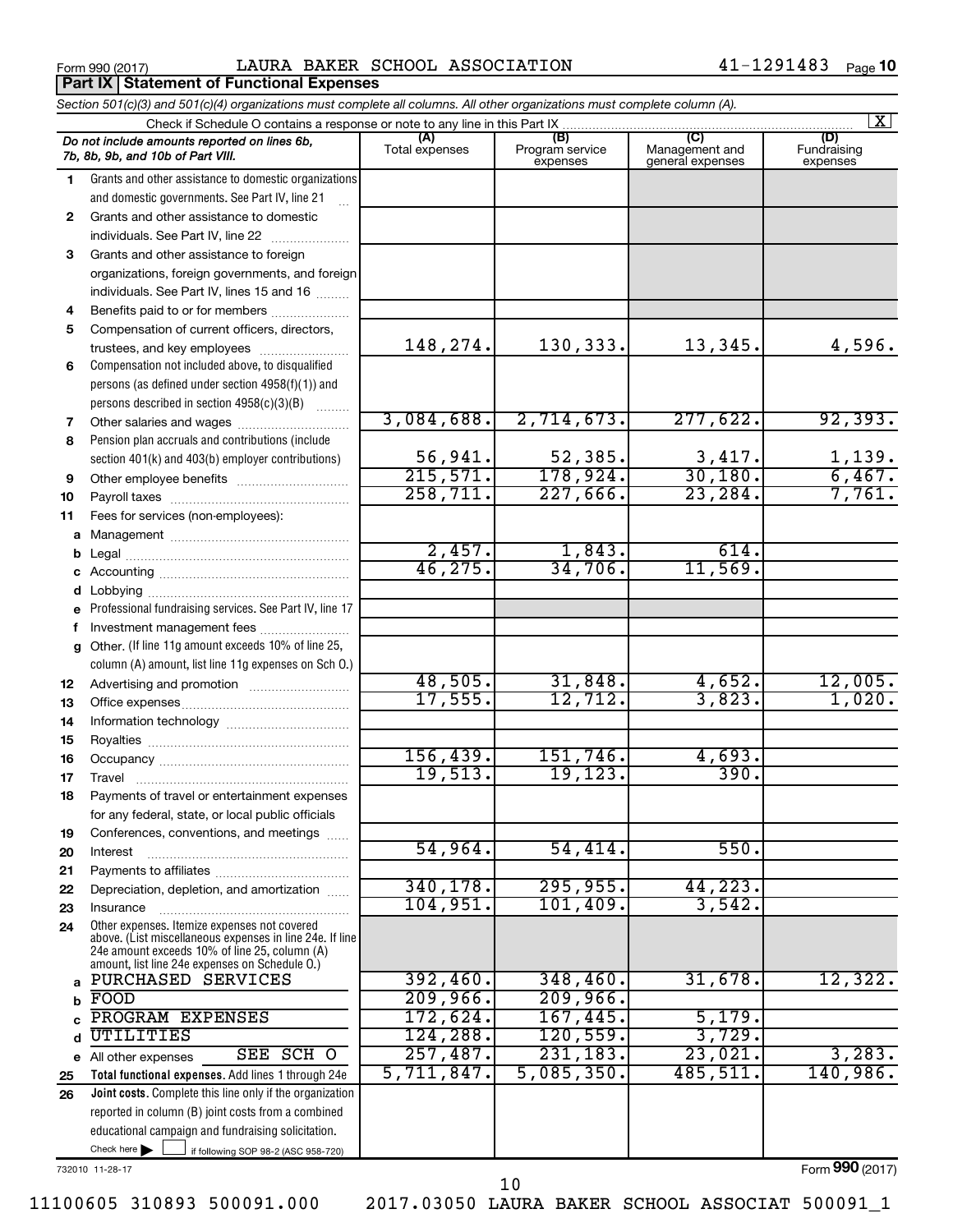**Part IX Statement of Functional Expenses** 

Form 990 (2017)  $\qquad \qquad {\rm LAURA~BAKER~SCHOOL~ASSOCIATION} \qquad \qquad 41-1291483 \quad \qquad {\rm Page}$ 

|              | Section 501(c)(3) and 501(c)(4) organizations must complete all columns. All other organizations must complete column (A).                                                                                  |                |                             |                                    | $ \mathbf{X} $          |
|--------------|-------------------------------------------------------------------------------------------------------------------------------------------------------------------------------------------------------------|----------------|-----------------------------|------------------------------------|-------------------------|
|              | Check if Schedule O contains a response or note to any line in this Part IX                                                                                                                                 | (A)            | (B)                         | (C)                                | (D)                     |
|              | Do not include amounts reported on lines 6b,<br>7b, 8b, 9b, and 10b of Part VIII.                                                                                                                           | Total expenses | Program service<br>expenses | Management and<br>general expenses | Fundraising<br>expenses |
| 1            | Grants and other assistance to domestic organizations                                                                                                                                                       |                |                             |                                    |                         |
|              | and domestic governments. See Part IV, line 21                                                                                                                                                              |                |                             |                                    |                         |
| $\mathbf{2}$ | Grants and other assistance to domestic                                                                                                                                                                     |                |                             |                                    |                         |
|              | individuals. See Part IV, line 22                                                                                                                                                                           |                |                             |                                    |                         |
| 3            | Grants and other assistance to foreign                                                                                                                                                                      |                |                             |                                    |                         |
|              | organizations, foreign governments, and foreign                                                                                                                                                             |                |                             |                                    |                         |
|              | individuals. See Part IV, lines 15 and 16                                                                                                                                                                   |                |                             |                                    |                         |
| 4<br>5       | Benefits paid to or for members                                                                                                                                                                             |                |                             |                                    |                         |
|              | Compensation of current officers, directors,<br>trustees, and key employees                                                                                                                                 | 148,274.       | 130,333.                    | 13,345.                            | 4,596.                  |
| 6            | Compensation not included above, to disqualified                                                                                                                                                            |                |                             |                                    |                         |
|              | persons (as defined under section 4958(f)(1)) and                                                                                                                                                           |                |                             |                                    |                         |
|              | persons described in section 4958(c)(3)(B)<br><b>Barbara</b>                                                                                                                                                |                |                             |                                    |                         |
| 7            | Other salaries and wages                                                                                                                                                                                    | 3,084,688.     | 2,714,673.                  | 277,622.                           | 92, 393.                |
| 8            | Pension plan accruals and contributions (include                                                                                                                                                            |                |                             |                                    |                         |
|              | section 401(k) and 403(b) employer contributions)                                                                                                                                                           | 56,941.        | 52,385.                     | 3,417.                             |                         |
| 9            |                                                                                                                                                                                                             | 215,571.       | 178,924.                    | 30,180.                            | $\frac{1,139}{6,467}$   |
| 10           |                                                                                                                                                                                                             | 258,711.       | 227,666.                    | 23, 284.                           | 7,761.                  |
| 11           | Fees for services (non-employees):                                                                                                                                                                          |                |                             |                                    |                         |
| a            |                                                                                                                                                                                                             |                |                             |                                    |                         |
| b            |                                                                                                                                                                                                             | 2,457.         | 1,843.                      | $\overline{614}$ .                 |                         |
| с            |                                                                                                                                                                                                             | 46, 275.       | 34,706.                     | 11,569.                            |                         |
| d            |                                                                                                                                                                                                             |                |                             |                                    |                         |
| е            | Professional fundraising services. See Part IV, line 17                                                                                                                                                     |                |                             |                                    |                         |
| f            | Investment management fees                                                                                                                                                                                  |                |                             |                                    |                         |
| g            | Other. (If line 11g amount exceeds 10% of line 25,                                                                                                                                                          |                |                             |                                    |                         |
|              | column (A) amount, list line 11g expenses on Sch O.)                                                                                                                                                        | 48,505.        | 31,848.                     | 4,652.                             | 12,005.                 |
| 12           |                                                                                                                                                                                                             | 17,555.        | 12,712.                     | 3,823.                             | 1,020.                  |
| 13<br>14     |                                                                                                                                                                                                             |                |                             |                                    |                         |
| 15           |                                                                                                                                                                                                             |                |                             |                                    |                         |
| 16           |                                                                                                                                                                                                             | 156, 439.      | 151,746.                    | 4,693.                             |                         |
| 17           |                                                                                                                                                                                                             | 19,513.        | 19,123.                     | 390.                               |                         |
| 18           | Payments of travel or entertainment expenses                                                                                                                                                                |                |                             |                                    |                         |
|              | for any federal, state, or local public officials                                                                                                                                                           |                |                             |                                    |                         |
| 19           | Conferences, conventions, and meetings                                                                                                                                                                      |                |                             |                                    |                         |
| 20           | Interest                                                                                                                                                                                                    | 54,964.        | 54,414.                     | 550.                               |                         |
| 21           |                                                                                                                                                                                                             |                |                             |                                    |                         |
| 22           | Depreciation, depletion, and amortization                                                                                                                                                                   | 340,178.       | 295,955.                    | 44,223.                            |                         |
| 23           | Insurance                                                                                                                                                                                                   | 104,951.       | 101,409.                    | 3,542.                             |                         |
| 24           | Other expenses. Itemize expenses not covered<br>above. (List miscellaneous expenses in line 24e. If line<br>24e amount exceeds 10% of line 25, column (A)<br>amount, list line 24e expenses on Schedule O.) |                |                             |                                    |                         |
| a            | PURCHASED SERVICES                                                                                                                                                                                          | 392,460.       | 348, 460.                   | 31,678.                            | 12,322.                 |
| b            | FOOD                                                                                                                                                                                                        | 209,966.       | 209,966.                    |                                    |                         |
|              | PROGRAM EXPENSES                                                                                                                                                                                            | 172,624.       | 167,445.                    | 5,179.                             |                         |
|              | UTILITIES                                                                                                                                                                                                   | 124,288.       | 120,559.                    | 3,729.                             |                         |
|              | SEE SCH O<br>e All other expenses                                                                                                                                                                           | 257,487.       | 231,183.                    | 23,021.                            | 3,283.                  |
| 25           | Total functional expenses. Add lines 1 through 24e                                                                                                                                                          | 5,711,847.     | 5,085,350.                  | 485,511.                           | 140,986.                |
| 26           | Joint costs. Complete this line only if the organization                                                                                                                                                    |                |                             |                                    |                         |
|              | reported in column (B) joint costs from a combined                                                                                                                                                          |                |                             |                                    |                         |
|              | educational campaign and fundraising solicitation.                                                                                                                                                          |                |                             |                                    |                         |
|              | Check here $\blacktriangleright$<br>if following SOP 98-2 (ASC 958-720)                                                                                                                                     |                |                             |                                    |                         |

732010 11-28-17

Form (2017) **990**

11100605 310893 500091.000 2017.03050 LAURA BAKER SCHOOL ASSOCIAT 500091\_1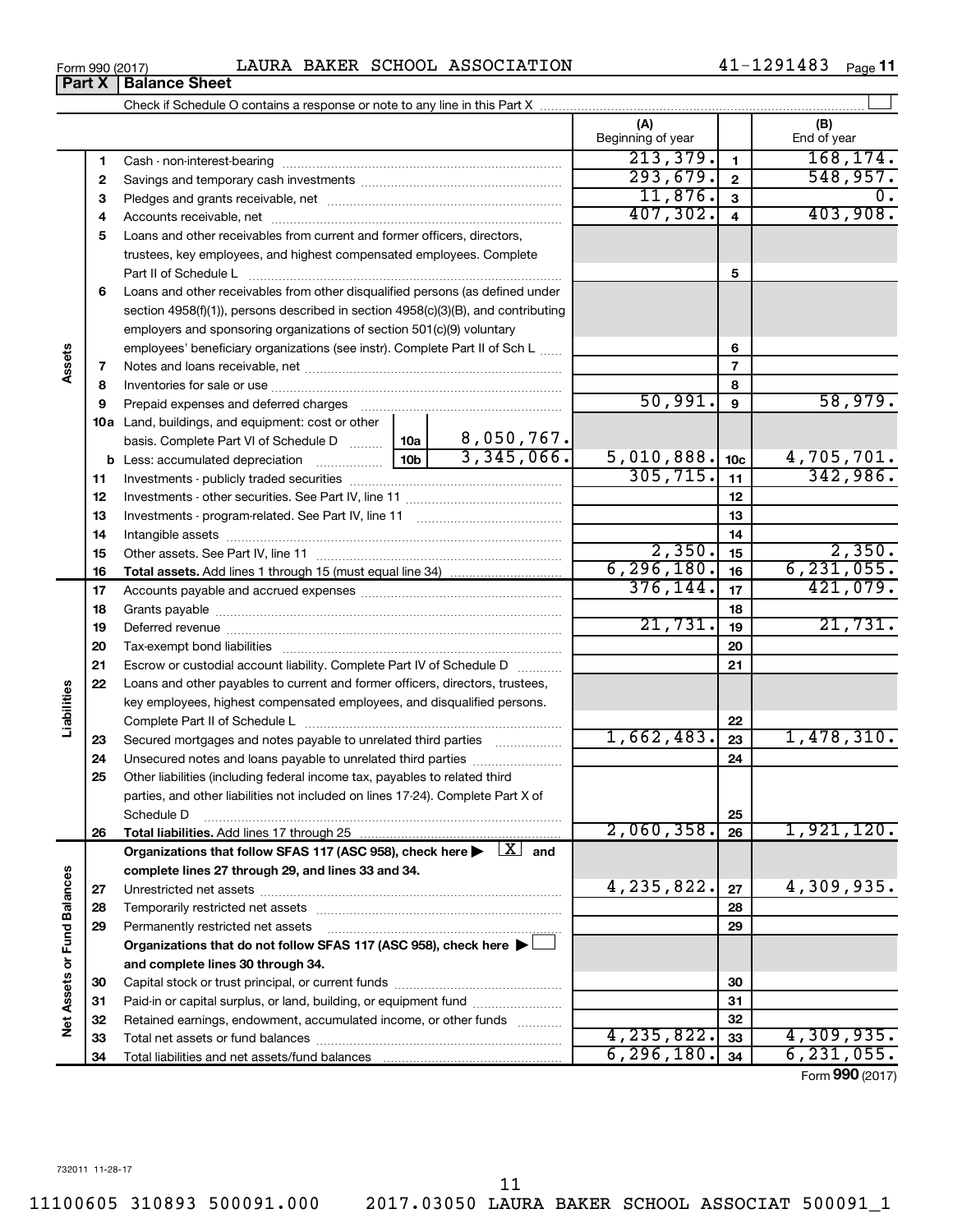|                             |          |                                                                                                                         |                               |          | (A)<br>Beginning of year |                 | (B)<br>End of year          |
|-----------------------------|----------|-------------------------------------------------------------------------------------------------------------------------|-------------------------------|----------|--------------------------|-----------------|-----------------------------|
|                             | 1        |                                                                                                                         |                               |          | 213, 379.                | $\mathbf{1}$    | 168, 174.                   |
|                             | 2        |                                                                                                                         |                               |          | 293,679.                 | $\mathbf{2}$    | 548,957.                    |
|                             | 3        |                                                                                                                         |                               |          | 11,876.                  | 3               | υ.                          |
|                             | 4        |                                                                                                                         |                               |          | 407,302.                 | $\overline{4}$  | 403,908.                    |
|                             | 5        | Loans and other receivables from current and former officers, directors,                                                |                               |          |                          |                 |                             |
|                             |          | trustees, key employees, and highest compensated employees. Complete                                                    |                               |          |                          |                 |                             |
|                             |          |                                                                                                                         |                               | 5        |                          |                 |                             |
|                             | 6        | Loans and other receivables from other disqualified persons (as defined under                                           |                               |          |                          |                 |                             |
|                             |          | section 4958(f)(1)), persons described in section 4958(c)(3)(B), and contributing                                       |                               |          |                          |                 |                             |
|                             |          | employers and sponsoring organizations of section 501(c)(9) voluntary                                                   |                               |          |                          |                 |                             |
|                             |          | employees' beneficiary organizations (see instr). Complete Part II of Sch L                                             |                               |          |                          | 6               |                             |
| Assets                      | 7        |                                                                                                                         |                               |          |                          | $\overline{7}$  |                             |
|                             | 8        |                                                                                                                         |                               |          |                          | 8               |                             |
|                             | 9        | Prepaid expenses and deferred charges                                                                                   |                               |          | 50,991.                  | 9               | 58,979.                     |
|                             |          | 10a Land, buildings, and equipment: cost or other                                                                       |                               |          |                          |                 |                             |
|                             |          | basis. Complete Part VI of Schedule D  10a                                                                              | $\frac{8,050,767}{3,345,066}$ |          |                          |                 |                             |
|                             |          |                                                                                                                         | 10 <sub>b</sub>               |          | 5,010,888.               | 10 <sub>c</sub> | $\frac{4,705,701}{342,986}$ |
|                             | 11       |                                                                                                                         | 305, 715.                     | 11       |                          |                 |                             |
|                             | 12       |                                                                                                                         |                               |          | 12                       |                 |                             |
|                             | 13       |                                                                                                                         |                               |          | 13                       |                 |                             |
|                             | 14       |                                                                                                                         |                               |          |                          | 14              |                             |
|                             | 15       |                                                                                                                         |                               |          | 2,350.<br>6, 296, 180.   | 15              | 2,350.<br>6, 231, 055.      |
|                             | 16       |                                                                                                                         |                               |          | 376, 144.                | 16<br>17        | 421,079.                    |
|                             | 17       |                                                                                                                         |                               |          |                          |                 |                             |
|                             | 18       |                                                                                                                         | 21,731.                       | 18<br>19 | 21,731.                  |                 |                             |
|                             | 19<br>20 |                                                                                                                         |                               |          | 20                       |                 |                             |
|                             | 21       | Escrow or custodial account liability. Complete Part IV of Schedule D                                                   |                               |          |                          | 21              |                             |
|                             | 22       | Loans and other payables to current and former officers, directors, trustees,                                           |                               |          |                          |                 |                             |
| Liabilities                 |          | key employees, highest compensated employees, and disqualified persons.                                                 |                               |          |                          |                 |                             |
|                             |          |                                                                                                                         |                               |          |                          | 22              |                             |
|                             | 23       | Secured mortgages and notes payable to unrelated third parties                                                          |                               |          | 1,662,483.               | 23              | 1,478,310.                  |
|                             | 24       | Unsecured notes and loans payable to unrelated third parties                                                            |                               |          |                          | 24              |                             |
|                             | 25       | Other liabilities (including federal income tax, payables to related third                                              |                               |          |                          |                 |                             |
|                             |          | parties, and other liabilities not included on lines 17-24). Complete Part X of                                         |                               |          |                          |                 |                             |
|                             |          | Schedule D                                                                                                              |                               |          |                          | 25              |                             |
|                             | 26       | Total liabilities. Add lines 17 through 25                                                                              |                               |          | 2,060,358.               | 26              | 1,921,120.                  |
|                             |          | Organizations that follow SFAS 117 (ASC 958), check here $\blacktriangleright \begin{array}{c} \perp X \end{array}$ and |                               |          |                          |                 |                             |
|                             |          | complete lines 27 through 29, and lines 33 and 34.                                                                      |                               |          |                          |                 |                             |
|                             | 27       |                                                                                                                         |                               |          | 4,235,822.               | 27              | 4,309,935.                  |
|                             | 28       | Temporarily restricted net assets                                                                                       |                               |          |                          | 28              |                             |
|                             | 29       | Permanently restricted net assets                                                                                       |                               |          |                          | 29              |                             |
|                             |          | Organizations that do not follow SFAS 117 (ASC 958), check here ▶                                                       |                               |          |                          |                 |                             |
|                             |          | and complete lines 30 through 34.                                                                                       |                               |          |                          |                 |                             |
|                             | 30       |                                                                                                                         |                               |          | 30                       |                 |                             |
| Net Assets or Fund Balances | 31       | Paid-in or capital surplus, or land, building, or equipment fund                                                        |                               |          |                          | 31              |                             |
|                             | 32       | Retained earnings, endowment, accumulated income, or other funds                                                        |                               |          |                          | 32              |                             |
|                             | 33       |                                                                                                                         |                               |          | 4,235,822.               | 33              | 4,309,935.                  |
|                             | 34       |                                                                                                                         |                               |          | 6, 296, 180.             | 34              | 6, 231, 055.                |

Form (2017) **990**

11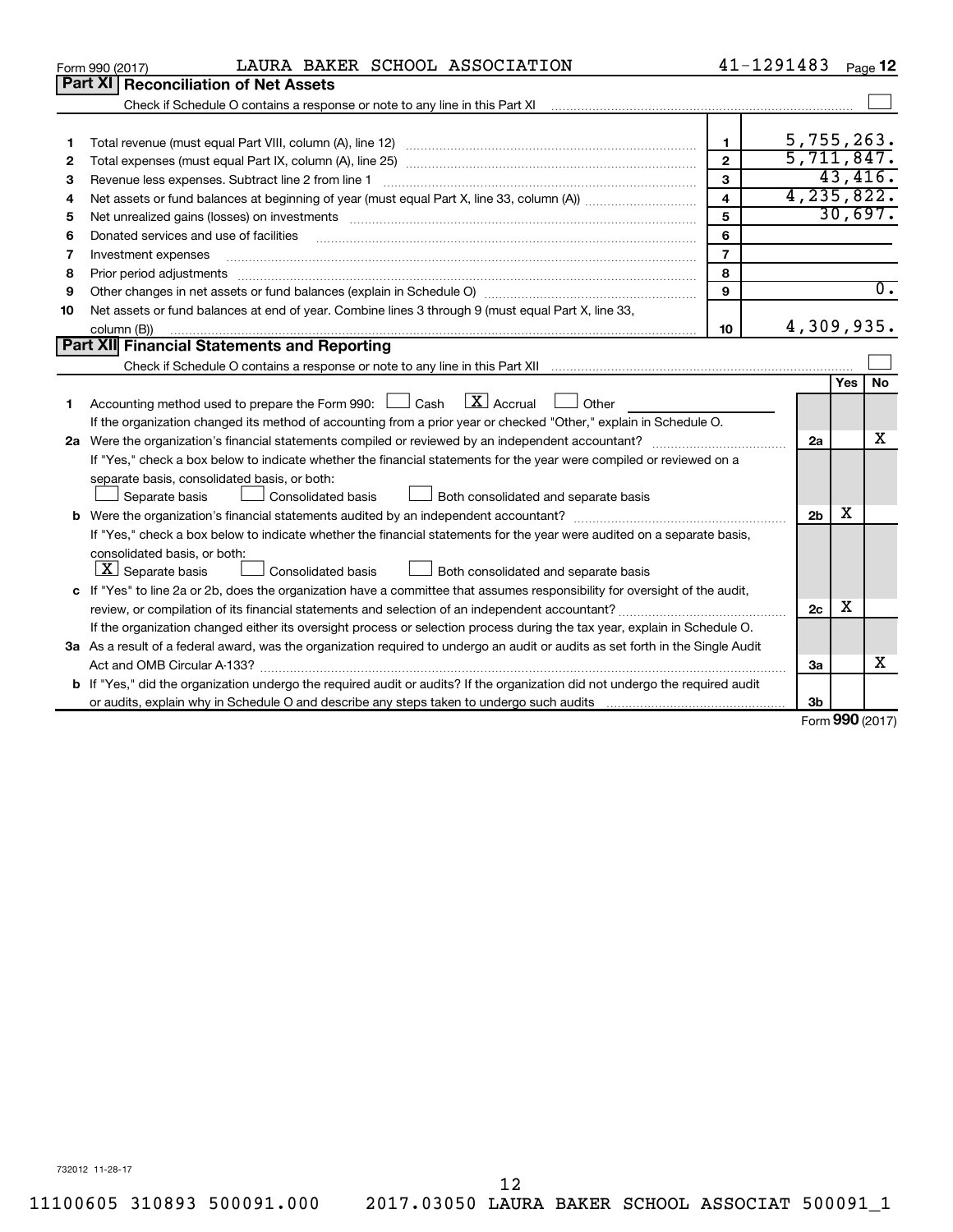|    | LAURA BAKER SCHOOL ASSOCIATION<br>Form 990 (2017)                                                                                                                                                                              | 41-1291483              |                |                     | Page 12          |  |  |
|----|--------------------------------------------------------------------------------------------------------------------------------------------------------------------------------------------------------------------------------|-------------------------|----------------|---------------------|------------------|--|--|
|    | Part XI   Reconciliation of Net Assets                                                                                                                                                                                         |                         |                |                     |                  |  |  |
|    |                                                                                                                                                                                                                                |                         |                |                     |                  |  |  |
|    |                                                                                                                                                                                                                                |                         |                |                     |                  |  |  |
| 1  |                                                                                                                                                                                                                                | 1.                      | 5,755,263.     |                     |                  |  |  |
| 2  |                                                                                                                                                                                                                                | $\overline{2}$          | 5,711,847.     |                     |                  |  |  |
| З  |                                                                                                                                                                                                                                | 3                       |                |                     | 43,416.          |  |  |
| 4  |                                                                                                                                                                                                                                | $\overline{\mathbf{4}}$ | 4,235,822.     |                     |                  |  |  |
| 5  | Net unrealized gains (losses) on investments [11] matter than the control of the state of the state of the state of the state of the state of the state of the state of the state of the state of the state of the state of th | 5                       |                |                     | 30,697.          |  |  |
| 6  | Donated services and use of facilities                                                                                                                                                                                         | 6                       |                |                     |                  |  |  |
| 7  | Investment expenses                                                                                                                                                                                                            | $\overline{7}$          |                |                     |                  |  |  |
| 8  |                                                                                                                                                                                                                                | 8                       |                |                     |                  |  |  |
| 9  |                                                                                                                                                                                                                                | $\mathbf{9}$            |                |                     | $\overline{0}$ . |  |  |
| 10 | Net assets or fund balances at end of year. Combine lines 3 through 9 (must equal Part X, line 33,                                                                                                                             |                         |                |                     |                  |  |  |
|    | column (B))                                                                                                                                                                                                                    | 10                      | 4,309,935.     |                     |                  |  |  |
|    | <b>Part XII Financial Statements and Reporting</b>                                                                                                                                                                             |                         |                |                     |                  |  |  |
|    |                                                                                                                                                                                                                                |                         |                |                     |                  |  |  |
| 1  | $\lfloor \mathbf{X} \rfloor$ Accrual<br>Accounting method used to prepare the Form 990: $\Box$ Cash<br>$\Box$ Other                                                                                                            |                         |                | Yes                 | No               |  |  |
|    | If the organization changed its method of accounting from a prior year or checked "Other," explain in Schedule O.                                                                                                              |                         |                |                     |                  |  |  |
|    | 2a Were the organization's financial statements compiled or reviewed by an independent accountant?                                                                                                                             |                         |                |                     |                  |  |  |
|    | If "Yes," check a box below to indicate whether the financial statements for the year were compiled or reviewed on a                                                                                                           |                         |                |                     |                  |  |  |
|    | separate basis, consolidated basis, or both:                                                                                                                                                                                   |                         |                |                     |                  |  |  |
|    | Separate basis<br>Consolidated basis<br>Both consolidated and separate basis                                                                                                                                                   |                         |                |                     |                  |  |  |
|    |                                                                                                                                                                                                                                |                         | 2 <sub>b</sub> | x                   |                  |  |  |
|    | If "Yes," check a box below to indicate whether the financial statements for the year were audited on a separate basis,                                                                                                        |                         |                |                     |                  |  |  |
|    | consolidated basis, or both:                                                                                                                                                                                                   |                         |                |                     |                  |  |  |
|    | $ \mathbf{X} $ Separate basis<br>Both consolidated and separate basis<br>Consolidated basis                                                                                                                                    |                         |                |                     |                  |  |  |
|    | c If "Yes" to line 2a or 2b, does the organization have a committee that assumes responsibility for oversight of the audit,                                                                                                    |                         |                |                     |                  |  |  |
|    |                                                                                                                                                                                                                                |                         | 2c             | x                   |                  |  |  |
|    | If the organization changed either its oversight process or selection process during the tax year, explain in Schedule O.                                                                                                      |                         |                |                     |                  |  |  |
|    | 3a As a result of a federal award, was the organization required to undergo an audit or audits as set forth in the Single Audit                                                                                                |                         |                |                     |                  |  |  |
|    | Act and OMB Circular A-133?                                                                                                                                                                                                    |                         | 3a             |                     | х                |  |  |
|    | <b>b</b> If "Yes," did the organization undergo the required audit or audits? If the organization did not undergo the required audit                                                                                           |                         |                |                     |                  |  |  |
|    |                                                                                                                                                                                                                                |                         | 3b             | $000 \text{ hours}$ |                  |  |  |
|    |                                                                                                                                                                                                                                |                         |                |                     |                  |  |  |

Form (2017) **990**

732012 11-28-17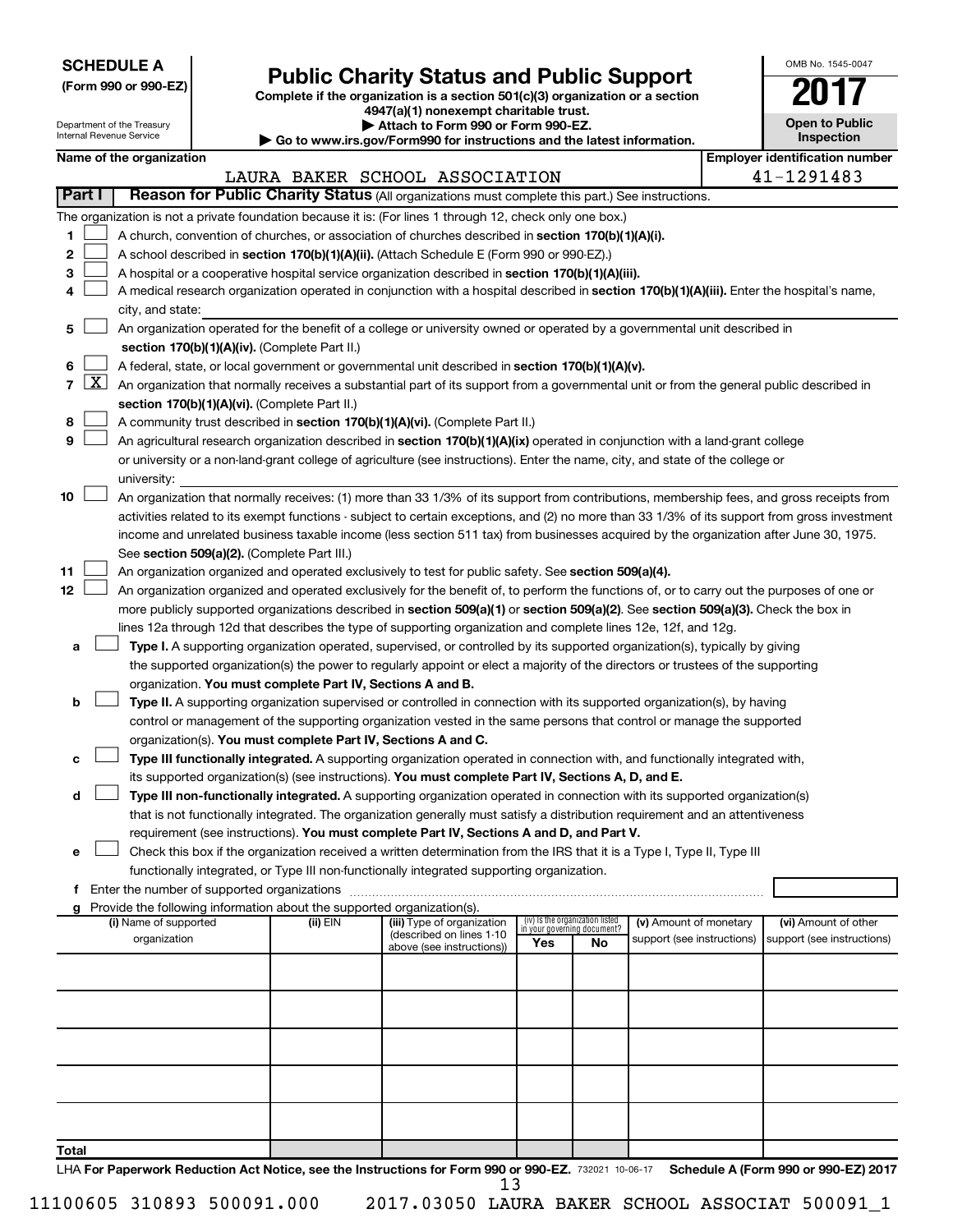|--|

# Form 990 or 990-EZ)<br>
Complete if the organization is a section 501(c)(3) organization or a section<br> **Public Charity Status and Public Support**

**4947(a)(1) nonexempt charitable trust. | Attach to Form 990 or Form 990-EZ.** 

| OMB No 1545-0047                    |
|-------------------------------------|
|                                     |
| <b>Open to Public</b><br>Inspection |

|                |                     | Department of the Treasury<br>Internal Revenue Service |                                                                        | Attach to Form 990 or Form 990-EZ.<br>Go to www.irs.gov/Form990 for instructions and the latest information.                                                                                                                                         |     |                                 |                                                      | <b>Open to Public</b><br>Inspection                |
|----------------|---------------------|--------------------------------------------------------|------------------------------------------------------------------------|------------------------------------------------------------------------------------------------------------------------------------------------------------------------------------------------------------------------------------------------------|-----|---------------------------------|------------------------------------------------------|----------------------------------------------------|
|                |                     | Name of the organization                               |                                                                        |                                                                                                                                                                                                                                                      |     |                                 |                                                      | <b>Employer identification number</b>              |
|                |                     |                                                        |                                                                        | LAURA BAKER SCHOOL ASSOCIATION                                                                                                                                                                                                                       |     |                                 |                                                      | 41-1291483                                         |
| <b>Part I</b>  |                     |                                                        |                                                                        | Reason for Public Charity Status (All organizations must complete this part.) See instructions.                                                                                                                                                      |     |                                 |                                                      |                                                    |
|                |                     |                                                        |                                                                        | The organization is not a private foundation because it is: (For lines 1 through 12, check only one box.)                                                                                                                                            |     |                                 |                                                      |                                                    |
| 1.             |                     |                                                        |                                                                        | A church, convention of churches, or association of churches described in section 170(b)(1)(A)(i).                                                                                                                                                   |     |                                 |                                                      |                                                    |
| 2              |                     |                                                        |                                                                        | A school described in section 170(b)(1)(A)(ii). (Attach Schedule E (Form 990 or 990-EZ).)                                                                                                                                                            |     |                                 |                                                      |                                                    |
| 3              |                     |                                                        |                                                                        | A hospital or a cooperative hospital service organization described in section 170(b)(1)(A)(iii).                                                                                                                                                    |     |                                 |                                                      |                                                    |
| 4              |                     |                                                        |                                                                        | A medical research organization operated in conjunction with a hospital described in section 170(b)(1)(A)(iii). Enter the hospital's name,                                                                                                           |     |                                 |                                                      |                                                    |
|                |                     | city, and state:                                       |                                                                        |                                                                                                                                                                                                                                                      |     |                                 |                                                      |                                                    |
| 5              |                     |                                                        |                                                                        | An organization operated for the benefit of a college or university owned or operated by a governmental unit described in                                                                                                                            |     |                                 |                                                      |                                                    |
|                |                     |                                                        | section 170(b)(1)(A)(iv). (Complete Part II.)                          |                                                                                                                                                                                                                                                      |     |                                 |                                                      |                                                    |
| 6              |                     |                                                        |                                                                        | A federal, state, or local government or governmental unit described in section 170(b)(1)(A)(v).                                                                                                                                                     |     |                                 |                                                      |                                                    |
| $\overline{7}$ | $\lfloor x \rfloor$ |                                                        |                                                                        | An organization that normally receives a substantial part of its support from a governmental unit or from the general public described in                                                                                                            |     |                                 |                                                      |                                                    |
|                |                     |                                                        | section 170(b)(1)(A)(vi). (Complete Part II.)                          |                                                                                                                                                                                                                                                      |     |                                 |                                                      |                                                    |
| 8              |                     |                                                        |                                                                        | A community trust described in section 170(b)(1)(A)(vi). (Complete Part II.)                                                                                                                                                                         |     |                                 |                                                      |                                                    |
| 9              |                     |                                                        |                                                                        | An agricultural research organization described in section 170(b)(1)(A)(ix) operated in conjunction with a land-grant college                                                                                                                        |     |                                 |                                                      |                                                    |
|                |                     |                                                        |                                                                        | or university or a non-land-grant college of agriculture (see instructions). Enter the name, city, and state of the college or                                                                                                                       |     |                                 |                                                      |                                                    |
|                |                     | university:                                            |                                                                        |                                                                                                                                                                                                                                                      |     |                                 |                                                      |                                                    |
| 10             |                     |                                                        |                                                                        | An organization that normally receives: (1) more than 33 1/3% of its support from contributions, membership fees, and gross receipts from                                                                                                            |     |                                 |                                                      |                                                    |
|                |                     |                                                        |                                                                        | activities related to its exempt functions - subject to certain exceptions, and (2) no more than 33 1/3% of its support from gross investment                                                                                                        |     |                                 |                                                      |                                                    |
|                |                     |                                                        |                                                                        | income and unrelated business taxable income (less section 511 tax) from businesses acquired by the organization after June 30, 1975.                                                                                                                |     |                                 |                                                      |                                                    |
|                |                     |                                                        | See section 509(a)(2). (Complete Part III.)                            |                                                                                                                                                                                                                                                      |     |                                 |                                                      |                                                    |
| 11             |                     |                                                        |                                                                        | An organization organized and operated exclusively to test for public safety. See section 509(a)(4).                                                                                                                                                 |     |                                 |                                                      |                                                    |
| 12             |                     |                                                        |                                                                        | An organization organized and operated exclusively for the benefit of, to perform the functions of, or to carry out the purposes of one or                                                                                                           |     |                                 |                                                      |                                                    |
|                |                     |                                                        |                                                                        | more publicly supported organizations described in section 509(a)(1) or section 509(a)(2). See section 509(a)(3). Check the box in<br>lines 12a through 12d that describes the type of supporting organization and complete lines 12e, 12f, and 12g. |     |                                 |                                                      |                                                    |
| а              |                     |                                                        |                                                                        | Type I. A supporting organization operated, supervised, or controlled by its supported organization(s), typically by giving                                                                                                                          |     |                                 |                                                      |                                                    |
|                |                     |                                                        |                                                                        | the supported organization(s) the power to regularly appoint or elect a majority of the directors or trustees of the supporting                                                                                                                      |     |                                 |                                                      |                                                    |
|                |                     |                                                        | organization. You must complete Part IV, Sections A and B.             |                                                                                                                                                                                                                                                      |     |                                 |                                                      |                                                    |
| b              |                     |                                                        |                                                                        | Type II. A supporting organization supervised or controlled in connection with its supported organization(s), by having                                                                                                                              |     |                                 |                                                      |                                                    |
|                |                     |                                                        |                                                                        | control or management of the supporting organization vested in the same persons that control or manage the supported                                                                                                                                 |     |                                 |                                                      |                                                    |
|                |                     |                                                        | organization(s). You must complete Part IV, Sections A and C.          |                                                                                                                                                                                                                                                      |     |                                 |                                                      |                                                    |
| с              |                     |                                                        |                                                                        | Type III functionally integrated. A supporting organization operated in connection with, and functionally integrated with,                                                                                                                           |     |                                 |                                                      |                                                    |
|                |                     |                                                        |                                                                        | its supported organization(s) (see instructions). You must complete Part IV, Sections A, D, and E.                                                                                                                                                   |     |                                 |                                                      |                                                    |
| d              |                     |                                                        |                                                                        | Type III non-functionally integrated. A supporting organization operated in connection with its supported organization(s)                                                                                                                            |     |                                 |                                                      |                                                    |
|                |                     |                                                        |                                                                        | that is not functionally integrated. The organization generally must satisfy a distribution requirement and an attentiveness                                                                                                                         |     |                                 |                                                      |                                                    |
|                |                     |                                                        |                                                                        | requirement (see instructions). You must complete Part IV, Sections A and D, and Part V.                                                                                                                                                             |     |                                 |                                                      |                                                    |
| е              |                     |                                                        |                                                                        | Check this box if the organization received a written determination from the IRS that it is a Type I, Type II, Type III                                                                                                                              |     |                                 |                                                      |                                                    |
|                |                     |                                                        |                                                                        | functionally integrated, or Type III non-functionally integrated supporting organization.                                                                                                                                                            |     |                                 |                                                      |                                                    |
| f.             |                     |                                                        |                                                                        |                                                                                                                                                                                                                                                      |     |                                 |                                                      |                                                    |
|                |                     |                                                        | Provide the following information about the supported organization(s). |                                                                                                                                                                                                                                                      |     | (iv) Is the organization listed |                                                      |                                                    |
|                |                     | (i) Name of supported<br>organization                  | (ii) EIN                                                               | (iii) Type of organization<br>(described on lines 1-10                                                                                                                                                                                               |     | in your governing document?     | (v) Amount of monetary<br>support (see instructions) | (vi) Amount of other<br>support (see instructions) |
|                |                     |                                                        |                                                                        | above (see instructions))                                                                                                                                                                                                                            | Yes | No                              |                                                      |                                                    |
|                |                     |                                                        |                                                                        |                                                                                                                                                                                                                                                      |     |                                 |                                                      |                                                    |
|                |                     |                                                        |                                                                        |                                                                                                                                                                                                                                                      |     |                                 |                                                      |                                                    |
|                |                     |                                                        |                                                                        |                                                                                                                                                                                                                                                      |     |                                 |                                                      |                                                    |
|                |                     |                                                        |                                                                        |                                                                                                                                                                                                                                                      |     |                                 |                                                      |                                                    |
|                |                     |                                                        |                                                                        |                                                                                                                                                                                                                                                      |     |                                 |                                                      |                                                    |
|                |                     |                                                        |                                                                        |                                                                                                                                                                                                                                                      |     |                                 |                                                      |                                                    |
|                |                     |                                                        |                                                                        |                                                                                                                                                                                                                                                      |     |                                 |                                                      |                                                    |
|                |                     |                                                        |                                                                        |                                                                                                                                                                                                                                                      |     |                                 |                                                      |                                                    |
|                |                     |                                                        |                                                                        |                                                                                                                                                                                                                                                      |     |                                 |                                                      |                                                    |
| Total          |                     |                                                        |                                                                        |                                                                                                                                                                                                                                                      |     |                                 |                                                      |                                                    |
|                |                     |                                                        |                                                                        |                                                                                                                                                                                                                                                      |     |                                 |                                                      |                                                    |

LHA For Paperwork Reduction Act Notice, see the Instructions for Form 990 or 990-EZ. 732021 10-06-17 Schedule A (Form 990 or 990-EZ) 2017 13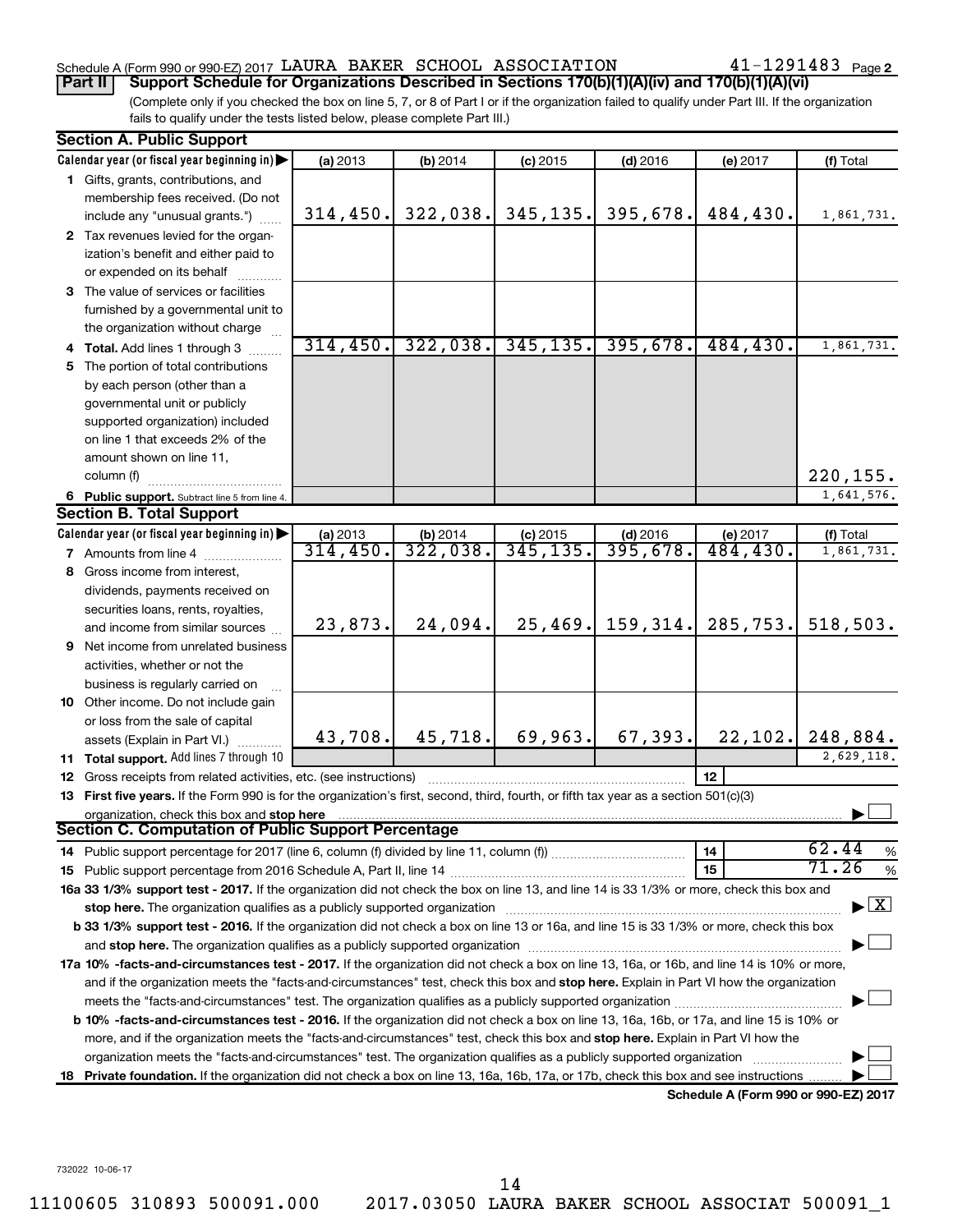### Schedule A (Form 990 or 990-EZ) 2017  ${\tt LAWRA}$  BAKER SCHOOL ASSOCIATION  $41$  –  $1291483$  Page

41-1291483 Page 2

(Complete only if you checked the box on line 5, 7, or 8 of Part I or if the organization failed to qualify under Part III. If the organization fails to qualify under the tests listed below, please complete Part III.) **Part II Support Schedule for Organizations Described in Sections 170(b)(1)(A)(iv) and 170(b)(1)(A)(vi)**

| <b>Section A. Public Support</b>                                                                                                               |           |                        |            |                      |           |                                          |
|------------------------------------------------------------------------------------------------------------------------------------------------|-----------|------------------------|------------|----------------------|-----------|------------------------------------------|
| Calendar year (or fiscal year beginning in)                                                                                                    | (a) 2013  | (b) 2014               | $(c)$ 2015 | $(d)$ 2016           | (e) 2017  | (f) Total                                |
| 1 Gifts, grants, contributions, and                                                                                                            |           |                        |            |                      |           |                                          |
| membership fees received. (Do not                                                                                                              |           |                        |            |                      |           |                                          |
| include any "unusual grants.")                                                                                                                 | 314, 450. | 322,038.               |            | $345, 135.$ 395,678. | 484,430.  | 1,861,731.                               |
| 2 Tax revenues levied for the organ-                                                                                                           |           |                        |            |                      |           |                                          |
| ization's benefit and either paid to                                                                                                           |           |                        |            |                      |           |                                          |
| or expended on its behalf                                                                                                                      |           |                        |            |                      |           |                                          |
| 3 The value of services or facilities                                                                                                          |           |                        |            |                      |           |                                          |
| furnished by a governmental unit to                                                                                                            |           |                        |            |                      |           |                                          |
| the organization without charge                                                                                                                |           |                        |            |                      |           |                                          |
| 4 Total. Add lines 1 through 3                                                                                                                 | 314, 450. | 322,038.               | 345, 135.  | 395,678.             | 484, 430. | 1,861,731.                               |
| 5 The portion of total contributions                                                                                                           |           |                        |            |                      |           |                                          |
| by each person (other than a                                                                                                                   |           |                        |            |                      |           |                                          |
| governmental unit or publicly                                                                                                                  |           |                        |            |                      |           |                                          |
| supported organization) included                                                                                                               |           |                        |            |                      |           |                                          |
| on line 1 that exceeds 2% of the                                                                                                               |           |                        |            |                      |           |                                          |
| amount shown on line 11,                                                                                                                       |           |                        |            |                      |           |                                          |
| column (f)                                                                                                                                     |           |                        |            |                      |           | 220, 155.                                |
| 6 Public support. Subtract line 5 from line 4.                                                                                                 |           |                        |            |                      |           | 1,641,576.                               |
| <b>Section B. Total Support</b>                                                                                                                |           |                        |            |                      |           |                                          |
| Calendar year (or fiscal year beginning in)                                                                                                    | (a) 2013  | $\frac{6}{322}$ , 038. | $(c)$ 2015 | $(d)$ 2016           | (e) 2017  | (f) Total                                |
| <b>7</b> Amounts from line 4                                                                                                                   | 314,450.  |                        | 345, 135.  | 395,678.             | 484,430.  | 1,861,731.                               |
| 8 Gross income from interest,                                                                                                                  |           |                        |            |                      |           |                                          |
| dividends, payments received on                                                                                                                |           |                        |            |                      |           |                                          |
| securities loans, rents, royalties,                                                                                                            |           |                        |            |                      |           |                                          |
| and income from similar sources                                                                                                                | 23,873.   | 24,094.                |            | $25,469.$ 159, 314.  | 285,753.  | 518,503.                                 |
| 9 Net income from unrelated business                                                                                                           |           |                        |            |                      |           |                                          |
| activities, whether or not the                                                                                                                 |           |                        |            |                      |           |                                          |
| business is regularly carried on                                                                                                               |           |                        |            |                      |           |                                          |
| 10 Other income. Do not include gain                                                                                                           |           |                        |            |                      |           |                                          |
| or loss from the sale of capital                                                                                                               |           |                        |            |                      |           |                                          |
| assets (Explain in Part VI.)                                                                                                                   | 43,708.   | 45, 718.               | 69,963.    | 67, 393.             | 22, 102.  | 248,884.                                 |
| <b>11 Total support.</b> Add lines 7 through 10                                                                                                |           |                        |            |                      |           | 2,629,118.                               |
| <b>12</b> Gross receipts from related activities, etc. (see instructions)                                                                      |           |                        |            |                      | 12        |                                          |
| 13 First five years. If the Form 990 is for the organization's first, second, third, fourth, or fifth tax year as a section 501(c)(3)          |           |                        |            |                      |           |                                          |
| organization, check this box and stop here<br>Section C. Computation of Public Support Percentage                                              |           |                        |            |                      |           |                                          |
|                                                                                                                                                |           |                        |            |                      |           | 62.44                                    |
|                                                                                                                                                |           |                        |            |                      | 14        | $\%$<br>71.26                            |
|                                                                                                                                                |           |                        |            |                      | 15        | $\%$                                     |
| 16a 33 1/3% support test - 2017. If the organization did not check the box on line 13, and line 14 is 33 1/3% or more, check this box and      |           |                        |            |                      |           | $\blacktriangleright$ $\boxed{\text{X}}$ |
|                                                                                                                                                |           |                        |            |                      |           |                                          |
| b 33 1/3% support test - 2016. If the organization did not check a box on line 13 or 16a, and line 15 is 33 1/3% or more, check this box       |           |                        |            |                      |           |                                          |
|                                                                                                                                                |           |                        |            |                      |           |                                          |
| 17a 10% -facts-and-circumstances test - 2017. If the organization did not check a box on line 13, 16a, or 16b, and line 14 is 10% or more,     |           |                        |            |                      |           |                                          |
| and if the organization meets the "facts-and-circumstances" test, check this box and stop here. Explain in Part VI how the organization        |           |                        |            |                      |           |                                          |
|                                                                                                                                                |           |                        |            |                      |           |                                          |
| <b>b 10%</b> -facts-and-circumstances test - 2016. If the organization did not check a box on line 13, 16a, 16b, or 17a, and line 15 is 10% or |           |                        |            |                      |           |                                          |
| more, and if the organization meets the "facts-and-circumstances" test, check this box and stop here. Explain in Part VI how the               |           |                        |            |                      |           |                                          |
| organization meets the "facts-and-circumstances" test. The organization qualifies as a publicly supported organization                         |           |                        |            |                      |           |                                          |
| 18 Private foundation. If the organization did not check a box on line 13, 16a, 16b, 17a, or 17b, check this box and see instructions          |           |                        |            |                      |           |                                          |

**Schedule A (Form 990 or 990-EZ) 2017**

732022 10-06-17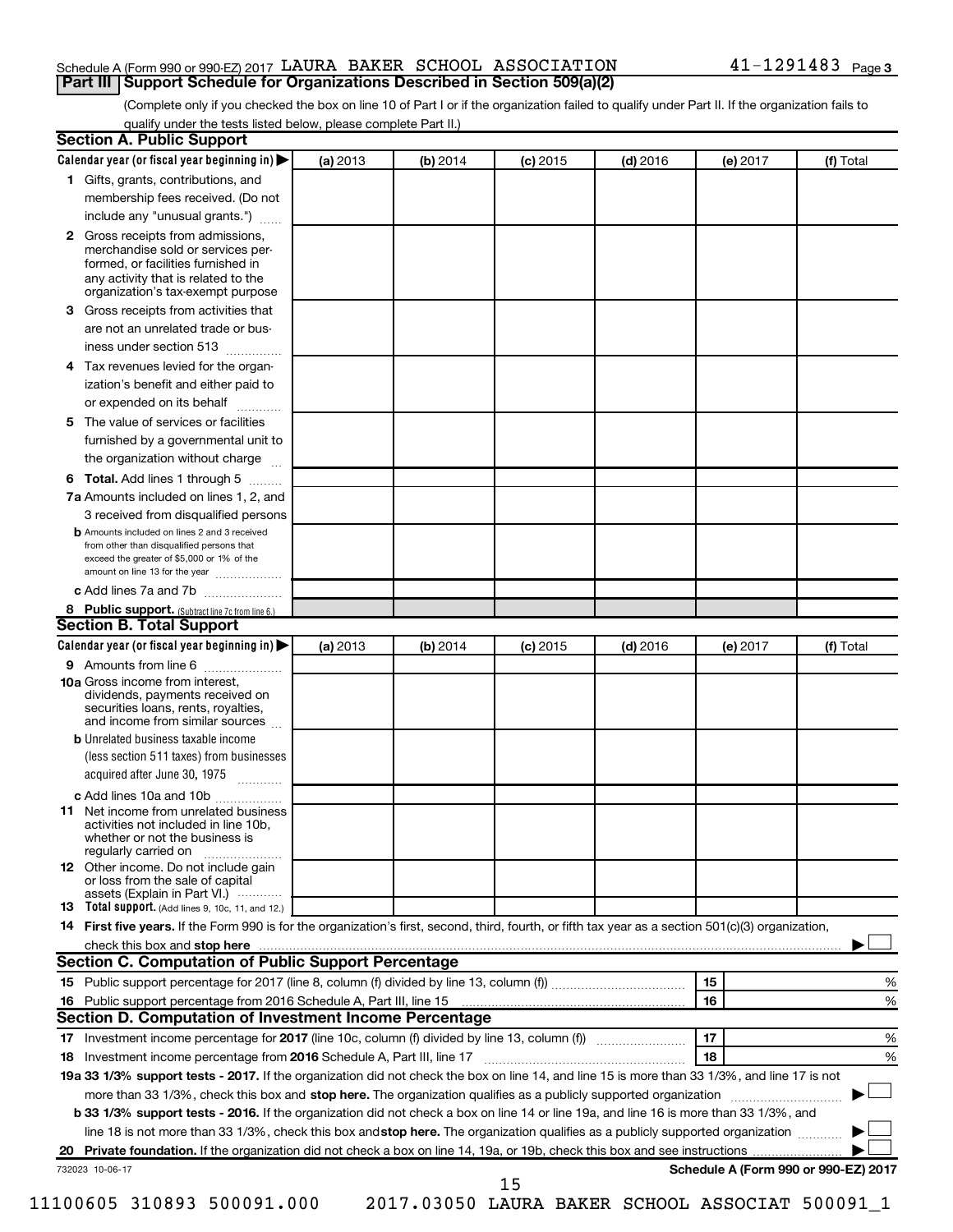#### Schedule A (Form 990 or 990-EZ) 2017  ${\tt LAWRA}$  BAKER SCHOOL ASSOCIATION  $41$  –  $1291483$  Page **Part III Support Schedule for Organizations Described in Section 509(a)(2)**

(Complete only if you checked the box on line 10 of Part I or if the organization failed to qualify under Part II. If the organization fails to qualify under the tests listed below, please complete Part II.)

|              | Calendar year (or fiscal year beginning in)                                                                                                                                                                                                                              | (a) 2013 | (b) 2014 | $(c)$ 2015                                      | $(d)$ 2016 | (e) 2017 | (f) Total                            |   |
|--------------|--------------------------------------------------------------------------------------------------------------------------------------------------------------------------------------------------------------------------------------------------------------------------|----------|----------|-------------------------------------------------|------------|----------|--------------------------------------|---|
|              | 1 Gifts, grants, contributions, and                                                                                                                                                                                                                                      |          |          |                                                 |            |          |                                      |   |
|              | membership fees received. (Do not                                                                                                                                                                                                                                        |          |          |                                                 |            |          |                                      |   |
|              | include any "unusual grants.")                                                                                                                                                                                                                                           |          |          |                                                 |            |          |                                      |   |
| $\mathbf{2}$ | Gross receipts from admissions,<br>merchandise sold or services per-<br>formed, or facilities furnished in<br>any activity that is related to the<br>organization's tax-exempt purpose                                                                                   |          |          |                                                 |            |          |                                      |   |
| 3.           | Gross receipts from activities that                                                                                                                                                                                                                                      |          |          |                                                 |            |          |                                      |   |
|              | are not an unrelated trade or bus-                                                                                                                                                                                                                                       |          |          |                                                 |            |          |                                      |   |
|              | iness under section 513                                                                                                                                                                                                                                                  |          |          |                                                 |            |          |                                      |   |
| 4            | Tax revenues levied for the organ-                                                                                                                                                                                                                                       |          |          |                                                 |            |          |                                      |   |
|              | ization's benefit and either paid to<br>or expended on its behalf<br>.                                                                                                                                                                                                   |          |          |                                                 |            |          |                                      |   |
| 5            | The value of services or facilities                                                                                                                                                                                                                                      |          |          |                                                 |            |          |                                      |   |
|              | furnished by a governmental unit to<br>the organization without charge                                                                                                                                                                                                   |          |          |                                                 |            |          |                                      |   |
|              | Total. Add lines 1 through 5                                                                                                                                                                                                                                             |          |          |                                                 |            |          |                                      |   |
| 6            |                                                                                                                                                                                                                                                                          |          |          |                                                 |            |          |                                      |   |
|              | 7a Amounts included on lines 1, 2, and<br>3 received from disqualified persons                                                                                                                                                                                           |          |          |                                                 |            |          |                                      |   |
|              | <b>b</b> Amounts included on lines 2 and 3 received                                                                                                                                                                                                                      |          |          |                                                 |            |          |                                      |   |
|              | from other than disqualified persons that<br>exceed the greater of \$5,000 or 1% of the<br>amount on line 13 for the year                                                                                                                                                |          |          |                                                 |            |          |                                      |   |
|              | c Add lines 7a and 7b                                                                                                                                                                                                                                                    |          |          |                                                 |            |          |                                      |   |
|              | 8 Public support. (Subtract line 7c from line 6.)                                                                                                                                                                                                                        |          |          |                                                 |            |          |                                      |   |
|              | <b>Section B. Total Support</b>                                                                                                                                                                                                                                          |          |          |                                                 |            |          |                                      |   |
|              | Calendar year (or fiscal year beginning in)                                                                                                                                                                                                                              | (a) 2013 | (b) 2014 | $(c)$ 2015                                      | $(d)$ 2016 | (e) 2017 | (f) Total                            |   |
|              | 9 Amounts from line 6                                                                                                                                                                                                                                                    |          |          |                                                 |            |          |                                      |   |
|              | <b>10a</b> Gross income from interest,<br>dividends, payments received on<br>securities loans, rents, royalties,<br>and income from similar sources                                                                                                                      |          |          |                                                 |            |          |                                      |   |
|              | <b>b</b> Unrelated business taxable income                                                                                                                                                                                                                               |          |          |                                                 |            |          |                                      |   |
|              | (less section 511 taxes) from businesses<br>acquired after June 30, 1975                                                                                                                                                                                                 |          |          |                                                 |            |          |                                      |   |
|              | c Add lines 10a and 10b                                                                                                                                                                                                                                                  |          |          |                                                 |            |          |                                      |   |
| 11           | Net income from unrelated business<br>activities not included in line 10b.<br>whether or not the business is<br>regularly carried on                                                                                                                                     |          |          |                                                 |            |          |                                      |   |
|              | <b>12</b> Other income. Do not include gain<br>or loss from the sale of capital<br>assets (Explain in Part VI.)                                                                                                                                                          |          |          |                                                 |            |          |                                      |   |
|              | <b>13</b> Total support. (Add lines 9, 10c, 11, and 12.)                                                                                                                                                                                                                 |          |          |                                                 |            |          |                                      |   |
|              | 14 First five years. If the Form 990 is for the organization's first, second, third, fourth, or fifth tax year as a section 501(c)(3) organization,                                                                                                                      |          |          |                                                 |            |          |                                      |   |
|              |                                                                                                                                                                                                                                                                          |          |          |                                                 |            |          |                                      |   |
|              | Section C. Computation of Public Support Percentage                                                                                                                                                                                                                      |          |          |                                                 |            |          |                                      |   |
|              |                                                                                                                                                                                                                                                                          |          |          |                                                 |            | 15       |                                      | % |
|              |                                                                                                                                                                                                                                                                          |          |          |                                                 |            | 16       |                                      | % |
|              | Section D. Computation of Investment Income Percentage                                                                                                                                                                                                                   |          |          |                                                 |            |          |                                      |   |
|              |                                                                                                                                                                                                                                                                          |          |          |                                                 |            | 17       |                                      | % |
|              |                                                                                                                                                                                                                                                                          |          |          |                                                 |            | 18       |                                      | % |
|              | 19a 33 1/3% support tests - 2017. If the organization did not check the box on line 14, and line 15 is more than 33 1/3%, and line 17 is not                                                                                                                             |          |          |                                                 |            |          |                                      |   |
|              | more than 33 1/3%, check this box and stop here. The organization qualifies as a publicly supported organization                                                                                                                                                         |          |          |                                                 |            |          |                                      |   |
|              | b 33 1/3% support tests - 2016. If the organization did not check a box on line 14 or line 19a, and line 16 is more than 33 1/3%, and<br>line 18 is not more than 33 1/3%, check this box and stop here. The organization qualifies as a publicly supported organization |          |          |                                                 |            |          |                                      |   |
|              |                                                                                                                                                                                                                                                                          |          |          |                                                 |            |          |                                      |   |
|              |                                                                                                                                                                                                                                                                          |          |          |                                                 |            |          | Schedule A (Form 990 or 990-EZ) 2017 |   |
|              | 732023 10-06-17                                                                                                                                                                                                                                                          |          |          | 15                                              |            |          |                                      |   |
|              | 11100605 310893 500091.000                                                                                                                                                                                                                                               |          |          | 2017.03050 LAURA BAKER SCHOOL ASSOCIAT 500091_1 |            |          |                                      |   |
|              |                                                                                                                                                                                                                                                                          |          |          |                                                 |            |          |                                      |   |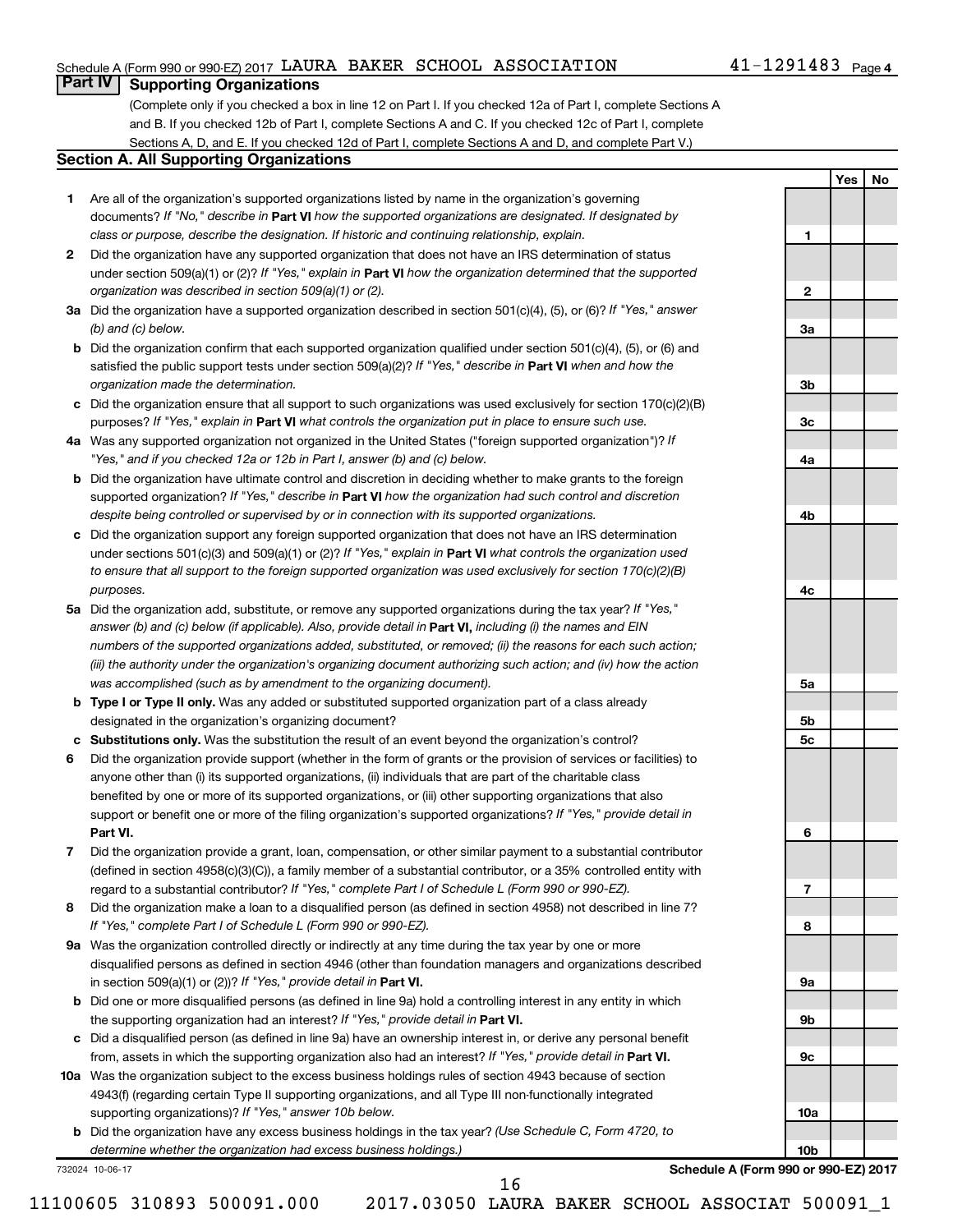#### Schedule A (Form 990 or 990-EZ) 2017  ${\tt LAWRA}$  BAKER SCHOOL ASSOCIATION  $41$  –  $1291483$  Page

### **Part IV Supporting Organizations**

(Complete only if you checked a box in line 12 on Part I. If you checked 12a of Part I, complete Sections A and B. If you checked 12b of Part I, complete Sections A and C. If you checked 12c of Part I, complete Sections A, D, and E. If you checked 12d of Part I, complete Sections A and D, and complete Part V.)

#### **Section A. All Supporting Organizations**

- **1** Are all of the organization's supported organizations listed by name in the organization's governing documents? If "No," describe in Part VI how the supported organizations are designated. If designated by *class or purpose, describe the designation. If historic and continuing relationship, explain.*
- **2** Did the organization have any supported organization that does not have an IRS determination of status under section 509(a)(1) or (2)? If "Yes," explain in Part **VI** how the organization determined that the supported *organization was described in section 509(a)(1) or (2).*
- **3a** Did the organization have a supported organization described in section 501(c)(4), (5), or (6)? If "Yes," answer *(b) and (c) below.*
- **b** Did the organization confirm that each supported organization qualified under section 501(c)(4), (5), or (6) and satisfied the public support tests under section 509(a)(2)? If "Yes," describe in Part VI when and how the *organization made the determination.*
- **c** Did the organization ensure that all support to such organizations was used exclusively for section 170(c)(2)(B) purposes? If "Yes," explain in Part VI what controls the organization put in place to ensure such use.
- **4 a** *If* Was any supported organization not organized in the United States ("foreign supported organization")? *"Yes," and if you checked 12a or 12b in Part I, answer (b) and (c) below.*
- **b** Did the organization have ultimate control and discretion in deciding whether to make grants to the foreign supported organization? If "Yes," describe in Part VI how the organization had such control and discretion *despite being controlled or supervised by or in connection with its supported organizations.*
- **c** Did the organization support any foreign supported organization that does not have an IRS determination under sections 501(c)(3) and 509(a)(1) or (2)? If "Yes," explain in Part VI what controls the organization used *to ensure that all support to the foreign supported organization was used exclusively for section 170(c)(2)(B) purposes.*
- **5a** Did the organization add, substitute, or remove any supported organizations during the tax year? If "Yes," answer (b) and (c) below (if applicable). Also, provide detail in **Part VI,** including (i) the names and EIN *numbers of the supported organizations added, substituted, or removed; (ii) the reasons for each such action; (iii) the authority under the organization's organizing document authorizing such action; and (iv) how the action was accomplished (such as by amendment to the organizing document).*
- **b Type I or Type II only.** Was any added or substituted supported organization part of a class already designated in the organization's organizing document?
- **c Substitutions only.**  Was the substitution the result of an event beyond the organization's control?
- **6** Did the organization provide support (whether in the form of grants or the provision of services or facilities) to **Part VI.** support or benefit one or more of the filing organization's supported organizations? If "Yes," provide detail in anyone other than (i) its supported organizations, (ii) individuals that are part of the charitable class benefited by one or more of its supported organizations, or (iii) other supporting organizations that also
- **7** Did the organization provide a grant, loan, compensation, or other similar payment to a substantial contributor regard to a substantial contributor? If "Yes," complete Part I of Schedule L (Form 990 or 990-EZ). (defined in section 4958(c)(3)(C)), a family member of a substantial contributor, or a 35% controlled entity with
- **8** Did the organization make a loan to a disqualified person (as defined in section 4958) not described in line 7? *If "Yes," complete Part I of Schedule L (Form 990 or 990-EZ).*
- **9 a** Was the organization controlled directly or indirectly at any time during the tax year by one or more in section 509(a)(1) or (2))? If "Yes," provide detail in **Part VI.** disqualified persons as defined in section 4946 (other than foundation managers and organizations described
- **b** Did one or more disqualified persons (as defined in line 9a) hold a controlling interest in any entity in which the supporting organization had an interest? If "Yes," provide detail in Part VI.
- **c** Did a disqualified person (as defined in line 9a) have an ownership interest in, or derive any personal benefit from, assets in which the supporting organization also had an interest? If "Yes," provide detail in Part VI.
- **10 a** Was the organization subject to the excess business holdings rules of section 4943 because of section supporting organizations)? If "Yes," answer 10b below. 4943(f) (regarding certain Type II supporting organizations, and all Type III non-functionally integrated
	- **b** Did the organization have any excess business holdings in the tax year? (Use Schedule C, Form 4720, to *determine whether the organization had excess business holdings.)*

732024 10-06-17

**Schedule A (Form 990 or 990-EZ) 2017**

**1**

**2**

**3a**

**3b**

**3c**

**4a**

**4b**

**4c**

**5a**

**5b 5c**

**6**

**7**

**8**

**9a**

**9b**

**9c**

**10a**

**10b**

**Yes No**

11100605 310893 500091.000 2017.03050 LAURA BAKER SCHOOL ASSOCIAT 500091\_1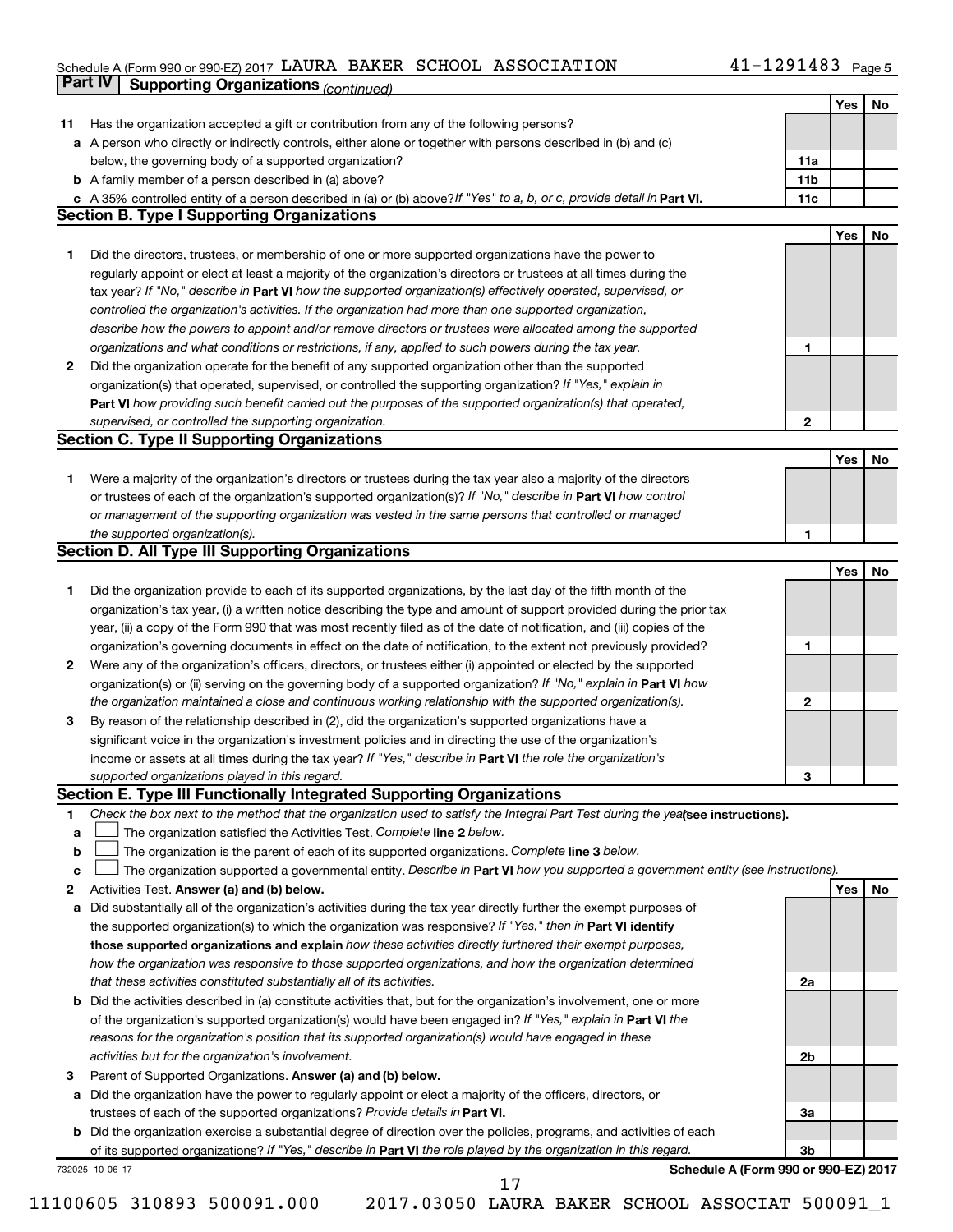#### $S$ chedule A (Form 990 or 990-EZ) 2017 LAURA BAKER SCHOOL ASSOCIATION  $41-1291483$  Page LAURA BAKER SCHOOL ASSOCIATION 41-1291483

|    | <b>Part IV</b>  | <b>Supporting Organizations (continued)</b>                                                                                                                                                                            |                 |     |    |
|----|-----------------|------------------------------------------------------------------------------------------------------------------------------------------------------------------------------------------------------------------------|-----------------|-----|----|
|    |                 |                                                                                                                                                                                                                        |                 | Yes | No |
| 11 |                 | Has the organization accepted a gift or contribution from any of the following persons?                                                                                                                                |                 |     |    |
|    |                 | a A person who directly or indirectly controls, either alone or together with persons described in (b) and (c)                                                                                                         |                 |     |    |
|    |                 | below, the governing body of a supported organization?                                                                                                                                                                 | 11a             |     |    |
|    |                 | <b>b</b> A family member of a person described in (a) above?                                                                                                                                                           | 11 <sub>b</sub> |     |    |
|    |                 | c A 35% controlled entity of a person described in (a) or (b) above? If "Yes" to a, b, or c, provide detail in Part VI.                                                                                                | 11c             |     |    |
|    |                 | <b>Section B. Type I Supporting Organizations</b>                                                                                                                                                                      |                 |     |    |
|    |                 |                                                                                                                                                                                                                        |                 | Yes | No |
| 1  |                 | Did the directors, trustees, or membership of one or more supported organizations have the power to                                                                                                                    |                 |     |    |
|    |                 | regularly appoint or elect at least a majority of the organization's directors or trustees at all times during the                                                                                                     |                 |     |    |
|    |                 | tax year? If "No," describe in Part VI how the supported organization(s) effectively operated, supervised, or                                                                                                          |                 |     |    |
|    |                 | controlled the organization's activities. If the organization had more than one supported organization,                                                                                                                |                 |     |    |
|    |                 | describe how the powers to appoint and/or remove directors or trustees were allocated among the supported                                                                                                              |                 |     |    |
|    |                 | organizations and what conditions or restrictions, if any, applied to such powers during the tax year.                                                                                                                 | 1               |     |    |
| 2  |                 | Did the organization operate for the benefit of any supported organization other than the supported                                                                                                                    |                 |     |    |
|    |                 | organization(s) that operated, supervised, or controlled the supporting organization? If "Yes," explain in                                                                                                             |                 |     |    |
|    |                 | Part VI how providing such benefit carried out the purposes of the supported organization(s) that operated,                                                                                                            |                 |     |    |
|    |                 | supervised, or controlled the supporting organization.                                                                                                                                                                 | 2               |     |    |
|    |                 | <b>Section C. Type II Supporting Organizations</b>                                                                                                                                                                     |                 |     |    |
|    |                 |                                                                                                                                                                                                                        |                 | Yes | No |
| 1  |                 | Were a majority of the organization's directors or trustees during the tax year also a majority of the directors                                                                                                       |                 |     |    |
|    |                 | or trustees of each of the organization's supported organization(s)? If "No," describe in Part VI how control                                                                                                          |                 |     |    |
|    |                 | or management of the supporting organization was vested in the same persons that controlled or managed                                                                                                                 |                 |     |    |
|    |                 | the supported organization(s).                                                                                                                                                                                         | 1               |     |    |
|    |                 | <b>Section D. All Type III Supporting Organizations</b>                                                                                                                                                                |                 |     |    |
|    |                 |                                                                                                                                                                                                                        |                 | Yes | No |
| 1  |                 | Did the organization provide to each of its supported organizations, by the last day of the fifth month of the                                                                                                         |                 |     |    |
|    |                 | organization's tax year, (i) a written notice describing the type and amount of support provided during the prior tax                                                                                                  |                 |     |    |
|    |                 | year, (ii) a copy of the Form 990 that was most recently filed as of the date of notification, and (iii) copies of the                                                                                                 |                 |     |    |
|    |                 | organization's governing documents in effect on the date of notification, to the extent not previously provided?                                                                                                       | 1               |     |    |
| 2  |                 | Were any of the organization's officers, directors, or trustees either (i) appointed or elected by the supported                                                                                                       |                 |     |    |
|    |                 | organization(s) or (ii) serving on the governing body of a supported organization? If "No," explain in Part VI how                                                                                                     |                 |     |    |
|    |                 | the organization maintained a close and continuous working relationship with the supported organization(s).                                                                                                            | 2               |     |    |
| 3  |                 | By reason of the relationship described in (2), did the organization's supported organizations have a                                                                                                                  |                 |     |    |
|    |                 | significant voice in the organization's investment policies and in directing the use of the organization's                                                                                                             |                 |     |    |
|    |                 | income or assets at all times during the tax year? If "Yes," describe in Part VI the role the organization's                                                                                                           |                 |     |    |
|    |                 | supported organizations played in this regard.                                                                                                                                                                         | з               |     |    |
|    |                 | Section E. Type III Functionally Integrated Supporting Organizations                                                                                                                                                   |                 |     |    |
| 1  |                 | Check the box next to the method that the organization used to satisfy the Integral Part Test during the yealsee instructions).                                                                                        |                 |     |    |
| a  |                 | The organization satisfied the Activities Test. Complete line 2 below.                                                                                                                                                 |                 |     |    |
| b  |                 | The organization is the parent of each of its supported organizations. Complete line 3 below.                                                                                                                          |                 |     |    |
| c  |                 | The organization supported a governmental entity. Describe in Part VI how you supported a government entity (see instructions).                                                                                        |                 |     |    |
| 2  |                 | Activities Test. Answer (a) and (b) below.                                                                                                                                                                             |                 | Yes | No |
| а  |                 | Did substantially all of the organization's activities during the tax year directly further the exempt purposes of                                                                                                     |                 |     |    |
|    |                 | the supported organization(s) to which the organization was responsive? If "Yes," then in Part VI identify<br>those supported organizations and explain how these activities directly furthered their exempt purposes, |                 |     |    |
|    |                 |                                                                                                                                                                                                                        |                 |     |    |
|    |                 | how the organization was responsive to those supported organizations, and how the organization determined<br>that these activities constituted substantially all of its activities.                                    | 2a              |     |    |
| b  |                 | Did the activities described in (a) constitute activities that, but for the organization's involvement, one or more                                                                                                    |                 |     |    |
|    |                 | of the organization's supported organization(s) would have been engaged in? If "Yes," explain in Part VI the                                                                                                           |                 |     |    |
|    |                 | reasons for the organization's position that its supported organization(s) would have engaged in these                                                                                                                 |                 |     |    |
|    |                 | activities but for the organization's involvement.                                                                                                                                                                     | 2b              |     |    |
| З  |                 | Parent of Supported Organizations. Answer (a) and (b) below.                                                                                                                                                           |                 |     |    |
| а  |                 | Did the organization have the power to regularly appoint or elect a majority of the officers, directors, or                                                                                                            |                 |     |    |
|    |                 | trustees of each of the supported organizations? Provide details in Part VI.                                                                                                                                           | За              |     |    |
|    |                 | <b>b</b> Did the organization exercise a substantial degree of direction over the policies, programs, and activities of each                                                                                           |                 |     |    |
|    |                 | of its supported organizations? If "Yes," describe in Part VI the role played by the organization in this regard.                                                                                                      | 3b              |     |    |
|    | 732025 10-06-17 | Schedule A (Form 990 or 990-EZ) 2017                                                                                                                                                                                   |                 |     |    |
|    |                 | 17                                                                                                                                                                                                                     |                 |     |    |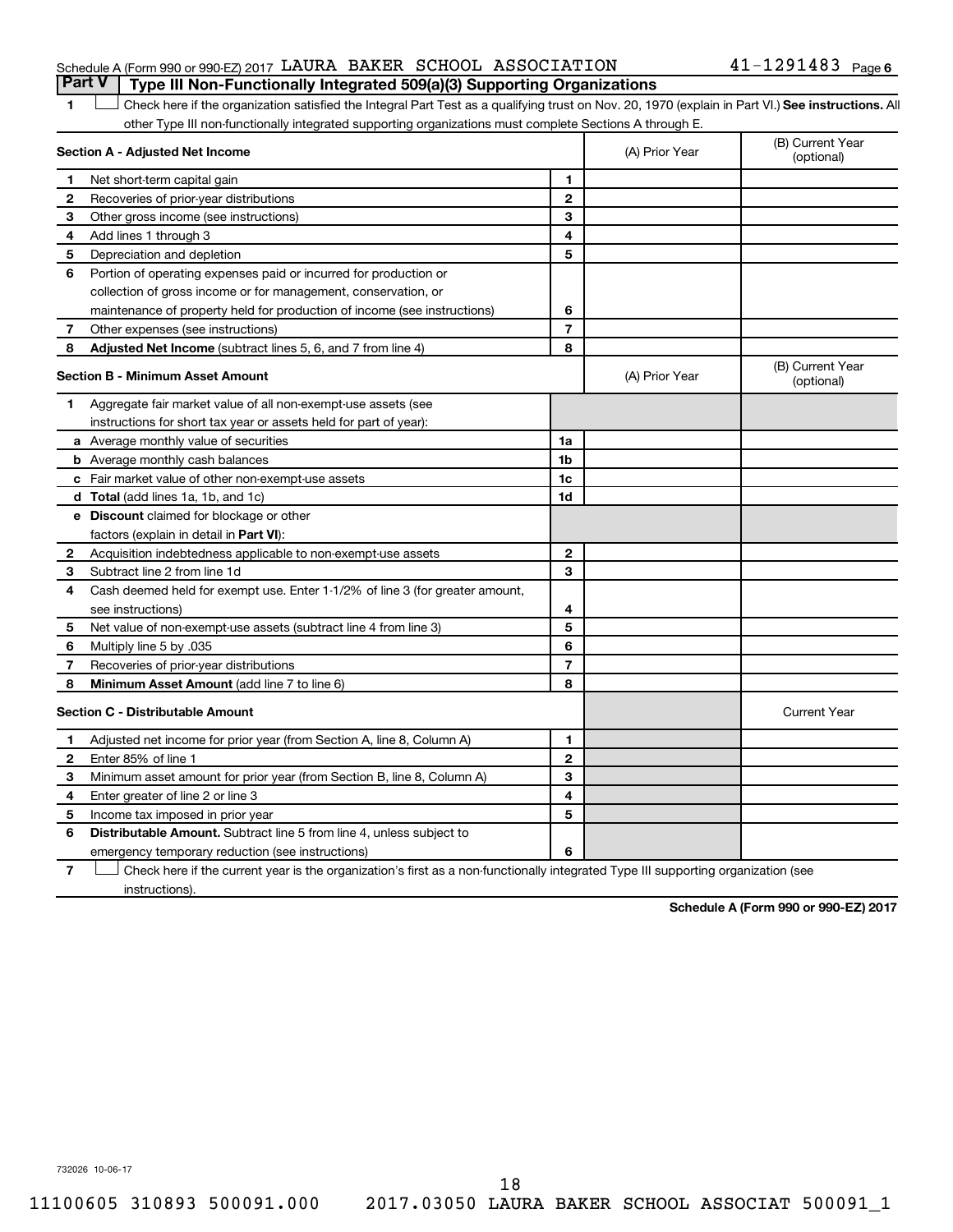#### Schedule A (Form 990 or 990-EZ) 2017  ${\tt LAWRA}$  BAKER SCHOOL ASSOCIATION  $41$  –  $1291483$  Page **Part V Type III Non-Functionally Integrated 509(a)(3) Supporting Organizations**

#### 1 **Letter See instructions.** All Check here if the organization satisfied the Integral Part Test as a qualifying trust on Nov. 20, 1970 (explain in Part VI.) See instructions. All other Type III non-functionally integrated supporting organizations must complete Sections A through E.

|              | Section A - Adjusted Net Income                                              |                | (A) Prior Year | (B) Current Year<br>(optional) |
|--------------|------------------------------------------------------------------------------|----------------|----------------|--------------------------------|
| 1            | Net short-term capital gain                                                  | 1              |                |                                |
| 2            | Recoveries of prior-year distributions                                       | $\mathbf{2}$   |                |                                |
| 3            | Other gross income (see instructions)                                        | 3              |                |                                |
| 4            | Add lines 1 through 3                                                        | 4              |                |                                |
| 5            | Depreciation and depletion                                                   | 5              |                |                                |
| 6            | Portion of operating expenses paid or incurred for production or             |                |                |                                |
|              | collection of gross income or for management, conservation, or               |                |                |                                |
|              | maintenance of property held for production of income (see instructions)     | 6              |                |                                |
| 7            | Other expenses (see instructions)                                            | $\overline{7}$ |                |                                |
| 8            | Adjusted Net Income (subtract lines 5, 6, and 7 from line 4)                 | 8              |                |                                |
|              | <b>Section B - Minimum Asset Amount</b>                                      |                | (A) Prior Year | (B) Current Year<br>(optional) |
| 1            | Aggregate fair market value of all non-exempt-use assets (see                |                |                |                                |
|              | instructions for short tax year or assets held for part of year):            |                |                |                                |
|              | a Average monthly value of securities                                        | 1a             |                |                                |
|              | <b>b</b> Average monthly cash balances                                       | 1 <sub>b</sub> |                |                                |
|              | c Fair market value of other non-exempt-use assets                           | 1c             |                |                                |
|              | d Total (add lines 1a, 1b, and 1c)                                           | 1d             |                |                                |
|              | e Discount claimed for blockage or other                                     |                |                |                                |
|              | factors (explain in detail in <b>Part VI</b> ):                              |                |                |                                |
| 2            | Acquisition indebtedness applicable to non-exempt-use assets                 | $\mathbf{2}$   |                |                                |
| 3            | Subtract line 2 from line 1d                                                 | 3              |                |                                |
| 4            | Cash deemed held for exempt use. Enter 1-1/2% of line 3 (for greater amount, |                |                |                                |
|              | see instructions)                                                            | 4              |                |                                |
| 5            | Net value of non-exempt-use assets (subtract line 4 from line 3)             | 5              |                |                                |
| 6            | Multiply line 5 by .035                                                      | 6              |                |                                |
| 7            | Recoveries of prior-year distributions                                       | $\overline{7}$ |                |                                |
| 8            | Minimum Asset Amount (add line 7 to line 6)                                  | 8              |                |                                |
|              | <b>Section C - Distributable Amount</b>                                      |                |                | <b>Current Year</b>            |
| 1            | Adjusted net income for prior year (from Section A, line 8, Column A)        | 1              |                |                                |
| $\mathbf{2}$ | Enter 85% of line 1                                                          | $\mathbf{2}$   |                |                                |
| 3            | Minimum asset amount for prior year (from Section B, line 8, Column A)       | 3              |                |                                |
| 4            | Enter greater of line 2 or line 3                                            | 4              |                |                                |
| 5            | Income tax imposed in prior year                                             | 5              |                |                                |
| 6            | Distributable Amount. Subtract line 5 from line 4, unless subject to         |                |                |                                |
|              | emergency temporary reduction (see instructions)                             | 6              |                |                                |
|              |                                                                              |                |                |                                |

**7** Check here if the current year is the organization's first as a non-functionally integrated Type III supporting organization (see † instructions).

**Schedule A (Form 990 or 990-EZ) 2017**

732026 10-06-17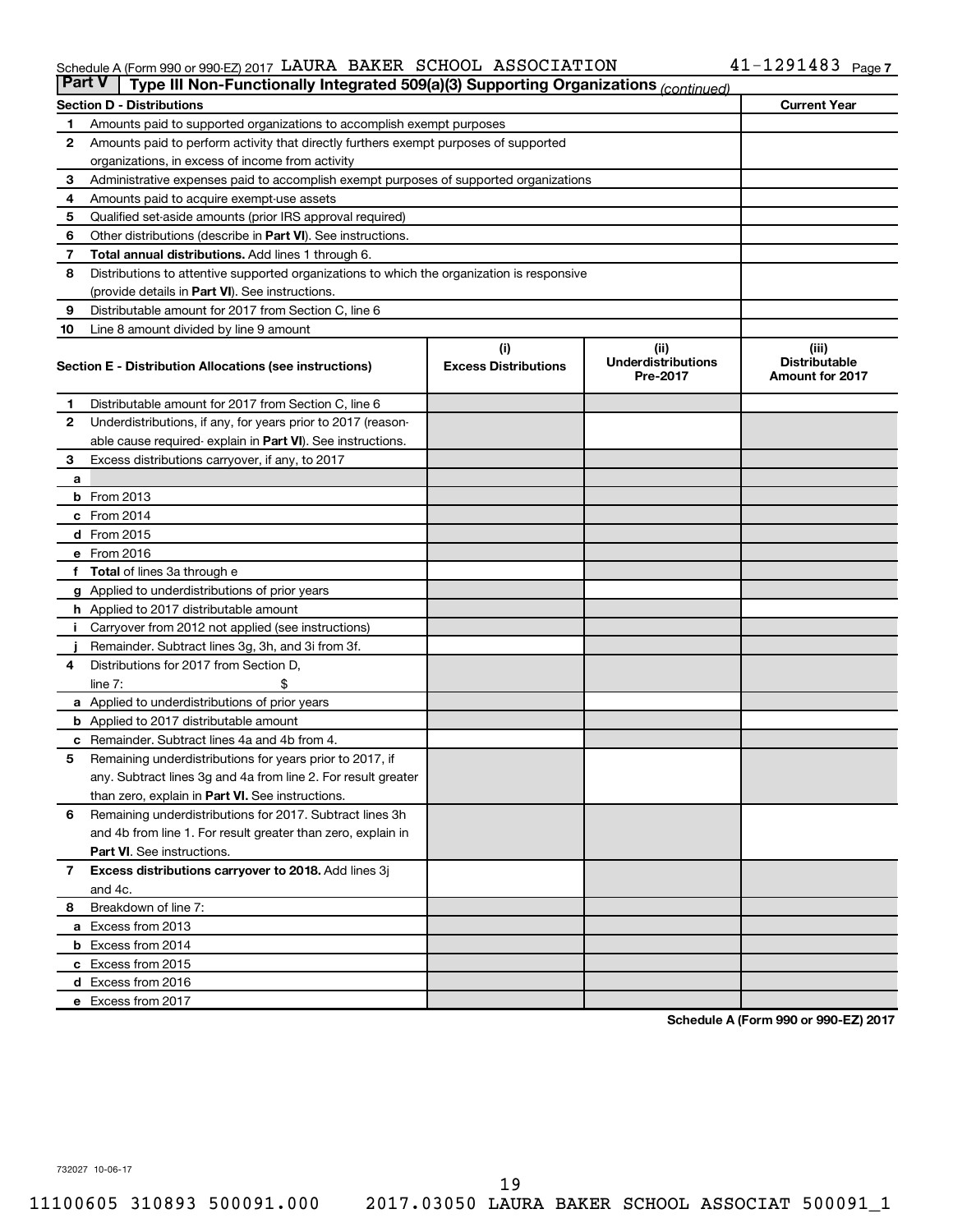#### $S$ chedule A (Form 990 or 990-EZ) 2017 LAURA BAKER SCHOOL ASSOCIATION  $41-1291483$  Page LAURA BAKER SCHOOL ASSOCIATION 41-1291483

| <b>Part V</b> | Type III Non-Functionally Integrated 509(a)(3) Supporting Organizations (continued)        |                             |                                       |                                                |  |  |  |  |  |  |  |
|---------------|--------------------------------------------------------------------------------------------|-----------------------------|---------------------------------------|------------------------------------------------|--|--|--|--|--|--|--|
|               | <b>Section D - Distributions</b>                                                           |                             |                                       | <b>Current Year</b>                            |  |  |  |  |  |  |  |
| 1             | Amounts paid to supported organizations to accomplish exempt purposes                      |                             |                                       |                                                |  |  |  |  |  |  |  |
| $\mathbf{2}$  | Amounts paid to perform activity that directly furthers exempt purposes of supported       |                             |                                       |                                                |  |  |  |  |  |  |  |
|               | organizations, in excess of income from activity                                           |                             |                                       |                                                |  |  |  |  |  |  |  |
| 3             | Administrative expenses paid to accomplish exempt purposes of supported organizations      |                             |                                       |                                                |  |  |  |  |  |  |  |
| 4             | Amounts paid to acquire exempt-use assets                                                  |                             |                                       |                                                |  |  |  |  |  |  |  |
| 5             | Qualified set-aside amounts (prior IRS approval required)                                  |                             |                                       |                                                |  |  |  |  |  |  |  |
| 6             | Other distributions (describe in <b>Part VI</b> ). See instructions.                       |                             |                                       |                                                |  |  |  |  |  |  |  |
| 7             | Total annual distributions. Add lines 1 through 6.                                         |                             |                                       |                                                |  |  |  |  |  |  |  |
| 8             | Distributions to attentive supported organizations to which the organization is responsive |                             |                                       |                                                |  |  |  |  |  |  |  |
|               | (provide details in Part VI). See instructions.                                            |                             |                                       |                                                |  |  |  |  |  |  |  |
| 9             | Distributable amount for 2017 from Section C, line 6                                       |                             |                                       |                                                |  |  |  |  |  |  |  |
| 10            | Line 8 amount divided by line 9 amount                                                     |                             |                                       |                                                |  |  |  |  |  |  |  |
|               |                                                                                            | (i)                         | (ii)                                  | (iii)                                          |  |  |  |  |  |  |  |
|               | Section E - Distribution Allocations (see instructions)                                    | <b>Excess Distributions</b> | <b>Underdistributions</b><br>Pre-2017 | <b>Distributable</b><br><b>Amount for 2017</b> |  |  |  |  |  |  |  |
| 1             | Distributable amount for 2017 from Section C, line 6                                       |                             |                                       |                                                |  |  |  |  |  |  |  |
| $\mathbf{2}$  | Underdistributions, if any, for years prior to 2017 (reason-                               |                             |                                       |                                                |  |  |  |  |  |  |  |
|               | able cause required- explain in Part VI). See instructions.                                |                             |                                       |                                                |  |  |  |  |  |  |  |
| 3             | Excess distributions carryover, if any, to 2017                                            |                             |                                       |                                                |  |  |  |  |  |  |  |
| a             |                                                                                            |                             |                                       |                                                |  |  |  |  |  |  |  |
|               | <b>b</b> From 2013                                                                         |                             |                                       |                                                |  |  |  |  |  |  |  |
|               | c From 2014                                                                                |                             |                                       |                                                |  |  |  |  |  |  |  |
|               | d From 2015                                                                                |                             |                                       |                                                |  |  |  |  |  |  |  |
|               | e From 2016                                                                                |                             |                                       |                                                |  |  |  |  |  |  |  |
|               | f Total of lines 3a through e                                                              |                             |                                       |                                                |  |  |  |  |  |  |  |
|               | <b>g</b> Applied to underdistributions of prior years                                      |                             |                                       |                                                |  |  |  |  |  |  |  |
|               | h Applied to 2017 distributable amount                                                     |                             |                                       |                                                |  |  |  |  |  |  |  |
| Ť.            | Carryover from 2012 not applied (see instructions)                                         |                             |                                       |                                                |  |  |  |  |  |  |  |
|               | Remainder. Subtract lines 3g, 3h, and 3i from 3f.                                          |                             |                                       |                                                |  |  |  |  |  |  |  |
| 4             | Distributions for 2017 from Section D,                                                     |                             |                                       |                                                |  |  |  |  |  |  |  |
|               | line $7:$                                                                                  |                             |                                       |                                                |  |  |  |  |  |  |  |
|               | a Applied to underdistributions of prior years                                             |                             |                                       |                                                |  |  |  |  |  |  |  |
|               | <b>b</b> Applied to 2017 distributable amount                                              |                             |                                       |                                                |  |  |  |  |  |  |  |
| с             | Remainder. Subtract lines 4a and 4b from 4.                                                |                             |                                       |                                                |  |  |  |  |  |  |  |
| 5             | Remaining underdistributions for years prior to 2017, if                                   |                             |                                       |                                                |  |  |  |  |  |  |  |
|               | any. Subtract lines 3g and 4a from line 2. For result greater                              |                             |                                       |                                                |  |  |  |  |  |  |  |
|               | than zero, explain in Part VI. See instructions.                                           |                             |                                       |                                                |  |  |  |  |  |  |  |
| 6             | Remaining underdistributions for 2017. Subtract lines 3h                                   |                             |                                       |                                                |  |  |  |  |  |  |  |
|               | and 4b from line 1. For result greater than zero, explain in                               |                             |                                       |                                                |  |  |  |  |  |  |  |
|               | <b>Part VI.</b> See instructions.                                                          |                             |                                       |                                                |  |  |  |  |  |  |  |
| $\mathbf{7}$  | Excess distributions carryover to 2018. Add lines 3j                                       |                             |                                       |                                                |  |  |  |  |  |  |  |
|               | and 4c.                                                                                    |                             |                                       |                                                |  |  |  |  |  |  |  |
| 8             | Breakdown of line 7:                                                                       |                             |                                       |                                                |  |  |  |  |  |  |  |
|               | a Excess from 2013                                                                         |                             |                                       |                                                |  |  |  |  |  |  |  |
|               | <b>b</b> Excess from 2014                                                                  |                             |                                       |                                                |  |  |  |  |  |  |  |
|               | c Excess from 2015                                                                         |                             |                                       |                                                |  |  |  |  |  |  |  |
|               | d Excess from 2016                                                                         |                             |                                       |                                                |  |  |  |  |  |  |  |
|               | e Excess from 2017                                                                         |                             |                                       |                                                |  |  |  |  |  |  |  |

**Schedule A (Form 990 or 990-EZ) 2017**

732027 10-06-17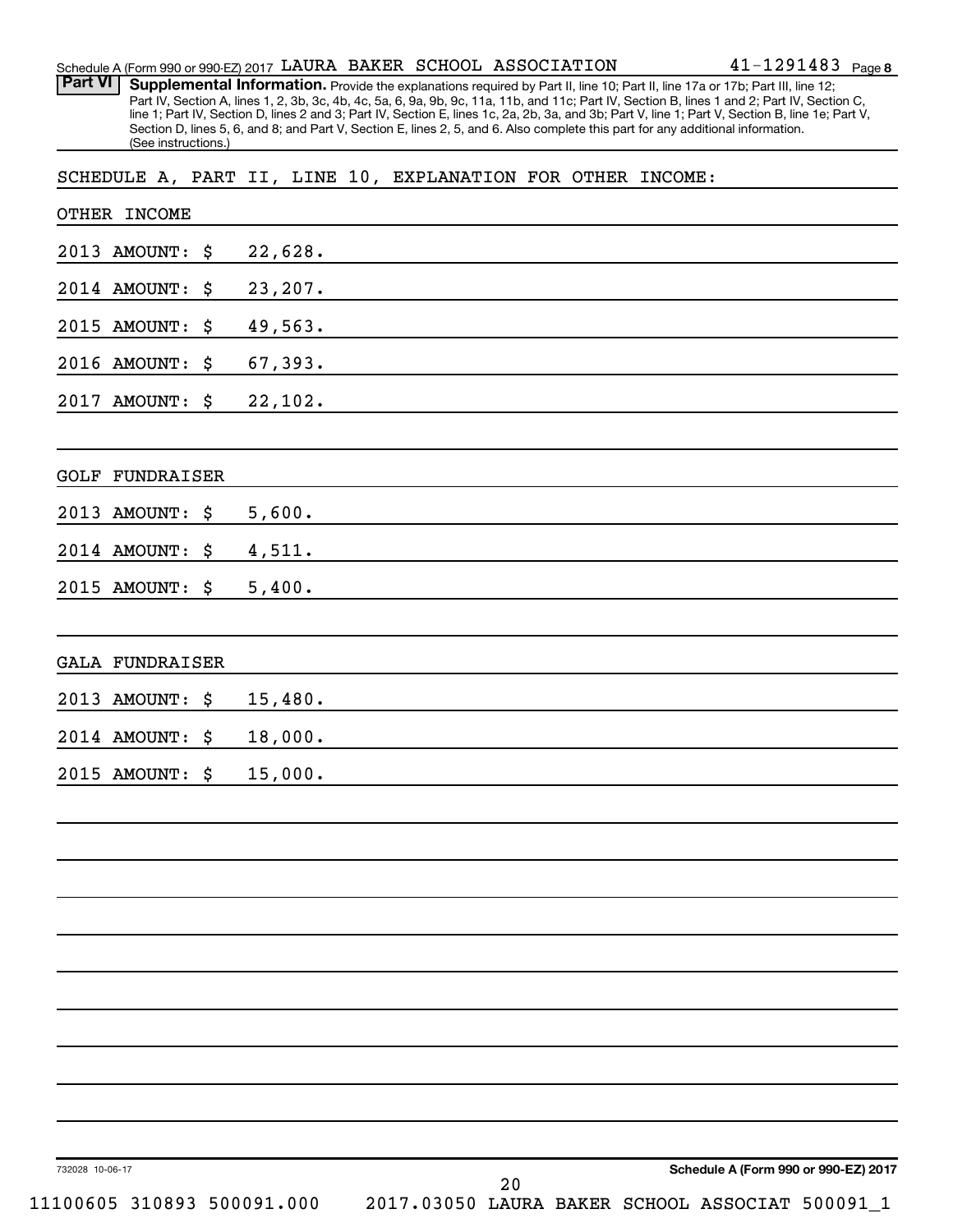| <b>Part VI</b>                                              |                     |              |          |  |    |  | Supplemental Information. Provide the explanations required by Part II, line 10; Part II, line 17a or 17b; Part III, line 12;<br>Part IV, Section A, lines 1, 2, 3b, 3c, 4b, 4c, 5a, 6, 9a, 9b, 9c, 11a, 11b, and 11c; Part IV, Section B, lines 1 and 2; Part IV, Section C,       |
|-------------------------------------------------------------|---------------------|--------------|----------|--|----|--|-------------------------------------------------------------------------------------------------------------------------------------------------------------------------------------------------------------------------------------------------------------------------------------|
|                                                             | (See instructions.) |              |          |  |    |  | line 1; Part IV, Section D, lines 2 and 3; Part IV, Section E, lines 1c, 2a, 2b, 3a, and 3b; Part V, line 1; Part V, Section B, line 1e; Part V,<br>Section D, lines 5, 6, and 8; and Part V, Section E, lines 2, 5, and 6. Also complete this part for any additional information. |
| SCHEDULE A, PART II, LINE 10, EXPLANATION FOR OTHER INCOME: |                     |              |          |  |    |  |                                                                                                                                                                                                                                                                                     |
| OTHER INCOME                                                |                     |              |          |  |    |  |                                                                                                                                                                                                                                                                                     |
| 2013                                                        | <b>AMOUNT:</b>      | \$           | 22,628.  |  |    |  |                                                                                                                                                                                                                                                                                     |
| 2014 AMOUNT:                                                |                     | \$           | 23, 207. |  |    |  |                                                                                                                                                                                                                                                                                     |
| 2015                                                        | <b>AMOUNT:</b>      | \$           | 49,563.  |  |    |  |                                                                                                                                                                                                                                                                                     |
| 2016 AMOUNT:                                                |                     | \$           | 67,393.  |  |    |  |                                                                                                                                                                                                                                                                                     |
| 2017                                                        | <b>AMOUNT:</b>      | \$           | 22,102.  |  |    |  |                                                                                                                                                                                                                                                                                     |
|                                                             |                     |              |          |  |    |  |                                                                                                                                                                                                                                                                                     |
| <b>GOLF</b>                                                 | FUNDRAISER          |              |          |  |    |  |                                                                                                                                                                                                                                                                                     |
| 2013                                                        | <b>AMOUNT:</b>      | \$<br>5,600. |          |  |    |  |                                                                                                                                                                                                                                                                                     |
| 2014 AMOUNT:                                                |                     | \$<br>4,511. |          |  |    |  |                                                                                                                                                                                                                                                                                     |
| 2015 AMOUNT:                                                |                     | \$<br>5,400. |          |  |    |  |                                                                                                                                                                                                                                                                                     |
|                                                             |                     |              |          |  |    |  |                                                                                                                                                                                                                                                                                     |
| <b>GALA FUNDRAISER</b>                                      |                     |              |          |  |    |  |                                                                                                                                                                                                                                                                                     |
| 2013 AMOUNT:                                                |                     | \$           | 15,480.  |  |    |  |                                                                                                                                                                                                                                                                                     |
| 2014 AMOUNT:                                                |                     | \$           | 18,000.  |  |    |  |                                                                                                                                                                                                                                                                                     |
| 2015 AMOUNT: \$                                             |                     | 15,000.      |          |  |    |  |                                                                                                                                                                                                                                                                                     |
|                                                             |                     |              |          |  |    |  |                                                                                                                                                                                                                                                                                     |
|                                                             |                     |              |          |  |    |  |                                                                                                                                                                                                                                                                                     |
|                                                             |                     |              |          |  |    |  |                                                                                                                                                                                                                                                                                     |
|                                                             |                     |              |          |  |    |  |                                                                                                                                                                                                                                                                                     |
|                                                             |                     |              |          |  |    |  |                                                                                                                                                                                                                                                                                     |
|                                                             |                     |              |          |  |    |  |                                                                                                                                                                                                                                                                                     |
|                                                             |                     |              |          |  |    |  |                                                                                                                                                                                                                                                                                     |
|                                                             |                     |              |          |  |    |  |                                                                                                                                                                                                                                                                                     |
|                                                             |                     |              |          |  |    |  |                                                                                                                                                                                                                                                                                     |
|                                                             |                     |              |          |  |    |  |                                                                                                                                                                                                                                                                                     |
| 732028 10-06-17                                             |                     |              |          |  | າ∩ |  | Schedule A (Form 990 or 990-EZ) 2017                                                                                                                                                                                                                                                |

 $S$ chedule A (Form 990 or 990-EZ) 2017 LAURA BAKER SCHOOL ASSOCIATION  $41-1291483$  Page

LAURA BAKER SCHOOL ASSOCIATION 41-1291483

11100605 310893 500091.000 2017.03050 LAURA BAKER SCHOOL ASSOCIAT 500091\_1

41-1291483 Page 8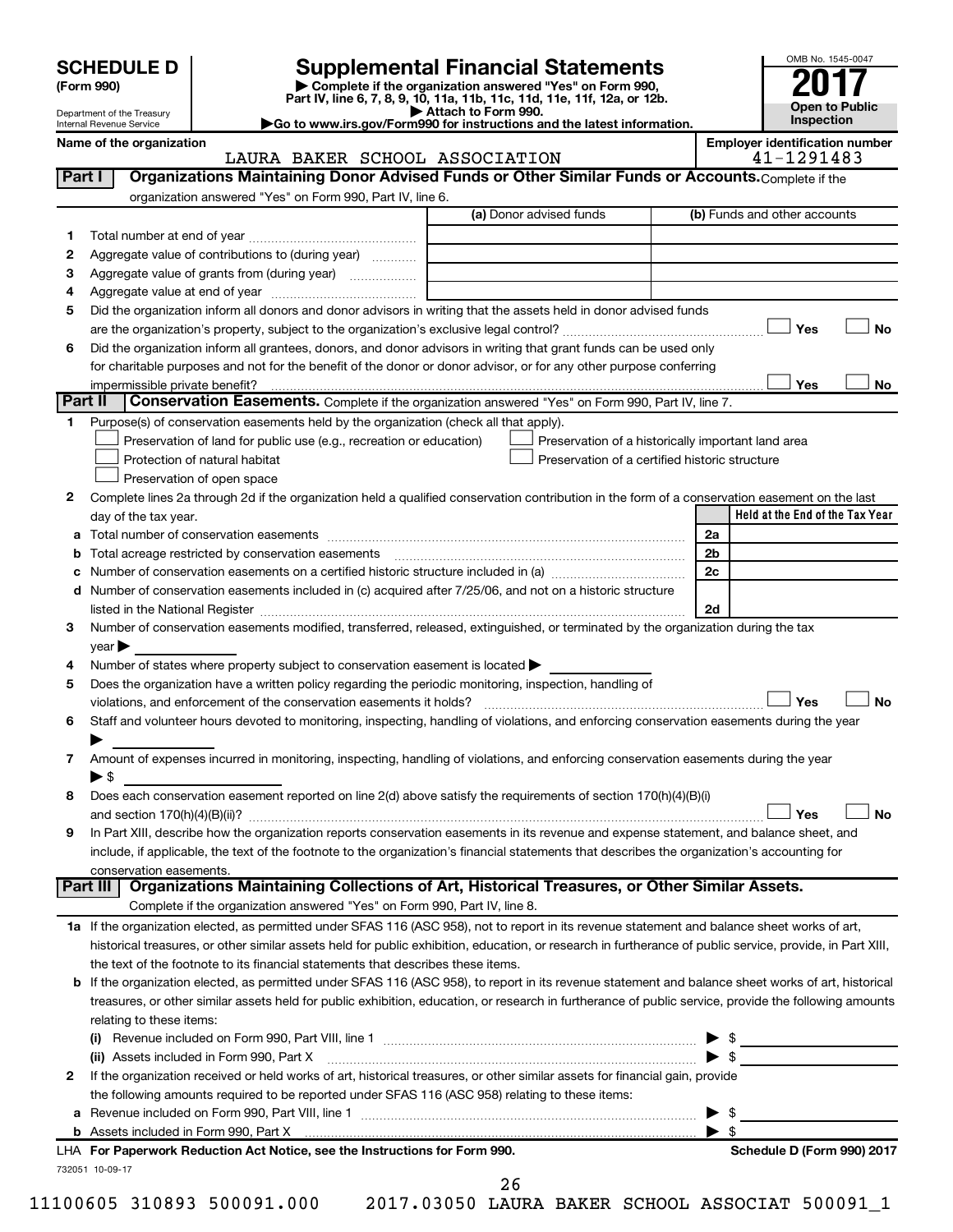Department of the Treasury Internal Revenue Service

| (Form 990) |
|------------|
|            |

# **SCHEDULE D Supplemental Financial Statements**<br> **Form 990 2017**<br> **Part IV** line 6.7.8.9.10, 11a, 11b, 11d, 11d, 11d, 11d, 11d, 12a, 0r, 12b

**(Form 990) | Complete if the organization answered "Yes" on Form 990, Part IV, line 6, 7, 8, 9, 10, 11a, 11b, 11c, 11d, 11e, 11f, 12a, or 12b.**

**| Attach to Form 990. |Go to www.irs.gov/Form990 for instructions and the latest information.**



#### Name of the organization<br>**Employer identification number**<br>41-1291483 LAURA BAKER SCHOOL ASSOCIATION

| organization answered "Yes" on Form 990, Part IV, line 6.<br>(a) Donor advised funds<br>(b) Funds and other accounts<br>1.<br>Aggregate value of contributions to (during year)<br>2<br>Aggregate value of grants from (during year)<br>з<br>4<br>Did the organization inform all donors and donor advisors in writing that the assets held in donor advised funds<br>5<br>Yes<br>Did the organization inform all grantees, donors, and donor advisors in writing that grant funds can be used only<br>6<br>for charitable purposes and not for the benefit of the donor or donor advisor, or for any other purpose conferring<br>Yes<br>impermissible private benefit?<br>Part II<br><b>Conservation Easements.</b> Complete if the organization answered "Yes" on Form 990, Part IV, line 7.<br>Purpose(s) of conservation easements held by the organization (check all that apply).<br>1.<br>Preservation of land for public use (e.g., recreation or education)<br>Preservation of a historically important land area<br>Preservation of a certified historic structure<br>Protection of natural habitat<br>Preservation of open space<br>Complete lines 2a through 2d if the organization held a qualified conservation contribution in the form of a conservation easement on the last<br>2<br>Held at the End of the Tax Year<br>day of the tax year.<br>2a<br><b>b</b> Total acreage restricted by conservation easements<br>2b<br>2c<br>c<br>Number of conservation easements included in (c) acquired after 7/25/06, and not on a historic structure<br>d<br>2d<br>listed in the National Register [111] Marshall Register [11] Marshall Register [11] Marshall Register [11] Marshall Register [11] Marshall Register [11] Marshall Register [11] Marshall Register [11] Marshall Register [11]<br>Number of conservation easements modified, transferred, released, extinguished, or terminated by the organization during the tax<br>3<br>$year \triangleright$<br>Number of states where property subject to conservation easement is located ><br>4<br>Does the organization have a written policy regarding the periodic monitoring, inspection, handling of<br>5<br>Yes<br>violations, and enforcement of the conservation easements it holds?<br>Staff and volunteer hours devoted to monitoring, inspecting, handling of violations, and enforcing conservation easements during the year<br>6<br>Amount of expenses incurred in monitoring, inspecting, handling of violations, and enforcing conservation easements during the year<br>7<br>$\blacktriangleright$ \$<br>Does each conservation easement reported on line 2(d) above satisfy the requirements of section 170(h)(4)(B)(i)<br>8<br>Yes<br>In Part XIII, describe how the organization reports conservation easements in its revenue and expense statement, and balance sheet, and<br>9<br>include, if applicable, the text of the footnote to the organization's financial statements that describes the organization's accounting for | No<br>No      |
|---------------------------------------------------------------------------------------------------------------------------------------------------------------------------------------------------------------------------------------------------------------------------------------------------------------------------------------------------------------------------------------------------------------------------------------------------------------------------------------------------------------------------------------------------------------------------------------------------------------------------------------------------------------------------------------------------------------------------------------------------------------------------------------------------------------------------------------------------------------------------------------------------------------------------------------------------------------------------------------------------------------------------------------------------------------------------------------------------------------------------------------------------------------------------------------------------------------------------------------------------------------------------------------------------------------------------------------------------------------------------------------------------------------------------------------------------------------------------------------------------------------------------------------------------------------------------------------------------------------------------------------------------------------------------------------------------------------------------------------------------------------------------------------------------------------------------------------------------------------------------------------------------------------------------------------------------------------------------------------------------------------------------------------------------------------------------------------------------------------------------------------------------------------------------------------------------------------------------------------------------------------------------------------------------------------------------------------------------------------------------------------------------------------------------------------------------------------------------------------------------------------------------------------------------------------------------------------------------------------------------------------------------------------------------------------------------------------------------------------------------------------------------------------------------------------------------------------------------------------------------------------------------------------------------------------------------------------------------------------------------------------------------|---------------|
|                                                                                                                                                                                                                                                                                                                                                                                                                                                                                                                                                                                                                                                                                                                                                                                                                                                                                                                                                                                                                                                                                                                                                                                                                                                                                                                                                                                                                                                                                                                                                                                                                                                                                                                                                                                                                                                                                                                                                                                                                                                                                                                                                                                                                                                                                                                                                                                                                                                                                                                                                                                                                                                                                                                                                                                                                                                                                                                                                                                                                           |               |
|                                                                                                                                                                                                                                                                                                                                                                                                                                                                                                                                                                                                                                                                                                                                                                                                                                                                                                                                                                                                                                                                                                                                                                                                                                                                                                                                                                                                                                                                                                                                                                                                                                                                                                                                                                                                                                                                                                                                                                                                                                                                                                                                                                                                                                                                                                                                                                                                                                                                                                                                                                                                                                                                                                                                                                                                                                                                                                                                                                                                                           |               |
|                                                                                                                                                                                                                                                                                                                                                                                                                                                                                                                                                                                                                                                                                                                                                                                                                                                                                                                                                                                                                                                                                                                                                                                                                                                                                                                                                                                                                                                                                                                                                                                                                                                                                                                                                                                                                                                                                                                                                                                                                                                                                                                                                                                                                                                                                                                                                                                                                                                                                                                                                                                                                                                                                                                                                                                                                                                                                                                                                                                                                           |               |
|                                                                                                                                                                                                                                                                                                                                                                                                                                                                                                                                                                                                                                                                                                                                                                                                                                                                                                                                                                                                                                                                                                                                                                                                                                                                                                                                                                                                                                                                                                                                                                                                                                                                                                                                                                                                                                                                                                                                                                                                                                                                                                                                                                                                                                                                                                                                                                                                                                                                                                                                                                                                                                                                                                                                                                                                                                                                                                                                                                                                                           |               |
|                                                                                                                                                                                                                                                                                                                                                                                                                                                                                                                                                                                                                                                                                                                                                                                                                                                                                                                                                                                                                                                                                                                                                                                                                                                                                                                                                                                                                                                                                                                                                                                                                                                                                                                                                                                                                                                                                                                                                                                                                                                                                                                                                                                                                                                                                                                                                                                                                                                                                                                                                                                                                                                                                                                                                                                                                                                                                                                                                                                                                           |               |
|                                                                                                                                                                                                                                                                                                                                                                                                                                                                                                                                                                                                                                                                                                                                                                                                                                                                                                                                                                                                                                                                                                                                                                                                                                                                                                                                                                                                                                                                                                                                                                                                                                                                                                                                                                                                                                                                                                                                                                                                                                                                                                                                                                                                                                                                                                                                                                                                                                                                                                                                                                                                                                                                                                                                                                                                                                                                                                                                                                                                                           |               |
|                                                                                                                                                                                                                                                                                                                                                                                                                                                                                                                                                                                                                                                                                                                                                                                                                                                                                                                                                                                                                                                                                                                                                                                                                                                                                                                                                                                                                                                                                                                                                                                                                                                                                                                                                                                                                                                                                                                                                                                                                                                                                                                                                                                                                                                                                                                                                                                                                                                                                                                                                                                                                                                                                                                                                                                                                                                                                                                                                                                                                           |               |
|                                                                                                                                                                                                                                                                                                                                                                                                                                                                                                                                                                                                                                                                                                                                                                                                                                                                                                                                                                                                                                                                                                                                                                                                                                                                                                                                                                                                                                                                                                                                                                                                                                                                                                                                                                                                                                                                                                                                                                                                                                                                                                                                                                                                                                                                                                                                                                                                                                                                                                                                                                                                                                                                                                                                                                                                                                                                                                                                                                                                                           |               |
|                                                                                                                                                                                                                                                                                                                                                                                                                                                                                                                                                                                                                                                                                                                                                                                                                                                                                                                                                                                                                                                                                                                                                                                                                                                                                                                                                                                                                                                                                                                                                                                                                                                                                                                                                                                                                                                                                                                                                                                                                                                                                                                                                                                                                                                                                                                                                                                                                                                                                                                                                                                                                                                                                                                                                                                                                                                                                                                                                                                                                           |               |
|                                                                                                                                                                                                                                                                                                                                                                                                                                                                                                                                                                                                                                                                                                                                                                                                                                                                                                                                                                                                                                                                                                                                                                                                                                                                                                                                                                                                                                                                                                                                                                                                                                                                                                                                                                                                                                                                                                                                                                                                                                                                                                                                                                                                                                                                                                                                                                                                                                                                                                                                                                                                                                                                                                                                                                                                                                                                                                                                                                                                                           |               |
|                                                                                                                                                                                                                                                                                                                                                                                                                                                                                                                                                                                                                                                                                                                                                                                                                                                                                                                                                                                                                                                                                                                                                                                                                                                                                                                                                                                                                                                                                                                                                                                                                                                                                                                                                                                                                                                                                                                                                                                                                                                                                                                                                                                                                                                                                                                                                                                                                                                                                                                                                                                                                                                                                                                                                                                                                                                                                                                                                                                                                           |               |
|                                                                                                                                                                                                                                                                                                                                                                                                                                                                                                                                                                                                                                                                                                                                                                                                                                                                                                                                                                                                                                                                                                                                                                                                                                                                                                                                                                                                                                                                                                                                                                                                                                                                                                                                                                                                                                                                                                                                                                                                                                                                                                                                                                                                                                                                                                                                                                                                                                                                                                                                                                                                                                                                                                                                                                                                                                                                                                                                                                                                                           |               |
|                                                                                                                                                                                                                                                                                                                                                                                                                                                                                                                                                                                                                                                                                                                                                                                                                                                                                                                                                                                                                                                                                                                                                                                                                                                                                                                                                                                                                                                                                                                                                                                                                                                                                                                                                                                                                                                                                                                                                                                                                                                                                                                                                                                                                                                                                                                                                                                                                                                                                                                                                                                                                                                                                                                                                                                                                                                                                                                                                                                                                           |               |
|                                                                                                                                                                                                                                                                                                                                                                                                                                                                                                                                                                                                                                                                                                                                                                                                                                                                                                                                                                                                                                                                                                                                                                                                                                                                                                                                                                                                                                                                                                                                                                                                                                                                                                                                                                                                                                                                                                                                                                                                                                                                                                                                                                                                                                                                                                                                                                                                                                                                                                                                                                                                                                                                                                                                                                                                                                                                                                                                                                                                                           |               |
|                                                                                                                                                                                                                                                                                                                                                                                                                                                                                                                                                                                                                                                                                                                                                                                                                                                                                                                                                                                                                                                                                                                                                                                                                                                                                                                                                                                                                                                                                                                                                                                                                                                                                                                                                                                                                                                                                                                                                                                                                                                                                                                                                                                                                                                                                                                                                                                                                                                                                                                                                                                                                                                                                                                                                                                                                                                                                                                                                                                                                           |               |
|                                                                                                                                                                                                                                                                                                                                                                                                                                                                                                                                                                                                                                                                                                                                                                                                                                                                                                                                                                                                                                                                                                                                                                                                                                                                                                                                                                                                                                                                                                                                                                                                                                                                                                                                                                                                                                                                                                                                                                                                                                                                                                                                                                                                                                                                                                                                                                                                                                                                                                                                                                                                                                                                                                                                                                                                                                                                                                                                                                                                                           |               |
|                                                                                                                                                                                                                                                                                                                                                                                                                                                                                                                                                                                                                                                                                                                                                                                                                                                                                                                                                                                                                                                                                                                                                                                                                                                                                                                                                                                                                                                                                                                                                                                                                                                                                                                                                                                                                                                                                                                                                                                                                                                                                                                                                                                                                                                                                                                                                                                                                                                                                                                                                                                                                                                                                                                                                                                                                                                                                                                                                                                                                           |               |
|                                                                                                                                                                                                                                                                                                                                                                                                                                                                                                                                                                                                                                                                                                                                                                                                                                                                                                                                                                                                                                                                                                                                                                                                                                                                                                                                                                                                                                                                                                                                                                                                                                                                                                                                                                                                                                                                                                                                                                                                                                                                                                                                                                                                                                                                                                                                                                                                                                                                                                                                                                                                                                                                                                                                                                                                                                                                                                                                                                                                                           |               |
|                                                                                                                                                                                                                                                                                                                                                                                                                                                                                                                                                                                                                                                                                                                                                                                                                                                                                                                                                                                                                                                                                                                                                                                                                                                                                                                                                                                                                                                                                                                                                                                                                                                                                                                                                                                                                                                                                                                                                                                                                                                                                                                                                                                                                                                                                                                                                                                                                                                                                                                                                                                                                                                                                                                                                                                                                                                                                                                                                                                                                           |               |
|                                                                                                                                                                                                                                                                                                                                                                                                                                                                                                                                                                                                                                                                                                                                                                                                                                                                                                                                                                                                                                                                                                                                                                                                                                                                                                                                                                                                                                                                                                                                                                                                                                                                                                                                                                                                                                                                                                                                                                                                                                                                                                                                                                                                                                                                                                                                                                                                                                                                                                                                                                                                                                                                                                                                                                                                                                                                                                                                                                                                                           |               |
|                                                                                                                                                                                                                                                                                                                                                                                                                                                                                                                                                                                                                                                                                                                                                                                                                                                                                                                                                                                                                                                                                                                                                                                                                                                                                                                                                                                                                                                                                                                                                                                                                                                                                                                                                                                                                                                                                                                                                                                                                                                                                                                                                                                                                                                                                                                                                                                                                                                                                                                                                                                                                                                                                                                                                                                                                                                                                                                                                                                                                           |               |
|                                                                                                                                                                                                                                                                                                                                                                                                                                                                                                                                                                                                                                                                                                                                                                                                                                                                                                                                                                                                                                                                                                                                                                                                                                                                                                                                                                                                                                                                                                                                                                                                                                                                                                                                                                                                                                                                                                                                                                                                                                                                                                                                                                                                                                                                                                                                                                                                                                                                                                                                                                                                                                                                                                                                                                                                                                                                                                                                                                                                                           |               |
|                                                                                                                                                                                                                                                                                                                                                                                                                                                                                                                                                                                                                                                                                                                                                                                                                                                                                                                                                                                                                                                                                                                                                                                                                                                                                                                                                                                                                                                                                                                                                                                                                                                                                                                                                                                                                                                                                                                                                                                                                                                                                                                                                                                                                                                                                                                                                                                                                                                                                                                                                                                                                                                                                                                                                                                                                                                                                                                                                                                                                           |               |
|                                                                                                                                                                                                                                                                                                                                                                                                                                                                                                                                                                                                                                                                                                                                                                                                                                                                                                                                                                                                                                                                                                                                                                                                                                                                                                                                                                                                                                                                                                                                                                                                                                                                                                                                                                                                                                                                                                                                                                                                                                                                                                                                                                                                                                                                                                                                                                                                                                                                                                                                                                                                                                                                                                                                                                                                                                                                                                                                                                                                                           |               |
|                                                                                                                                                                                                                                                                                                                                                                                                                                                                                                                                                                                                                                                                                                                                                                                                                                                                                                                                                                                                                                                                                                                                                                                                                                                                                                                                                                                                                                                                                                                                                                                                                                                                                                                                                                                                                                                                                                                                                                                                                                                                                                                                                                                                                                                                                                                                                                                                                                                                                                                                                                                                                                                                                                                                                                                                                                                                                                                                                                                                                           |               |
|                                                                                                                                                                                                                                                                                                                                                                                                                                                                                                                                                                                                                                                                                                                                                                                                                                                                                                                                                                                                                                                                                                                                                                                                                                                                                                                                                                                                                                                                                                                                                                                                                                                                                                                                                                                                                                                                                                                                                                                                                                                                                                                                                                                                                                                                                                                                                                                                                                                                                                                                                                                                                                                                                                                                                                                                                                                                                                                                                                                                                           |               |
|                                                                                                                                                                                                                                                                                                                                                                                                                                                                                                                                                                                                                                                                                                                                                                                                                                                                                                                                                                                                                                                                                                                                                                                                                                                                                                                                                                                                                                                                                                                                                                                                                                                                                                                                                                                                                                                                                                                                                                                                                                                                                                                                                                                                                                                                                                                                                                                                                                                                                                                                                                                                                                                                                                                                                                                                                                                                                                                                                                                                                           |               |
|                                                                                                                                                                                                                                                                                                                                                                                                                                                                                                                                                                                                                                                                                                                                                                                                                                                                                                                                                                                                                                                                                                                                                                                                                                                                                                                                                                                                                                                                                                                                                                                                                                                                                                                                                                                                                                                                                                                                                                                                                                                                                                                                                                                                                                                                                                                                                                                                                                                                                                                                                                                                                                                                                                                                                                                                                                                                                                                                                                                                                           | No            |
|                                                                                                                                                                                                                                                                                                                                                                                                                                                                                                                                                                                                                                                                                                                                                                                                                                                                                                                                                                                                                                                                                                                                                                                                                                                                                                                                                                                                                                                                                                                                                                                                                                                                                                                                                                                                                                                                                                                                                                                                                                                                                                                                                                                                                                                                                                                                                                                                                                                                                                                                                                                                                                                                                                                                                                                                                                                                                                                                                                                                                           |               |
|                                                                                                                                                                                                                                                                                                                                                                                                                                                                                                                                                                                                                                                                                                                                                                                                                                                                                                                                                                                                                                                                                                                                                                                                                                                                                                                                                                                                                                                                                                                                                                                                                                                                                                                                                                                                                                                                                                                                                                                                                                                                                                                                                                                                                                                                                                                                                                                                                                                                                                                                                                                                                                                                                                                                                                                                                                                                                                                                                                                                                           |               |
|                                                                                                                                                                                                                                                                                                                                                                                                                                                                                                                                                                                                                                                                                                                                                                                                                                                                                                                                                                                                                                                                                                                                                                                                                                                                                                                                                                                                                                                                                                                                                                                                                                                                                                                                                                                                                                                                                                                                                                                                                                                                                                                                                                                                                                                                                                                                                                                                                                                                                                                                                                                                                                                                                                                                                                                                                                                                                                                                                                                                                           |               |
|                                                                                                                                                                                                                                                                                                                                                                                                                                                                                                                                                                                                                                                                                                                                                                                                                                                                                                                                                                                                                                                                                                                                                                                                                                                                                                                                                                                                                                                                                                                                                                                                                                                                                                                                                                                                                                                                                                                                                                                                                                                                                                                                                                                                                                                                                                                                                                                                                                                                                                                                                                                                                                                                                                                                                                                                                                                                                                                                                                                                                           |               |
|                                                                                                                                                                                                                                                                                                                                                                                                                                                                                                                                                                                                                                                                                                                                                                                                                                                                                                                                                                                                                                                                                                                                                                                                                                                                                                                                                                                                                                                                                                                                                                                                                                                                                                                                                                                                                                                                                                                                                                                                                                                                                                                                                                                                                                                                                                                                                                                                                                                                                                                                                                                                                                                                                                                                                                                                                                                                                                                                                                                                                           |               |
|                                                                                                                                                                                                                                                                                                                                                                                                                                                                                                                                                                                                                                                                                                                                                                                                                                                                                                                                                                                                                                                                                                                                                                                                                                                                                                                                                                                                                                                                                                                                                                                                                                                                                                                                                                                                                                                                                                                                                                                                                                                                                                                                                                                                                                                                                                                                                                                                                                                                                                                                                                                                                                                                                                                                                                                                                                                                                                                                                                                                                           | <b>No</b>     |
|                                                                                                                                                                                                                                                                                                                                                                                                                                                                                                                                                                                                                                                                                                                                                                                                                                                                                                                                                                                                                                                                                                                                                                                                                                                                                                                                                                                                                                                                                                                                                                                                                                                                                                                                                                                                                                                                                                                                                                                                                                                                                                                                                                                                                                                                                                                                                                                                                                                                                                                                                                                                                                                                                                                                                                                                                                                                                                                                                                                                                           |               |
|                                                                                                                                                                                                                                                                                                                                                                                                                                                                                                                                                                                                                                                                                                                                                                                                                                                                                                                                                                                                                                                                                                                                                                                                                                                                                                                                                                                                                                                                                                                                                                                                                                                                                                                                                                                                                                                                                                                                                                                                                                                                                                                                                                                                                                                                                                                                                                                                                                                                                                                                                                                                                                                                                                                                                                                                                                                                                                                                                                                                                           |               |
| conservation easements.<br>Organizations Maintaining Collections of Art, Historical Treasures, or Other Similar Assets.<br>Part III                                                                                                                                                                                                                                                                                                                                                                                                                                                                                                                                                                                                                                                                                                                                                                                                                                                                                                                                                                                                                                                                                                                                                                                                                                                                                                                                                                                                                                                                                                                                                                                                                                                                                                                                                                                                                                                                                                                                                                                                                                                                                                                                                                                                                                                                                                                                                                                                                                                                                                                                                                                                                                                                                                                                                                                                                                                                                       |               |
| Complete if the organization answered "Yes" on Form 990, Part IV, line 8.                                                                                                                                                                                                                                                                                                                                                                                                                                                                                                                                                                                                                                                                                                                                                                                                                                                                                                                                                                                                                                                                                                                                                                                                                                                                                                                                                                                                                                                                                                                                                                                                                                                                                                                                                                                                                                                                                                                                                                                                                                                                                                                                                                                                                                                                                                                                                                                                                                                                                                                                                                                                                                                                                                                                                                                                                                                                                                                                                 |               |
| 1a If the organization elected, as permitted under SFAS 116 (ASC 958), not to report in its revenue statement and balance sheet works of art,                                                                                                                                                                                                                                                                                                                                                                                                                                                                                                                                                                                                                                                                                                                                                                                                                                                                                                                                                                                                                                                                                                                                                                                                                                                                                                                                                                                                                                                                                                                                                                                                                                                                                                                                                                                                                                                                                                                                                                                                                                                                                                                                                                                                                                                                                                                                                                                                                                                                                                                                                                                                                                                                                                                                                                                                                                                                             |               |
| historical treasures, or other similar assets held for public exhibition, education, or research in furtherance of public service, provide, in Part XIII,                                                                                                                                                                                                                                                                                                                                                                                                                                                                                                                                                                                                                                                                                                                                                                                                                                                                                                                                                                                                                                                                                                                                                                                                                                                                                                                                                                                                                                                                                                                                                                                                                                                                                                                                                                                                                                                                                                                                                                                                                                                                                                                                                                                                                                                                                                                                                                                                                                                                                                                                                                                                                                                                                                                                                                                                                                                                 |               |
| the text of the footnote to its financial statements that describes these items.                                                                                                                                                                                                                                                                                                                                                                                                                                                                                                                                                                                                                                                                                                                                                                                                                                                                                                                                                                                                                                                                                                                                                                                                                                                                                                                                                                                                                                                                                                                                                                                                                                                                                                                                                                                                                                                                                                                                                                                                                                                                                                                                                                                                                                                                                                                                                                                                                                                                                                                                                                                                                                                                                                                                                                                                                                                                                                                                          |               |
| b If the organization elected, as permitted under SFAS 116 (ASC 958), to report in its revenue statement and balance sheet works of art, historical                                                                                                                                                                                                                                                                                                                                                                                                                                                                                                                                                                                                                                                                                                                                                                                                                                                                                                                                                                                                                                                                                                                                                                                                                                                                                                                                                                                                                                                                                                                                                                                                                                                                                                                                                                                                                                                                                                                                                                                                                                                                                                                                                                                                                                                                                                                                                                                                                                                                                                                                                                                                                                                                                                                                                                                                                                                                       |               |
| treasures, or other similar assets held for public exhibition, education, or research in furtherance of public service, provide the following amounts                                                                                                                                                                                                                                                                                                                                                                                                                                                                                                                                                                                                                                                                                                                                                                                                                                                                                                                                                                                                                                                                                                                                                                                                                                                                                                                                                                                                                                                                                                                                                                                                                                                                                                                                                                                                                                                                                                                                                                                                                                                                                                                                                                                                                                                                                                                                                                                                                                                                                                                                                                                                                                                                                                                                                                                                                                                                     |               |
| relating to these items:                                                                                                                                                                                                                                                                                                                                                                                                                                                                                                                                                                                                                                                                                                                                                                                                                                                                                                                                                                                                                                                                                                                                                                                                                                                                                                                                                                                                                                                                                                                                                                                                                                                                                                                                                                                                                                                                                                                                                                                                                                                                                                                                                                                                                                                                                                                                                                                                                                                                                                                                                                                                                                                                                                                                                                                                                                                                                                                                                                                                  |               |
| (i)                                                                                                                                                                                                                                                                                                                                                                                                                                                                                                                                                                                                                                                                                                                                                                                                                                                                                                                                                                                                                                                                                                                                                                                                                                                                                                                                                                                                                                                                                                                                                                                                                                                                                                                                                                                                                                                                                                                                                                                                                                                                                                                                                                                                                                                                                                                                                                                                                                                                                                                                                                                                                                                                                                                                                                                                                                                                                                                                                                                                                       |               |
| $\blacktriangleright$ \$<br>(ii) Assets included in Form 990, Part X <b>Process and Construction Construction</b> Assets included in Form 990, Part X                                                                                                                                                                                                                                                                                                                                                                                                                                                                                                                                                                                                                                                                                                                                                                                                                                                                                                                                                                                                                                                                                                                                                                                                                                                                                                                                                                                                                                                                                                                                                                                                                                                                                                                                                                                                                                                                                                                                                                                                                                                                                                                                                                                                                                                                                                                                                                                                                                                                                                                                                                                                                                                                                                                                                                                                                                                                     |               |
| If the organization received or held works of art, historical treasures, or other similar assets for financial gain, provide<br>2                                                                                                                                                                                                                                                                                                                                                                                                                                                                                                                                                                                                                                                                                                                                                                                                                                                                                                                                                                                                                                                                                                                                                                                                                                                                                                                                                                                                                                                                                                                                                                                                                                                                                                                                                                                                                                                                                                                                                                                                                                                                                                                                                                                                                                                                                                                                                                                                                                                                                                                                                                                                                                                                                                                                                                                                                                                                                         | $\frac{1}{2}$ |
| the following amounts required to be reported under SFAS 116 (ASC 958) relating to these items:                                                                                                                                                                                                                                                                                                                                                                                                                                                                                                                                                                                                                                                                                                                                                                                                                                                                                                                                                                                                                                                                                                                                                                                                                                                                                                                                                                                                                                                                                                                                                                                                                                                                                                                                                                                                                                                                                                                                                                                                                                                                                                                                                                                                                                                                                                                                                                                                                                                                                                                                                                                                                                                                                                                                                                                                                                                                                                                           |               |
| \$                                                                                                                                                                                                                                                                                                                                                                                                                                                                                                                                                                                                                                                                                                                                                                                                                                                                                                                                                                                                                                                                                                                                                                                                                                                                                                                                                                                                                                                                                                                                                                                                                                                                                                                                                                                                                                                                                                                                                                                                                                                                                                                                                                                                                                                                                                                                                                                                                                                                                                                                                                                                                                                                                                                                                                                                                                                                                                                                                                                                                        |               |
| \$                                                                                                                                                                                                                                                                                                                                                                                                                                                                                                                                                                                                                                                                                                                                                                                                                                                                                                                                                                                                                                                                                                                                                                                                                                                                                                                                                                                                                                                                                                                                                                                                                                                                                                                                                                                                                                                                                                                                                                                                                                                                                                                                                                                                                                                                                                                                                                                                                                                                                                                                                                                                                                                                                                                                                                                                                                                                                                                                                                                                                        |               |
| Schedule D (Form 990) 2017<br>LHA For Paperwork Reduction Act Notice, see the Instructions for Form 990.                                                                                                                                                                                                                                                                                                                                                                                                                                                                                                                                                                                                                                                                                                                                                                                                                                                                                                                                                                                                                                                                                                                                                                                                                                                                                                                                                                                                                                                                                                                                                                                                                                                                                                                                                                                                                                                                                                                                                                                                                                                                                                                                                                                                                                                                                                                                                                                                                                                                                                                                                                                                                                                                                                                                                                                                                                                                                                                  |               |
| 732051 10-09-17                                                                                                                                                                                                                                                                                                                                                                                                                                                                                                                                                                                                                                                                                                                                                                                                                                                                                                                                                                                                                                                                                                                                                                                                                                                                                                                                                                                                                                                                                                                                                                                                                                                                                                                                                                                                                                                                                                                                                                                                                                                                                                                                                                                                                                                                                                                                                                                                                                                                                                                                                                                                                                                                                                                                                                                                                                                                                                                                                                                                           |               |

26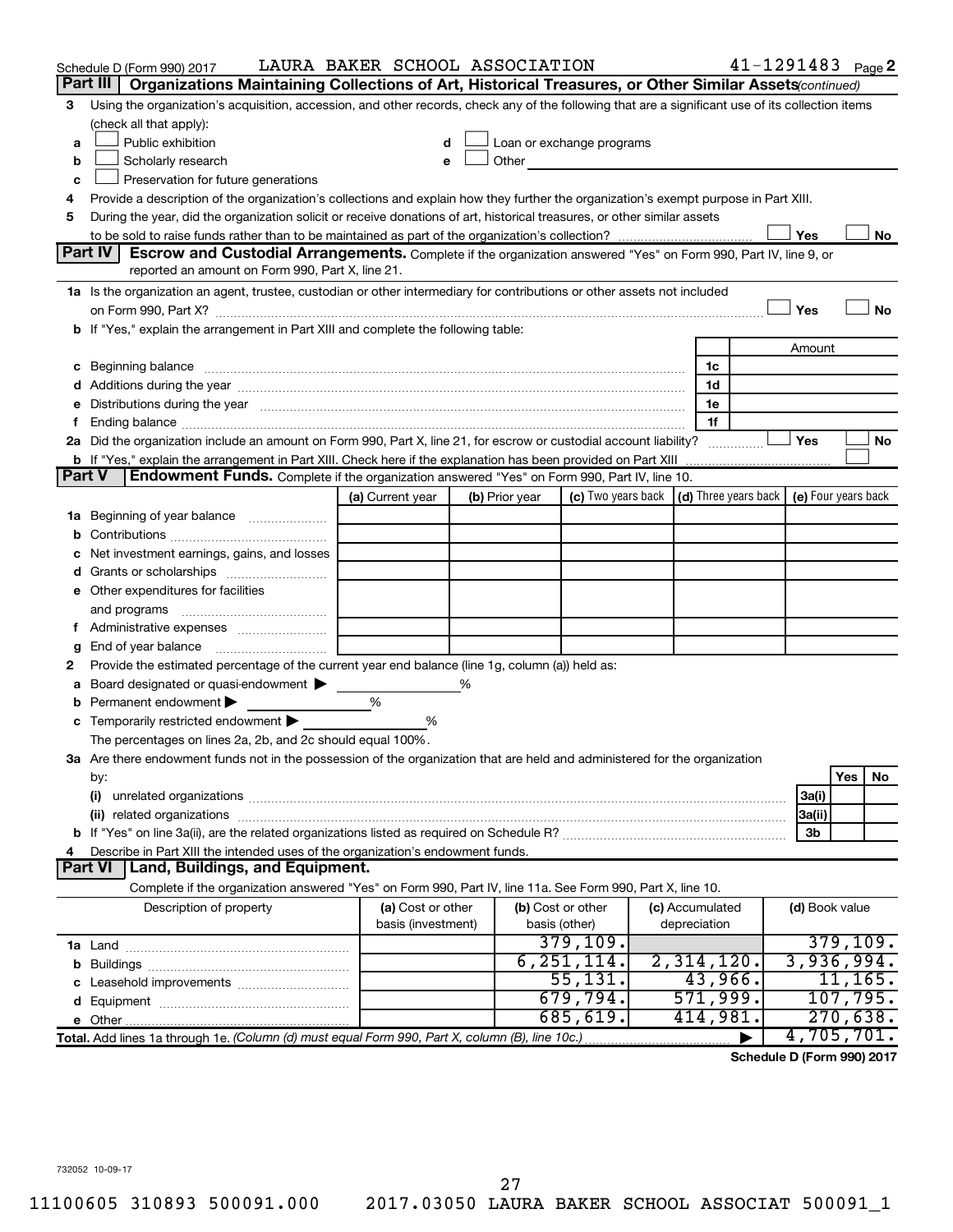|               | Schedule D (Form 990) 2017                                                                                                                                                                                                          | LAURA BAKER SCHOOL ASSOCIATION |                |                                                                                                                                                                                                                               |                                                                  | $41 - 1291483$ Page 2 |                |           |    |
|---------------|-------------------------------------------------------------------------------------------------------------------------------------------------------------------------------------------------------------------------------------|--------------------------------|----------------|-------------------------------------------------------------------------------------------------------------------------------------------------------------------------------------------------------------------------------|------------------------------------------------------------------|-----------------------|----------------|-----------|----|
|               | Part III  <br>Organizations Maintaining Collections of Art, Historical Treasures, or Other Similar Assets (continued)                                                                                                               |                                |                |                                                                                                                                                                                                                               |                                                                  |                       |                |           |    |
| 3             | Using the organization's acquisition, accession, and other records, check any of the following that are a significant use of its collection items                                                                                   |                                |                |                                                                                                                                                                                                                               |                                                                  |                       |                |           |    |
|               | (check all that apply):                                                                                                                                                                                                             |                                |                |                                                                                                                                                                                                                               |                                                                  |                       |                |           |    |
| a             | Public exhibition                                                                                                                                                                                                                   |                                |                | Loan or exchange programs                                                                                                                                                                                                     |                                                                  |                       |                |           |    |
| b             | Scholarly research                                                                                                                                                                                                                  |                                |                | Other and the contract of the contract of the contract of the contract of the contract of the contract of the contract of the contract of the contract of the contract of the contract of the contract of the contract of the |                                                                  |                       |                |           |    |
| с             | Preservation for future generations                                                                                                                                                                                                 |                                |                |                                                                                                                                                                                                                               |                                                                  |                       |                |           |    |
| 4             | Provide a description of the organization's collections and explain how they further the organization's exempt purpose in Part XIII.                                                                                                |                                |                |                                                                                                                                                                                                                               |                                                                  |                       |                |           |    |
| 5             | During the year, did the organization solicit or receive donations of art, historical treasures, or other similar assets                                                                                                            |                                |                |                                                                                                                                                                                                                               |                                                                  |                       |                |           |    |
|               |                                                                                                                                                                                                                                     |                                |                |                                                                                                                                                                                                                               |                                                                  |                       | Yes            |           | No |
|               | Part IV<br><b>Escrow and Custodial Arrangements.</b> Complete if the organization answered "Yes" on Form 990, Part IV, line 9, or<br>reported an amount on Form 990, Part X, line 21.                                               |                                |                |                                                                                                                                                                                                                               |                                                                  |                       |                |           |    |
|               | 1a Is the organization an agent, trustee, custodian or other intermediary for contributions or other assets not included                                                                                                            |                                |                |                                                                                                                                                                                                                               |                                                                  |                       |                |           |    |
|               |                                                                                                                                                                                                                                     |                                |                |                                                                                                                                                                                                                               |                                                                  |                       | Yes            |           | No |
|               | b If "Yes," explain the arrangement in Part XIII and complete the following table:                                                                                                                                                  |                                |                |                                                                                                                                                                                                                               |                                                                  |                       |                |           |    |
|               |                                                                                                                                                                                                                                     |                                |                |                                                                                                                                                                                                                               |                                                                  |                       | Amount         |           |    |
|               | c Beginning balance <b>communications</b> and a construction of the construction of the construction of the construction of the construction of the construction of the construction of the construction of the construction of the |                                |                |                                                                                                                                                                                                                               | 1c                                                               |                       |                |           |    |
|               |                                                                                                                                                                                                                                     |                                |                |                                                                                                                                                                                                                               | 1d                                                               |                       |                |           |    |
|               | e Distributions during the year manufactured and continuum control of the control of the control of the state of the control of the control of the control of the control of the control of the control of the control of the       |                                |                |                                                                                                                                                                                                                               | 1e                                                               |                       |                |           |    |
|               |                                                                                                                                                                                                                                     |                                |                |                                                                                                                                                                                                                               | 1f                                                               |                       |                |           |    |
|               | 2a Did the organization include an amount on Form 990, Part X, line 21, for escrow or custodial account liability?                                                                                                                  |                                |                |                                                                                                                                                                                                                               |                                                                  |                       | Yes            |           | No |
|               |                                                                                                                                                                                                                                     |                                |                |                                                                                                                                                                                                                               |                                                                  |                       |                |           |    |
| <b>Part V</b> | Endowment Funds. Complete if the organization answered "Yes" on Form 990, Part IV, line 10.                                                                                                                                         |                                |                |                                                                                                                                                                                                                               |                                                                  |                       |                |           |    |
|               |                                                                                                                                                                                                                                     | (a) Current year               | (b) Prior year |                                                                                                                                                                                                                               | (c) Two years back $ (d)$ Three years back $ e)$ Four years back |                       |                |           |    |
|               | 1a Beginning of year balance                                                                                                                                                                                                        |                                |                |                                                                                                                                                                                                                               |                                                                  |                       |                |           |    |
| b             |                                                                                                                                                                                                                                     |                                |                |                                                                                                                                                                                                                               |                                                                  |                       |                |           |    |
|               | Net investment earnings, gains, and losses                                                                                                                                                                                          |                                |                |                                                                                                                                                                                                                               |                                                                  |                       |                |           |    |
|               | d Grants or scholarships                                                                                                                                                                                                            |                                |                |                                                                                                                                                                                                                               |                                                                  |                       |                |           |    |
|               | e Other expenditures for facilities                                                                                                                                                                                                 |                                |                |                                                                                                                                                                                                                               |                                                                  |                       |                |           |    |
|               | and programs                                                                                                                                                                                                                        |                                |                |                                                                                                                                                                                                                               |                                                                  |                       |                |           |    |
|               |                                                                                                                                                                                                                                     |                                |                |                                                                                                                                                                                                                               |                                                                  |                       |                |           |    |
| g             |                                                                                                                                                                                                                                     |                                |                |                                                                                                                                                                                                                               |                                                                  |                       |                |           |    |
| 2             | Provide the estimated percentage of the current year end balance (line 1g, column (a)) held as:                                                                                                                                     |                                |                |                                                                                                                                                                                                                               |                                                                  |                       |                |           |    |
| а             | Board designated or quasi-endowment >                                                                                                                                                                                               |                                | %              |                                                                                                                                                                                                                               |                                                                  |                       |                |           |    |
| b             | Permanent endowment                                                                                                                                                                                                                 | %                              |                |                                                                                                                                                                                                                               |                                                                  |                       |                |           |    |
|               | <b>c</b> Temporarily restricted endowment $\blacktriangleright$                                                                                                                                                                     | %                              |                |                                                                                                                                                                                                                               |                                                                  |                       |                |           |    |
|               | The percentages on lines 2a, 2b, and 2c should equal 100%.                                                                                                                                                                          |                                |                |                                                                                                                                                                                                                               |                                                                  |                       |                |           |    |
|               | 3a Are there endowment funds not in the possession of the organization that are held and administered for the organization                                                                                                          |                                |                |                                                                                                                                                                                                                               |                                                                  |                       |                | Yes       | No |
|               | by:<br>(i)                                                                                                                                                                                                                          |                                |                |                                                                                                                                                                                                                               |                                                                  |                       | 3a(i)          |           |    |
|               |                                                                                                                                                                                                                                     |                                |                |                                                                                                                                                                                                                               |                                                                  |                       | 3a(ii)         |           |    |
|               |                                                                                                                                                                                                                                     |                                |                |                                                                                                                                                                                                                               |                                                                  |                       | 3b             |           |    |
| 4             | Describe in Part XIII the intended uses of the organization's endowment funds.                                                                                                                                                      |                                |                |                                                                                                                                                                                                                               |                                                                  |                       |                |           |    |
|               | <b>Part VI</b><br><b>Land, Buildings, and Equipment.</b>                                                                                                                                                                            |                                |                |                                                                                                                                                                                                                               |                                                                  |                       |                |           |    |
|               | Complete if the organization answered "Yes" on Form 990, Part IV, line 11a. See Form 990, Part X, line 10.                                                                                                                          |                                |                |                                                                                                                                                                                                                               |                                                                  |                       |                |           |    |
|               | Description of property                                                                                                                                                                                                             | (a) Cost or other              |                | (b) Cost or other                                                                                                                                                                                                             | (c) Accumulated                                                  |                       | (d) Book value |           |    |
|               |                                                                                                                                                                                                                                     | basis (investment)             |                | basis (other)                                                                                                                                                                                                                 | depreciation                                                     |                       |                |           |    |
|               |                                                                                                                                                                                                                                     |                                |                | 379,109.                                                                                                                                                                                                                      |                                                                  |                       |                | 379, 109. |    |
|               |                                                                                                                                                                                                                                     |                                |                | 6, 251, 114.                                                                                                                                                                                                                  | 2,314,120.                                                       |                       | 3,936,994.     |           |    |
|               |                                                                                                                                                                                                                                     |                                |                | 55, 131.                                                                                                                                                                                                                      | 43,966.                                                          |                       |                | 11, 165.  |    |
|               |                                                                                                                                                                                                                                     |                                |                | 679,794.                                                                                                                                                                                                                      | 571,999.                                                         |                       |                | 107,795.  |    |
|               |                                                                                                                                                                                                                                     |                                |                | 685,619.                                                                                                                                                                                                                      | 414,981.                                                         |                       |                | 270,638.  |    |
|               | Total. Add lines 1a through 1e. (Column (d) must equal Form 990, Part X, column (B), line 10c.)                                                                                                                                     |                                |                |                                                                                                                                                                                                                               |                                                                  |                       | 4,705,701.     |           |    |

**Schedule D (Form 990) 2017**

732052 10-09-17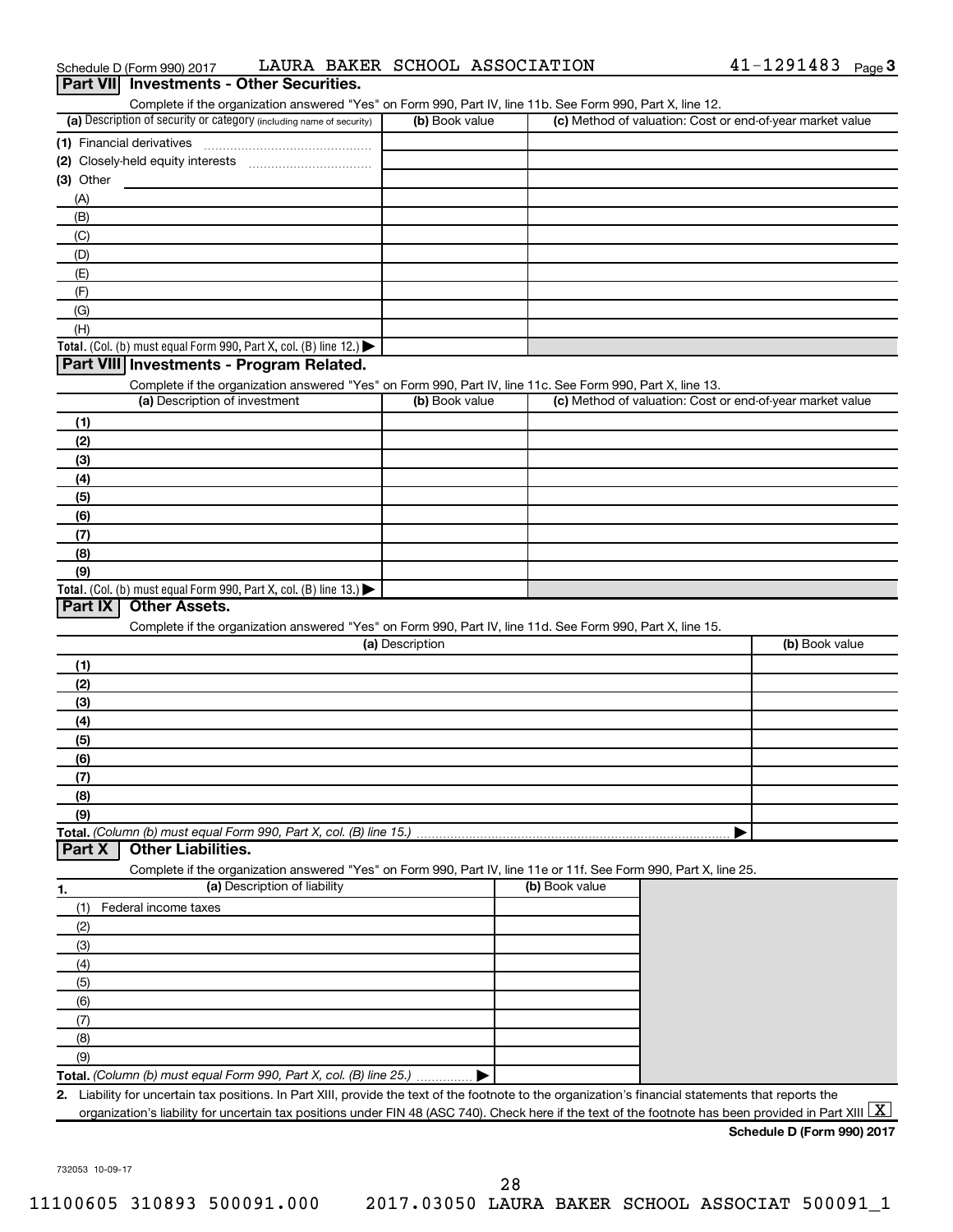| $41 - 1291483$ Page 3<br>LAURA BAKER SCHOOL ASSOCIATION<br>Schedule D (Form 990) 2017 |  |
|---------------------------------------------------------------------------------------|--|
|---------------------------------------------------------------------------------------|--|

| Part VII Investments - Other Securities.                                                                                                             |                 |                                                           |                |
|------------------------------------------------------------------------------------------------------------------------------------------------------|-----------------|-----------------------------------------------------------|----------------|
| Complete if the organization answered "Yes" on Form 990, Part IV, line 11b. See Form 990, Part X, line 12.                                           |                 |                                                           |                |
| (a) Description of security or category (including name of security)                                                                                 | (b) Book value  | (c) Method of valuation: Cost or end-of-year market value |                |
| (1) Financial derivatives                                                                                                                            |                 |                                                           |                |
|                                                                                                                                                      |                 |                                                           |                |
| (3) Other                                                                                                                                            |                 |                                                           |                |
| (A)                                                                                                                                                  |                 |                                                           |                |
| (B)                                                                                                                                                  |                 |                                                           |                |
| (C)                                                                                                                                                  |                 |                                                           |                |
| (D)                                                                                                                                                  |                 |                                                           |                |
| (E)                                                                                                                                                  |                 |                                                           |                |
| (F)                                                                                                                                                  |                 |                                                           |                |
| (G)<br>(H)                                                                                                                                           |                 |                                                           |                |
| Total. (Col. (b) must equal Form 990, Part X, col. (B) line 12.) $\blacktriangleright$                                                               |                 |                                                           |                |
| Part VIII Investments - Program Related.                                                                                                             |                 |                                                           |                |
| Complete if the organization answered "Yes" on Form 990, Part IV, line 11c. See Form 990, Part X, line 13.                                           |                 |                                                           |                |
| (a) Description of investment                                                                                                                        | (b) Book value  | (c) Method of valuation: Cost or end-of-year market value |                |
| (1)                                                                                                                                                  |                 |                                                           |                |
| (2)                                                                                                                                                  |                 |                                                           |                |
| (3)                                                                                                                                                  |                 |                                                           |                |
| (4)                                                                                                                                                  |                 |                                                           |                |
| (5)                                                                                                                                                  |                 |                                                           |                |
| (6)                                                                                                                                                  |                 |                                                           |                |
| (7)                                                                                                                                                  |                 |                                                           |                |
| (8)                                                                                                                                                  |                 |                                                           |                |
| (9)                                                                                                                                                  |                 |                                                           |                |
| Total. (Col. (b) must equal Form 990, Part X, col. (B) line 13.) $\blacktriangleright$                                                               |                 |                                                           |                |
| <b>Other Assets.</b><br>Part IX                                                                                                                      |                 |                                                           |                |
| Complete if the organization answered "Yes" on Form 990, Part IV, line 11d. See Form 990, Part X, line 15.                                           |                 |                                                           |                |
|                                                                                                                                                      | (a) Description |                                                           | (b) Book value |
| (1)                                                                                                                                                  |                 |                                                           |                |
| (2)                                                                                                                                                  |                 |                                                           |                |
| (3)                                                                                                                                                  |                 |                                                           |                |
| (4)                                                                                                                                                  |                 |                                                           |                |
| (5)                                                                                                                                                  |                 |                                                           |                |
| (6)                                                                                                                                                  |                 |                                                           |                |
| (7)                                                                                                                                                  |                 |                                                           |                |
| (8)                                                                                                                                                  |                 |                                                           |                |
| (9)<br>Total. (Column (b) must equal Form 990, Part X, col. (B) line 15.)                                                                            |                 |                                                           |                |
| <b>Other Liabilities.</b><br>Part X                                                                                                                  |                 |                                                           |                |
| Complete if the organization answered "Yes" on Form 990, Part IV, line 11e or 11f. See Form 990, Part X, line 25.                                    |                 |                                                           |                |
| (a) Description of liability<br>1.                                                                                                                   |                 | (b) Book value                                            |                |
| Federal income taxes<br>(1)                                                                                                                          |                 |                                                           |                |
| (2)                                                                                                                                                  |                 |                                                           |                |
| (3)                                                                                                                                                  |                 |                                                           |                |
| (4)                                                                                                                                                  |                 |                                                           |                |
| (5)                                                                                                                                                  |                 |                                                           |                |
| (6)                                                                                                                                                  |                 |                                                           |                |
| (7)                                                                                                                                                  |                 |                                                           |                |
| (8)                                                                                                                                                  |                 |                                                           |                |
| (9)                                                                                                                                                  |                 |                                                           |                |
| Total. (Column (b) must equal Form 990, Part X, col. (B) line 25.)                                                                                   |                 |                                                           |                |
| 2. Liability for uncertain tax positions. In Part XIII, provide the text of the footnote to the organization's financial statements that reports the |                 |                                                           |                |
| organization's liability for uncertain tax positions under FIN 48 (ASC 740). Check here if the text of the footnote has been provided in Part XIII   |                 |                                                           | $\mathbf{X}$   |

**Schedule D (Form 990) 2017**

732053 10-09-17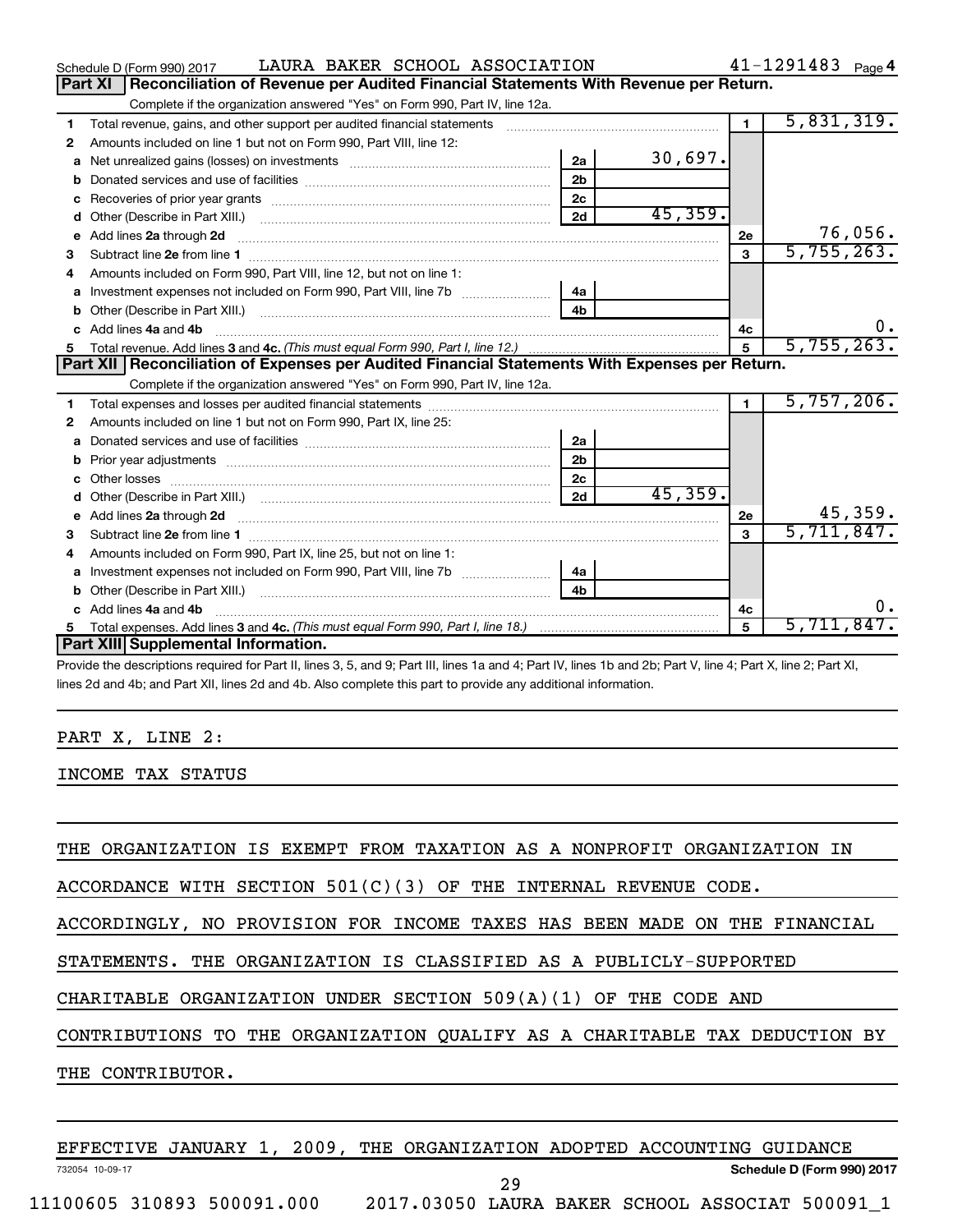|    | LAURA BAKER SCHOOL ASSOCIATION<br>Schedule D (Form 990) 2017                                     |                |         |                | $41 - 1291483$ Page 4 |
|----|--------------------------------------------------------------------------------------------------|----------------|---------|----------------|-----------------------|
|    | Part XI<br>Reconciliation of Revenue per Audited Financial Statements With Revenue per Return.   |                |         |                |                       |
|    | Complete if the organization answered "Yes" on Form 990, Part IV, line 12a.                      |                |         |                |                       |
| 1  | Total revenue, gains, and other support per audited financial statements                         |                |         | $\blacksquare$ | 5,831,319.            |
| 2  | Amounts included on line 1 but not on Form 990, Part VIII, line 12:                              |                |         |                |                       |
| a  |                                                                                                  | 2a             | 30,697. |                |                       |
|    |                                                                                                  | 2 <sub>b</sub> |         |                |                       |
| c  | Recoveries of prior year grants <i>manual content of the series</i> of prior year grants         | 2 <sub>c</sub> |         |                |                       |
| d  |                                                                                                  | 2d             | 45,359. |                |                       |
| е  | Add lines 2a through 2d                                                                          |                |         | 2e             | 76,056.               |
| з  |                                                                                                  |                |         | 3              | 5,755,263.            |
| 4  | Amounts included on Form 990, Part VIII, line 12, but not on line 1:                             |                |         |                |                       |
| a  | Investment expenses not included on Form 990, Part VIII, line 7b [11, 11, 11, 11, 11, 11]        | 4а             |         |                |                       |
| b  |                                                                                                  | 4 <sub>h</sub> |         |                |                       |
| c. | Add lines 4a and 4b                                                                              |                |         | 4c             | 0.                    |
|    |                                                                                                  |                |         | 5              | 5,755,263.            |
|    |                                                                                                  |                |         |                |                       |
|    | Part XII   Reconciliation of Expenses per Audited Financial Statements With Expenses per Return. |                |         |                |                       |
|    | Complete if the organization answered "Yes" on Form 990, Part IV, line 12a.                      |                |         |                |                       |
| 1  |                                                                                                  |                |         | $\blacksquare$ | 5,757,206.            |
| 2  | Amounts included on line 1 but not on Form 990, Part IX, line 25:                                |                |         |                |                       |
| a  |                                                                                                  | 2a             |         |                |                       |
| b  |                                                                                                  | 2 <sub>b</sub> |         |                |                       |
|    |                                                                                                  | 2c             |         |                |                       |
| d  |                                                                                                  | 2d             | 45,359. |                |                       |
| е  |                                                                                                  |                |         | 2е             | 45,359.               |
| 3  |                                                                                                  |                |         | 3              | 5,711,847.            |
| 4  | Amounts included on Form 990, Part IX, line 25, but not on line 1:                               |                |         |                |                       |
| a  |                                                                                                  | 4a             |         |                |                       |
| b  |                                                                                                  | 4 <sub>h</sub> |         |                |                       |
|    | c Add lines 4a and 4b                                                                            |                |         | 4c             | 0.                    |
| 5  | Part XIII Supplemental Information.                                                              |                |         | 5              | 5,711,847.            |

Provide the descriptions required for Part II, lines 3, 5, and 9; Part III, lines 1a and 4; Part IV, lines 1b and 2b; Part V, line 4; Part X, line 2; Part XI, lines 2d and 4b; and Part XII, lines 2d and 4b. Also complete this part to provide any additional information.

#### PART X, LINE 2:

INCOME TAX STATUS

THE ORGANIZATION IS EXEMPT FROM TAXATION AS A NONPROFIT ORGANIZATION IN

ACCORDANCE WITH SECTION 501(C)(3) OF THE INTERNAL REVENUE CODE.

ACCORDINGLY, NO PROVISION FOR INCOME TAXES HAS BEEN MADE ON THE FINANCIAL

STATEMENTS. THE ORGANIZATION IS CLASSIFIED AS A PUBLICLY-SUPPORTED

CHARITABLE ORGANIZATION UNDER SECTION 509(A)(1) OF THE CODE AND

CONTRIBUTIONS TO THE ORGANIZATION QUALIFY AS A CHARITABLE TAX DEDUCTION BY

THE CONTRIBUTOR.

EFFECTIVE JANUARY 1, 2009, THE ORGANIZATION ADOPTED ACCOUNTING GUIDANCE

29

732054 10-09-17

**Schedule D (Form 990) 2017**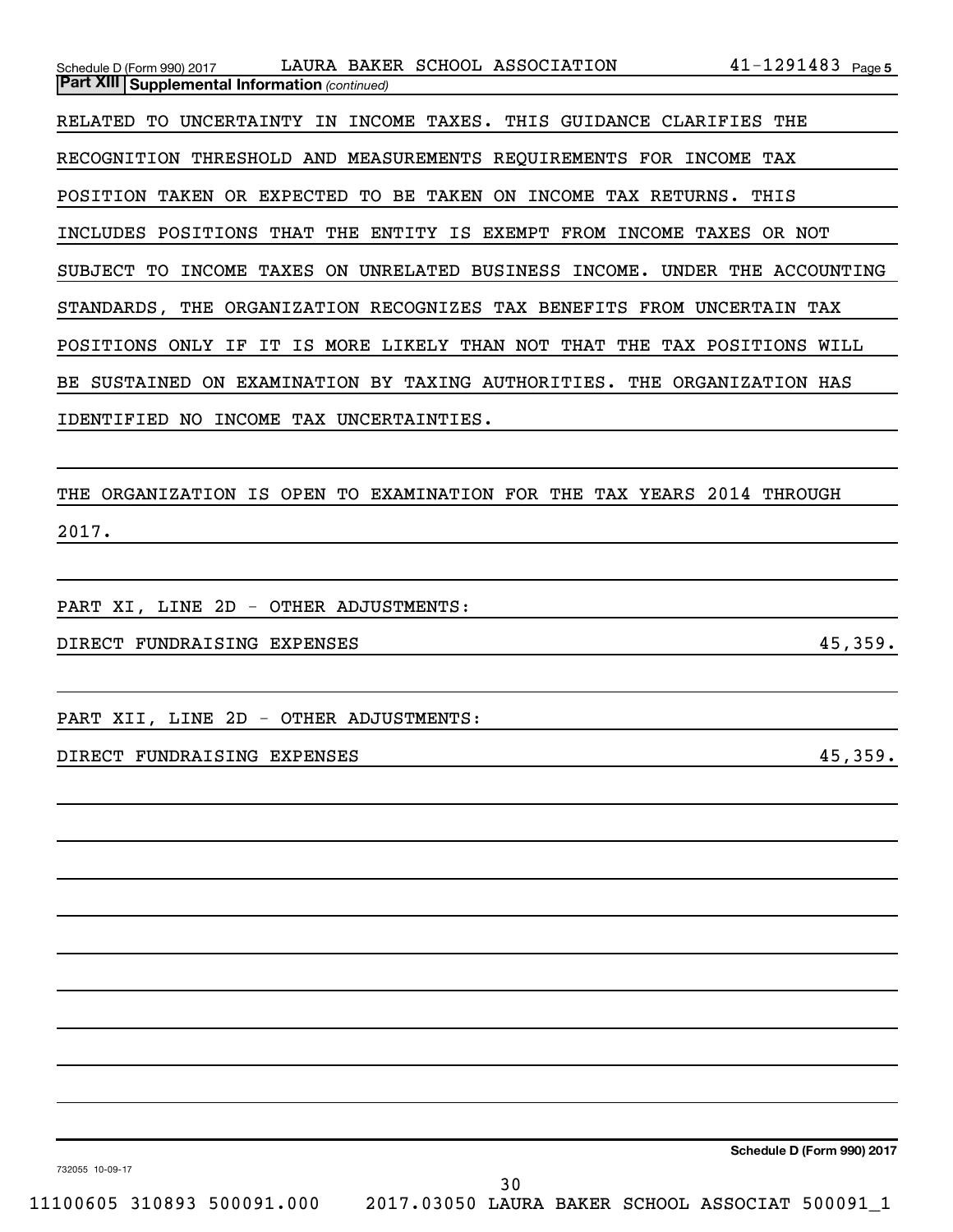| Schedule D (Form 990) 2017                                             | LAURA BAKER SCHOOL ASSOCIATION             |             |                                           | $41 - 1291483$ Page 5                                   |
|------------------------------------------------------------------------|--------------------------------------------|-------------|-------------------------------------------|---------------------------------------------------------|
| <b>Part XIII Supplemental Information (continued)</b>                  |                                            |             |                                           |                                                         |
| RELATED<br>UNCERTAINTY<br>TO.                                          | IN                                         |             | INCOME TAXES. THIS GUIDANCE CLARIFIES THE |                                                         |
| RECOGNITION THRESHOLD AND MEASUREMENTS REOUIREMENTS FOR INCOME TAX     |                                            |             |                                           |                                                         |
| POSITION<br>TAKEN                                                      | OR EXPECTED TO                             | BE TAKEN ON | INCOME TAX RETURNS.                       | THIS                                                    |
| INCLUDES POSITIONS THAT THE ENTITY IS EXEMPT FROM INCOME TAXES OR NOT  |                                            |             |                                           |                                                         |
| SUBJECT TO                                                             | INCOME TAXES ON UNRELATED BUSINESS INCOME. |             |                                           | UNDER THE ACCOUNTING                                    |
| STANDARDS, THE ORGANIZATION RECOGNIZES TAX BENEFITS FROM UNCERTAIN TAX |                                            |             |                                           |                                                         |
| POSITIONS<br>IF.<br>ONLY                                               | MORE LIKELY<br>IS.<br>IT.                  | THAN NOT    | THAT<br>THE                               | TAX POSITIONS<br>WILL                                   |
| <b>BE SUSTAINED</b><br>ON.                                             |                                            |             |                                           | EXAMINATION BY TAXING AUTHORITIES. THE ORGANIZATION HAS |
| IDENTIFIED<br>NO.                                                      | <b>INCOME</b><br>TAX UNCERTAINTIES.        |             |                                           |                                                         |
|                                                                        |                                            |             |                                           |                                                         |

THE ORGANIZATION IS OPEN TO EXAMINATION FOR THE TAX YEARS 2014 THROUGH 2017.

PART XI, LINE 2D - OTHER ADJUSTMENTS:

DIRECT FUNDRAISING EXPENSES 45,359.

PART XII, LINE 2D - OTHER ADJUSTMENTS:

DIRECT FUNDRAISING EXPENSES 45,359.

**Schedule D (Form 990) 2017**

732055 10-09-17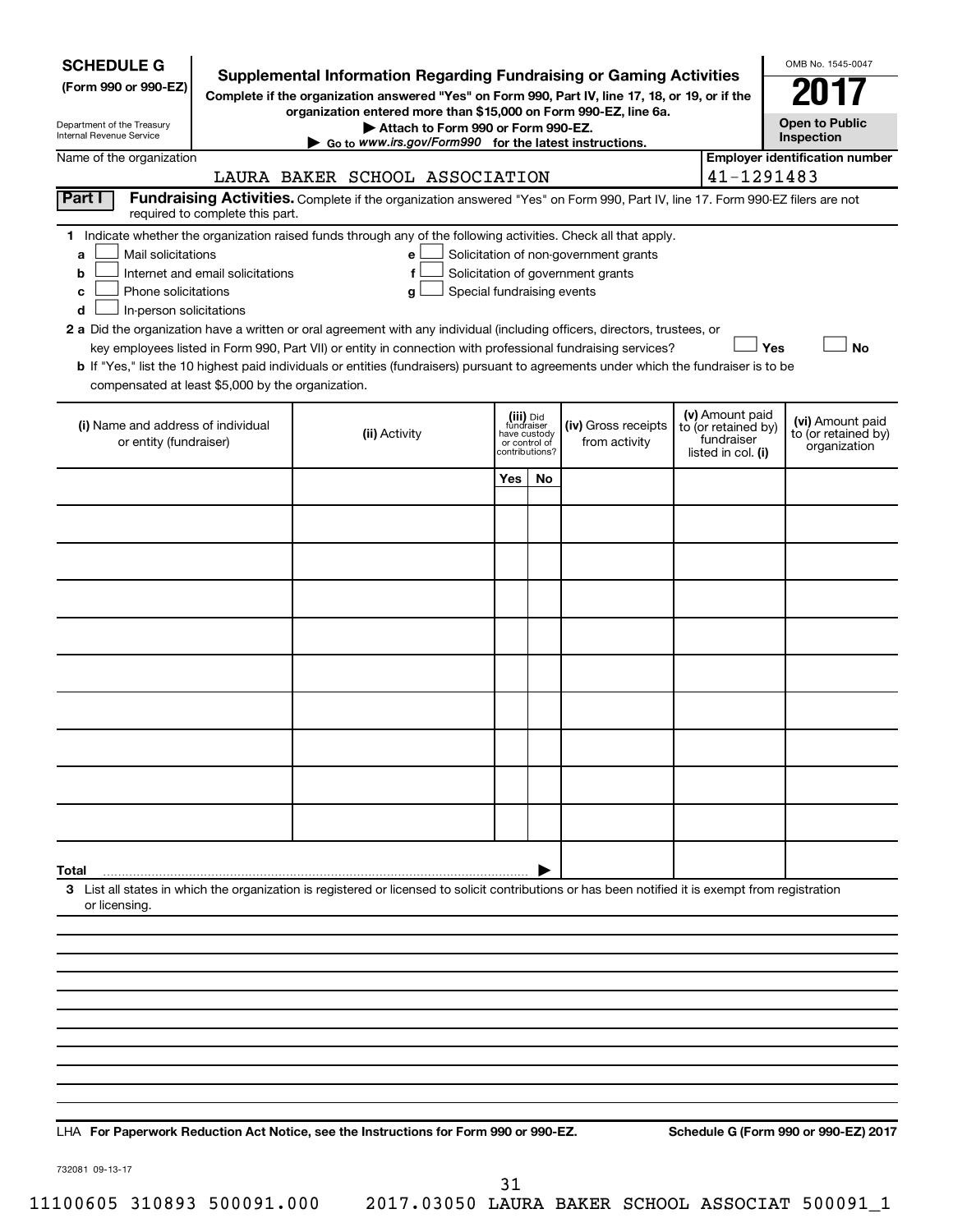| <b>SCHEDULE G</b><br>(Form 990 or 990-EZ)<br>Department of the Treasury<br>Internal Revenue Service                                                                               | <b>Supplemental Information Regarding Fundraising or Gaming Activities</b><br>Complete if the organization answered "Yes" on Form 990, Part IV, line 17, 18, or 19, or if the<br>organization entered more than \$15,000 on Form 990-EZ, line 6a.<br>Attach to Form 990 or Form 990-EZ.<br>Go to www.irs.gov/Form990 for the latest instructions.                                                                                                                                                                                                  |                                                          |                |                                                                            |                                                                            | OMB No. 1545-0047<br><b>Open to Public</b><br>Inspection |
|-----------------------------------------------------------------------------------------------------------------------------------------------------------------------------------|----------------------------------------------------------------------------------------------------------------------------------------------------------------------------------------------------------------------------------------------------------------------------------------------------------------------------------------------------------------------------------------------------------------------------------------------------------------------------------------------------------------------------------------------------|----------------------------------------------------------|----------------|----------------------------------------------------------------------------|----------------------------------------------------------------------------|----------------------------------------------------------|
| Name of the organization                                                                                                                                                          |                                                                                                                                                                                                                                                                                                                                                                                                                                                                                                                                                    |                                                          |                |                                                                            |                                                                            | <b>Employer identification number</b>                    |
| Part I                                                                                                                                                                            | LAURA BAKER SCHOOL ASSOCIATION<br>Fundraising Activities. Complete if the organization answered "Yes" on Form 990, Part IV, line 17. Form 990-EZ filers are not                                                                                                                                                                                                                                                                                                                                                                                    |                                                          |                |                                                                            | 41-1291483                                                                 |                                                          |
| required to complete this part.                                                                                                                                                   |                                                                                                                                                                                                                                                                                                                                                                                                                                                                                                                                                    |                                                          |                |                                                                            |                                                                            |                                                          |
| Mail solicitations<br>a<br>Internet and email solicitations<br>b<br>Phone solicitations<br>с<br>In-person solicitations<br>d<br>compensated at least \$5,000 by the organization. | 1 Indicate whether the organization raised funds through any of the following activities. Check all that apply.<br>е<br>f<br>Special fundraising events<br>g<br>2 a Did the organization have a written or oral agreement with any individual (including officers, directors, trustees, or<br>key employees listed in Form 990, Part VII) or entity in connection with professional fundraising services?<br>b If "Yes," list the 10 highest paid individuals or entities (fundraisers) pursuant to agreements under which the fundraiser is to be |                                                          |                | Solicitation of non-government grants<br>Solicitation of government grants | Yes                                                                        | <b>No</b>                                                |
| (i) Name and address of individual<br>or entity (fundraiser)                                                                                                                      | (ii) Activity                                                                                                                                                                                                                                                                                                                                                                                                                                                                                                                                      | (iii) Did<br>fundraiser<br>have custody<br>or control of | contributions? | (iv) Gross receipts<br>from activity                                       | (v) Amount paid<br>to (or retained by)<br>fundraiser<br>listed in col. (i) | (vi) Amount paid<br>to (or retained by)<br>organization  |
|                                                                                                                                                                                   |                                                                                                                                                                                                                                                                                                                                                                                                                                                                                                                                                    | Yes                                                      | No.            |                                                                            |                                                                            |                                                          |
|                                                                                                                                                                                   |                                                                                                                                                                                                                                                                                                                                                                                                                                                                                                                                                    |                                                          |                |                                                                            |                                                                            |                                                          |
|                                                                                                                                                                                   |                                                                                                                                                                                                                                                                                                                                                                                                                                                                                                                                                    |                                                          |                |                                                                            |                                                                            |                                                          |
|                                                                                                                                                                                   |                                                                                                                                                                                                                                                                                                                                                                                                                                                                                                                                                    |                                                          |                |                                                                            |                                                                            |                                                          |
|                                                                                                                                                                                   |                                                                                                                                                                                                                                                                                                                                                                                                                                                                                                                                                    |                                                          |                |                                                                            |                                                                            |                                                          |
|                                                                                                                                                                                   |                                                                                                                                                                                                                                                                                                                                                                                                                                                                                                                                                    |                                                          |                |                                                                            |                                                                            |                                                          |
|                                                                                                                                                                                   |                                                                                                                                                                                                                                                                                                                                                                                                                                                                                                                                                    |                                                          |                |                                                                            |                                                                            |                                                          |
|                                                                                                                                                                                   |                                                                                                                                                                                                                                                                                                                                                                                                                                                                                                                                                    |                                                          |                |                                                                            |                                                                            |                                                          |
|                                                                                                                                                                                   |                                                                                                                                                                                                                                                                                                                                                                                                                                                                                                                                                    |                                                          |                |                                                                            |                                                                            |                                                          |
|                                                                                                                                                                                   |                                                                                                                                                                                                                                                                                                                                                                                                                                                                                                                                                    |                                                          |                |                                                                            |                                                                            |                                                          |
|                                                                                                                                                                                   |                                                                                                                                                                                                                                                                                                                                                                                                                                                                                                                                                    |                                                          |                |                                                                            |                                                                            |                                                          |
|                                                                                                                                                                                   |                                                                                                                                                                                                                                                                                                                                                                                                                                                                                                                                                    |                                                          |                |                                                                            |                                                                            |                                                          |
| Total                                                                                                                                                                             |                                                                                                                                                                                                                                                                                                                                                                                                                                                                                                                                                    |                                                          |                |                                                                            |                                                                            |                                                          |
| or licensing.                                                                                                                                                                     | 3 List all states in which the organization is registered or licensed to solicit contributions or has been notified it is exempt from registration                                                                                                                                                                                                                                                                                                                                                                                                 |                                                          |                |                                                                            |                                                                            |                                                          |
|                                                                                                                                                                                   |                                                                                                                                                                                                                                                                                                                                                                                                                                                                                                                                                    |                                                          |                |                                                                            |                                                                            |                                                          |
|                                                                                                                                                                                   |                                                                                                                                                                                                                                                                                                                                                                                                                                                                                                                                                    |                                                          |                |                                                                            |                                                                            |                                                          |
|                                                                                                                                                                                   |                                                                                                                                                                                                                                                                                                                                                                                                                                                                                                                                                    |                                                          |                |                                                                            |                                                                            |                                                          |
|                                                                                                                                                                                   |                                                                                                                                                                                                                                                                                                                                                                                                                                                                                                                                                    |                                                          |                |                                                                            |                                                                            |                                                          |
|                                                                                                                                                                                   |                                                                                                                                                                                                                                                                                                                                                                                                                                                                                                                                                    |                                                          |                |                                                                            |                                                                            |                                                          |
|                                                                                                                                                                                   |                                                                                                                                                                                                                                                                                                                                                                                                                                                                                                                                                    |                                                          |                |                                                                            |                                                                            |                                                          |
|                                                                                                                                                                                   |                                                                                                                                                                                                                                                                                                                                                                                                                                                                                                                                                    |                                                          |                |                                                                            |                                                                            |                                                          |
|                                                                                                                                                                                   |                                                                                                                                                                                                                                                                                                                                                                                                                                                                                                                                                    |                                                          |                |                                                                            |                                                                            |                                                          |
|                                                                                                                                                                                   |                                                                                                                                                                                                                                                                                                                                                                                                                                                                                                                                                    |                                                          |                |                                                                            |                                                                            |                                                          |

**For Paperwork Reduction Act Notice, see the Instructions for Form 990 or 990-EZ. Schedule G (Form 990 or 990-EZ) 2017** LHA

732081 09-13-17

31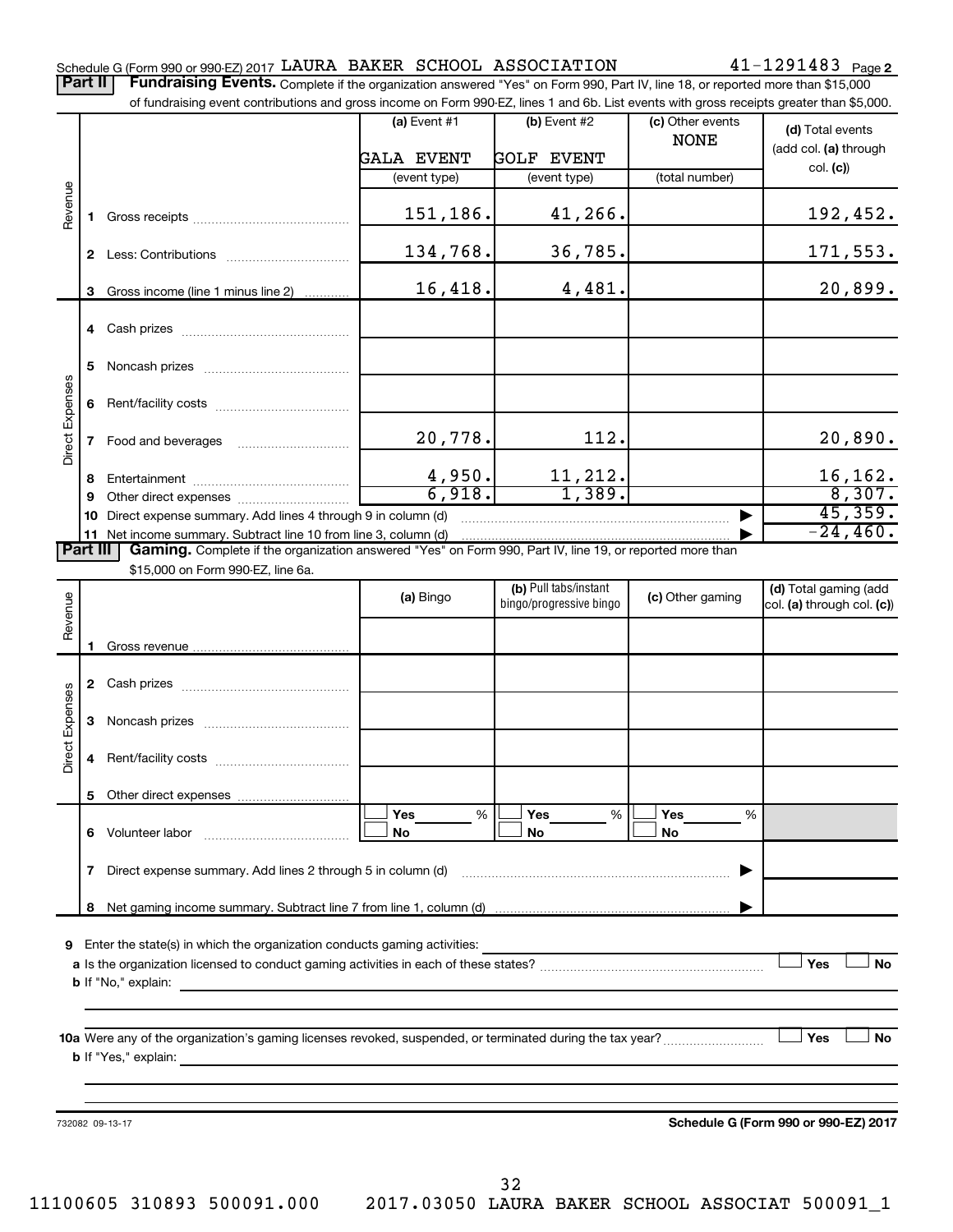Part II | Fundraising Events. Complete if the organization answered "Yes" on Form 990, Part IV, line 18, or reported more than \$15,000

|                 |    | of fundraising event contributions and gross income on Form 990-EZ, lines 1 and 6b. List events with gross receipts greater than \$5,000.      |                   |                         |                  |                                      |
|-----------------|----|------------------------------------------------------------------------------------------------------------------------------------------------|-------------------|-------------------------|------------------|--------------------------------------|
|                 |    |                                                                                                                                                | (a) Event #1      | (b) Event #2            | (c) Other events | (d) Total events                     |
|                 |    |                                                                                                                                                |                   |                         | <b>NONE</b>      | (add col. (a) through                |
|                 |    |                                                                                                                                                | <b>GALA EVENT</b> | <b>GOLF EVENT</b>       |                  | col. (c)                             |
|                 |    |                                                                                                                                                | (event type)      | (event type)            | (total number)   |                                      |
| Revenue         |    |                                                                                                                                                |                   |                         |                  |                                      |
|                 | 1. |                                                                                                                                                | 151,186.          | 41,266.                 |                  | 192,452.                             |
|                 |    |                                                                                                                                                |                   |                         |                  |                                      |
|                 |    |                                                                                                                                                | 134,768.          | 36,785.                 |                  | 171,553.                             |
|                 |    |                                                                                                                                                |                   |                         |                  |                                      |
|                 | 3  | Gross income (line 1 minus line 2)                                                                                                             | 16,418.           | 4,481.                  |                  | 20,899.                              |
|                 |    |                                                                                                                                                |                   |                         |                  |                                      |
|                 |    |                                                                                                                                                |                   |                         |                  |                                      |
|                 | 5  |                                                                                                                                                |                   |                         |                  |                                      |
|                 |    |                                                                                                                                                |                   |                         |                  |                                      |
| Direct Expenses | 6  |                                                                                                                                                |                   |                         |                  |                                      |
|                 |    |                                                                                                                                                |                   |                         |                  |                                      |
|                 | 7  |                                                                                                                                                | 20,778.           | 112.                    |                  | 20,890.                              |
|                 |    |                                                                                                                                                |                   |                         |                  |                                      |
|                 | 8  |                                                                                                                                                | 4,950.            | 11,212.                 |                  | 16, 162.                             |
|                 | 9  |                                                                                                                                                | 6,918.            | $\frac{1}{1,389}$ .     |                  | 8,307.                               |
|                 |    | 10 Direct expense summary. Add lines 4 through 9 in column (d)                                                                                 |                   |                         | ▶                | 45,359.                              |
|                 |    | 11 Net income summary. Subtract line 10 from line 3, column (d)                                                                                |                   |                         |                  | $-24,460.$                           |
| <b>Part III</b> |    | Gaming. Complete if the organization answered "Yes" on Form 990, Part IV, line 19, or reported more than                                       |                   |                         |                  |                                      |
|                 |    | \$15,000 on Form 990-EZ, line 6a.                                                                                                              |                   |                         |                  |                                      |
|                 |    |                                                                                                                                                | (a) Bingo         | (b) Pull tabs/instant   | (c) Other gaming | (d) Total gaming (add                |
| Revenue         |    |                                                                                                                                                |                   | bingo/progressive bingo |                  | col. (a) through col. (c))           |
|                 |    |                                                                                                                                                |                   |                         |                  |                                      |
|                 |    |                                                                                                                                                |                   |                         |                  |                                      |
|                 |    |                                                                                                                                                |                   |                         |                  |                                      |
|                 |    |                                                                                                                                                |                   |                         |                  |                                      |
| Direct Expenses |    |                                                                                                                                                |                   |                         |                  |                                      |
|                 | 3  |                                                                                                                                                |                   |                         |                  |                                      |
|                 |    |                                                                                                                                                |                   |                         |                  |                                      |
|                 | 4  |                                                                                                                                                |                   |                         |                  |                                      |
|                 |    | 5 Other direct expenses                                                                                                                        |                   |                         |                  |                                      |
|                 |    |                                                                                                                                                | %<br>Yes          | Yes<br>%                | Yes<br>%         |                                      |
|                 |    | 6 Volunteer labor                                                                                                                              | No                | No                      | No               |                                      |
|                 |    |                                                                                                                                                |                   |                         |                  |                                      |
|                 | 7  | Direct expense summary. Add lines 2 through 5 in column (d)                                                                                    |                   |                         |                  |                                      |
|                 |    |                                                                                                                                                |                   |                         |                  |                                      |
|                 | 8  |                                                                                                                                                |                   |                         |                  |                                      |
|                 |    |                                                                                                                                                |                   |                         |                  |                                      |
|                 |    | <b>9</b> Enter the state(s) in which the organization conducts gaming activities:                                                              |                   |                         |                  |                                      |
|                 |    |                                                                                                                                                |                   |                         |                  | Yes<br><b>No</b>                     |
|                 |    | <b>b</b> If "No," explain:<br>and the control of the control of the control of the control of the control of the control of the control of the |                   |                         |                  |                                      |
|                 |    |                                                                                                                                                |                   |                         |                  |                                      |
|                 |    |                                                                                                                                                |                   |                         |                  |                                      |
|                 |    |                                                                                                                                                |                   |                         |                  | Yes<br><b>No</b>                     |
|                 |    |                                                                                                                                                |                   |                         |                  |                                      |
|                 |    |                                                                                                                                                |                   |                         |                  |                                      |
|                 |    |                                                                                                                                                |                   |                         |                  |                                      |
|                 |    | 732082 09-13-17                                                                                                                                |                   |                         |                  | Schedule G (Form 990 or 990-EZ) 2017 |
|                 |    |                                                                                                                                                |                   |                         |                  |                                      |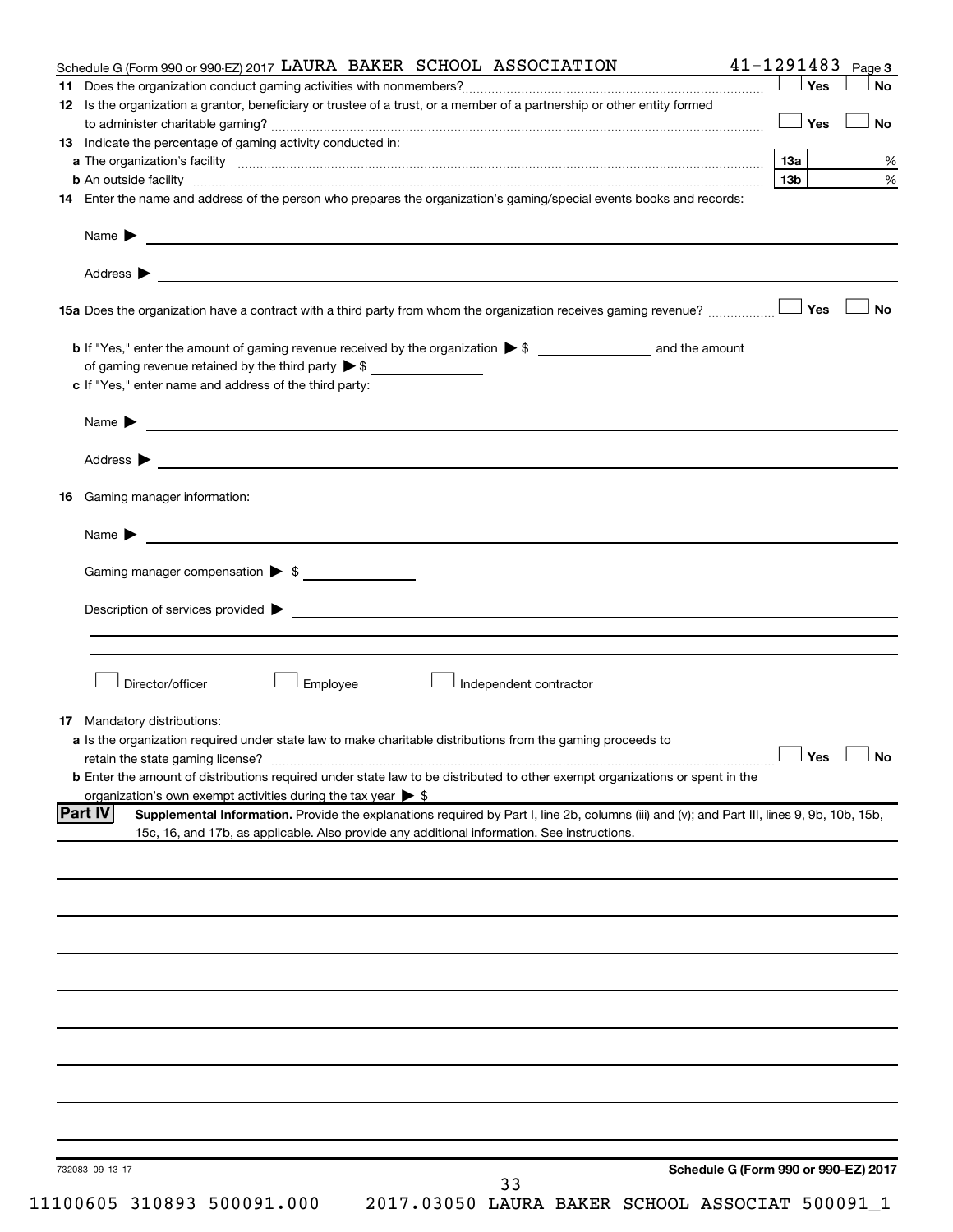| Schedule G (Form 990 or 990-EZ) 2017 LAURA BAKER SCHOOL ASSOCIATION                                                                                                                                                           | 41-1291483<br>Page 3                 |
|-------------------------------------------------------------------------------------------------------------------------------------------------------------------------------------------------------------------------------|--------------------------------------|
|                                                                                                                                                                                                                               | $\Box$ Yes<br>No                     |
| 12 Is the organization a grantor, beneficiary or trustee of a trust, or a member of a partnership or other entity formed                                                                                                      |                                      |
|                                                                                                                                                                                                                               | <b>No</b><br>$\Box$ Yes              |
| 13 Indicate the percentage of gaming activity conducted in:                                                                                                                                                                   |                                      |
|                                                                                                                                                                                                                               | 1За                                  |
| b An outside facility www.communications.com/news/communications.com/news/communications.com/news/communicatio                                                                                                                | 13b                                  |
| 14 Enter the name and address of the person who prepares the organization's gaming/special events books and records:                                                                                                          |                                      |
|                                                                                                                                                                                                                               |                                      |
| Name $\blacktriangleright$<br><u> 1999 - Johann John Harry Harry Harry Harry Harry Harry Harry Harry Harry Harry Harry Harry Harry Harry Harry H</u>                                                                          |                                      |
|                                                                                                                                                                                                                               |                                      |
| Address $\blacktriangleright$                                                                                                                                                                                                 |                                      |
|                                                                                                                                                                                                                               | <b>No</b>                            |
|                                                                                                                                                                                                                               |                                      |
| of gaming revenue retained by the third party $\triangleright$ \$                                                                                                                                                             |                                      |
| c If "Yes," enter name and address of the third party:                                                                                                                                                                        |                                      |
|                                                                                                                                                                                                                               |                                      |
| Name > 2008 - 2008 - 2009 - 2009 - 2009 - 2009 - 2009 - 2009 - 2009 - 2009 - 2009 - 2009 - 2009 - 2009 - 2009 - 2009 - 2009 - 2009 - 2009 - 2009 - 2009 - 2009 - 2009 - 2009 - 2009 - 2009 - 2009 - 2009 - 2009 - 2009 - 2009 |                                      |
| Address $\blacktriangleright$<br><u> 1989 - Jan Samuel Barbara, margaret e populari e populari e populari e populari e populari e populari e popu</u>                                                                         |                                      |
| Gaming manager information:<br>16                                                                                                                                                                                             |                                      |
| Name $\blacktriangleright$                                                                                                                                                                                                    |                                      |
|                                                                                                                                                                                                                               |                                      |
| Gaming manager compensation > \$                                                                                                                                                                                              |                                      |
| Director/officer<br>Employee<br>Independent contractor                                                                                                                                                                        |                                      |
|                                                                                                                                                                                                                               |                                      |
| 17 Mandatory distributions:                                                                                                                                                                                                   |                                      |
| a Is the organization required under state law to make charitable distributions from the gaming proceeds to                                                                                                                   | $\Box$ Yes $\Box$ No                 |
|                                                                                                                                                                                                                               |                                      |
| b Enter the amount of distributions required under state law to be distributed to other exempt organizations or spent in the                                                                                                  |                                      |
| organization's own exempt activities during the tax year $\triangleright$ \$                                                                                                                                                  |                                      |
| <b>Part IV</b><br>Supplemental Information. Provide the explanations required by Part I, line 2b, columns (iii) and (v); and Part III, lines 9, 9b, 10b, 15b,                                                                 |                                      |
| 15c, 16, and 17b, as applicable. Also provide any additional information. See instructions.                                                                                                                                   |                                      |
|                                                                                                                                                                                                                               |                                      |
|                                                                                                                                                                                                                               |                                      |
|                                                                                                                                                                                                                               |                                      |
|                                                                                                                                                                                                                               |                                      |
|                                                                                                                                                                                                                               |                                      |
|                                                                                                                                                                                                                               |                                      |
|                                                                                                                                                                                                                               |                                      |
|                                                                                                                                                                                                                               |                                      |
|                                                                                                                                                                                                                               |                                      |
|                                                                                                                                                                                                                               |                                      |
|                                                                                                                                                                                                                               |                                      |
|                                                                                                                                                                                                                               |                                      |
|                                                                                                                                                                                                                               |                                      |
|                                                                                                                                                                                                                               |                                      |
|                                                                                                                                                                                                                               |                                      |
|                                                                                                                                                                                                                               |                                      |
|                                                                                                                                                                                                                               |                                      |
| 732083 09-13-17                                                                                                                                                                                                               | Schedule G (Form 990 or 990-EZ) 2017 |
| 33<br>11100605 310893 500091.000<br>2017.03050 LAURA BAKER SCHOOL ASSOCIAT 500091_1                                                                                                                                           |                                      |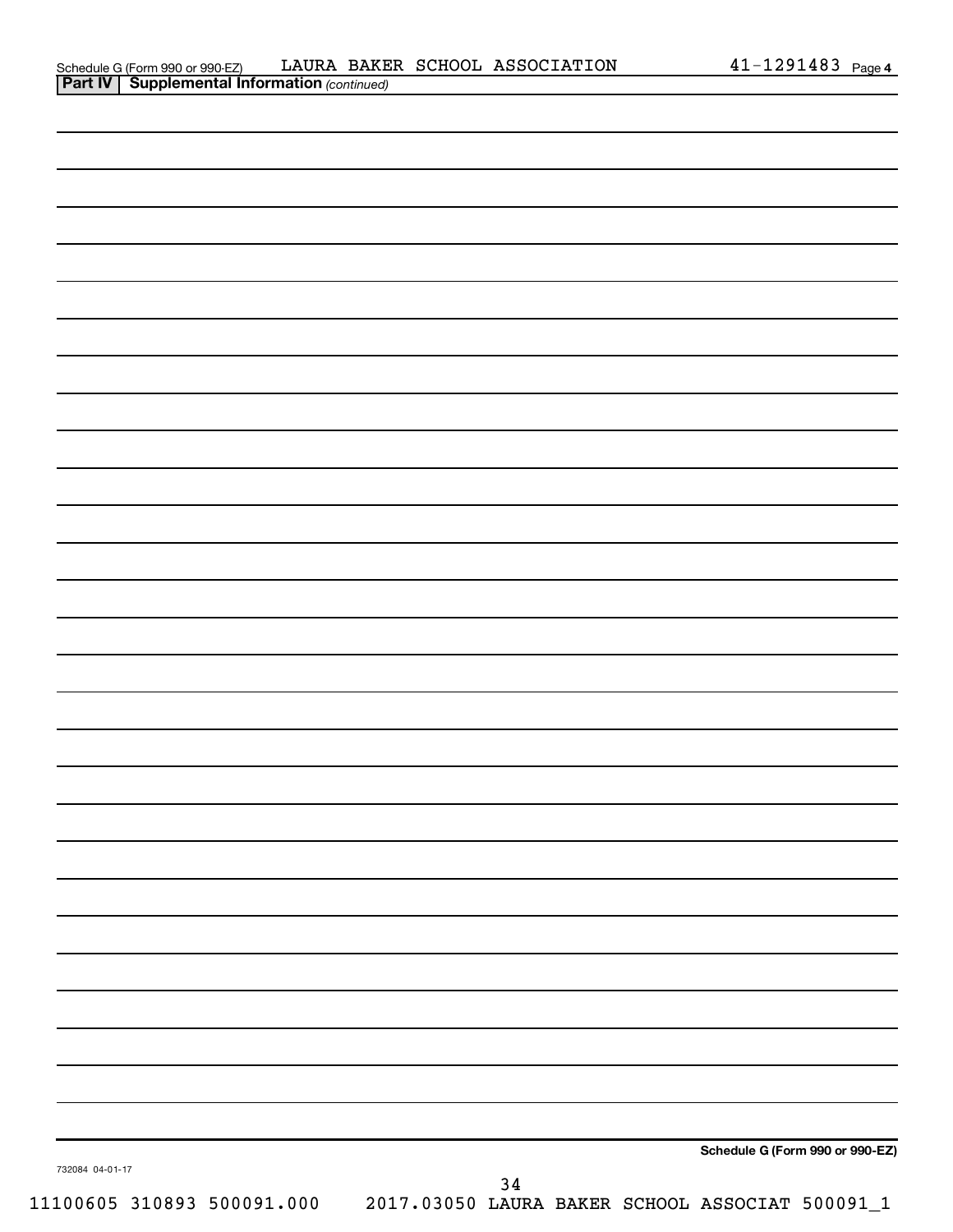| 732084 04-01-17 |      | Schedule G (Form 990 or 990-EZ) |
|-----------------|------|---------------------------------|
|                 | $34$ |                                 |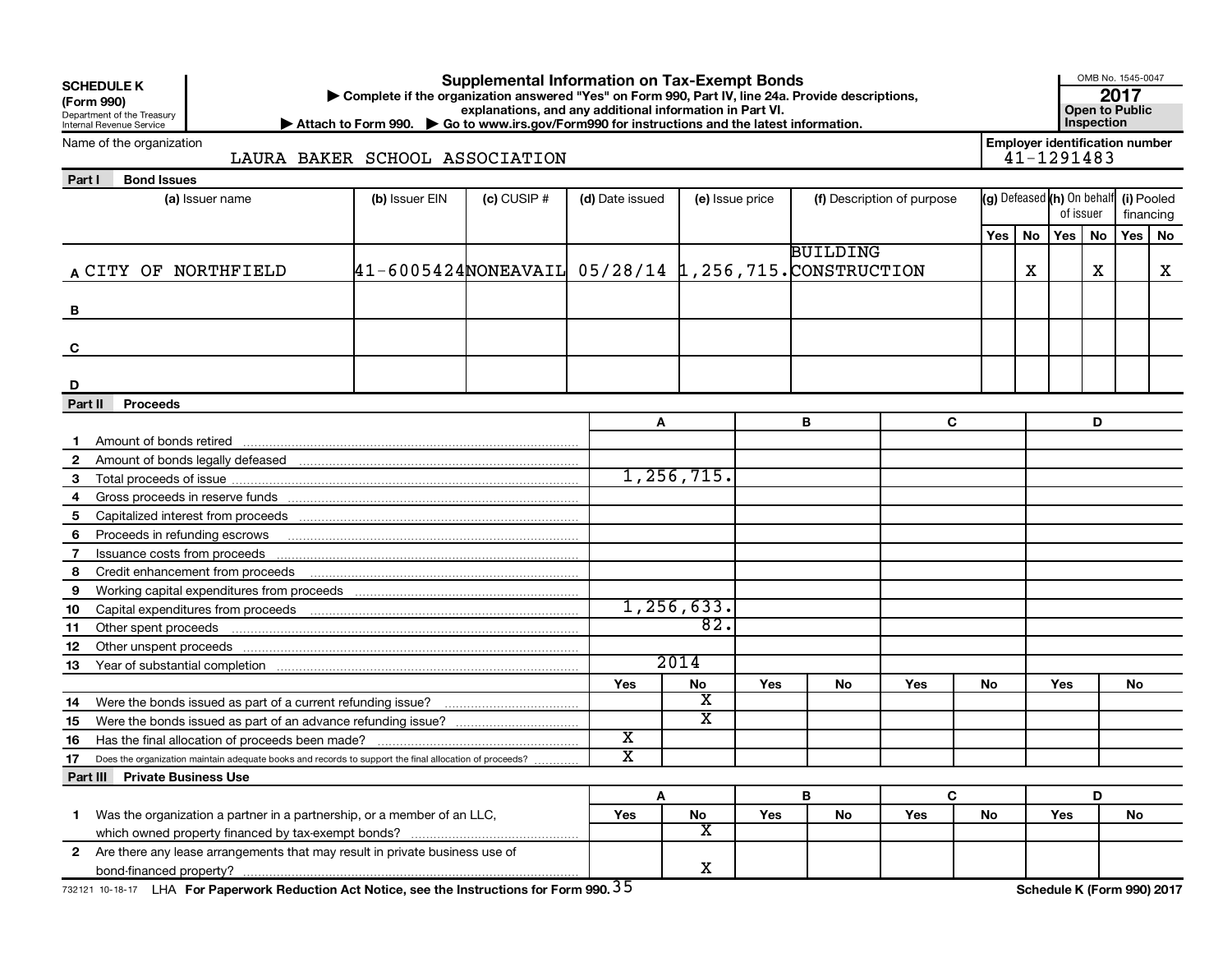|              | <b>Supplemental Information on Tax-Exempt Bonds</b><br><b>SCHEDULE K</b><br>Complete if the organization answered "Yes" on Form 990, Part IV, line 24a. Provide descriptions,<br>(Form 990)<br>explanations, and any additional information in Part VI.<br>Department of the Treasury<br>Inspection<br>Attach to Form 990. $\triangleright$ Go to www.irs.gov/Form990 for instructions and the latest information.<br>Internal Revenue Service |                                                      |               |                       |                         |     |                 |                            |     |                                                     |            |   | OMB No. 1545-0047<br>2017<br><b>Open to Public</b> |    |
|--------------|------------------------------------------------------------------------------------------------------------------------------------------------------------------------------------------------------------------------------------------------------------------------------------------------------------------------------------------------------------------------------------------------------------------------------------------------|------------------------------------------------------|---------------|-----------------------|-------------------------|-----|-----------------|----------------------------|-----|-----------------------------------------------------|------------|---|----------------------------------------------------|----|
|              | Name of the organization<br>LAURA BAKER SCHOOL ASSOCIATION                                                                                                                                                                                                                                                                                                                                                                                     |                                                      |               |                       |                         |     |                 |                            |     | <b>Employer identification number</b><br>41-1291483 |            |   |                                                    |    |
| Part I       | <b>Bond Issues</b>                                                                                                                                                                                                                                                                                                                                                                                                                             |                                                      |               |                       |                         |     |                 |                            |     |                                                     |            |   |                                                    |    |
|              | (a) Issuer name                                                                                                                                                                                                                                                                                                                                                                                                                                | (b) Issuer EIN                                       | $(c)$ CUSIP # | (d) Date issued       | (e) Issue price         |     |                 | (f) Description of purpose |     | (g) Defeased (h) On behalf                          | of issuer  |   | (i) Pooled<br>financing                            |    |
|              |                                                                                                                                                                                                                                                                                                                                                                                                                                                |                                                      |               |                       |                         |     |                 |                            | Yes | No                                                  | Yes   No   |   | Yes                                                | No |
|              |                                                                                                                                                                                                                                                                                                                                                                                                                                                |                                                      |               |                       |                         |     | <b>BUILDING</b> |                            |     |                                                     |            |   |                                                    |    |
|              | A CITY OF NORTHFIELD                                                                                                                                                                                                                                                                                                                                                                                                                           | 41-6005424NONEAVAIL 05/28/14 1,256,715. CONSTRUCTION |               |                       |                         |     |                 |                            |     | х                                                   |            | х |                                                    | x  |
| В            |                                                                                                                                                                                                                                                                                                                                                                                                                                                |                                                      |               |                       |                         |     |                 |                            |     |                                                     |            |   |                                                    |    |
| C            |                                                                                                                                                                                                                                                                                                                                                                                                                                                |                                                      |               |                       |                         |     |                 |                            |     |                                                     |            |   |                                                    |    |
| D            |                                                                                                                                                                                                                                                                                                                                                                                                                                                |                                                      |               |                       |                         |     |                 |                            |     |                                                     |            |   |                                                    |    |
|              | Part II<br><b>Proceeds</b>                                                                                                                                                                                                                                                                                                                                                                                                                     |                                                      |               |                       |                         |     |                 |                            |     |                                                     |            |   |                                                    |    |
|              |                                                                                                                                                                                                                                                                                                                                                                                                                                                |                                                      |               | A                     |                         |     | В               | C                          |     |                                                     |            | D |                                                    |    |
| $\mathbf{2}$ |                                                                                                                                                                                                                                                                                                                                                                                                                                                |                                                      |               |                       |                         |     |                 |                            |     |                                                     |            |   |                                                    |    |
| 3            |                                                                                                                                                                                                                                                                                                                                                                                                                                                |                                                      |               |                       | 1,256,715.              |     |                 |                            |     |                                                     |            |   |                                                    |    |
| 4            |                                                                                                                                                                                                                                                                                                                                                                                                                                                |                                                      |               |                       |                         |     |                 |                            |     |                                                     |            |   |                                                    |    |
| 5            |                                                                                                                                                                                                                                                                                                                                                                                                                                                |                                                      |               |                       |                         |     |                 |                            |     |                                                     |            |   |                                                    |    |
| 6            | Proceeds in refunding escrows material content and the extra material content and the estimate of the extra material content and the extra material content of the extra material content of the extra material content of the                                                                                                                                                                                                                 |                                                      |               |                       |                         |     |                 |                            |     |                                                     |            |   |                                                    |    |
| 7            |                                                                                                                                                                                                                                                                                                                                                                                                                                                |                                                      |               |                       |                         |     |                 |                            |     |                                                     |            |   |                                                    |    |
| 8            |                                                                                                                                                                                                                                                                                                                                                                                                                                                |                                                      |               |                       |                         |     |                 |                            |     |                                                     |            |   |                                                    |    |
| 9            |                                                                                                                                                                                                                                                                                                                                                                                                                                                |                                                      |               |                       |                         |     |                 |                            |     |                                                     |            |   |                                                    |    |
| 10           | Capital expenditures from proceeds [1001] [1001] [2010] [2010] [2010] [2010] [2010] [2010] [2010] [2010] [2010                                                                                                                                                                                                                                                                                                                                 |                                                      |               |                       | 1, 256, 633.            |     |                 |                            |     |                                                     |            |   |                                                    |    |
| 11           | Other spent proceeds                                                                                                                                                                                                                                                                                                                                                                                                                           |                                                      |               |                       | 82.                     |     |                 |                            |     |                                                     |            |   |                                                    |    |
| 12           |                                                                                                                                                                                                                                                                                                                                                                                                                                                |                                                      |               |                       |                         |     |                 |                            |     |                                                     |            |   |                                                    |    |
| 13           |                                                                                                                                                                                                                                                                                                                                                                                                                                                |                                                      |               |                       | 2014                    |     |                 |                            |     |                                                     |            |   |                                                    |    |
|              |                                                                                                                                                                                                                                                                                                                                                                                                                                                |                                                      |               | Yes                   | No                      | Yes | No              | Yes                        | No  |                                                     | Yes        |   | No                                                 |    |
| 14           | Were the bonds issued as part of a current refunding issue?                                                                                                                                                                                                                                                                                                                                                                                    |                                                      |               |                       | x                       |     |                 |                            |     |                                                     |            |   |                                                    |    |
| 15           |                                                                                                                                                                                                                                                                                                                                                                                                                                                |                                                      |               |                       | $\overline{\textbf{x}}$ |     |                 |                            |     |                                                     |            |   |                                                    |    |
| 16           |                                                                                                                                                                                                                                                                                                                                                                                                                                                |                                                      |               | х                     |                         |     |                 |                            |     |                                                     |            |   |                                                    |    |
| 17           | Does the organization maintain adequate books and records to support the final allocation of proceeds?                                                                                                                                                                                                                                                                                                                                         |                                                      |               | $\overline{\text{x}}$ |                         |     |                 |                            |     |                                                     |            |   |                                                    |    |
|              | Part III Private Business Use                                                                                                                                                                                                                                                                                                                                                                                                                  |                                                      |               |                       |                         |     |                 |                            |     |                                                     |            |   |                                                    |    |
| 1.           | Was the organization a partner in a partnership, or a member of an LLC,                                                                                                                                                                                                                                                                                                                                                                        |                                                      |               | A<br>Yes              | No                      | Yes | В<br>No         | C<br>Yes                   | No  |                                                     | <b>Yes</b> | D | No                                                 |    |
|              |                                                                                                                                                                                                                                                                                                                                                                                                                                                |                                                      |               |                       | $\overline{\mathtt{x}}$ |     |                 |                            |     |                                                     |            |   |                                                    |    |
| $\mathbf{2}$ | Are there any lease arrangements that may result in private business use of                                                                                                                                                                                                                                                                                                                                                                    |                                                      |               |                       |                         |     |                 |                            |     |                                                     |            |   |                                                    |    |
|              |                                                                                                                                                                                                                                                                                                                                                                                                                                                |                                                      |               |                       | X                       |     |                 |                            |     |                                                     |            |   |                                                    |    |

732121 10-18-17 **For Paperwork Reduction Act Notice, see the Instructions for Form 990. Schedule K (Form 990) 2017** LHA 35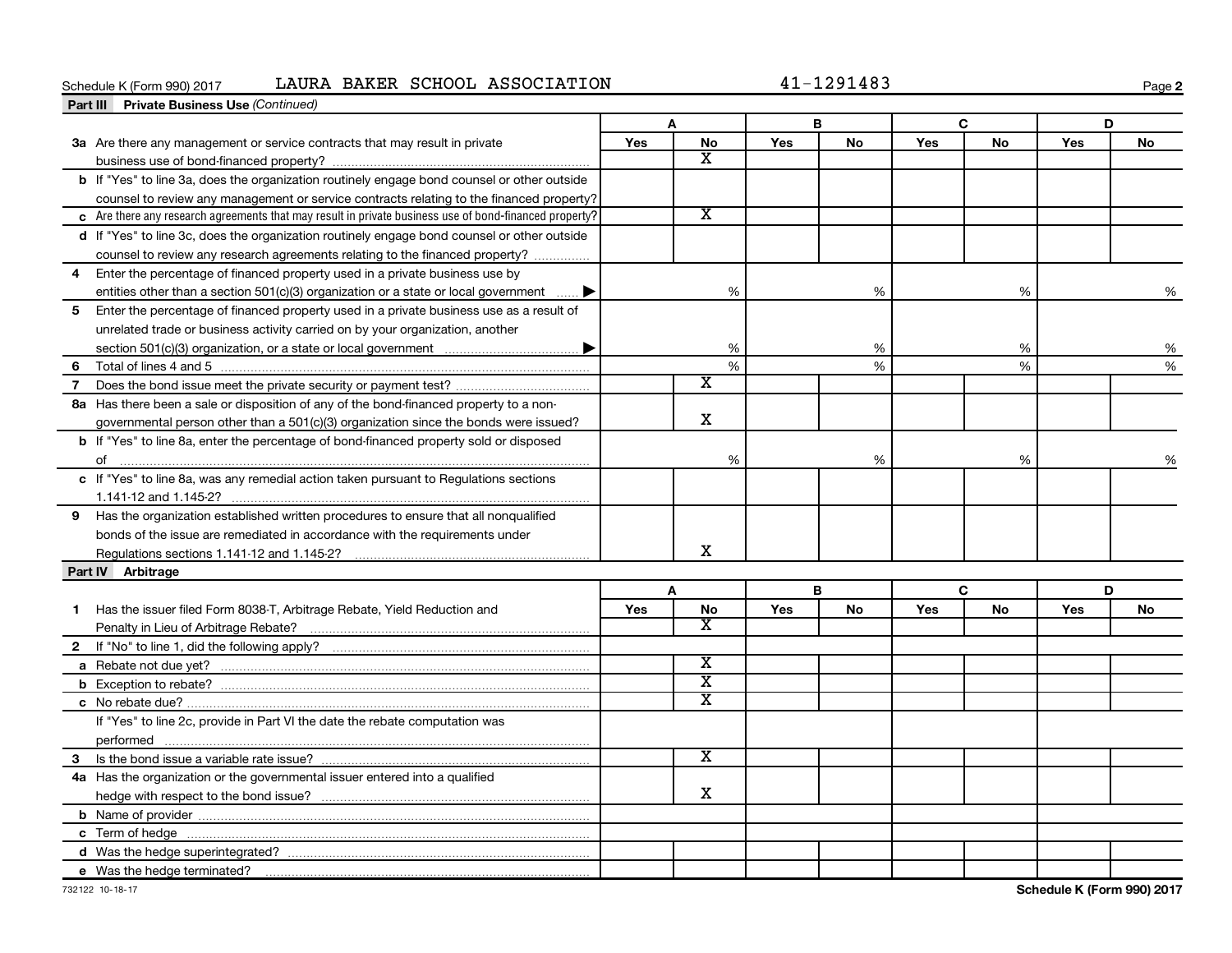#### Schedule K (Form 990) 2017 LAURA BAKER SCHOOL ASSOCIATION  $41-1291483$

|                   | <b>Part III</b> Private Business Use (Continued)                                                       |            |                         |     |           |     |    |     |           |
|-------------------|--------------------------------------------------------------------------------------------------------|------------|-------------------------|-----|-----------|-----|----|-----|-----------|
|                   |                                                                                                        |            | A                       |     | В         |     | C  |     | D         |
|                   | 3a Are there any management or service contracts that may result in private                            | <b>Yes</b> | <b>No</b>               | Yes | <b>No</b> | Yes | No | Yes | <b>No</b> |
|                   |                                                                                                        |            | X                       |     |           |     |    |     |           |
|                   | b If "Yes" to line 3a, does the organization routinely engage bond counsel or other outside            |            |                         |     |           |     |    |     |           |
|                   | counsel to review any management or service contracts relating to the financed property?               |            |                         |     |           |     |    |     |           |
|                   | c Are there any research agreements that may result in private business use of bond-financed property? |            | $\overline{\texttt{x}}$ |     |           |     |    |     |           |
|                   | d If "Yes" to line 3c, does the organization routinely engage bond counsel or other outside            |            |                         |     |           |     |    |     |           |
|                   | counsel to review any research agreements relating to the financed property?                           |            |                         |     |           |     |    |     |           |
| 4                 | Enter the percentage of financed property used in a private business use by                            |            |                         |     |           |     |    |     |           |
|                   | entities other than a section 501(c)(3) organization or a state or local government                    |            | %                       |     | %         |     | %  |     | %         |
| 5                 | Enter the percentage of financed property used in a private business use as a result of                |            |                         |     |           |     |    |     |           |
|                   | unrelated trade or business activity carried on by your organization, another                          |            |                         |     |           |     |    |     |           |
|                   |                                                                                                        |            | %                       |     | %         |     | %  |     | %         |
| 6                 |                                                                                                        |            | $\%$                    |     | %         |     | %  |     | %         |
| $\overline{7}$    |                                                                                                        |            | $\overline{\textbf{x}}$ |     |           |     |    |     |           |
|                   | 8a Has there been a sale or disposition of any of the bond-financed property to a non-                 |            |                         |     |           |     |    |     |           |
|                   | governmental person other than a $501(c)(3)$ organization since the bonds were issued?                 |            | X                       |     |           |     |    |     |           |
|                   | <b>b</b> If "Yes" to line 8a, enter the percentage of bond-financed property sold or disposed          |            |                         |     |           |     |    |     |           |
|                   |                                                                                                        |            | %                       |     | %         |     | %  |     | %         |
|                   | c If "Yes" to line 8a, was any remedial action taken pursuant to Regulations sections                  |            |                         |     |           |     |    |     |           |
|                   |                                                                                                        |            |                         |     |           |     |    |     |           |
|                   | 9 Has the organization established written procedures to ensure that all nonqualified                  |            |                         |     |           |     |    |     |           |
|                   | bonds of the issue are remediated in accordance with the requirements under                            |            |                         |     |           |     |    |     |           |
|                   |                                                                                                        |            | x                       |     |           |     |    |     |           |
| Part IV Arbitrage |                                                                                                        |            |                         |     |           |     |    |     |           |
|                   |                                                                                                        |            | A                       |     | В         |     | C  |     | D         |
| 1                 | Has the issuer filed Form 8038-T, Arbitrage Rebate, Yield Reduction and                                | Yes        | No                      | Yes | No        | Yes | No | Yes | No        |
|                   |                                                                                                        |            | X                       |     |           |     |    |     |           |
|                   |                                                                                                        |            |                         |     |           |     |    |     |           |
|                   |                                                                                                        |            | $\overline{\text{x}}$   |     |           |     |    |     |           |
|                   |                                                                                                        |            | $\overline{\texttt{x}}$ |     |           |     |    |     |           |
|                   |                                                                                                        |            | $\overline{\text{x}}$   |     |           |     |    |     |           |
|                   | If "Yes" to line 2c, provide in Part VI the date the rebate computation was                            |            |                         |     |           |     |    |     |           |
|                   |                                                                                                        |            |                         |     |           |     |    |     |           |
|                   |                                                                                                        |            | $\overline{\texttt{x}}$ |     |           |     |    |     |           |
|                   | 4a Has the organization or the governmental issuer entered into a qualified                            |            |                         |     |           |     |    |     |           |
|                   |                                                                                                        |            | x                       |     |           |     |    |     |           |
|                   |                                                                                                        |            |                         |     |           |     |    |     |           |
|                   |                                                                                                        |            |                         |     |           |     |    |     |           |
|                   |                                                                                                        |            |                         |     |           |     |    |     |           |
|                   | e Was the hedge terminated?                                                                            |            |                         |     |           |     |    |     |           |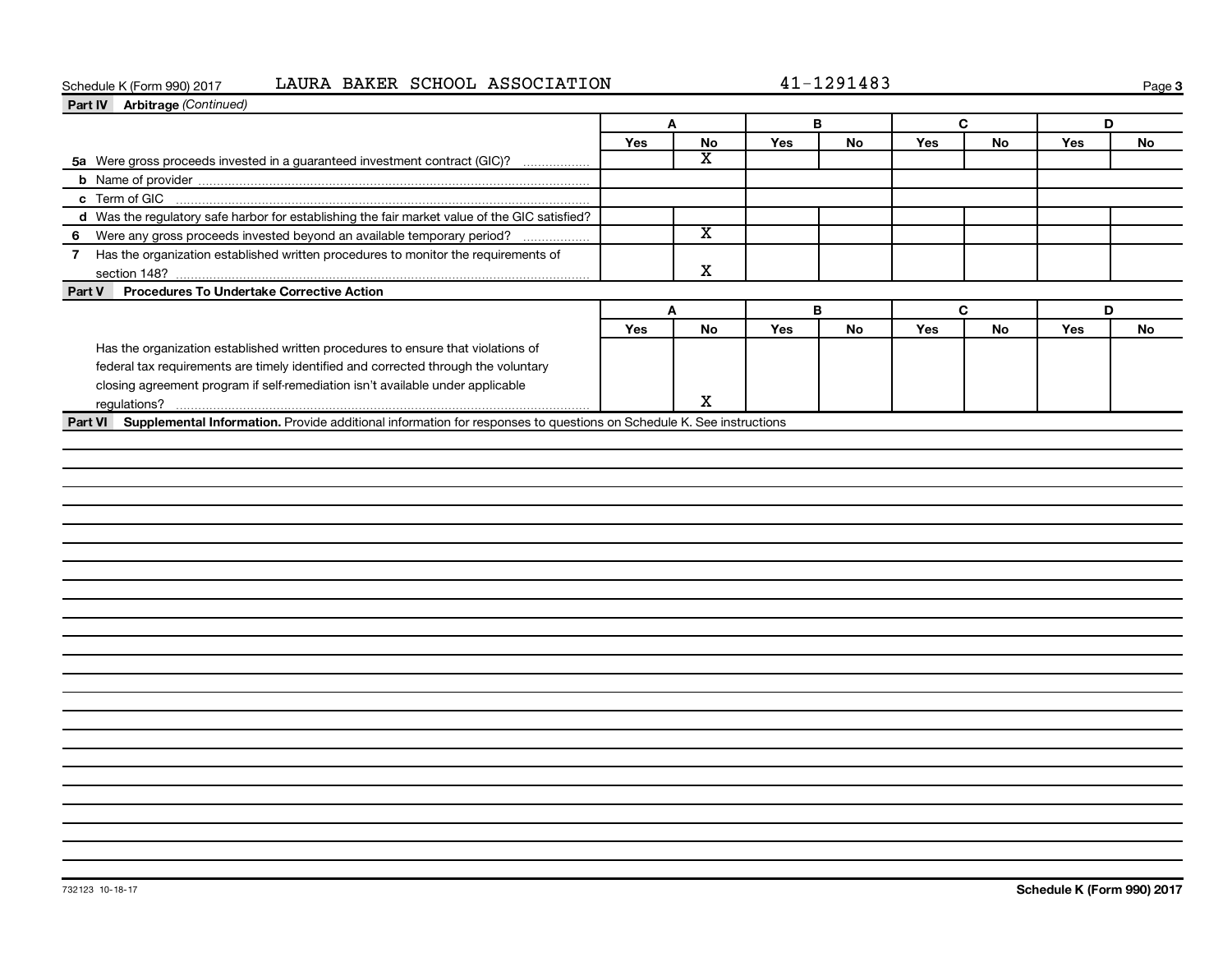#### Schedule K (Form 990) 2017 LAURA BAKER SCHOOL ASSOCIATION  $41-1291483$

| Part IV Arbitrage (Continued)                                                                 |              |                         |     |           |            |           |     |           |
|-----------------------------------------------------------------------------------------------|--------------|-------------------------|-----|-----------|------------|-----------|-----|-----------|
|                                                                                               | $\mathbf{A}$ |                         | B   |           | C          |           | D   |           |
|                                                                                               | Yes          | No                      | Yes | <b>No</b> | <b>Yes</b> | No        | Yes | <b>No</b> |
| 5a Were gross proceeds invested in a guaranteed investment contract (GIC)?                    |              | $\overline{\mathbf{X}}$ |     |           |            |           |     |           |
|                                                                                               |              |                         |     |           |            |           |     |           |
|                                                                                               |              |                         |     |           |            |           |     |           |
| d Was the regulatory safe harbor for establishing the fair market value of the GIC satisfied? |              |                         |     |           |            |           |     |           |
| 6 Were any gross proceeds invested beyond an available temporary period?                      |              | $\overline{\texttt{x}}$ |     |           |            |           |     |           |
| 7 Has the organization established written procedures to monitor the requirements of          |              |                         |     |           |            |           |     |           |
| section 148?                                                                                  |              | X                       |     |           |            |           |     |           |
| <b>Procedures To Undertake Corrective Action</b><br>Part V                                    |              |                         |     |           |            |           |     |           |
|                                                                                               | A            |                         | B   |           |            | C         | D   |           |
|                                                                                               | Yes          | <b>No</b>               | Yes | No        | Yes        | <b>No</b> | Yes | No        |
| Has the organization established written procedures to ensure that violations of              |              |                         |     |           |            |           |     |           |
| federal tax requirements are timely identified and corrected through the voluntary            |              |                         |     |           |            |           |     |           |
| closing agreement program if self-remediation isn't available under applicable                |              |                         |     |           |            |           |     |           |
| regulations?                                                                                  |              | X                       |     |           |            |           |     |           |
|                                                                                               |              |                         |     |           |            |           |     |           |
|                                                                                               |              |                         |     |           |            |           |     |           |
|                                                                                               |              |                         |     |           |            |           |     |           |
|                                                                                               |              |                         |     |           |            |           |     |           |
|                                                                                               |              |                         |     |           |            |           |     |           |
|                                                                                               |              |                         |     |           |            |           |     |           |
|                                                                                               |              |                         |     |           |            |           |     |           |
|                                                                                               |              |                         |     |           |            |           |     |           |
|                                                                                               |              |                         |     |           |            |           |     |           |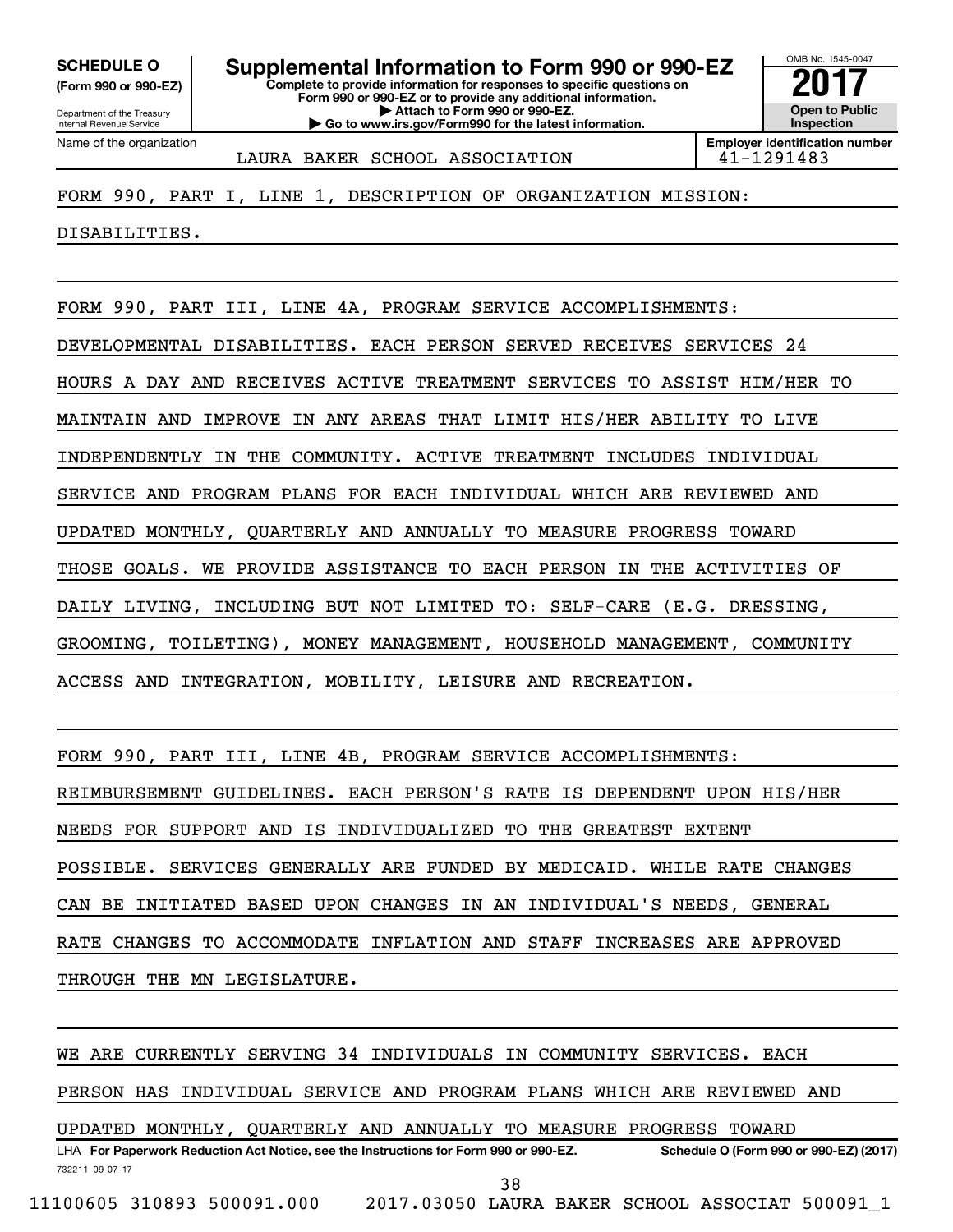**(Form 990 or 990-EZ)**

Name of the organization

Department of the Treasury Internal Revenue Service

**Complete to provide information for responses to specific questions on Form 990 or 990-EZ or to provide any additional information. | Attach to Form 990 or 990-EZ. | Go to www.irs.gov/Form990 for the latest information. SCHEDULE O Supplemental Information to Form 990 or 990-EZ** <br>(Form 990 or 990-EZ) Complete to provide information for responses to specific questions on

OMB No. 1545-0047 **Open to Public Inspection Employer identification number**

LAURA BAKER SCHOOL ASSOCIATION 41-1291483

FORM 990, PART I, LINE 1, DESCRIPTION OF ORGANIZATION MISSION:

DISABILITIES.

FORM 990, PART III, LINE 4A, PROGRAM SERVICE ACCOMPLISHMENTS: DEVELOPMENTAL DISABILITIES. EACH PERSON SERVED RECEIVES SERVICES 24 HOURS A DAY AND RECEIVES ACTIVE TREATMENT SERVICES TO ASSIST HIM/HER TO MAINTAIN AND IMPROVE IN ANY AREAS THAT LIMIT HIS/HER ABILITY TO LIVE INDEPENDENTLY IN THE COMMUNITY. ACTIVE TREATMENT INCLUDES INDIVIDUAL SERVICE AND PROGRAM PLANS FOR EACH INDIVIDUAL WHICH ARE REVIEWED AND UPDATED MONTHLY, QUARTERLY AND ANNUALLY TO MEASURE PROGRESS TOWARD THOSE GOALS. WE PROVIDE ASSISTANCE TO EACH PERSON IN THE ACTIVITIES OF DAILY LIVING, INCLUDING BUT NOT LIMITED TO: SELF-CARE (E.G. DRESSING, GROOMING, TOILETING), MONEY MANAGEMENT, HOUSEHOLD MANAGEMENT, COMMUNITY ACCESS AND INTEGRATION, MOBILITY, LEISURE AND RECREATION.

FORM 990, PART III, LINE 4B, PROGRAM SERVICE ACCOMPLISHMENTS: REIMBURSEMENT GUIDELINES. EACH PERSON'S RATE IS DEPENDENT UPON HIS/HER NEEDS FOR SUPPORT AND IS INDIVIDUALIZED TO THE GREATEST EXTENT

POSSIBLE. SERVICES GENERALLY ARE FUNDED BY MEDICAID. WHILE RATE CHANGES

CAN BE INITIATED BASED UPON CHANGES IN AN INDIVIDUAL'S NEEDS, GENERAL

RATE CHANGES TO ACCOMMODATE INFLATION AND STAFF INCREASES ARE APPROVED

THROUGH THE MN LEGISLATURE.

732211 09-07-17 LHA For Paperwork Reduction Act Notice, see the Instructions for Form 990 or 990-EZ. Schedule O (Form 990 or 990-EZ) (2017) WE ARE CURRENTLY SERVING 34 INDIVIDUALS IN COMMUNITY SERVICES. EACH PERSON HAS INDIVIDUAL SERVICE AND PROGRAM PLANS WHICH ARE REVIEWED AND UPDATED MONTHLY, QUARTERLY AND ANNUALLY TO MEASURE PROGRESS TOWARD 11100605 310893 500091.000 2017.03050 LAURA BAKER SCHOOL ASSOCIAT 500091\_1 38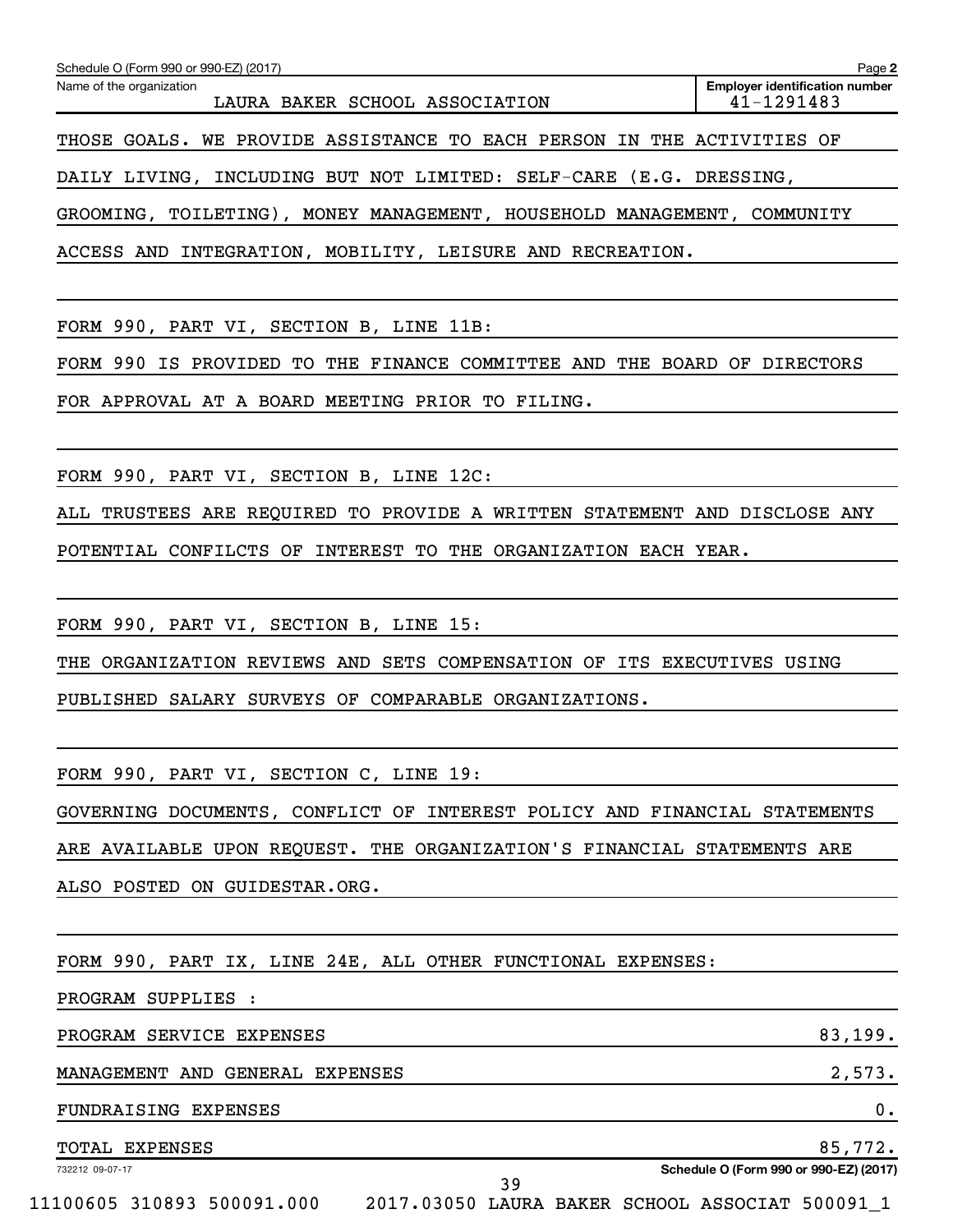| Schedule O (Form 990 or 990-EZ) (2017)                                    | Page 2                                              |
|---------------------------------------------------------------------------|-----------------------------------------------------|
| Name of the organization<br>LAURA BAKER SCHOOL ASSOCIATION                | <b>Employer identification number</b><br>41-1291483 |
| THOSE GOALS. WE PROVIDE ASSISTANCE TO EACH PERSON IN THE ACTIVITIES OF    |                                                     |
| DAILY LIVING, INCLUDING BUT NOT LIMITED: SELF-CARE (E.G. DRESSING,        |                                                     |
| GROOMING, TOILETING), MONEY MANAGEMENT, HOUSEHOLD MANAGEMENT, COMMUNITY   |                                                     |
| ACCESS AND INTEGRATION, MOBILITY, LEISURE AND RECREATION.                 |                                                     |
|                                                                           |                                                     |
| FORM 990, PART VI, SECTION B, LINE 11B:                                   |                                                     |
| FORM 990 IS PROVIDED TO THE FINANCE COMMITTEE AND THE BOARD OF DIRECTORS  |                                                     |
| FOR APPROVAL AT A BOARD MEETING PRIOR TO FILING.                          |                                                     |
|                                                                           |                                                     |
| FORM 990, PART VI, SECTION B, LINE 12C:                                   |                                                     |
| ALL TRUSTEES ARE REQUIRED TO PROVIDE A WRITTEN STATEMENT AND DISCLOSE ANY |                                                     |
| POTENTIAL CONFILCTS OF INTEREST TO THE ORGANIZATION EACH YEAR.            |                                                     |
|                                                                           |                                                     |
| FORM 990, PART VI, SECTION B, LINE 15:                                    |                                                     |
| THE ORGANIZATION REVIEWS AND SETS COMPENSATION OF ITS EXECUTIVES USING    |                                                     |
| PUBLISHED SALARY SURVEYS OF COMPARABLE ORGANIZATIONS.                     |                                                     |
|                                                                           |                                                     |
| FORM 990, PART VI, SECTION C, LINE 19:                                    |                                                     |
| GOVERNING DOCUMENTS, CONFLICT OF INTEREST POLICY AND FINANCIAL STATEMENTS |                                                     |
| ARE AVAILABLE UPON REQUEST. THE ORGANIZATION'S FINANCIAL STATEMENTS ARE   |                                                     |
| ALSO POSTED ON GUIDESTAR.ORG.                                             |                                                     |
|                                                                           |                                                     |
| FORM 990, PART IX, LINE 24E, ALL OTHER FUNCTIONAL EXPENSES:               |                                                     |
| PROGRAM SUPPLIES :                                                        |                                                     |
| PROGRAM SERVICE EXPENSES                                                  | 83,199.                                             |

MANAGEMENT AND GENERAL EXPENSES 2,573.

FUNDRAISING EXPENSES 0.

TOTAL EXPENSES 85,772.

732212 09-07-17

**Schedule O (Form 990 or 990-EZ) (2017)**

39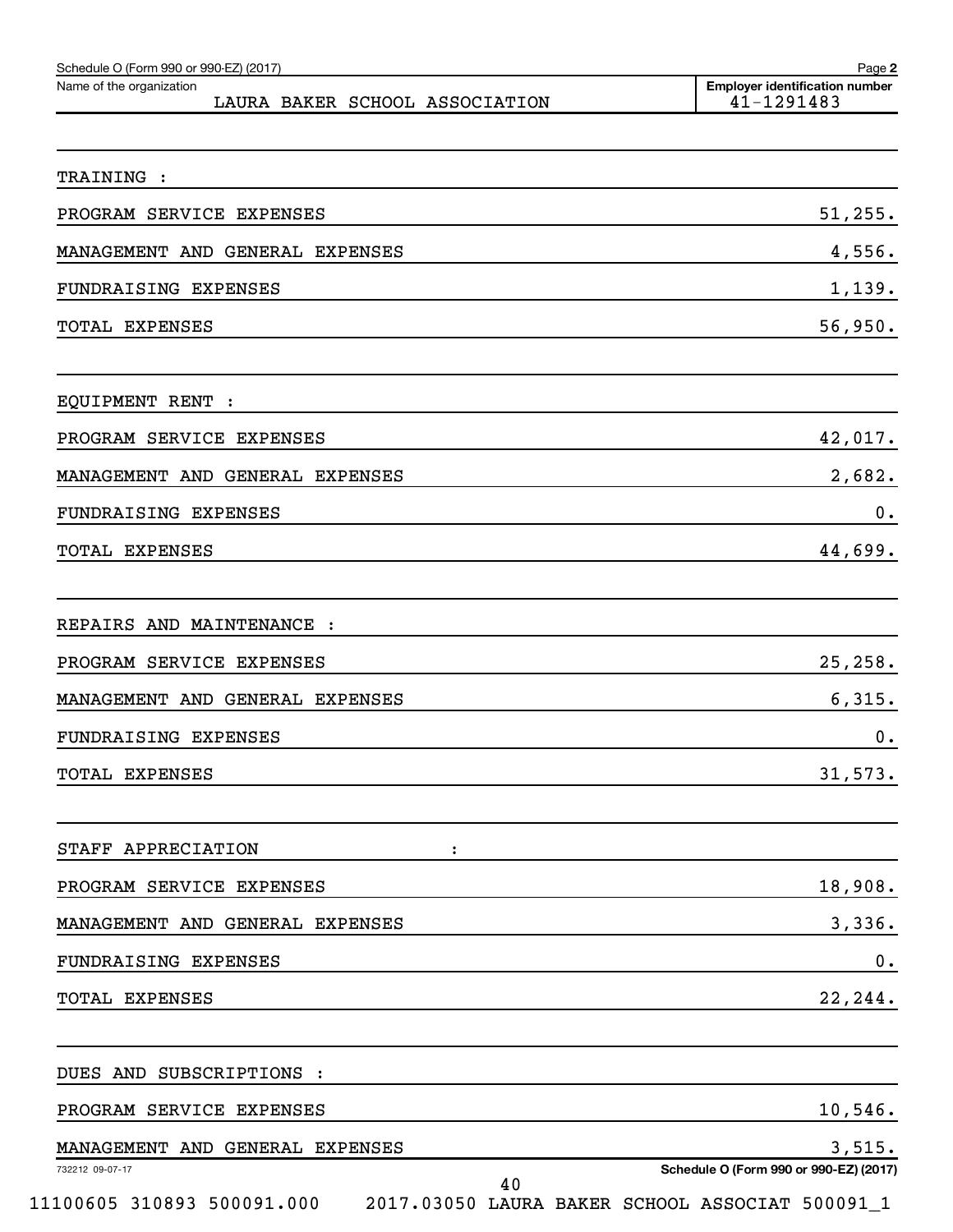| Schedule O (Form 990 or 990-EZ) (2017)<br>Name of the organization | Page 2<br><b>Employer identification number</b>                                           |
|--------------------------------------------------------------------|-------------------------------------------------------------------------------------------|
| LAURA BAKER SCHOOL ASSOCIATION                                     | 41-1291483                                                                                |
| TRAINING :                                                         |                                                                                           |
| PROGRAM SERVICE EXPENSES                                           | 51, 255.                                                                                  |
| MANAGEMENT AND GENERAL EXPENSES                                    | 4,556.                                                                                    |
| FUNDRAISING EXPENSES                                               | 1,139.                                                                                    |
| <b>TOTAL EXPENSES</b>                                              | 56,950.                                                                                   |
| EQUIPMENT RENT :                                                   |                                                                                           |
| PROGRAM SERVICE EXPENSES                                           | 42,017.                                                                                   |
| MANAGEMENT AND GENERAL EXPENSES                                    | 2,682.                                                                                    |
| FUNDRAISING EXPENSES                                               | 0.                                                                                        |
| TOTAL EXPENSES                                                     | 44,699.                                                                                   |
| REPAIRS AND MAINTENANCE :                                          |                                                                                           |
| PROGRAM SERVICE EXPENSES                                           | 25, 258.                                                                                  |
| MANAGEMENT AND GENERAL EXPENSES                                    | 6,315.                                                                                    |
| FUNDRAISING EXPENSES                                               | 0.                                                                                        |
| <b>TOTAL EXPENSES</b>                                              | 31,573.                                                                                   |
| STAFF APPRECIATION                                                 |                                                                                           |
| PROGRAM SERVICE EXPENSES                                           | 18,908.                                                                                   |
| MANAGEMENT AND GENERAL EXPENSES                                    | 3,336.                                                                                    |
| FUNDRAISING EXPENSES                                               | 0.                                                                                        |
| TOTAL EXPENSES                                                     | 22,244.                                                                                   |
| DUES AND SUBSCRIPTIONS :                                           |                                                                                           |
| PROGRAM SERVICE EXPENSES                                           | 10,546.                                                                                   |
| MANAGEMENT AND GENERAL EXPENSES                                    | 3,515.                                                                                    |
| 732212 09-07-17<br>40<br>11100605 310893 500091.000                | Schedule O (Form 990 or 990-EZ) (2017)<br>2017.03050 LAURA BAKER SCHOOL ASSOCIAT 500091_1 |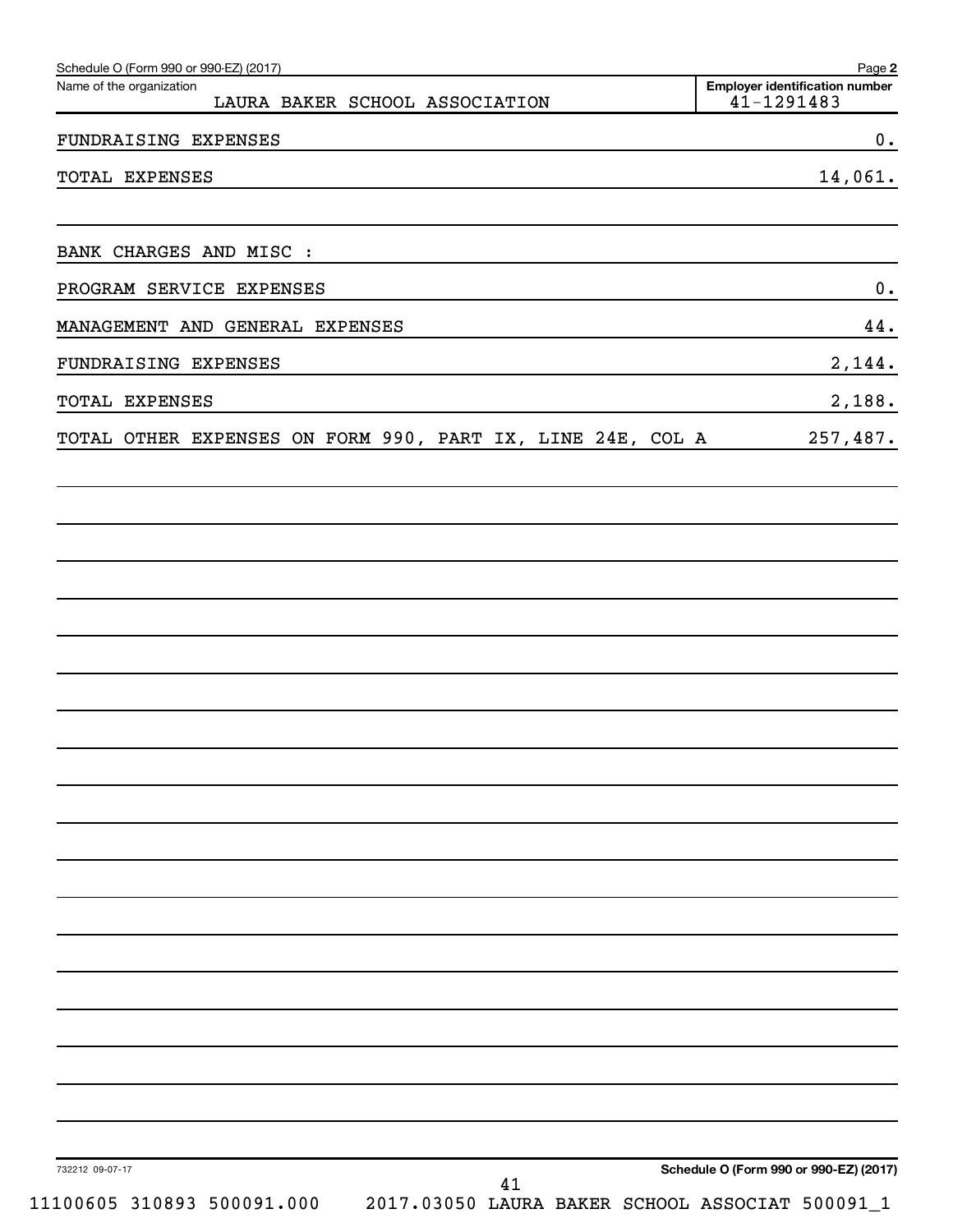| Schedule O (Form 990 or 990-EZ) (2017)<br>Name of the organization<br>LAURA BAKER SCHOOL ASSOCIATION                                                                                                                                                     | Page 2<br><b>Employer identification number</b><br>41-1291483 |
|----------------------------------------------------------------------------------------------------------------------------------------------------------------------------------------------------------------------------------------------------------|---------------------------------------------------------------|
| FUNDRAISING EXPENSES<br>the control of the control of the control of the control of the control of the control of the control of the control of the control of the control of the control of the control of the control of the control of the control    | 0.                                                            |
| TOTAL EXPENSES<br>the control of the control of the control of the control of the control of the control of the control of the control of the control of the control of the control of the control of the control of the control of the control          | 14,061.                                                       |
| BANK CHARGES AND MISC :<br>the control of the control of the control of the control of the control of the control of the control of the control of the control of the control of the control of the control of the control of the control of the control |                                                               |
| PROGRAM SERVICE EXPENSES<br><u> 1980 - Andrea Brazilia, politikar esperantor estatuba estatuba estatuba estatuba estatuba estatuba estatuba e</u>                                                                                                        | 0.                                                            |
| MANAGEMENT AND GENERAL EXPENSES                                                                                                                                                                                                                          | 44.                                                           |
| FUNDRAISING EXPENSES                                                                                                                                                                                                                                     | 2,144.                                                        |
| TOTAL EXPENSES<br><u> 1989 - Johann Stoff, deutscher Stoffen und der Stoffen und der Stoffen und der Stoffen und der Stoffen und der</u>                                                                                                                 | 2,188.                                                        |
| TOTAL OTHER EXPENSES ON FORM 990, PART IX, LINE 24E, COL A                                                                                                                                                                                               | 257,487.                                                      |
|                                                                                                                                                                                                                                                          |                                                               |
|                                                                                                                                                                                                                                                          |                                                               |
|                                                                                                                                                                                                                                                          |                                                               |
|                                                                                                                                                                                                                                                          |                                                               |
|                                                                                                                                                                                                                                                          |                                                               |
|                                                                                                                                                                                                                                                          |                                                               |
|                                                                                                                                                                                                                                                          |                                                               |
|                                                                                                                                                                                                                                                          |                                                               |
|                                                                                                                                                                                                                                                          |                                                               |
| 732212 09-07-17                                                                                                                                                                                                                                          | Schedule O (Form 990 or 990-EZ) (2017)                        |
| 41<br>11100605 310893 500091.000<br>2017.03050 LAURA BAKER SCHOOL ASSOCIAT 500091_1                                                                                                                                                                      |                                                               |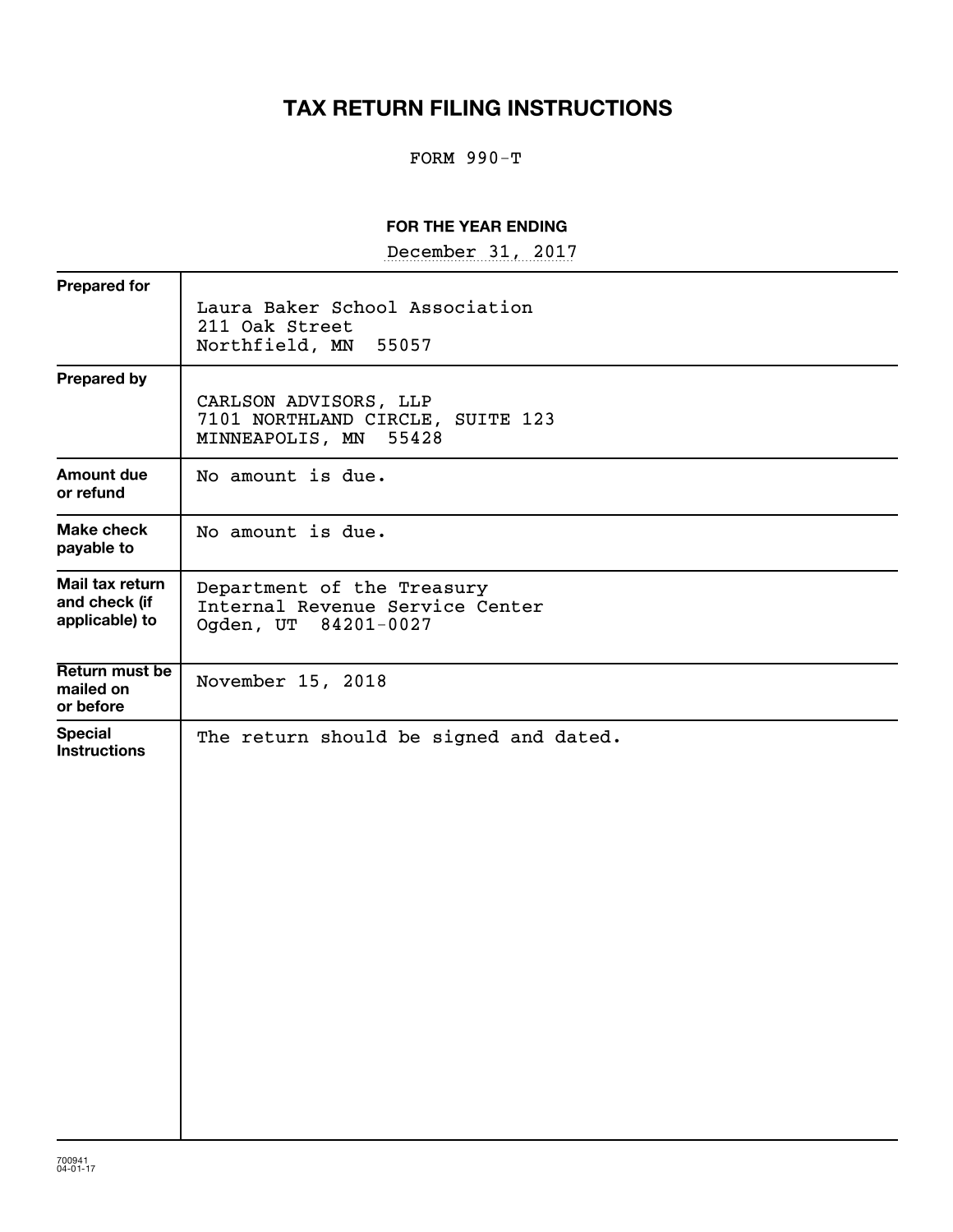# **TAX RETURN FILING INSTRUCTIONS**

## FORM 990-T

### **FOR THE YEAR ENDING**

December 31, 2017

| <b>Prepared for</b>                                |                                                                                       |
|----------------------------------------------------|---------------------------------------------------------------------------------------|
|                                                    | Laura Baker School Association<br>211 Oak Street                                      |
|                                                    | Northfield, MN<br>55057                                                               |
| <b>Prepared by</b>                                 |                                                                                       |
|                                                    | CARLSON ADVISORS, LLP<br>7101 NORTHLAND CIRCLE, SUITE 123<br>55428<br>MINNEAPOLIS, MN |
| Amount due<br>or refund                            | No amount is due.                                                                     |
| <b>Make check</b><br>payable to                    | No amount is due.                                                                     |
| Mail tax return<br>and check (if<br>applicable) to | Department of the Treasury<br>Internal Revenue Service Center<br>Ogden, UT 84201-0027 |
|                                                    |                                                                                       |
| Return must be<br>mailed on<br>or before           | November 15, 2018                                                                     |
| <b>Special</b><br><b>Instructions</b>              | The return should be signed and dated.                                                |
|                                                    |                                                                                       |
|                                                    |                                                                                       |
|                                                    |                                                                                       |
|                                                    |                                                                                       |
|                                                    |                                                                                       |
|                                                    |                                                                                       |
|                                                    |                                                                                       |
|                                                    |                                                                                       |
|                                                    |                                                                                       |
|                                                    |                                                                                       |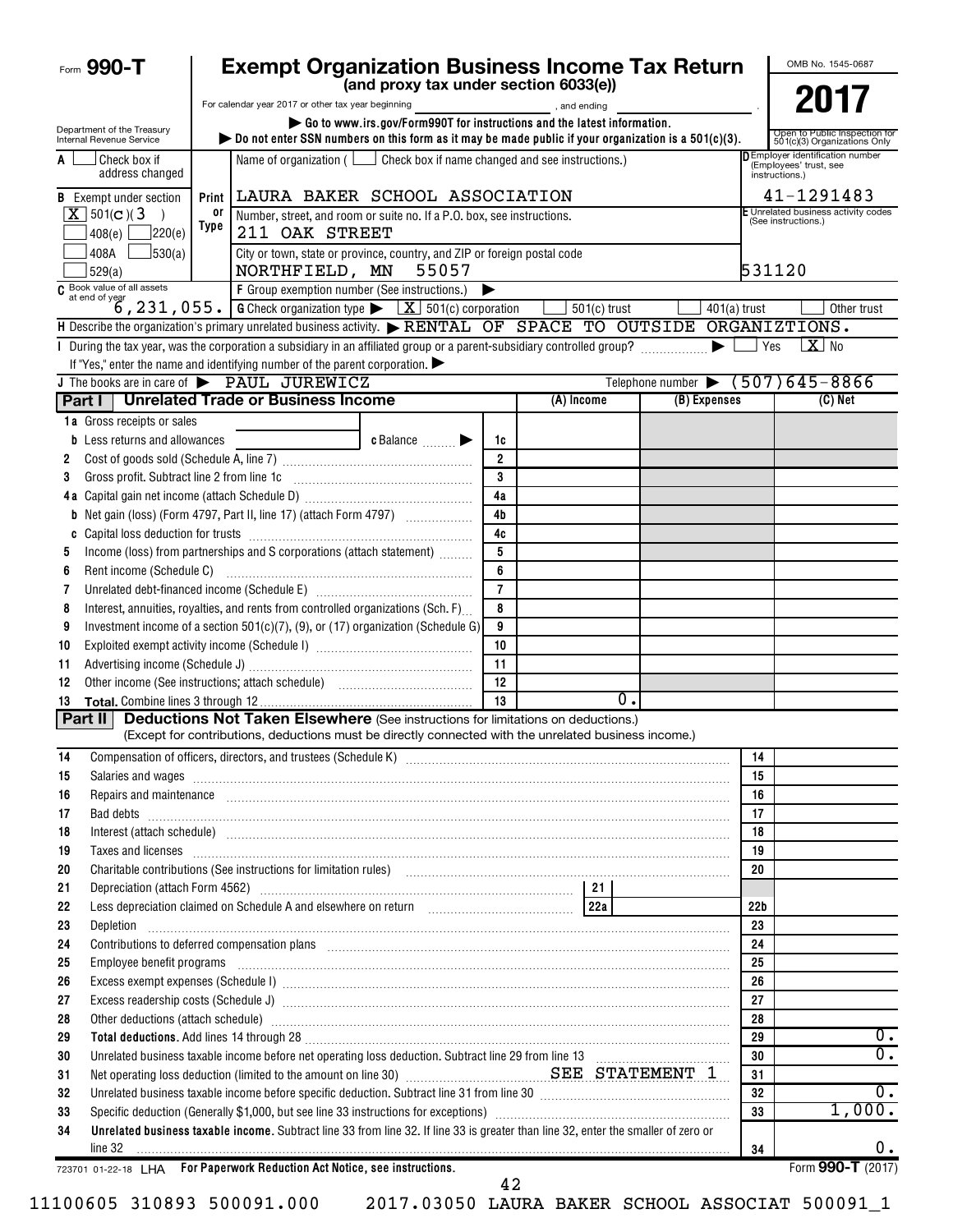| Form 990-T                                             |       | <b>Exempt Organization Business Income Tax Return</b>                                                                                                                                                                                        |                |                                                                                     |                                          |                 | OMB No. 1545-0687                                            |
|--------------------------------------------------------|-------|----------------------------------------------------------------------------------------------------------------------------------------------------------------------------------------------------------------------------------------------|----------------|-------------------------------------------------------------------------------------|------------------------------------------|-----------------|--------------------------------------------------------------|
|                                                        |       | (and proxy tax under section 6033(e))                                                                                                                                                                                                        |                |                                                                                     |                                          |                 |                                                              |
|                                                        |       | For calendar year 2017 or other tax year beginning                                                                                                                                                                                           |                | and ending, and ending                                                              |                                          |                 | 2017                                                         |
| Department of the Treasury<br>Internal Revenue Service |       | Go to www.irs.gov/Form990T for instructions and the latest information.<br>bo not enter SSN numbers on this form as it may be made public if your organization is a $501(c)(3)$ .                                                            |                |                                                                                     |                                          |                 | Open to Public Inspection fo<br>501(c)(3) Organizations Only |
| Check box if<br>A<br>address changed                   |       | Name of organization ( $\Box$ Check box if name changed and see instructions.)                                                                                                                                                               |                | <b>D</b> Employer identification number<br>(Employees' trust, see<br>instructions.) |                                          |                 |                                                              |
| <b>B</b> Exempt under section                          | Print | LAURA BAKER SCHOOL ASSOCIATION                                                                                                                                                                                                               |                | 41-1291483                                                                          |                                          |                 |                                                              |
| $X$ 501(c)(3)<br>$\rightarrow$                         | 0ľ    | Number, street, and room or suite no. If a P.O. box, see instructions.                                                                                                                                                                       |                |                                                                                     |                                          |                 | E Unrelated business activity codes<br>(See instructions.)   |
| ]220(e)<br>408(e)                                      | Type  | 211 OAK STREET                                                                                                                                                                                                                               |                |                                                                                     |                                          |                 |                                                              |
| 408A<br>J530(a)<br>529(a)                              |       | City or town, state or province, country, and ZIP or foreign postal code<br>NORTHFIELD, MN 55057                                                                                                                                             |                | 531120                                                                              |                                          |                 |                                                              |
|                                                        |       |                                                                                                                                                                                                                                              |                |                                                                                     |                                          |                 |                                                              |
|                                                        |       | $\overline{c}$ Book value of all assets<br>$\overline{c}$ at end of year<br>$\overline{6}$ , 231, 055. G Check organization type $\overline{K}$ $\overline{2}$ 501(c) corporation                                                            |                | $501(c)$ trust                                                                      | $401(a)$ trust                           |                 | Other trust                                                  |
|                                                        |       | H Describe the organization's primary unrelated business activity. RENTAL OF SPACE TO OUTSIDE ORGANIZTIONS.                                                                                                                                  |                |                                                                                     |                                          |                 |                                                              |
|                                                        |       |                                                                                                                                                                                                                                              |                |                                                                                     |                                          | Yes             | $X$ No                                                       |
|                                                        |       | If "Yes," enter the name and identifying number of the parent corporation. $\blacktriangleright$                                                                                                                                             |                |                                                                                     |                                          |                 |                                                              |
|                                                        |       | J The books are in care of PAUL JUREWICZ                                                                                                                                                                                                     |                |                                                                                     | Telephone number $\bullet$ (507)645-8866 |                 |                                                              |
|                                                        |       | Part I   Unrelated Trade or Business Income                                                                                                                                                                                                  |                | (A) Income                                                                          | (B) Expenses                             |                 | $(C)$ Net                                                    |
| 1a Gross receipts or sales                             |       |                                                                                                                                                                                                                                              |                |                                                                                     |                                          |                 |                                                              |
| Less returns and allowances<br>b                       |       | c Balance                                                                                                                                                                                                                                    | 1c             |                                                                                     |                                          |                 |                                                              |
| 2                                                      |       |                                                                                                                                                                                                                                              | $\overline{2}$ |                                                                                     |                                          |                 |                                                              |
| Gross profit. Subtract line 2 from line 1c<br>3        |       |                                                                                                                                                                                                                                              | 3<br>4a        |                                                                                     |                                          |                 |                                                              |
| b                                                      |       | Net gain (loss) (Form 4797, Part II, line 17) (attach Form 4797)                                                                                                                                                                             | 4 <sub>b</sub> |                                                                                     |                                          |                 |                                                              |
| C                                                      |       |                                                                                                                                                                                                                                              | 4c             |                                                                                     |                                          |                 |                                                              |
| 5                                                      |       | Income (loss) from partnerships and S corporations (attach statement)                                                                                                                                                                        | 5              |                                                                                     |                                          |                 |                                                              |
| Rent income (Schedule C)<br>6                          |       |                                                                                                                                                                                                                                              |                |                                                                                     |                                          |                 |                                                              |
| 7                                                      |       |                                                                                                                                                                                                                                              | $\overline{7}$ |                                                                                     |                                          |                 |                                                              |
| 8                                                      |       | Interest, annuities, royalties, and rents from controlled organizations (Sch. F)                                                                                                                                                             | 8              |                                                                                     |                                          |                 |                                                              |
| 9                                                      |       | Investment income of a section $501(c)(7)$ , (9), or (17) organization (Schedule G)                                                                                                                                                          | 9              |                                                                                     |                                          |                 |                                                              |
| 10                                                     |       |                                                                                                                                                                                                                                              | 10             |                                                                                     |                                          |                 |                                                              |
| 11                                                     |       |                                                                                                                                                                                                                                              | 11             |                                                                                     |                                          |                 |                                                              |
| 12                                                     |       |                                                                                                                                                                                                                                              | 12             |                                                                                     |                                          |                 |                                                              |
| 13<br>Part II                                          |       |                                                                                                                                                                                                                                              | 13             | 0.                                                                                  |                                          |                 |                                                              |
|                                                        |       | <b>Deductions Not Taken Elsewhere</b> (See instructions for limitations on deductions.)<br>(Except for contributions, deductions must be directly connected with the unrelated business income.)                                             |                |                                                                                     |                                          |                 |                                                              |
| 14                                                     |       |                                                                                                                                                                                                                                              |                |                                                                                     |                                          | 14              |                                                              |
| 15                                                     |       | Salaries and wages <b>construction and construction of the construction</b> and wages <b>construction</b> and wages <b>construction and construction</b> and construction of the construction of the construction of the construction of the |                |                                                                                     |                                          | 15              |                                                              |
| 16                                                     |       | Repairs and maintenance <i>maintenance</i> and contained and anti-                                                                                                                                                                           |                |                                                                                     |                                          | 16              |                                                              |
| 17                                                     |       | Bad debts <b>www.communities.communities.communities.com</b>                                                                                                                                                                                 |                |                                                                                     |                                          | 17              |                                                              |
| 18                                                     |       | Interest (attach schedule) www.communications.communications.com/www.communications.com/www.communications.com                                                                                                                               |                |                                                                                     |                                          | 18              |                                                              |
| Taxes and licenses<br>19                               |       |                                                                                                                                                                                                                                              |                |                                                                                     |                                          | 19              |                                                              |
| 20                                                     |       | Charitable contributions (See instructions for limitation rules) [11] manufacture contractions are contributions (See instructions for limitation rules)                                                                                     |                |                                                                                     |                                          | 20              |                                                              |
| 21                                                     |       |                                                                                                                                                                                                                                              |                |                                                                                     |                                          |                 |                                                              |
| 22                                                     |       | Less depreciation claimed on Schedule A and elsewhere on return [22] [22] [22]                                                                                                                                                               |                |                                                                                     |                                          | 22 <sub>b</sub> |                                                              |
| 23<br>Depletion<br>24                                  |       |                                                                                                                                                                                                                                              |                |                                                                                     |                                          | 23<br>24        |                                                              |
| 25                                                     |       | Employee benefit programs including the contract of the contract of the contract of the contract of the contract of the contract of the contract of the contract of the contract of the contract of the contract of the contra               |                |                                                                                     |                                          | 25              |                                                              |
| 26                                                     |       |                                                                                                                                                                                                                                              |                |                                                                                     |                                          | 26              |                                                              |
| 27                                                     |       |                                                                                                                                                                                                                                              |                |                                                                                     |                                          | 27              |                                                              |
| 28                                                     |       | Other deductions (attach schedule) manufactured and contract the schedule of the schedule of the schedule of the schedule of the schedule of the schedule of the schedule of the schedule of the schedule of the schedule of t               |                |                                                                                     |                                          | 28              |                                                              |
| 29                                                     |       |                                                                                                                                                                                                                                              |                |                                                                                     |                                          | 29              | 0.                                                           |
| 30                                                     |       | Unrelated business taxable income before net operating loss deduction. Subtract line 29 from line 13 [111] [120] [120] [120] [120] [120] [120] [120] [120] [120] [120] [120] [120] [120] [120] [120] [120] [120] [120] [120] [               |                |                                                                                     |                                          | 30              | $\overline{0}$ .                                             |
| 31                                                     |       | Net operating loss deduction (limited to the amount on line 30) <b>Manual Construction SEE STATEMENT 1</b>                                                                                                                                   |                |                                                                                     |                                          | 31              |                                                              |
| 32                                                     |       | Unrelated business taxable income before specific deduction. Subtract line 31 from line 30 [11] [11] Unrelated business taxable income before specific deduction. Subtract line 31 from line 30 [11] [12] $\cdot$                            |                |                                                                                     |                                          | 32              | 0.                                                           |
| 33                                                     |       |                                                                                                                                                                                                                                              |                |                                                                                     |                                          | 33              | 1,000.                                                       |
| 34<br>line 32                                          |       | Unrelated business taxable income. Subtract line 33 from line 32. If line 33 is greater than line 32, enter the smaller of zero or                                                                                                           |                |                                                                                     |                                          | 34              | Ο.                                                           |
|                                                        |       | 723701 01-22-18 LHA For Paperwork Reduction Act Notice, see instructions.                                                                                                                                                                    |                |                                                                                     |                                          |                 | Form 990-T (2017)                                            |
|                                                        |       |                                                                                                                                                                                                                                              | 42             |                                                                                     |                                          |                 |                                                              |

| 11100605 310893 500091.00 |  |  |  |  |  |
|---------------------------|--|--|--|--|--|
|---------------------------|--|--|--|--|--|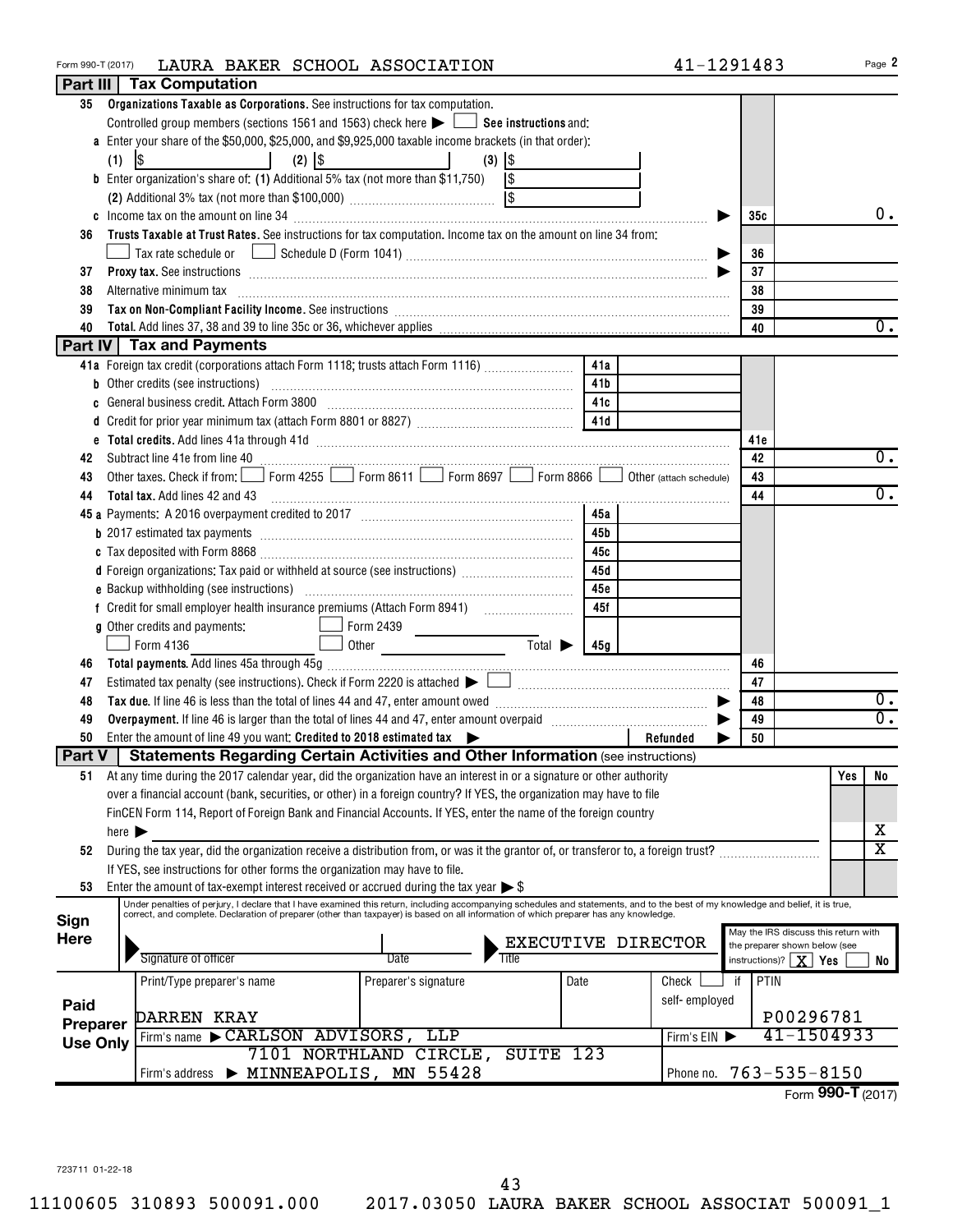| Form 990-T (2017) |                            | LAURA BAKER SCHOOL ASSOCIATION                                                                                                                                                                                                                                                          |              |                                  |                             |                 | 41-1291483              |                  |                                      |     | Page 2                  |
|-------------------|----------------------------|-----------------------------------------------------------------------------------------------------------------------------------------------------------------------------------------------------------------------------------------------------------------------------------------|--------------|----------------------------------|-----------------------------|-----------------|-------------------------|------------------|--------------------------------------|-----|-------------------------|
|                   |                            | <b>Part III   Tax Computation</b>                                                                                                                                                                                                                                                       |              |                                  |                             |                 |                         |                  |                                      |     |                         |
| 35                |                            | Organizations Taxable as Corporations. See instructions for tax computation.                                                                                                                                                                                                            |              |                                  |                             |                 |                         |                  |                                      |     |                         |
|                   |                            | Controlled group members (sections 1561 and 1563) check here $\blacktriangleright$ $\Box$ See instructions and:                                                                                                                                                                         |              |                                  |                             |                 |                         |                  |                                      |     |                         |
|                   |                            | a Enter your share of the \$50,000, \$25,000, and \$9,925,000 taxable income brackets (in that order):                                                                                                                                                                                  |              |                                  |                             |                 |                         |                  |                                      |     |                         |
|                   | (1)                        | $\lvert \mathcal{S} \rvert$                                                                                                                                                                                                                                                             | $(2)$ $ $ \$ | $(3)$ $ $ \$                     |                             |                 |                         |                  |                                      |     |                         |
|                   |                            | <b>b</b> Enter organization's share of: (1) Additional 5% tax (not more than \$11,750) $\sqrt{\$}$                                                                                                                                                                                      |              |                                  |                             |                 |                         |                  |                                      |     |                         |
|                   |                            |                                                                                                                                                                                                                                                                                         |              |                                  |                             |                 |                         |                  |                                      |     |                         |
|                   |                            |                                                                                                                                                                                                                                                                                         |              |                                  |                             |                 |                         | 35с              |                                      |     | 0.                      |
| 36                |                            | Trusts Taxable at Trust Rates. See instructions for tax computation. Income tax on the amount on line 34 from:                                                                                                                                                                          |              |                                  |                             |                 |                         |                  |                                      |     |                         |
|                   |                            |                                                                                                                                                                                                                                                                                         |              |                                  |                             |                 |                         | 36               |                                      |     |                         |
| 37                |                            | <b>Proxy tax.</b> See instructions <b>constructions b</b>                                                                                                                                                                                                                               |              |                                  |                             |                 |                         | 37               |                                      |     |                         |
| 38                |                            | Alternative minimum tax                                                                                                                                                                                                                                                                 |              |                                  |                             |                 |                         | 38               |                                      |     |                         |
| 39                |                            |                                                                                                                                                                                                                                                                                         |              |                                  |                             |                 |                         | 39               |                                      |     |                         |
| 40                |                            |                                                                                                                                                                                                                                                                                         |              |                                  |                             |                 |                         | 40               |                                      |     | $0$ .                   |
|                   |                            | <b>Part IV Tax and Payments</b>                                                                                                                                                                                                                                                         |              |                                  |                             |                 |                         |                  |                                      |     |                         |
|                   |                            | 41a Foreign tax credit (corporations attach Form 1118; trusts attach Form 1116) [                                                                                                                                                                                                       |              |                                  |                             | 41a             |                         |                  |                                      |     |                         |
|                   |                            |                                                                                                                                                                                                                                                                                         |              |                                  |                             |                 |                         |                  |                                      |     |                         |
|                   |                            | <b>b</b> Other credits (see instructions)                                                                                                                                                                                                                                               |              |                                  |                             | 41 <sub>b</sub> |                         |                  |                                      |     |                         |
| c                 |                            | General business credit. Attach Form 3800 [11] [11] Contract the series of the series of the series of the series in the series of the series of the series of the series of the series of the series of the series of the ser                                                          |              |                                  |                             | 41 c            |                         |                  |                                      |     |                         |
|                   |                            |                                                                                                                                                                                                                                                                                         |              |                                  |                             |                 |                         |                  |                                      |     |                         |
|                   |                            |                                                                                                                                                                                                                                                                                         |              |                                  |                             |                 |                         | 41e              |                                      |     |                         |
| 42                |                            | Subtract line 41e from line 40 <b>manually constant and construct the first of the from line 41</b>                                                                                                                                                                                     |              |                                  |                             |                 |                         | 42               |                                      |     | $\overline{0}$ .        |
| 43                |                            | Other taxes. Check if from: Form 4255 Form 8611 Form 8697 Form 8866                                                                                                                                                                                                                     |              |                                  |                             |                 | Other (attach schedule) | 43               |                                      |     |                         |
| 44                |                            | <b>Total tax.</b> Add lines 42 and 43                                                                                                                                                                                                                                                   |              |                                  |                             |                 |                         | 44               |                                      |     | $\overline{0}$ .        |
|                   |                            |                                                                                                                                                                                                                                                                                         |              |                                  |                             | 45a             |                         |                  |                                      |     |                         |
|                   |                            |                                                                                                                                                                                                                                                                                         |              |                                  |                             | 45b             |                         |                  |                                      |     |                         |
|                   |                            |                                                                                                                                                                                                                                                                                         |              |                                  |                             | 45с             |                         |                  |                                      |     |                         |
|                   |                            | d Foreign organizations: Tax paid or withheld at source (see instructions)                                                                                                                                                                                                              |              |                                  |                             | 45d             |                         |                  |                                      |     |                         |
|                   |                            |                                                                                                                                                                                                                                                                                         |              |                                  |                             | 45e             |                         |                  |                                      |     |                         |
|                   |                            |                                                                                                                                                                                                                                                                                         |              |                                  |                             | 45f             |                         |                  |                                      |     |                         |
|                   |                            | g Other credits and payments:                                                                                                                                                                                                                                                           | Form 2439    |                                  |                             |                 |                         |                  |                                      |     |                         |
|                   |                            | Form 4136                                                                                                                                                                                                                                                                               |              |                                  | $\overline{\mathrm{Total}}$ | 45g             |                         |                  |                                      |     |                         |
| 46                |                            |                                                                                                                                                                                                                                                                                         |              |                                  |                             |                 |                         | 46               |                                      |     |                         |
| 47                |                            |                                                                                                                                                                                                                                                                                         |              |                                  |                             |                 |                         | 47               |                                      |     |                         |
| 48                |                            |                                                                                                                                                                                                                                                                                         |              |                                  |                             |                 |                         | 48               |                                      |     | $0 \cdot$               |
| 49                |                            |                                                                                                                                                                                                                                                                                         |              |                                  |                             |                 |                         | 49               |                                      |     | $\overline{0}$ .        |
| 50                |                            | Enter the amount of line 49 you want: Credited to 2018 estimated tax $\blacktriangleright$                                                                                                                                                                                              |              |                                  |                             |                 | Refunded                | 50               |                                      |     |                         |
| <b>Part V</b>     |                            | <b>Statements Regarding Certain Activities and Other Information (see instructions)</b>                                                                                                                                                                                                 |              |                                  |                             |                 |                         |                  |                                      |     |                         |
| 51                |                            | At any time during the 2017 calendar year, did the organization have an interest in or a signature or other authority                                                                                                                                                                   |              |                                  |                             |                 |                         |                  |                                      | Yes | No                      |
|                   |                            | over a financial account (bank, securities, or other) in a foreign country? If YES, the organization may have to file                                                                                                                                                                   |              |                                  |                             |                 |                         |                  |                                      |     |                         |
|                   |                            | FinCEN Form 114, Report of Foreign Bank and Financial Accounts. If YES, enter the name of the foreign country                                                                                                                                                                           |              |                                  |                             |                 |                         |                  |                                      |     |                         |
|                   | here $\blacktriangleright$ |                                                                                                                                                                                                                                                                                         |              |                                  |                             |                 |                         |                  |                                      |     | х                       |
|                   |                            |                                                                                                                                                                                                                                                                                         |              |                                  |                             |                 |                         |                  |                                      |     | $\overline{\mathtt{x}}$ |
| 52                |                            | During the tax year, did the organization receive a distribution from, or was it the grantor of, or transferor to, a foreign trust?                                                                                                                                                     |              |                                  |                             |                 |                         |                  |                                      |     |                         |
|                   |                            | If YES, see instructions for other forms the organization may have to file.                                                                                                                                                                                                             |              |                                  |                             |                 |                         |                  |                                      |     |                         |
| 53                |                            | Enter the amount of tax-exempt interest received or accrued during the tax year $\triangleright$ \$<br>Under penalties of perjury, I declare that I have examined this return, including accompanying schedules and statements, and to the best of my knowledge and belief, it is true, |              |                                  |                             |                 |                         |                  |                                      |     |                         |
| Sign              |                            | correct, and complete. Declaration of preparer (other than taxpayer) is based on all information of which preparer has any knowledge.                                                                                                                                                   |              |                                  |                             |                 |                         |                  |                                      |     |                         |
| Here              |                            |                                                                                                                                                                                                                                                                                         |              |                                  |                             |                 |                         |                  | May the IRS discuss this return with |     |                         |
|                   |                            | Signature of officer                                                                                                                                                                                                                                                                    | Date         | Title                            |                             |                 | EXECUTIVE DIRECTOR      |                  | the preparer shown below (see        |     |                         |
|                   |                            |                                                                                                                                                                                                                                                                                         |              |                                  |                             |                 |                         | $instructions$ ? | ΧI<br>Yes                            |     | No                      |
|                   |                            | Print/Type preparer's name                                                                                                                                                                                                                                                              |              | Preparer's signature             |                             | Date            | Check                   | PTIN<br>if       |                                      |     |                         |
| Paid              |                            |                                                                                                                                                                                                                                                                                         |              |                                  |                             |                 | self-employed           |                  |                                      |     |                         |
| Preparer          |                            | <b>DARREN KRAY</b>                                                                                                                                                                                                                                                                      |              |                                  |                             |                 |                         |                  | P00296781                            |     |                         |
| <b>Use Only</b>   |                            | Firm's name CARLSON ADVISORS,                                                                                                                                                                                                                                                           |              | LLP                              |                             |                 | Firm's EIN              |                  | 41-1504933                           |     |                         |
|                   |                            |                                                                                                                                                                                                                                                                                         |              | 7101 NORTHLAND CIRCLE, SUITE 123 |                             |                 |                         |                  |                                      |     |                         |
|                   |                            | Firm's address > MINNEAPOLIS, MN 55428                                                                                                                                                                                                                                                  |              |                                  |                             |                 | Phone no.               |                  | $763 - 535 - 8150$                   |     |                         |
|                   |                            |                                                                                                                                                                                                                                                                                         |              |                                  |                             |                 |                         |                  | Form 990-T (2017)                    |     |                         |

723711 01-22-18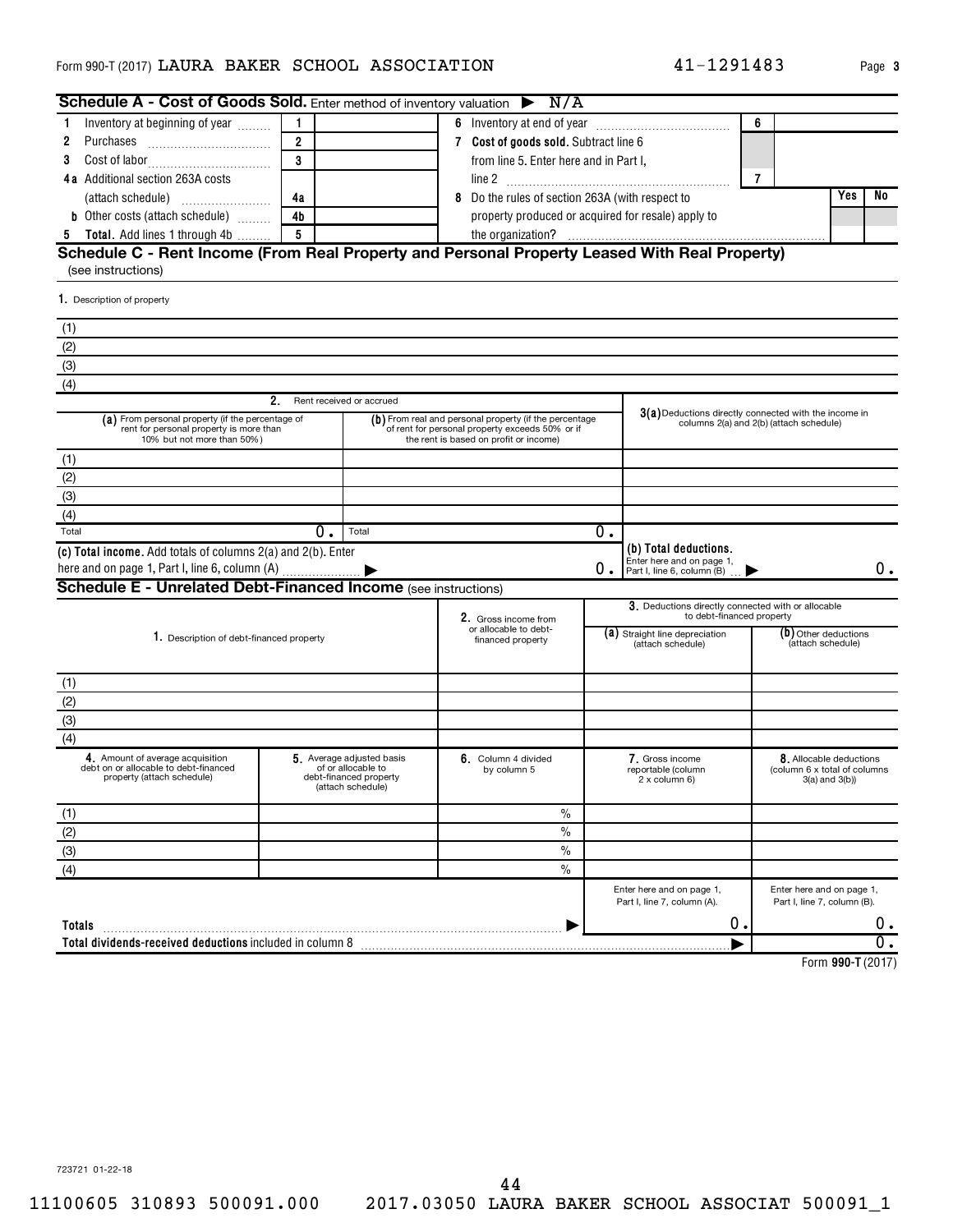| Schedule A - Cost of Goods Sold. Enter method of inventory valuation $\triangleright$ N/A                                 |                             |                                                                                                                                                     |                                                                                                    |                                                                    |                  |                                                                                  |                |                                                                              |    |
|---------------------------------------------------------------------------------------------------------------------------|-----------------------------|-----------------------------------------------------------------------------------------------------------------------------------------------------|----------------------------------------------------------------------------------------------------|--------------------------------------------------------------------|------------------|----------------------------------------------------------------------------------|----------------|------------------------------------------------------------------------------|----|
| Inventory at beginning of year<br>-1                                                                                      | $\overline{1}$              |                                                                                                                                                     |                                                                                                    |                                                                    |                  |                                                                                  | 6              |                                                                              |    |
| 2<br>Purchases                                                                                                            | $\overline{2}$              |                                                                                                                                                     |                                                                                                    | 7 Cost of goods sold. Subtract line 6                              |                  |                                                                                  |                |                                                                              |    |
| 3                                                                                                                         | 3                           |                                                                                                                                                     |                                                                                                    | from line 5. Enter here and in Part I,                             |                  |                                                                                  |                |                                                                              |    |
| 4a Additional section 263A costs                                                                                          |                             |                                                                                                                                                     |                                                                                                    |                                                                    |                  |                                                                                  | $\overline{7}$ |                                                                              |    |
|                                                                                                                           | 4a                          |                                                                                                                                                     |                                                                                                    | 8 Do the rules of section 263A (with respect to                    |                  |                                                                                  |                | Yes                                                                          | No |
| <b>b</b> Other costs (attach schedule)                                                                                    | 4 <sub>b</sub>              |                                                                                                                                                     |                                                                                                    | property produced or acquired for resale) apply to                 |                  |                                                                                  |                |                                                                              |    |
| <b>5</b> Total. Add lines 1 through 4b                                                                                    | 5                           |                                                                                                                                                     |                                                                                                    |                                                                    |                  |                                                                                  |                |                                                                              |    |
| Schedule C - Rent Income (From Real Property and Personal Property Leased With Real Property)<br>(see instructions)       |                             |                                                                                                                                                     |                                                                                                    |                                                                    |                  |                                                                                  |                |                                                                              |    |
| 1. Description of property                                                                                                |                             |                                                                                                                                                     |                                                                                                    |                                                                    |                  |                                                                                  |                |                                                                              |    |
| (1)                                                                                                                       |                             |                                                                                                                                                     |                                                                                                    |                                                                    |                  |                                                                                  |                |                                                                              |    |
| (2)                                                                                                                       |                             |                                                                                                                                                     |                                                                                                    |                                                                    |                  |                                                                                  |                |                                                                              |    |
| $\overline{(3)}$                                                                                                          |                             |                                                                                                                                                     |                                                                                                    |                                                                    |                  |                                                                                  |                |                                                                              |    |
| (4)                                                                                                                       |                             |                                                                                                                                                     |                                                                                                    |                                                                    |                  |                                                                                  |                |                                                                              |    |
|                                                                                                                           | 2. Rent received or accrued |                                                                                                                                                     |                                                                                                    |                                                                    |                  |                                                                                  |                |                                                                              |    |
| (a) From personal property (if the percentage of<br>rent for personal property is more than<br>10% but not more than 50%) |                             | (b) From real and personal property (if the percentage<br>of rent for personal property exceeds 50% or if<br>the rent is based on profit or income) | $3(a)$ Deductions directly connected with the income in<br>columns 2(a) and 2(b) (attach schedule) |                                                                    |                  |                                                                                  |                |                                                                              |    |
| (1)                                                                                                                       |                             |                                                                                                                                                     |                                                                                                    |                                                                    |                  |                                                                                  |                |                                                                              |    |
| (2)                                                                                                                       |                             |                                                                                                                                                     |                                                                                                    |                                                                    |                  |                                                                                  |                |                                                                              |    |
| (3)                                                                                                                       |                             |                                                                                                                                                     |                                                                                                    |                                                                    |                  |                                                                                  |                |                                                                              |    |
| (4)                                                                                                                       |                             |                                                                                                                                                     |                                                                                                    |                                                                    |                  |                                                                                  |                |                                                                              |    |
| Total                                                                                                                     | $0$ .                       | Total                                                                                                                                               |                                                                                                    |                                                                    | $\overline{0}$ . |                                                                                  |                |                                                                              |    |
| (c) Total income. Add totals of columns 2(a) and 2(b). Enter                                                              |                             |                                                                                                                                                     |                                                                                                    |                                                                    | О.               | (b) Total deductions.<br>Enter here and on page 1,<br>Part I, line 6, column (B) |                |                                                                              | 0. |
| <b>Schedule E - Unrelated Debt-Financed Income (see instructions)</b>                                                     |                             |                                                                                                                                                     |                                                                                                    |                                                                    |                  |                                                                                  |                |                                                                              |    |
|                                                                                                                           |                             |                                                                                                                                                     |                                                                                                    | 2. Gross income from<br>or allocable to debt-<br>financed property |                  | 3. Deductions directly connected with or allocable<br>to debt-financed property  |                |                                                                              |    |
| 1. Description of debt-financed property                                                                                  |                             |                                                                                                                                                     |                                                                                                    |                                                                    |                  | (a) Straight line depreciation<br>(attach schedule)                              |                | (b) Other deductions<br>(attach schedule)                                    |    |
| (1)                                                                                                                       |                             |                                                                                                                                                     |                                                                                                    |                                                                    |                  |                                                                                  |                |                                                                              |    |
|                                                                                                                           |                             |                                                                                                                                                     |                                                                                                    |                                                                    |                  |                                                                                  |                |                                                                              |    |
| $\frac{(2)}{(3)}$                                                                                                         |                             |                                                                                                                                                     |                                                                                                    |                                                                    |                  |                                                                                  |                |                                                                              |    |
| (4)                                                                                                                       |                             |                                                                                                                                                     |                                                                                                    |                                                                    |                  |                                                                                  |                |                                                                              |    |
| 4. Amount of average acquisition<br>debt on or allocable to debt-financed<br>property (attach schedule)                   |                             | 5 Average adjusted basis<br>of or allocable to<br>debt-financed property<br>(attach schedule)                                                       |                                                                                                    | 6. Column 4 divided<br>by column 5                                 |                  | 7. Gross income<br>reportable (column<br>2 x column 6)                           |                | 8. Allocable deductions<br>(column 6 x total of columns<br>$3(a)$ and $3(b)$ |    |
| (1)                                                                                                                       |                             |                                                                                                                                                     |                                                                                                    | $\frac{0}{0}$                                                      |                  |                                                                                  |                |                                                                              |    |
| (2)                                                                                                                       |                             |                                                                                                                                                     |                                                                                                    | $\frac{0}{0}$                                                      |                  |                                                                                  |                |                                                                              |    |
| $\overline{(3)}$                                                                                                          |                             |                                                                                                                                                     |                                                                                                    | $\%$                                                               |                  |                                                                                  |                |                                                                              |    |
| (4)                                                                                                                       |                             |                                                                                                                                                     |                                                                                                    | $\frac{0}{0}$                                                      |                  |                                                                                  |                |                                                                              |    |
|                                                                                                                           |                             |                                                                                                                                                     |                                                                                                    |                                                                    |                  | Enter here and on page 1,<br>Part I, line 7, column (A).                         |                | Enter here and on page 1,<br>Part I, line 7, column (B).                     |    |
| Totals                                                                                                                    |                             |                                                                                                                                                     |                                                                                                    |                                                                    |                  | 0.                                                                               |                |                                                                              | 0. |
| Total dividends-received deductions included in column 8                                                                  |                             |                                                                                                                                                     |                                                                                                    |                                                                    |                  |                                                                                  |                |                                                                              |    |
|                                                                                                                           |                             |                                                                                                                                                     |                                                                                                    |                                                                    |                  |                                                                                  |                | 0.007(0.017)                                                                 |    |

**990-T**  Form (2017)

41-1291483 Page 3

723721 01-22-18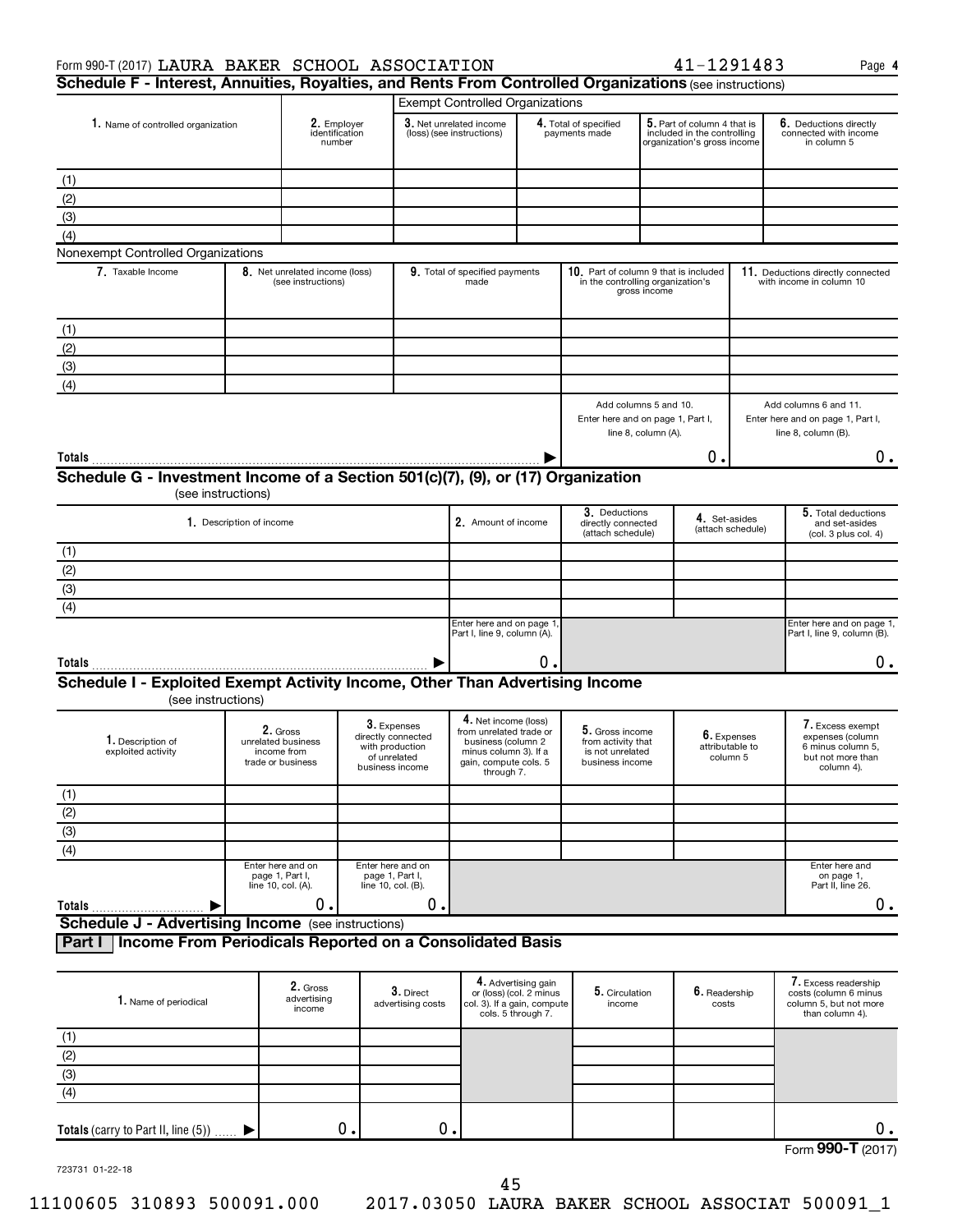|  | 41-1291483 |  |  |  |  |  |  |  |
|--|------------|--|--|--|--|--|--|--|
|--|------------|--|--|--|--|--|--|--|

Enter here and on page 1, Part II, line 26.

| Form 990-T (2017) LAURA BAKER SCHOOL ASSOCIATION                                                        |                                                                    |                                         |                                                                                         |                                                      |                                                                                                                                       |    |                                                                              |                                                                                            | 41-1291483                                                                                |  | Page 4                                                                                       |  |
|---------------------------------------------------------------------------------------------------------|--------------------------------------------------------------------|-----------------------------------------|-----------------------------------------------------------------------------------------|------------------------------------------------------|---------------------------------------------------------------------------------------------------------------------------------------|----|------------------------------------------------------------------------------|--------------------------------------------------------------------------------------------|-------------------------------------------------------------------------------------------|--|----------------------------------------------------------------------------------------------|--|
| Schedule F - Interest, Annuities, Royalties, and Rents From Controlled Organizations (see instructions) |                                                                    |                                         |                                                                                         |                                                      |                                                                                                                                       |    |                                                                              |                                                                                            |                                                                                           |  |                                                                                              |  |
|                                                                                                         |                                                                    |                                         |                                                                                         |                                                      | <b>Exempt Controlled Organizations</b>                                                                                                |    |                                                                              |                                                                                            |                                                                                           |  |                                                                                              |  |
| 1. Name of controlled organization                                                                      |                                                                    | 2. Employer<br>identification<br>number |                                                                                         | 3. Net unrelated income<br>(loss) (see instructions) |                                                                                                                                       |    | 4. Total of specified<br>payments made                                       |                                                                                            | 5. Part of column 4 that is<br>included in the controlling<br>organization's gross income |  | 6. Deductions directly<br>connected with income<br>in column 5                               |  |
| (1)                                                                                                     |                                                                    |                                         |                                                                                         |                                                      |                                                                                                                                       |    |                                                                              |                                                                                            |                                                                                           |  |                                                                                              |  |
| (2)                                                                                                     |                                                                    |                                         |                                                                                         |                                                      |                                                                                                                                       |    |                                                                              |                                                                                            |                                                                                           |  |                                                                                              |  |
| (3)                                                                                                     |                                                                    |                                         |                                                                                         |                                                      |                                                                                                                                       |    |                                                                              |                                                                                            |                                                                                           |  |                                                                                              |  |
| (4)                                                                                                     |                                                                    |                                         |                                                                                         |                                                      |                                                                                                                                       |    |                                                                              |                                                                                            |                                                                                           |  |                                                                                              |  |
| Nonexempt Controlled Organizations                                                                      |                                                                    |                                         |                                                                                         |                                                      |                                                                                                                                       |    |                                                                              |                                                                                            |                                                                                           |  |                                                                                              |  |
| 7. Taxable Income                                                                                       | 8. Net unrelated income (loss)<br>(see instructions)               |                                         |                                                                                         |                                                      | 9. Total of specified payments<br>made                                                                                                |    |                                                                              | 10. Part of column 9 that is included<br>in the controlling organization's<br>gross income |                                                                                           |  | 11. Deductions directly connected<br>with income in column 10                                |  |
| (1)                                                                                                     |                                                                    |                                         |                                                                                         |                                                      |                                                                                                                                       |    |                                                                              |                                                                                            |                                                                                           |  |                                                                                              |  |
| (2)                                                                                                     |                                                                    |                                         |                                                                                         |                                                      |                                                                                                                                       |    |                                                                              |                                                                                            |                                                                                           |  |                                                                                              |  |
| (3)                                                                                                     |                                                                    |                                         |                                                                                         |                                                      |                                                                                                                                       |    |                                                                              |                                                                                            |                                                                                           |  |                                                                                              |  |
| (4)                                                                                                     |                                                                    |                                         |                                                                                         |                                                      |                                                                                                                                       |    |                                                                              |                                                                                            |                                                                                           |  |                                                                                              |  |
| Schedule G - Investment Income of a Section 501(c)(7), (9), or (17) Organization                        |                                                                    |                                         |                                                                                         |                                                      |                                                                                                                                       |    | Enter here and on page 1, Part I,                                            | line 8, column (A).                                                                        | 0.                                                                                        |  | Enter here and on page 1, Part I,<br>line 8, column (B).<br>$0$ .                            |  |
| (see instructions)                                                                                      |                                                                    |                                         |                                                                                         |                                                      |                                                                                                                                       |    |                                                                              |                                                                                            |                                                                                           |  |                                                                                              |  |
|                                                                                                         | 1. Description of income                                           |                                         |                                                                                         |                                                      | 2. Amount of income                                                                                                                   |    | 3. Deductions<br>directly connected<br>(attach schedule)                     |                                                                                            | 4. Set-asides<br>(attach schedule)                                                        |  | 5. Total deductions<br>and set-asides<br>(col. 3 plus col. 4)                                |  |
| (1)                                                                                                     |                                                                    |                                         |                                                                                         |                                                      |                                                                                                                                       |    |                                                                              |                                                                                            |                                                                                           |  |                                                                                              |  |
| (2)                                                                                                     |                                                                    |                                         |                                                                                         |                                                      |                                                                                                                                       |    |                                                                              |                                                                                            |                                                                                           |  |                                                                                              |  |
| (3)                                                                                                     |                                                                    |                                         |                                                                                         |                                                      |                                                                                                                                       |    |                                                                              |                                                                                            |                                                                                           |  |                                                                                              |  |
| (4)                                                                                                     |                                                                    |                                         |                                                                                         |                                                      |                                                                                                                                       |    |                                                                              |                                                                                            |                                                                                           |  |                                                                                              |  |
|                                                                                                         |                                                                    |                                         |                                                                                         |                                                      | Enter here and on page 1<br>Part I, line 9, column (A).                                                                               |    |                                                                              |                                                                                            |                                                                                           |  | Enter here and on page 1,<br>Part I, line 9, column (B).                                     |  |
| Totals                                                                                                  |                                                                    |                                         |                                                                                         |                                                      |                                                                                                                                       | 0. |                                                                              |                                                                                            |                                                                                           |  | ο.                                                                                           |  |
| Schedule I - Exploited Exempt Activity Income, Other Than Advertising Income<br>(see instructions)      |                                                                    |                                         |                                                                                         |                                                      |                                                                                                                                       |    |                                                                              |                                                                                            |                                                                                           |  |                                                                                              |  |
| 1. Description of<br>exploited activity                                                                 | 2. Gross<br>unrelated business<br>income from<br>trade or business |                                         | 3. Expenses<br>directly connected<br>with production<br>of unrelated<br>business income |                                                      | 4. Net income (loss)<br>from unrelated trade or<br>business (column 2<br>minus column 3). If a<br>gain, compute cols. 5<br>through 7. |    | 5. Gross income<br>from activity that<br>is not unrelated<br>business income |                                                                                            | 6. Expenses<br>attributable to<br>column 5                                                |  | 7. Excess exempt<br>expenses (column<br>6 minus column 5.<br>but not more than<br>column 4). |  |
| (1)                                                                                                     |                                                                    |                                         |                                                                                         |                                                      |                                                                                                                                       |    |                                                                              |                                                                                            |                                                                                           |  |                                                                                              |  |
| (2)                                                                                                     |                                                                    |                                         |                                                                                         |                                                      |                                                                                                                                       |    |                                                                              |                                                                                            |                                                                                           |  |                                                                                              |  |
| (3)                                                                                                     |                                                                    |                                         |                                                                                         |                                                      |                                                                                                                                       |    |                                                                              |                                                                                            |                                                                                           |  |                                                                                              |  |

**Totals Schedule J - Advertising Income** (see instructions)  $\blacktriangleright$  $\begin{array}{ccccccc} 0. & \hspace{1.5cm} & 0. & \hspace{1.5cm} & \hspace{1.5cm} & \hspace{1.5cm} & \hspace{1.5cm} & \hspace{1.5cm} & \hspace{1.5cm} & \hspace{1.5cm} & \hspace{1.5cm} & \hspace{1.5cm} & \hspace{1.5cm} & \hspace{1.5cm} \end{array}$ 

**Part I Income From Periodicals Reported on a Consolidated Basis**

Enter here and on page 1, Part I, line 10, col. (B).

Enter here and on page 1, Part I, line 10, col. (A).

| 1. Name of periodical                  | 2. Gross<br>advertising<br>income | $3.$ Direct<br>advertising costs | 4. Advertising gain<br>or (loss) (col. 2 minus<br>col. 3). If a gain, compute<br>cols. 5 through 7. | 5. Circulation<br>income | $\boldsymbol{6}$ . Readership<br>costs | 7. Excess readership<br>costs (column 6 minus<br>column 5, but not more<br>than column 4). |
|----------------------------------------|-----------------------------------|----------------------------------|-----------------------------------------------------------------------------------------------------|--------------------------|----------------------------------------|--------------------------------------------------------------------------------------------|
| (1)                                    |                                   |                                  |                                                                                                     |                          |                                        |                                                                                            |
| (2)                                    |                                   |                                  |                                                                                                     |                          |                                        |                                                                                            |
| (3)                                    |                                   |                                  |                                                                                                     |                          |                                        |                                                                                            |
| (4)                                    |                                   |                                  |                                                                                                     |                          |                                        |                                                                                            |
| Totals (carry to Part II, line $(5)$ ) | О.                                | о.                               |                                                                                                     |                          |                                        | О.                                                                                         |
|                                        |                                   |                                  |                                                                                                     |                          |                                        | Form 990-T (2017)                                                                          |

723731 01-22-18

(4)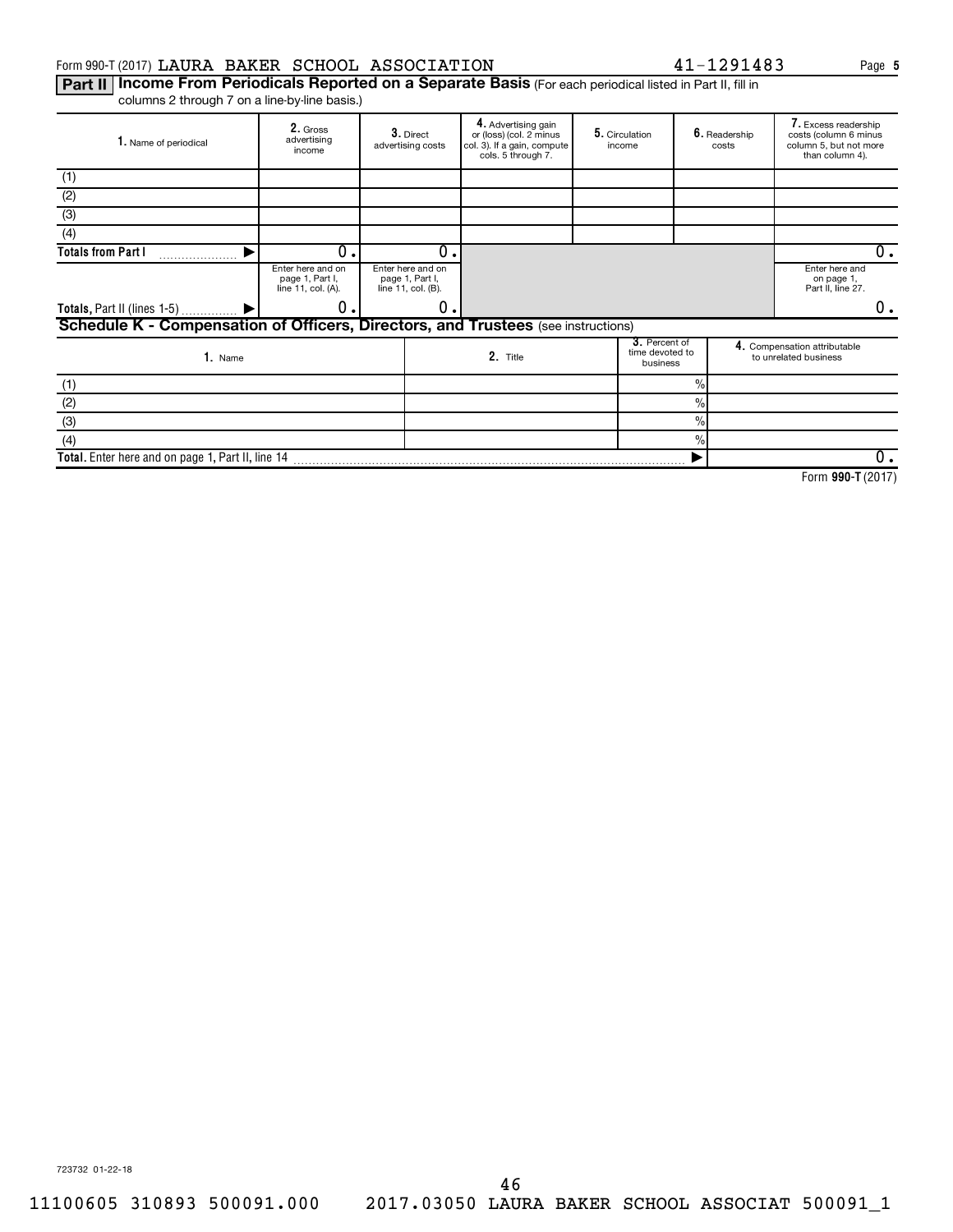#### Form 990-T (2017) LAURA BAKER SCHOOL ASSOCIATION 41-1291483 Page

Part II | Income From Periodicals Reported on a Separate Basis (For each periodical listed in Part II, fill in columns 2 through 7 on a line-by-line basis.)

| 1. Name of periodical                                                                    | 2. Gross<br>advertising<br>income                          |  | $3.$ Direct<br>advertising costs                           | 4. Advertising gain<br>or (loss) (col. 2 minus<br>col. 3). If a gain, compute<br>cols. 5 through 7. |  | 6. Readership<br>5. Circulation<br>income<br>costs |               | 7. Excess readership<br>costs (column 6 minus<br>column 5, but not more<br>than column 4). |                                                       |
|------------------------------------------------------------------------------------------|------------------------------------------------------------|--|------------------------------------------------------------|-----------------------------------------------------------------------------------------------------|--|----------------------------------------------------|---------------|--------------------------------------------------------------------------------------------|-------------------------------------------------------|
| (1)                                                                                      |                                                            |  |                                                            |                                                                                                     |  |                                                    |               |                                                                                            |                                                       |
| (2)                                                                                      |                                                            |  |                                                            |                                                                                                     |  |                                                    |               |                                                                                            |                                                       |
| (3)                                                                                      |                                                            |  |                                                            |                                                                                                     |  |                                                    |               |                                                                                            |                                                       |
| (4)                                                                                      |                                                            |  |                                                            |                                                                                                     |  |                                                    |               |                                                                                            |                                                       |
| <b>Totals from Part I</b>                                                                | 0                                                          |  | $\Omega$                                                   |                                                                                                     |  |                                                    |               |                                                                                            | 0.                                                    |
|                                                                                          | Enter here and on<br>page 1, Part I,<br>line 11, col. (A). |  | Enter here and on<br>page 1, Part I,<br>line 11, col. (B). |                                                                                                     |  |                                                    |               | Enter here and<br>on page 1,<br>Part II, line 27.                                          |                                                       |
| Totals, Part II (lines 1-5)  ▶                                                           | 0                                                          |  | 0                                                          |                                                                                                     |  |                                                    |               |                                                                                            | 0.                                                    |
| <b>Schedule K - Compensation of Officers, Directors, and Trustees</b> (see instructions) |                                                            |  |                                                            |                                                                                                     |  |                                                    |               |                                                                                            |                                                       |
| 1. Name                                                                                  |                                                            |  |                                                            | 2. Title                                                                                            |  | 3. Percent of<br>time devoted to<br>business       |               |                                                                                            | 4. Compensation attributable<br>to unrelated business |
| (1)                                                                                      |                                                            |  |                                                            |                                                                                                     |  |                                                    | $\%$          |                                                                                            |                                                       |
| (2)                                                                                      |                                                            |  |                                                            |                                                                                                     |  |                                                    | $\frac{0}{0}$ |                                                                                            |                                                       |
| (3)                                                                                      |                                                            |  |                                                            |                                                                                                     |  |                                                    | $\%$          |                                                                                            |                                                       |
| (4)                                                                                      |                                                            |  |                                                            |                                                                                                     |  |                                                    | $\frac{0}{0}$ |                                                                                            |                                                       |
| Total. Enter here and on page 1, Part II, line 14                                        |                                                            |  |                                                            |                                                                                                     |  |                                                    |               |                                                                                            | 0.                                                    |

**990-T**  Form (2017)

**5**

723732 01-22-18